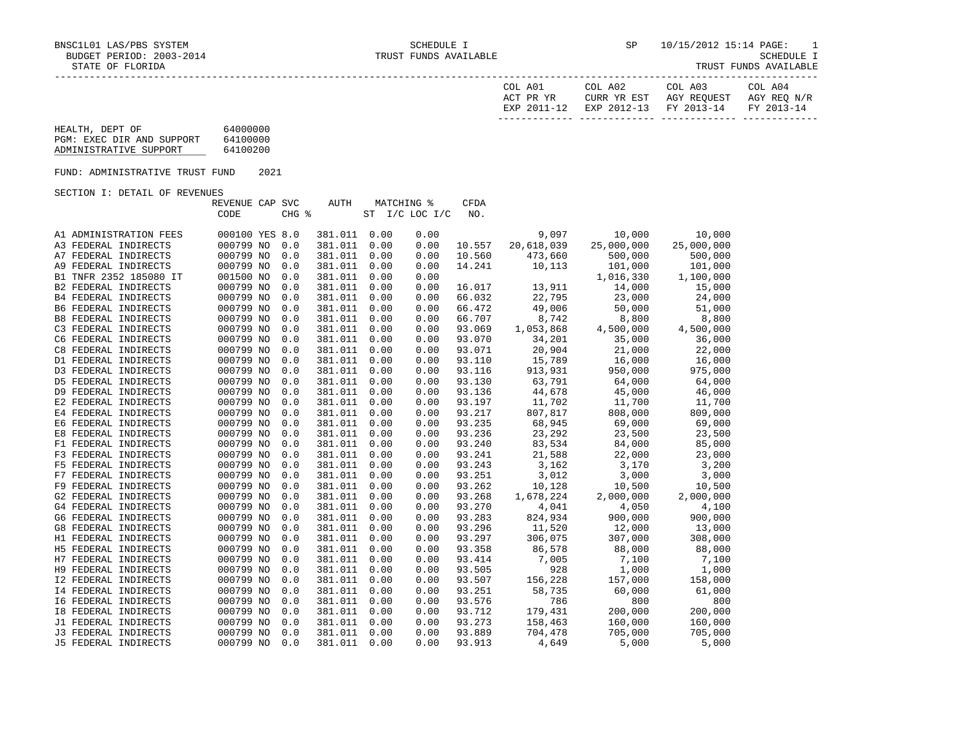| COL A01<br>ACT PR YR | COL A02<br>CURR YR EST            | COL A03<br>AGY REOUEST | COL A04<br>AGY REO N/R |
|----------------------|-----------------------------------|------------------------|------------------------|
| EXP 2011-12          | EXP 2012-13 FY 2013-14 FY 2013-14 |                        |                        |

| HEALTH, DEPT OF           | 64000000 |
|---------------------------|----------|
| PGM: EXEC DIR AND SUPPORT | 64100000 |
| ADMINISTRATIVE SUPPORT    | 64100200 |

FUND: ADMINISTRATIVE TRUST FUND 2021

SECTION I: DETAIL OF REVENUES

|                             | REVENUE CAP SVC |       | <b>AUTH</b> |      | <b>MATCHING %</b> | <b>CFDA</b> |            |            |            |
|-----------------------------|-----------------|-------|-------------|------|-------------------|-------------|------------|------------|------------|
|                             | CODE            | CHG % |             |      | ST I/C LOC I/C    | NO.         |            |            |            |
| A1 ADMINISTRATION FEES      | 000100 YES 8.0  |       | 381.011     | 0.00 | 0.00              |             | 9,097      | 10,000     | 10,000     |
| A3 FEDERAL INDIRECTS        | 000799 NO       | 0.0   | 381.011     | 0.00 | 0.00              | 10.557      | 20,618,039 | 25,000,000 | 25,000,000 |
| A7 FEDERAL INDIRECTS        | 000799 NO       | 0.0   | 381.011     | 0.00 | 0.00              | 10.560      | 473,660    | 500,000    | 500,000    |
| A9 FEDERAL INDIRECTS        | 000799 NO       | 0.0   | 381.011     | 0.00 | 0.00              | 14.241      | 10,113     | 101,000    | 101,000    |
| B1 TNFR 2352 185080 IT      | 001500 NO       | 0.0   | 381.011     | 0.00 | 0.00              |             |            | 1,016,330  | 1,100,000  |
| <b>B2 FEDERAL INDIRECTS</b> | 000799 NO       | 0.0   | 381.011     | 0.00 | 0.00              | 16.017      | 13,911     | 14,000     | 15,000     |
| <b>B4 FEDERAL INDIRECTS</b> | 000799 NO       | 0.0   | 381.011     | 0.00 | 0.00              | 66.032      | 22,795     | 23,000     | 24,000     |
| <b>B6 FEDERAL INDIRECTS</b> | 000799 NO       | 0.0   | 381.011     | 0.00 | 0.00              | 66.472      | 49,006     | 50,000     | 51,000     |
| <b>B8 FEDERAL INDIRECTS</b> | 000799 NO       | 0.0   | 381.011     | 0.00 | 0.00              | 66.707      | 8,742      | 8,800      | 8,800      |
| C3 FEDERAL INDIRECTS        | 000799 NO       | 0.0   | 381.011     | 0.00 | 0.00              | 93.069      | 1,053,868  | 4,500,000  | 4,500,000  |
| C6 FEDERAL INDIRECTS        | 000799 NO       | 0.0   | 381.011     | 0.00 | 0.00              | 93.070      | 34,201     | 35,000     | 36,000     |
| C8 FEDERAL INDIRECTS        | 000799 NO       | 0.0   | 381.011     | 0.00 | 0.00              | 93.071      | 20,904     | 21,000     | 22,000     |
| D1 FEDERAL INDIRECTS        | 000799 NO       | 0.0   | 381.011     | 0.00 | 0.00              | 93.110      | 15,789     | 16,000     | 16,000     |
| D3 FEDERAL INDIRECTS        | 000799 NO       | 0.0   | 381.011     | 0.00 | 0.00              | 93.116      | 913,931    | 950,000    | 975,000    |
| D5 FEDERAL INDIRECTS        | 000799 NO       | 0.0   | 381.011     | 0.00 | 0.00              | 93.130      | 63,791     | 64,000     | 64,000     |
| D9 FEDERAL INDIRECTS        | 000799 NO       | 0.0   | 381.011     | 0.00 | 0.00              | 93.136      | 44,678     | 45,000     | 46,000     |
| E2 FEDERAL INDIRECTS        | 000799 NO       | 0.0   | 381.011     | 0.00 | 0.00              | 93.197      | 11,702     | 11,700     | 11,700     |
| E4 FEDERAL INDIRECTS        | 000799 NO       | 0.0   | 381.011     | 0.00 | 0.00              | 93.217      | 807,817    | 808,000    | 809,000    |
| E6 FEDERAL INDIRECTS        | 000799 NO       | 0.0   | 381.011     | 0.00 | 0.00              | 93.235      | 68,945     | 69,000     | 69,000     |
| E8 FEDERAL INDIRECTS        | 000799 NO       | 0.0   | 381.011     | 0.00 | 0.00              | 93.236      | 23,292     | 23,500     | 23,500     |
| F1 FEDERAL INDIRECTS        | 000799 NO       | 0.0   | 381.011     | 0.00 | 0.00              | 93.240      | 83,534     | 84,000     | 85,000     |
| F3 FEDERAL INDIRECTS        | 000799 NO       | 0.0   | 381.011     | 0.00 | 0.00              | 93.241      | 21,588     | 22,000     | 23,000     |
| F5 FEDERAL INDIRECTS        | 000799 NO       | 0.0   | 381.011     | 0.00 | 0.00              | 93.243      | 3,162      | 3,170      | 3,200      |
| F7 FEDERAL INDIRECTS        | 000799 NO       | 0.0   | 381.011     | 0.00 | 0.00              | 93.251      | 3,012      | 3,000      | 3,000      |
| F9 FEDERAL INDIRECTS        | 000799 NO       | 0.0   | 381.011     | 0.00 | 0.00              | 93.262      | 10,128     | 10,500     | 10,500     |
| G2 FEDERAL INDIRECTS        | 000799 NO       | 0.0   | 381.011     | 0.00 | 0.00              | 93.268      | 1,678,224  | 2,000,000  | 2,000,000  |
| G4 FEDERAL INDIRECTS        | 000799 NO       | 0.0   | 381.011     | 0.00 | 0.00              | 93.270      | 4,041      | 4,050      | 4,100      |
| G6 FEDERAL INDIRECTS        | 000799 NO       | 0.0   | 381.011     | 0.00 | 0.00              | 93.283      | 824,934    | 900,000    | 900,000    |
| G8 FEDERAL INDIRECTS        | 000799 NO       | 0.0   | 381.011     | 0.00 | 0.00              | 93.296      | 11,520     | 12,000     | 13,000     |
| H1 FEDERAL INDIRECTS        | 000799 NO       | 0.0   | 381.011     | 0.00 | 0.00              | 93.297      | 306,075    | 307,000    | 308,000    |
| H5 FEDERAL INDIRECTS        | 000799 NO       | 0.0   | 381.011     | 0.00 | 0.00              | 93.358      | 86,578     | 88,000     | 88,000     |
| H7 FEDERAL INDIRECTS        | 000799 NO       | 0.0   | 381.011     | 0.00 | 0.00              | 93.414      | 7,005      | 7,100      | 7,100      |
| H9 FEDERAL INDIRECTS        | 000799 NO       | 0.0   | 381.011     | 0.00 | 0.00              | 93.505      | 928        | 1,000      | 1,000      |
| <b>I2 FEDERAL INDIRECTS</b> | 000799 NO       | 0.0   | 381.011     | 0.00 | 0.00              | 93.507      | 156,228    | 157,000    | 158,000    |
| <b>I4 FEDERAL INDIRECTS</b> | 000799 NO       | 0.0   | 381.011     | 0.00 | 0.00              | 93.251      | 58,735     | 60,000     | 61,000     |
| 16 FEDERAL INDIRECTS        | 000799 NO       | 0.0   | 381.011     | 0.00 | 0.00              | 93.576      | 786        | 800        | 800        |
| <b>18 FEDERAL INDIRECTS</b> | 000799 NO       | 0.0   | 381.011     | 0.00 | 0.00              | 93.712      | 179,431    | 200,000    | 200,000    |
| J1 FEDERAL INDIRECTS        | 000799 NO       | 0.0   | 381.011     | 0.00 | 0.00              | 93.273      | 158,463    | 160,000    | 160,000    |
| J3 FEDERAL INDIRECTS        | 000799 NO       | 0.0   | 381.011     | 0.00 | 0.00              | 93.889      | 704,478    | 705,000    | 705,000    |
| J5 FEDERAL INDIRECTS        | 000799 NO       | 0.0   | 381.011     | 0.00 | 0.00              | 93.913      | 4,649      | 5,000      | 5,000      |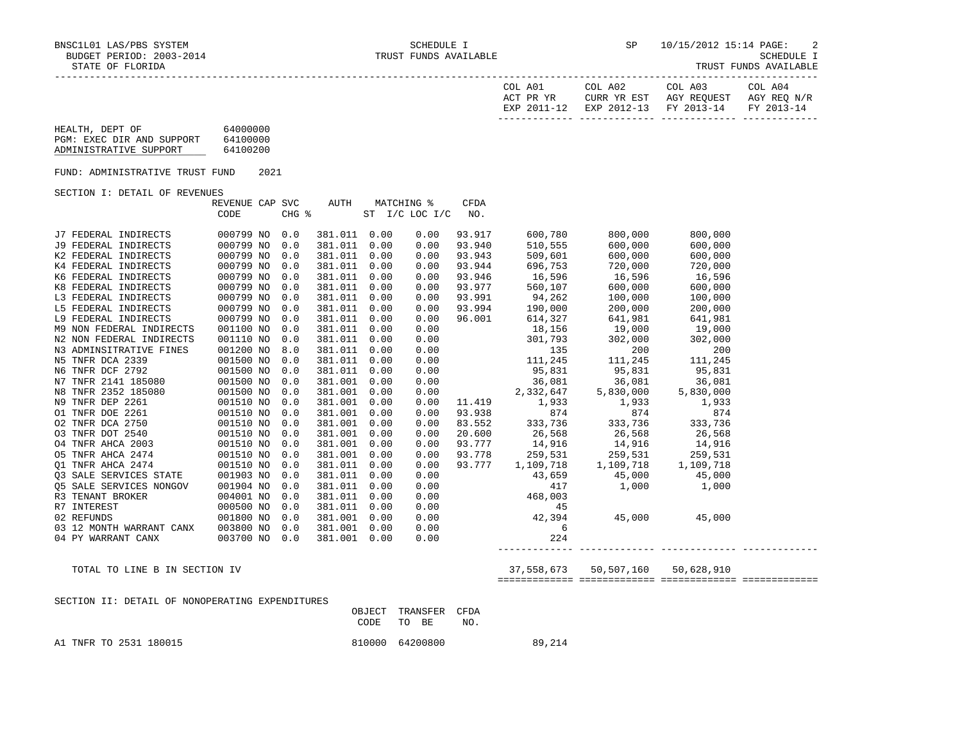| COL A01<br>ACT PR YR | COL A02 | COL A03<br>CURR YR EST AGY REOUEST AGY REO N/R | COL A04 |
|----------------------|---------|------------------------------------------------|---------|
|                      |         | EXP 2011-12 EXP 2012-13 FY 2013-14 FY 2013-14  |         |
|                      |         |                                                |         |

| HEALTH, DEPT OF           | 64000000 |
|---------------------------|----------|
| PGM: EXEC DIR AND SUPPORT | 64100000 |
| ADMINISTRATIVE SUPPORT    | 64100200 |

FUND: ADMINISTRATIVE TRUST FUND 2021

#### SECTION I: DETAIL OF REVENUES

|                          | REVENUE CAP SVC |       | AUTH    |      | MATCHING %     | <b>CFDA</b> |                                              |                 |           |  |
|--------------------------|-----------------|-------|---------|------|----------------|-------------|----------------------------------------------|-----------------|-----------|--|
|                          | CODE            | CHG % |         |      | ST I/C LOC I/C | NO.         |                                              |                 |           |  |
|                          |                 |       |         |      |                |             |                                              |                 |           |  |
| J7 FEDERAL INDIRECTS     | 000799 NO       | 0.0   | 381.011 | 0.00 | 0.00           | 93.917      | 600,780                                      | 800,000         | 800,000   |  |
| J9 FEDERAL INDIRECTS     | 000799 NO       | 0.0   | 381.011 | 0.00 | 0.00           | 93.940      | 510,555                                      | 600,000         | 600,000   |  |
| K2 FEDERAL INDIRECTS     | 000799 NO       | 0.0   | 381.011 | 0.00 | 0.00           | 93.943      | 509,601                                      | 600,000         | 600,000   |  |
| K4 FEDERAL INDIRECTS     | 000799 NO       | 0.0   | 381.011 | 0.00 | 0.00           | 93.944      | 696,753                                      | 720,000         | 720,000   |  |
| K6 FEDERAL INDIRECTS     | 000799 NO       | 0.0   | 381.011 | 0.00 | 0.00           | 93.946      | 16,596                                       | 16,596          | 16,596    |  |
| K8 FEDERAL INDIRECTS     | 000799 NO       | 0.0   | 381.011 | 0.00 | 0.00           | 93.977      | 560,107                                      | 600,000         | 600,000   |  |
| L3 FEDERAL INDIRECTS     | 000799 NO       | 0.0   | 381.011 | 0.00 | 0.00           | 93.991      | 94,262                                       | 100,000         | 100,000   |  |
| L5 FEDERAL INDIRECTS     | 000799 NO       | 0.0   | 381.011 | 0.00 | 0.00           | 93.994      | 190,000                                      | 200,000         | 200,000   |  |
| L9 FEDERAL INDIRECTS     | 000799 NO       | 0.0   | 381.011 | 0.00 | 0.00           | 96.001      | 614,327                                      | 641,981         | 641,981   |  |
| M9 NON FEDERAL INDIRECTS | 001100 NO       | 0.0   | 381.011 | 0.00 | 0.00           |             |                                              | 18,156 19,000   | 19,000    |  |
| N2 NON FEDERAL INDIRECTS | 001110 NO       | 0.0   | 381.011 | 0.00 | 0.00           |             | 301,793                                      | 302,000         | 302,000   |  |
| N3 ADMINSITRATIVE FINES  | 001200 NO       | 8.0   | 381.011 | 0.00 | 0.00           |             | 135                                          | 200             | 200       |  |
| N5 TNFR DCA 2339         | 001500 NO       | 0.0   | 381.011 | 0.00 | 0.00           |             | 111,245                                      | 111,245         | 111,245   |  |
| N6 TNFR DCF 2792         | 001500 NO       | 0.0   | 381.011 | 0.00 | 0.00           |             | 95,831                                       | 95,831          | 95,831    |  |
| N7 TNFR 2141 185080      | 001500 NO       | 0.0   | 381.001 | 0.00 | 0.00           |             | 36,081                                       | 36,081          | 36,081    |  |
| N8 TNFR 2352 185080      | 001500 NO       | 0.0   | 381.001 | 0.00 | 0.00           |             | 2,332,647                                    | 5,830,000       | 5,830,000 |  |
| N9 TNFR DEP 2261         | 001510 NO       | 0.0   | 381.001 | 0.00 | 0.00           | 11.419      | 1,933                                        | 1,933           | 1,933     |  |
| O1 TNFR DOE 2261         | 001510 NO       | 0.0   | 381.001 | 0.00 | 0.00           | 93.938      | 874                                          | 874             | 874       |  |
| 02 TNFR DCA 2750         | 001510 NO       | 0.0   | 381.001 | 0.00 | 0.00           | 83.552      |                                              | 333,736 333,736 | 333,736   |  |
| 03 TNFR DOT 2540         | 001510 NO       | 0.0   | 381.001 | 0.00 | 0.00           | 20.600      |                                              |                 |           |  |
| 04 TNFR AHCA 2003        | 001510 NO       | 0.0   | 381.001 | 0.00 | 0.00           | 93.777      | 26,568 26,568 26,568<br>14,916 14,916 14,916 |                 |           |  |
| 05 TNFR AHCA 2474        | 001510 NO       | 0.0   | 381.001 | 0.00 | 0.00           | 93.778      | 259,531                                      | 259,531         | 259,531   |  |
| 01 TNFR AHCA 2474        | 001510 NO       | 0.0   | 381.011 | 0.00 | 0.00           | 93.777      | 1,109,718                                    | 1,109,718       | 1,109,718 |  |
| 03 SALE SERVICES STATE   | 001903 NO       | 0.0   | 381.011 | 0.00 | 0.00           |             | 43,659                                       | 45,000          | 45,000    |  |
| 05 SALE SERVICES NONGOV  | 001904 NO       | 0.0   | 381.011 | 0.00 | 0.00           |             | 417                                          | 1,000           | 1,000     |  |
| R3 TENANT BROKER         | 004001 NO       | 0.0   | 381.011 | 0.00 | 0.00           |             | 468,003                                      |                 |           |  |
| R7 INTEREST              | 000500 NO       | 0.0   | 381.011 | 0.00 | 0.00           |             | 45                                           |                 |           |  |
| 02 REFUNDS               | 001800 NO       | 0.0   | 381.001 | 0.00 | 0.00           |             | 42,394                                       | 45,000          | 45,000    |  |
| 03 12 MONTH WARRANT CANX | 003800 NO       | 0.0   | 381.001 | 0.00 | 0.00           |             | 6                                            |                 |           |  |
| 04 PY WARRANT CANX       | 003700 NO       | 0.0   | 381.001 | 0.00 | 0.00           |             | 224                                          |                 |           |  |
|                          |                 |       |         |      |                |             |                                              |                 |           |  |

TOTAL TO LINE B IN SECTION IV 37,558,673 50,507,160 50,628,910

============= ============= ============= =============

# SECTION II: DETAIL OF NONOPERATING EXPENDITURES

|                        | OBJECT TRANSFER CFDA<br>CODE TO BE | NO. |        |
|------------------------|------------------------------------|-----|--------|
| A1 TNFR TO 2531 180015 | 810000 64200800                    |     | 89,214 |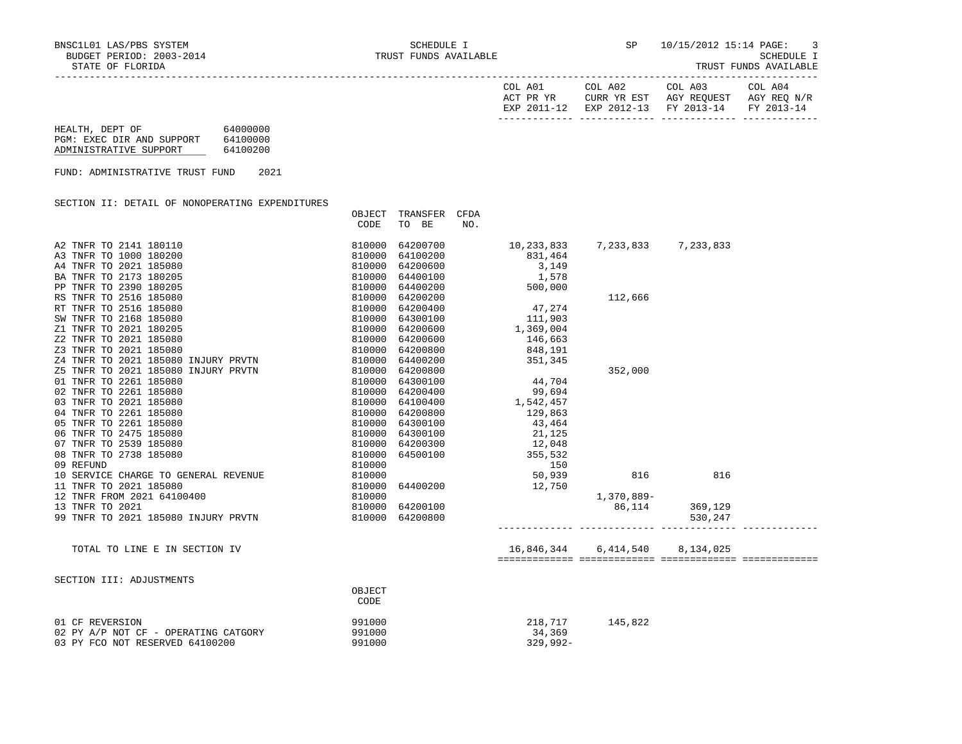| COL A01<br>ACT PR YR | COL A02<br>CURR YR EST            | COL A03<br>AGY REOUEST | COL A04<br>AGY REO N/R |
|----------------------|-----------------------------------|------------------------|------------------------|
| EXP 2011-12          | EXP 2012-13 FY 2013-14 FY 2013-14 |                        |                        |

| HEALTH, DEPT OF           | 64000000 |
|---------------------------|----------|
| PGM: EXEC DIR AND SUPPORT | 64100000 |
| ADMINISTRATIVE SUPPORT    | 64100200 |

FUND: ADMINISTRATIVE TRUST FUND 2021

SECTION II: DETAIL OF NONOPERATING EXPENDITURES

| CODE<br>TO BE<br>NO.<br>A2 TNFR TO 2141 180110<br>64200700<br>7,233,833 7,233,833<br>810000<br>10,233,833<br>A3 TNFR TO 1000 180200<br>64100200<br>810000<br>831,464<br>A4 TNFR TO 2021 185080<br>810000<br>64200600<br>3,149<br>1,578<br>BA TNFR TO 2173 180205<br>810000<br>64400100<br>PP TNFR TO 2390 180205<br>810000<br>64400200<br>500,000<br>RS TNFR TO 2516 185080<br>810000<br>64200200<br>112,666<br>47,274<br>RT TNFR TO 2516 185080<br>810000<br>64200400<br>111,903<br>SW TNFR TO 2168 185080<br>810000<br>64300100<br>1,369,004<br>Z1 TNFR TO 2021 180205<br>810000<br>64200600<br>$\begin{array}{c} 810000 \\ 810000 \\ 810000 \\ 810000 \end{array}$<br>Z2 TNFR TO 2021 185080<br>64200600<br>146,663<br>Z3 TNFR TO 2021 185080<br>64200800<br>848,191<br>351,345<br>Z4 TNFR TO 2021 185080 INJURY PRVTN<br>64400200<br>Z5 TNFR TO 2021 185080 INJURY PRVTN<br>64200800<br>352,000<br>44,704<br>01 TNFR TO 2261 185080<br>810000<br>64300100<br>02 TNFR TO 2261 185080<br>810000<br>64200400<br>99,694<br>99,694<br>1,542,457<br>129,863<br>03 TNFR TO 2021 185080<br>64100400<br>810000<br>04 TNFR TO 2261 185080<br>810000<br>64200800<br>05 TNFR TO 2261 185080<br>810000<br>64300100<br>43,464<br>06 TNFR TO 2475 185080<br>$21,125$<br>$12,048$<br>$355,532$<br>810000<br>64300100<br>07 TNFR TO 2539 185080<br>810000<br>64200300<br>08 TNFR TO 2738 185080<br>810000<br>64500100<br>810000<br>09 REFUND<br>150<br>50,939<br>$810000$<br>$810000$<br>$810000$<br>10 SERVICE CHARGE TO GENERAL REVENUE<br>816<br>816<br>11 TNFR TO 2021 185080<br>64400200 12,750<br>12 TNFR FROM 2021 64100400<br>1,370,889-<br>810000<br>86,114 369,129<br>13 TNFR TO 2021<br>64200100<br>99 TNFR TO 2021 185080 INJURY PRVTN<br>810000<br>64200800<br>530,247<br>16,846,344 6,414,540<br>TOTAL TO LINE E IN SECTION IV<br>8,134,025<br>SECTION III: ADJUSTMENTS<br>OBJECT<br>CODE | OBJECT | TRANSFER | CFDA |  |  |
|--------------------------------------------------------------------------------------------------------------------------------------------------------------------------------------------------------------------------------------------------------------------------------------------------------------------------------------------------------------------------------------------------------------------------------------------------------------------------------------------------------------------------------------------------------------------------------------------------------------------------------------------------------------------------------------------------------------------------------------------------------------------------------------------------------------------------------------------------------------------------------------------------------------------------------------------------------------------------------------------------------------------------------------------------------------------------------------------------------------------------------------------------------------------------------------------------------------------------------------------------------------------------------------------------------------------------------------------------------------------------------------------------------------------------------------------------------------------------------------------------------------------------------------------------------------------------------------------------------------------------------------------------------------------------------------------------------------------------------------------------------------------------------------------------------------------------------------------------------------------------------------------|--------|----------|------|--|--|
|                                                                                                                                                                                                                                                                                                                                                                                                                                                                                                                                                                                                                                                                                                                                                                                                                                                                                                                                                                                                                                                                                                                                                                                                                                                                                                                                                                                                                                                                                                                                                                                                                                                                                                                                                                                                                                                                                            |        |          |      |  |  |
|                                                                                                                                                                                                                                                                                                                                                                                                                                                                                                                                                                                                                                                                                                                                                                                                                                                                                                                                                                                                                                                                                                                                                                                                                                                                                                                                                                                                                                                                                                                                                                                                                                                                                                                                                                                                                                                                                            |        |          |      |  |  |
|                                                                                                                                                                                                                                                                                                                                                                                                                                                                                                                                                                                                                                                                                                                                                                                                                                                                                                                                                                                                                                                                                                                                                                                                                                                                                                                                                                                                                                                                                                                                                                                                                                                                                                                                                                                                                                                                                            |        |          |      |  |  |
|                                                                                                                                                                                                                                                                                                                                                                                                                                                                                                                                                                                                                                                                                                                                                                                                                                                                                                                                                                                                                                                                                                                                                                                                                                                                                                                                                                                                                                                                                                                                                                                                                                                                                                                                                                                                                                                                                            |        |          |      |  |  |
|                                                                                                                                                                                                                                                                                                                                                                                                                                                                                                                                                                                                                                                                                                                                                                                                                                                                                                                                                                                                                                                                                                                                                                                                                                                                                                                                                                                                                                                                                                                                                                                                                                                                                                                                                                                                                                                                                            |        |          |      |  |  |
|                                                                                                                                                                                                                                                                                                                                                                                                                                                                                                                                                                                                                                                                                                                                                                                                                                                                                                                                                                                                                                                                                                                                                                                                                                                                                                                                                                                                                                                                                                                                                                                                                                                                                                                                                                                                                                                                                            |        |          |      |  |  |
|                                                                                                                                                                                                                                                                                                                                                                                                                                                                                                                                                                                                                                                                                                                                                                                                                                                                                                                                                                                                                                                                                                                                                                                                                                                                                                                                                                                                                                                                                                                                                                                                                                                                                                                                                                                                                                                                                            |        |          |      |  |  |
|                                                                                                                                                                                                                                                                                                                                                                                                                                                                                                                                                                                                                                                                                                                                                                                                                                                                                                                                                                                                                                                                                                                                                                                                                                                                                                                                                                                                                                                                                                                                                                                                                                                                                                                                                                                                                                                                                            |        |          |      |  |  |
|                                                                                                                                                                                                                                                                                                                                                                                                                                                                                                                                                                                                                                                                                                                                                                                                                                                                                                                                                                                                                                                                                                                                                                                                                                                                                                                                                                                                                                                                                                                                                                                                                                                                                                                                                                                                                                                                                            |        |          |      |  |  |
|                                                                                                                                                                                                                                                                                                                                                                                                                                                                                                                                                                                                                                                                                                                                                                                                                                                                                                                                                                                                                                                                                                                                                                                                                                                                                                                                                                                                                                                                                                                                                                                                                                                                                                                                                                                                                                                                                            |        |          |      |  |  |
|                                                                                                                                                                                                                                                                                                                                                                                                                                                                                                                                                                                                                                                                                                                                                                                                                                                                                                                                                                                                                                                                                                                                                                                                                                                                                                                                                                                                                                                                                                                                                                                                                                                                                                                                                                                                                                                                                            |        |          |      |  |  |
|                                                                                                                                                                                                                                                                                                                                                                                                                                                                                                                                                                                                                                                                                                                                                                                                                                                                                                                                                                                                                                                                                                                                                                                                                                                                                                                                                                                                                                                                                                                                                                                                                                                                                                                                                                                                                                                                                            |        |          |      |  |  |
|                                                                                                                                                                                                                                                                                                                                                                                                                                                                                                                                                                                                                                                                                                                                                                                                                                                                                                                                                                                                                                                                                                                                                                                                                                                                                                                                                                                                                                                                                                                                                                                                                                                                                                                                                                                                                                                                                            |        |          |      |  |  |
|                                                                                                                                                                                                                                                                                                                                                                                                                                                                                                                                                                                                                                                                                                                                                                                                                                                                                                                                                                                                                                                                                                                                                                                                                                                                                                                                                                                                                                                                                                                                                                                                                                                                                                                                                                                                                                                                                            |        |          |      |  |  |
|                                                                                                                                                                                                                                                                                                                                                                                                                                                                                                                                                                                                                                                                                                                                                                                                                                                                                                                                                                                                                                                                                                                                                                                                                                                                                                                                                                                                                                                                                                                                                                                                                                                                                                                                                                                                                                                                                            |        |          |      |  |  |
|                                                                                                                                                                                                                                                                                                                                                                                                                                                                                                                                                                                                                                                                                                                                                                                                                                                                                                                                                                                                                                                                                                                                                                                                                                                                                                                                                                                                                                                                                                                                                                                                                                                                                                                                                                                                                                                                                            |        |          |      |  |  |
|                                                                                                                                                                                                                                                                                                                                                                                                                                                                                                                                                                                                                                                                                                                                                                                                                                                                                                                                                                                                                                                                                                                                                                                                                                                                                                                                                                                                                                                                                                                                                                                                                                                                                                                                                                                                                                                                                            |        |          |      |  |  |
|                                                                                                                                                                                                                                                                                                                                                                                                                                                                                                                                                                                                                                                                                                                                                                                                                                                                                                                                                                                                                                                                                                                                                                                                                                                                                                                                                                                                                                                                                                                                                                                                                                                                                                                                                                                                                                                                                            |        |          |      |  |  |
|                                                                                                                                                                                                                                                                                                                                                                                                                                                                                                                                                                                                                                                                                                                                                                                                                                                                                                                                                                                                                                                                                                                                                                                                                                                                                                                                                                                                                                                                                                                                                                                                                                                                                                                                                                                                                                                                                            |        |          |      |  |  |
|                                                                                                                                                                                                                                                                                                                                                                                                                                                                                                                                                                                                                                                                                                                                                                                                                                                                                                                                                                                                                                                                                                                                                                                                                                                                                                                                                                                                                                                                                                                                                                                                                                                                                                                                                                                                                                                                                            |        |          |      |  |  |
|                                                                                                                                                                                                                                                                                                                                                                                                                                                                                                                                                                                                                                                                                                                                                                                                                                                                                                                                                                                                                                                                                                                                                                                                                                                                                                                                                                                                                                                                                                                                                                                                                                                                                                                                                                                                                                                                                            |        |          |      |  |  |
|                                                                                                                                                                                                                                                                                                                                                                                                                                                                                                                                                                                                                                                                                                                                                                                                                                                                                                                                                                                                                                                                                                                                                                                                                                                                                                                                                                                                                                                                                                                                                                                                                                                                                                                                                                                                                                                                                            |        |          |      |  |  |
|                                                                                                                                                                                                                                                                                                                                                                                                                                                                                                                                                                                                                                                                                                                                                                                                                                                                                                                                                                                                                                                                                                                                                                                                                                                                                                                                                                                                                                                                                                                                                                                                                                                                                                                                                                                                                                                                                            |        |          |      |  |  |
|                                                                                                                                                                                                                                                                                                                                                                                                                                                                                                                                                                                                                                                                                                                                                                                                                                                                                                                                                                                                                                                                                                                                                                                                                                                                                                                                                                                                                                                                                                                                                                                                                                                                                                                                                                                                                                                                                            |        |          |      |  |  |
|                                                                                                                                                                                                                                                                                                                                                                                                                                                                                                                                                                                                                                                                                                                                                                                                                                                                                                                                                                                                                                                                                                                                                                                                                                                                                                                                                                                                                                                                                                                                                                                                                                                                                                                                                                                                                                                                                            |        |          |      |  |  |
|                                                                                                                                                                                                                                                                                                                                                                                                                                                                                                                                                                                                                                                                                                                                                                                                                                                                                                                                                                                                                                                                                                                                                                                                                                                                                                                                                                                                                                                                                                                                                                                                                                                                                                                                                                                                                                                                                            |        |          |      |  |  |
|                                                                                                                                                                                                                                                                                                                                                                                                                                                                                                                                                                                                                                                                                                                                                                                                                                                                                                                                                                                                                                                                                                                                                                                                                                                                                                                                                                                                                                                                                                                                                                                                                                                                                                                                                                                                                                                                                            |        |          |      |  |  |
|                                                                                                                                                                                                                                                                                                                                                                                                                                                                                                                                                                                                                                                                                                                                                                                                                                                                                                                                                                                                                                                                                                                                                                                                                                                                                                                                                                                                                                                                                                                                                                                                                                                                                                                                                                                                                                                                                            |        |          |      |  |  |
|                                                                                                                                                                                                                                                                                                                                                                                                                                                                                                                                                                                                                                                                                                                                                                                                                                                                                                                                                                                                                                                                                                                                                                                                                                                                                                                                                                                                                                                                                                                                                                                                                                                                                                                                                                                                                                                                                            |        |          |      |  |  |
|                                                                                                                                                                                                                                                                                                                                                                                                                                                                                                                                                                                                                                                                                                                                                                                                                                                                                                                                                                                                                                                                                                                                                                                                                                                                                                                                                                                                                                                                                                                                                                                                                                                                                                                                                                                                                                                                                            |        |          |      |  |  |
|                                                                                                                                                                                                                                                                                                                                                                                                                                                                                                                                                                                                                                                                                                                                                                                                                                                                                                                                                                                                                                                                                                                                                                                                                                                                                                                                                                                                                                                                                                                                                                                                                                                                                                                                                                                                                                                                                            |        |          |      |  |  |
|                                                                                                                                                                                                                                                                                                                                                                                                                                                                                                                                                                                                                                                                                                                                                                                                                                                                                                                                                                                                                                                                                                                                                                                                                                                                                                                                                                                                                                                                                                                                                                                                                                                                                                                                                                                                                                                                                            |        |          |      |  |  |
|                                                                                                                                                                                                                                                                                                                                                                                                                                                                                                                                                                                                                                                                                                                                                                                                                                                                                                                                                                                                                                                                                                                                                                                                                                                                                                                                                                                                                                                                                                                                                                                                                                                                                                                                                                                                                                                                                            |        |          |      |  |  |
|                                                                                                                                                                                                                                                                                                                                                                                                                                                                                                                                                                                                                                                                                                                                                                                                                                                                                                                                                                                                                                                                                                                                                                                                                                                                                                                                                                                                                                                                                                                                                                                                                                                                                                                                                                                                                                                                                            |        |          |      |  |  |
|                                                                                                                                                                                                                                                                                                                                                                                                                                                                                                                                                                                                                                                                                                                                                                                                                                                                                                                                                                                                                                                                                                                                                                                                                                                                                                                                                                                                                                                                                                                                                                                                                                                                                                                                                                                                                                                                                            |        |          |      |  |  |
|                                                                                                                                                                                                                                                                                                                                                                                                                                                                                                                                                                                                                                                                                                                                                                                                                                                                                                                                                                                                                                                                                                                                                                                                                                                                                                                                                                                                                                                                                                                                                                                                                                                                                                                                                                                                                                                                                            |        |          |      |  |  |
|                                                                                                                                                                                                                                                                                                                                                                                                                                                                                                                                                                                                                                                                                                                                                                                                                                                                                                                                                                                                                                                                                                                                                                                                                                                                                                                                                                                                                                                                                                                                                                                                                                                                                                                                                                                                                                                                                            |        |          |      |  |  |
|                                                                                                                                                                                                                                                                                                                                                                                                                                                                                                                                                                                                                                                                                                                                                                                                                                                                                                                                                                                                                                                                                                                                                                                                                                                                                                                                                                                                                                                                                                                                                                                                                                                                                                                                                                                                                                                                                            |        |          |      |  |  |
| 01 CF REVERSION<br>991000<br>218,717<br>145,822                                                                                                                                                                                                                                                                                                                                                                                                                                                                                                                                                                                                                                                                                                                                                                                                                                                                                                                                                                                                                                                                                                                                                                                                                                                                                                                                                                                                                                                                                                                                                                                                                                                                                                                                                                                                                                            |        |          |      |  |  |
| 02 PY A/P NOT CF - OPERATING CATGORY<br>991000<br>34,369                                                                                                                                                                                                                                                                                                                                                                                                                                                                                                                                                                                                                                                                                                                                                                                                                                                                                                                                                                                                                                                                                                                                                                                                                                                                                                                                                                                                                                                                                                                                                                                                                                                                                                                                                                                                                                   |        |          |      |  |  |
| 03 PY FCO NOT RESERVED 64100200<br>991000<br>$329,992 -$                                                                                                                                                                                                                                                                                                                                                                                                                                                                                                                                                                                                                                                                                                                                                                                                                                                                                                                                                                                                                                                                                                                                                                                                                                                                                                                                                                                                                                                                                                                                                                                                                                                                                                                                                                                                                                   |        |          |      |  |  |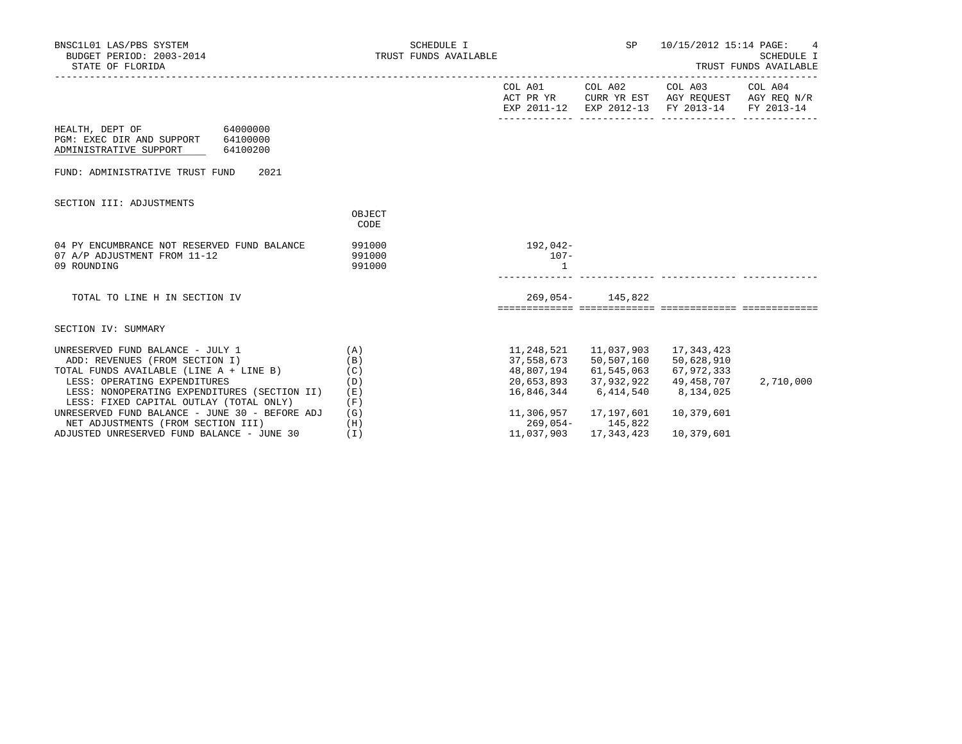| BNSC1L01 LAS/PBS SYSTEM<br>BUDGET PERIOD: 2003-2014<br>STATE OF FLORIDA                                                                       | SCHEDULE I<br>TRUST FUNDS AVAILABLE |                                     | SP                                  | 10/15/2012 15:14 PAGE:<br>4<br>SCHEDULE I<br>TRUST FUNDS AVAILABLE                             |           |  |
|-----------------------------------------------------------------------------------------------------------------------------------------------|-------------------------------------|-------------------------------------|-------------------------------------|------------------------------------------------------------------------------------------------|-----------|--|
|                                                                                                                                               |                                     |                                     |                                     | ACT PR YR CURR YR EST AGY REQUEST AGY REQ N/R<br>EXP 2011-12 EXP 2012-13 FY 2013-14 FY 2013-14 |           |  |
| HEALTH, DEPT OF 64000000<br>PGM: EXEC DIR AND SUPPORT 64100000<br>ADMINISTRATIVE SUPPORT<br>64100200                                          |                                     |                                     |                                     |                                                                                                |           |  |
| 2021<br>FUND: ADMINISTRATIVE TRUST FUND                                                                                                       |                                     |                                     |                                     |                                                                                                |           |  |
| SECTION III: ADJUSTMENTS                                                                                                                      | OBJECT<br>CODE                      |                                     |                                     |                                                                                                |           |  |
| 04 PY ENCUMBRANCE NOT RESERVED FUND BALANCE<br>07 A/P ADJUSTMENT FROM 11-12<br>09 ROUNDING                                                    | 991000<br>991000<br>991000          | 192,042-<br>$107 -$                 |                                     |                                                                                                |           |  |
| TOTAL TO LINE H IN SECTION IV                                                                                                                 |                                     |                                     | 269,054- 145,822                    |                                                                                                |           |  |
| SECTION IV: SUMMARY                                                                                                                           |                                     |                                     |                                     |                                                                                                |           |  |
| UNRESERVED FUND BALANCE - JULY 1<br>ADD: REVENUES (FROM SECTION I)<br>TOTAL FUNDS AVAILABLE (LINE A + LINE B)<br>LESS: OPERATING EXPENDITURES | (A)<br>(B)<br>(C)<br>(D)            | 48,807,194 61,545,063<br>20,653,893 | 37,558,673 50,507,160<br>37,932,922 | 11, 248, 521 11, 037, 903 17, 343, 423<br>50,628,910<br>67,972,333<br>49,458,707               | 2,710,000 |  |
| LESS: NONOPERATING EXPENDITURES (SECTION II)<br>LESS: FIXED CAPITAL OUTLAY (TOTAL ONLY)                                                       | (E)<br>(F)                          | 16,846,344                          | 6,414,540                           | 8,134,025                                                                                      |           |  |
| UNRESERVED FUND BALANCE - JUNE 30 - BEFORE ADJ<br>NET ADJUSTMENTS (FROM SECTION III)                                                          | (G)<br>(H)                          | 269,054- 145,822                    | 11,306,957 17,197,601               | 10,379,601                                                                                     |           |  |
| ADJUSTED UNRESERVED FUND BALANCE - JUNE 30                                                                                                    | (T)                                 | 11,037,903                          | 17, 343, 423                        | 10,379,601                                                                                     |           |  |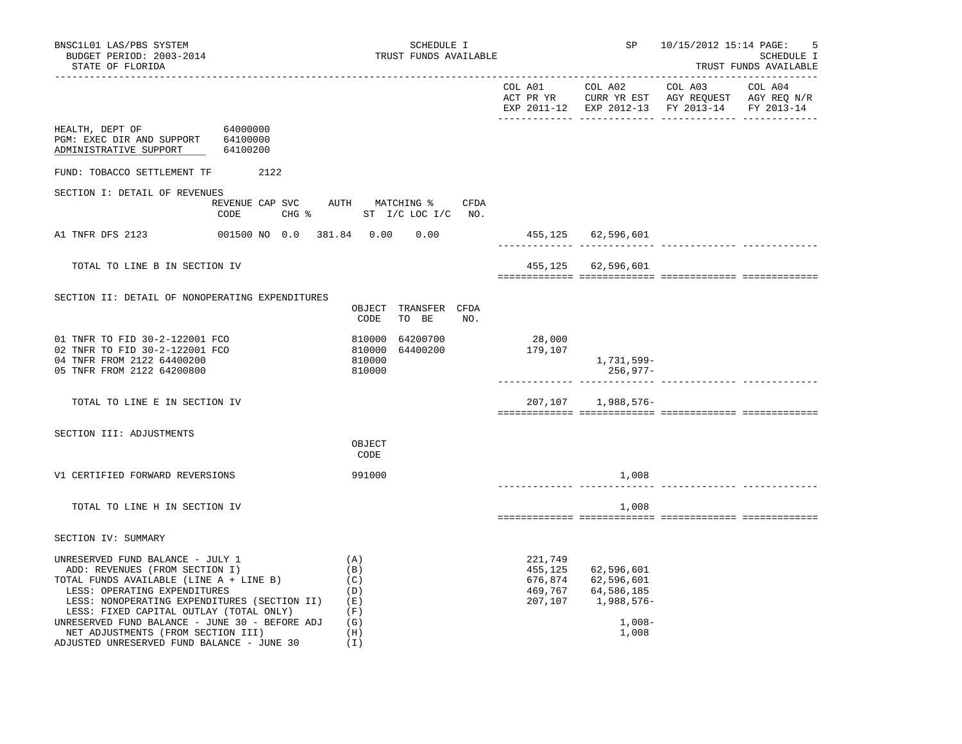| BNSC1L01 LAS/PBS SYSTEM<br>BUDGET PERIOD: 2003-2014<br>STATE OF FLORIDA                                                                                                                                                                                                                                                                                                        | SCHEDULE I<br>TRUST FUNDS AVAILABLE                              |                                                     |                                                                           | SP 10/15/2012 15:14 PAGE:                     | 5<br>SCHEDULE I<br>TRUST FUNDS AVAILABLE |
|--------------------------------------------------------------------------------------------------------------------------------------------------------------------------------------------------------------------------------------------------------------------------------------------------------------------------------------------------------------------------------|------------------------------------------------------------------|-----------------------------------------------------|---------------------------------------------------------------------------|-----------------------------------------------|------------------------------------------|
|                                                                                                                                                                                                                                                                                                                                                                                |                                                                  |                                                     |                                                                           | EXP 2011-12 EXP 2012-13 FY 2013-14 FY 2013-14 |                                          |
| HEALTH, DEPT OF 64000000<br>PGM: EXEC DIR AND SUPPORT 64100000<br>ADMINISTRATIVE SUPPORT 64100200                                                                                                                                                                                                                                                                              |                                                                  |                                                     |                                                                           |                                               |                                          |
| FUND: TOBACCO SETTLEMENT TF 2122                                                                                                                                                                                                                                                                                                                                               |                                                                  |                                                     |                                                                           |                                               |                                          |
| SECTION I: DETAIL OF REVENUES                                                                                                                                                                                                                                                                                                                                                  |                                                                  |                                                     |                                                                           |                                               |                                          |
| CODE                                                                                                                                                                                                                                                                                                                                                                           | REVENUE CAP SVC AUTH MATCHING % CFDA<br>CHG % ST I/C LOC I/C NO. |                                                     |                                                                           |                                               |                                          |
| A1 TNFR DFS 2123                                                                                                                                                                                                                                                                                                                                                               | 001500 NO 0.0 381.84 0.00 0.00                                   |                                                     | 455,125 62,596,601                                                        |                                               |                                          |
| TOTAL TO LINE B IN SECTION IV                                                                                                                                                                                                                                                                                                                                                  |                                                                  |                                                     | 455,125 62,596,601                                                        |                                               |                                          |
| SECTION II: DETAIL OF NONOPERATING EXPENDITURES                                                                                                                                                                                                                                                                                                                                |                                                                  |                                                     |                                                                           |                                               |                                          |
|                                                                                                                                                                                                                                                                                                                                                                                | OBJECT TRANSFER CFDA<br>CODE<br>TO BE<br>NO.                     |                                                     |                                                                           |                                               |                                          |
| 01 TNFR TO FID 30-2-122001 FCO<br>02 TNFR TO FID 30-2-122001 FCO<br>04 TNFR FROM 2122 64400200<br>05 TNFR FROM 2122 64200800                                                                                                                                                                                                                                                   | 810000 64200700<br>810000 64400200<br>810000<br>810000           | 28,000<br>179,107                                   | 1,731,599–<br>256,977–                                                    |                                               |                                          |
|                                                                                                                                                                                                                                                                                                                                                                                |                                                                  |                                                     |                                                                           |                                               |                                          |
| TOTAL TO LINE E IN SECTION IV                                                                                                                                                                                                                                                                                                                                                  |                                                                  |                                                     | 207,107 1,988,576-                                                        |                                               |                                          |
| SECTION III: ADJUSTMENTS                                                                                                                                                                                                                                                                                                                                                       |                                                                  |                                                     |                                                                           |                                               |                                          |
|                                                                                                                                                                                                                                                                                                                                                                                | OBJECT<br>CODE                                                   |                                                     |                                                                           |                                               |                                          |
| V1 CERTIFIED FORWARD REVERSIONS                                                                                                                                                                                                                                                                                                                                                | 991000                                                           |                                                     | 1,008                                                                     |                                               |                                          |
| TOTAL TO LINE H IN SECTION IV                                                                                                                                                                                                                                                                                                                                                  |                                                                  |                                                     | 1,008                                                                     |                                               |                                          |
| SECTION IV: SUMMARY                                                                                                                                                                                                                                                                                                                                                            |                                                                  |                                                     |                                                                           |                                               |                                          |
| UNRESERVED FUND BALANCE - JULY 1<br>ADD: REVENUES (FROM SECTION I)<br>TOTAL FUNDS AVAILABLE (LINE A + LINE B)<br>LESS: OPERATING EXPENDITURES<br>LESS: NONOPERATING EXPENDITURES (SECTION II)<br>LESS: FIXED CAPITAL OUTLAY (TOTAL ONLY)<br>UNRESERVED FUND BALANCE - JUNE 30 - BEFORE ADJ<br>NET ADJUSTMENTS (FROM SECTION III)<br>ADJUSTED UNRESERVED FUND BALANCE - JUNE 30 | (A)<br>(B)<br>(C)<br>(D)<br>(E)<br>(F)<br>(G)<br>(H)<br>(I)      | 221,749<br>455,125<br>676,874<br>469,767<br>207,107 | 62,596,601<br>62,596,601<br>64,586,185<br>1,988,576-<br>$1,008-$<br>1,008 |                                               |                                          |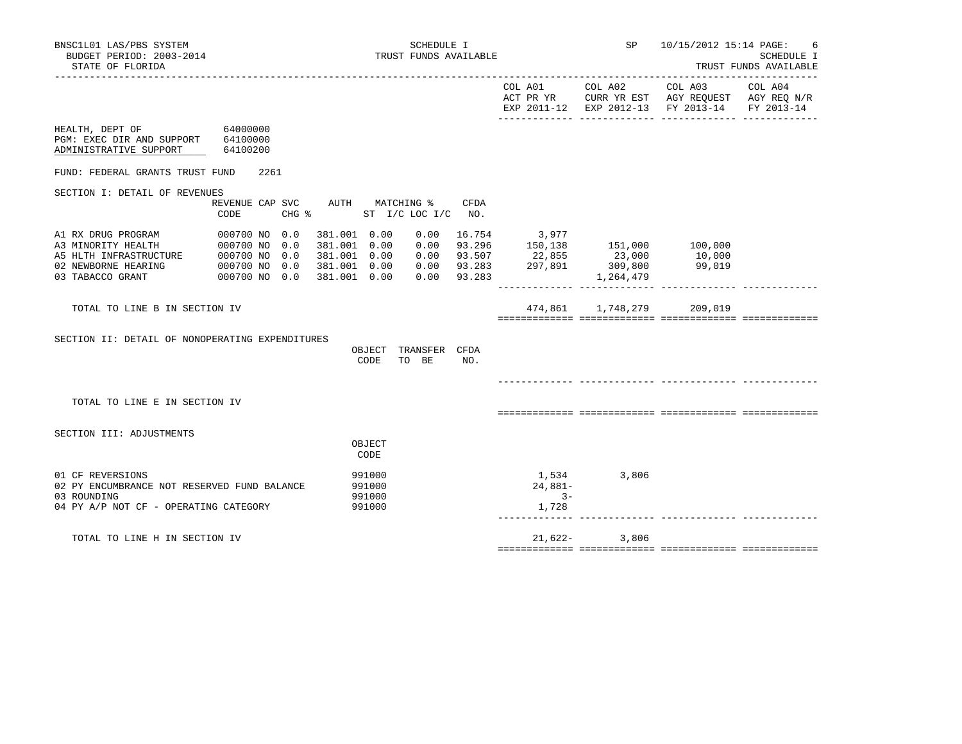|                                                                                                                         |      |      |                                                                              |                                              |                                                                  |        |                           | EXP 2011-12 EXP 2012-13 FY 2013-14 FY 2013-14                                                               |  |
|-------------------------------------------------------------------------------------------------------------------------|------|------|------------------------------------------------------------------------------|----------------------------------------------|------------------------------------------------------------------|--------|---------------------------|-------------------------------------------------------------------------------------------------------------|--|
| HEALTH, DEPT OF 64000000<br>PGM: EXEC DIR AND SUPPORT 64100000<br>ADMINISTRATIVE SUPPORT 64100200                       |      |      |                                                                              |                                              |                                                                  |        |                           |                                                                                                             |  |
| FUND: FEDERAL GRANTS TRUST FUND                                                                                         |      | 2261 |                                                                              |                                              |                                                                  |        |                           |                                                                                                             |  |
| SECTION I: DETAIL OF REVENUES                                                                                           |      |      |                                                                              |                                              |                                                                  |        |                           |                                                                                                             |  |
|                                                                                                                         | CODE |      |                                                                              |                                              | REVENUE CAP SVC AUTH MATCHING % CFDA<br>CHG % ST I/C LOC I/C NO. |        |                           |                                                                                                             |  |
| A1 RX DRUG PROGRAM 000700 NO 0.0<br>000700 NO 0.0<br>03 TABACCO GRANT                                                   |      |      | 381.001 0.00<br>381.001 0.00<br>381.001 0.00<br>381.001 0.00<br>381.001 0.00 |                                              | 0.00<br>0.00<br>0.00<br>0.00<br>0.00                             | 93.283 | 16.754 3,977              | 93.296 150,138 151,000 100,000<br>93.507 22,855 23,000 10,000<br>93.283 297,891 309,800 99,019<br>1,264,479 |  |
| TOTAL TO LINE B IN SECTION IV                                                                                           |      |      |                                                                              |                                              |                                                                  |        |                           | 474,861 1,748,279 209,019                                                                                   |  |
| SECTION II: DETAIL OF NONOPERATING EXPENDITURES                                                                         |      |      |                                                                              | CODE                                         | OBJECT TRANSFER CFDA<br>TO BE                                    | NO.    |                           |                                                                                                             |  |
|                                                                                                                         |      |      |                                                                              |                                              |                                                                  |        |                           |                                                                                                             |  |
| TOTAL TO LINE E IN SECTION IV                                                                                           |      |      |                                                                              |                                              |                                                                  |        |                           |                                                                                                             |  |
| SECTION III: ADJUSTMENTS                                                                                                |      |      |                                                                              | OBJECT                                       |                                                                  |        |                           |                                                                                                             |  |
| 01 CF REVERSIONS<br>02 PY ENCUMBRANCE NOT RESERVED FUND BALANCE<br>03 ROUNDING<br>04 PY A/P NOT CF - OPERATING CATEGORY |      |      |                                                                              | CODE<br>991000<br>991000<br>991000<br>991000 |                                                                  |        | 24,881-<br>$3 -$<br>1,728 | 1,534 3,806                                                                                                 |  |
| TOTAL TO LINE H IN SECTION IV                                                                                           |      |      |                                                                              |                                              |                                                                  |        | $21,622-$                 | 3,806                                                                                                       |  |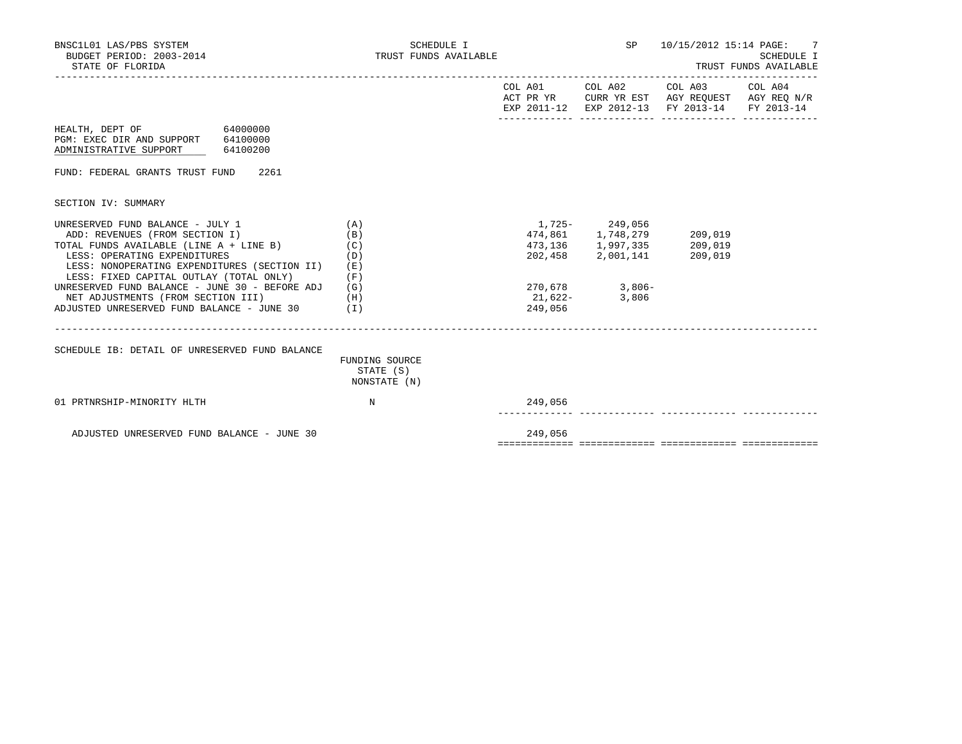| BNSC1L01 LAS/PBS SYSTEM<br>BUDGET PERIOD: 2003-2014<br>STATE OF FLORIDA                                                                                                                                                                                                                                                                                                                           | SCHEDULE I<br>TRUST FUNDS AVAILABLE         |         |                                                                                                                        | SP 10/15/2012 15:14 PAGE: 7                                                                    | SCHEDULE I<br>TRUST FUNDS AVAILABLE |
|---------------------------------------------------------------------------------------------------------------------------------------------------------------------------------------------------------------------------------------------------------------------------------------------------------------------------------------------------------------------------------------------------|---------------------------------------------|---------|------------------------------------------------------------------------------------------------------------------------|------------------------------------------------------------------------------------------------|-------------------------------------|
|                                                                                                                                                                                                                                                                                                                                                                                                   |                                             |         |                                                                                                                        | ACT PR YR CURR YR EST AGY REQUEST AGY REQ N/R<br>EXP 2011-12 EXP 2012-13 FY 2013-14 FY 2013-14 |                                     |
| HEALTH, DEPT OF 64000000<br>PGM: EXEC DIR AND SUPPORT 64100000<br>64100200<br>ADMINISTRATIVE SUPPORT                                                                                                                                                                                                                                                                                              |                                             |         |                                                                                                                        |                                                                                                |                                     |
| FUND: FEDERAL GRANTS TRUST FUND 2261                                                                                                                                                                                                                                                                                                                                                              |                                             |         |                                                                                                                        |                                                                                                |                                     |
| SECTION IV: SUMMARY                                                                                                                                                                                                                                                                                                                                                                               |                                             |         |                                                                                                                        |                                                                                                |                                     |
| UNRESERVED FUND BALANCE - JULY 1<br>ADD: REVENUES (FROM SECTION I)<br>TOTAL FUNDS AVAILABLE (LINE A + LINE B)<br>LESS: OPERATING EXPENDITURES<br>LESS: NONOPERATING EXPENDITURES (SECTION II)<br>LESS: FIXED CAPITAL OUTLAY (TOTAL ONLY)<br>UNRESERVED FUND BALANCE - JUNE 30 - BEFORE ADJ $(G)$<br>NET ADJUSTMENTS (FROM SECTION III)<br>(H)<br>ADJUSTED UNRESERVED FUND BALANCE - JUNE 30 $(1)$ | (A)<br>(B)<br>(C)<br>(D)<br>(E)<br>(F)      | 249,056 | 1,725 - 249,056<br>474,861 1,748,279<br>473, 136 1, 997, 335<br>202,458 2,001,141<br>270,678 3,806-<br>$21,622-$ 3,806 | 209,019<br>209,019<br>209,019                                                                  |                                     |
| SCHEDULE IB: DETAIL OF UNRESERVED FUND BALANCE                                                                                                                                                                                                                                                                                                                                                    | FUNDING SOURCE<br>STATE (S)<br>NONSTATE (N) |         |                                                                                                                        |                                                                                                |                                     |
| 01 PRTNRSHIP-MINORITY HLTH                                                                                                                                                                                                                                                                                                                                                                        | $_{\rm N}$                                  | 249,056 |                                                                                                                        |                                                                                                |                                     |
| ADJUSTED UNRESERVED FUND BALANCE - JUNE 30                                                                                                                                                                                                                                                                                                                                                        |                                             | 249,056 |                                                                                                                        |                                                                                                |                                     |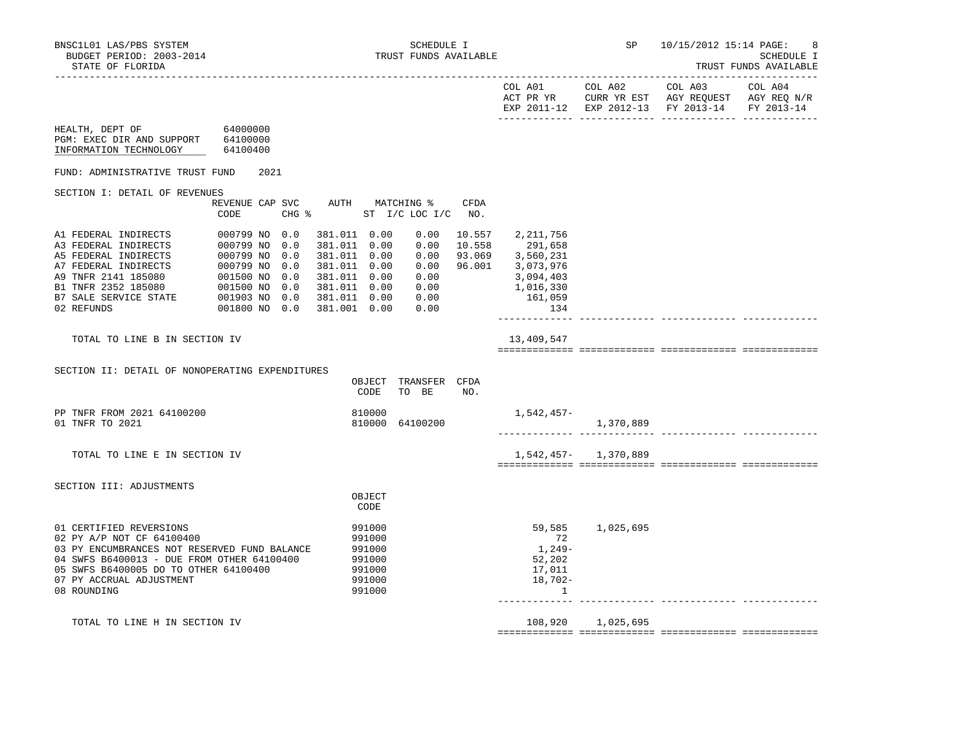------------- ------------- ------------- -------------

TRUST FUNDS AVAILABLE

| COL A01<br>ACT PR YR<br>$2011 - 12$<br><b>UYD</b> | $70L$ A02<br>CURR YR EST<br>$2012 - 13$<br><b>TYD</b> | COL A03<br>AGY REQUEST<br>FY 2013-14 | COL A04<br>AGY REQ N/R<br>FY 2013-14 |
|---------------------------------------------------|-------------------------------------------------------|--------------------------------------|--------------------------------------|
|                                                   |                                                       |                                      |                                      |

| HEALTH, DEPT OF<br>PGM: EXEC DIR AND SUPPORT<br>INFORMATION TECHNOLOGY | 64000000<br>64100000<br>64100400 |      |            |                    |                  |                              |             |                |                      |  |
|------------------------------------------------------------------------|----------------------------------|------|------------|--------------------|------------------|------------------------------|-------------|----------------|----------------------|--|
| FUND: ADMINISTRATIVE TRUST FUND                                        |                                  | 2021 |            |                    |                  |                              |             |                |                      |  |
| SECTION I: DETAIL OF REVENUES                                          |                                  |      |            |                    |                  |                              |             |                |                      |  |
|                                                                        | REVENUE CAP SVC<br>CODE          |      | CHG %      | AUTH               |                  | MATCHING %<br>ST I/C LOC I/C | CFDA<br>NO. |                |                      |  |
| A1 FEDERAL INDIRECTS                                                   | 000799 NO                        |      | 0.0        | 381.011            | 0.00             | 0.00                         | 10.557      | 2,211,756      |                      |  |
| A3 FEDERAL INDIRECTS                                                   | 000799 NO                        |      | 0.0        | 381.011            | 0.00             | 0.00                         | 10.558      | 291,658        |                      |  |
| A5 FEDERAL INDIRECTS                                                   | 000799 NO                        |      | 0.0        | 381.011            | 0.00             | 0.00                         | 93.069      | 3,560,231      |                      |  |
| A7 FEDERAL INDIRECTS                                                   | 000799 NO                        |      | 0.0        | 381.011            | 0.00             | 0.00                         | 96.001      | 3,073,976      |                      |  |
| A9 TNFR 2141 185080                                                    | 001500 NO                        |      | 0.0        | 381.011            | 0.00             | 0.00                         |             | 3,094,403      |                      |  |
| B1 TNFR 2352 185080<br><b>B7 SALE SERVICE STATE</b>                    | 001500 NO<br>001903 NO           |      | 0.0        | 381.011            | 0.00             | 0.00                         |             | 1,016,330      |                      |  |
| 02 REFUNDS                                                             | 001800 NO                        |      | 0.0<br>0.0 | 381.011<br>381.001 | 0.00<br>0.00     | 0.00<br>0.00                 |             | 161,059<br>134 |                      |  |
|                                                                        |                                  |      |            |                    |                  |                              |             |                |                      |  |
| TOTAL TO LINE B IN SECTION IV                                          |                                  |      |            |                    |                  |                              |             | 13,409,547     |                      |  |
|                                                                        |                                  |      |            |                    |                  |                              |             |                |                      |  |
| SECTION II: DETAIL OF NONOPERATING EXPENDITURES                        |                                  |      |            |                    | OBJECT<br>CODE   | TRANSFER<br>TO BE            | CFDA<br>NO. |                |                      |  |
| PP TNFR FROM 2021 64100200<br>01 TNFR TO 2021                          |                                  |      |            |                    | 810000<br>810000 | 64100200                     |             | 1,542,457-     | 1,370,889            |  |
| TOTAL TO LINE E IN SECTION IV                                          |                                  |      |            |                    |                  |                              |             |                | 1,542,457- 1,370,889 |  |

SECTION III: ADJUSTMENTS

|                                              | CODE   |                     |
|----------------------------------------------|--------|---------------------|
| 01 CERTIFIED REVERSIONS                      | 991000 | 1,025,695<br>59,585 |
| 02 PY A/P NOT CF 64100400                    | 991000 | 72                  |
| 03 PY ENCUMBRANCES NOT RESERVED FUND BALANCE | 991000 | $1,249-$            |
| 04 SWFS B6400013 - DUE FROM OTHER 64100400   | 991000 | 52,202              |
| 05 SWFS B6400005 DO TO OTHER 64100400        | 991000 | 17,011              |
| 07 PY ACCRUAL ADJUSTMENT                     | 991000 | 18,702-             |
| 08 ROUNDING                                  | 991000 |                     |
|                                              |        |                     |

TOTAL TO LINE H IN SECTION IV 108,920 1,025,695

**OBJECT**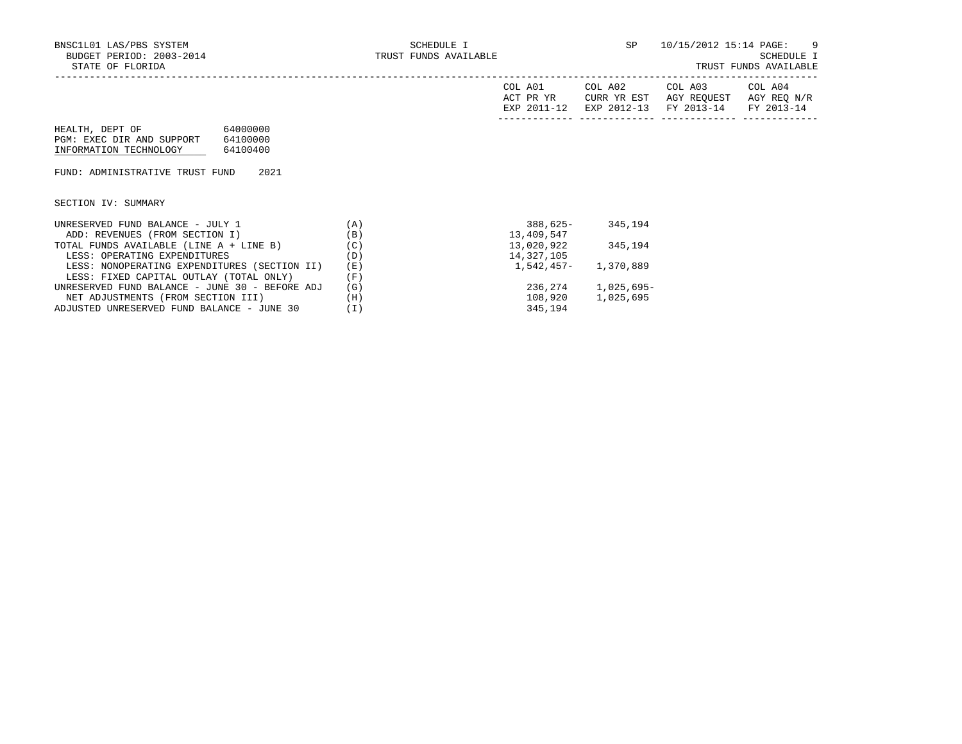| A01<br>COL.<br>PR YR<br>አ ጦ<br>$2011$<br>FYD | COL A02<br>CURR YR EST<br>$2012 - 13$<br>FYD | COL A03<br>AGY REQUEST<br>$2013 - 14$<br><b>FV</b> | COL A04<br>AGY REQ<br>N/R<br><b>FV</b> |
|----------------------------------------------|----------------------------------------------|----------------------------------------------------|----------------------------------------|
|                                              |                                              |                                                    |                                        |

| HEALTH, DEPT OF           | 64000000 |
|---------------------------|----------|
| PGM: EXEC DIR AND SUPPORT | 64100000 |
| INFORMATION TECHNOLOGY    | 64100400 |

FUND: ADMINISTRATIVE TRUST FUND 2021

SECTION IV: SUMMARY

| UNRESERVED FUND BALANCE - JULY 1               | $\mathbf{A}$ | $388.625 -$  | 345,194      |
|------------------------------------------------|--------------|--------------|--------------|
| ADD: REVENUES (FROM SECTION I)                 | (B)          | 13,409,547   |              |
| TOTAL FUNDS AVAILABLE (LINE A + LINE B)        | (C)          | 13,020,922   | 345,194      |
| LESS: OPERATING EXPENDITURES                   | (D)          | 14,327,105   |              |
| LESS: NONOPERATING EXPENDITURES (SECTION II)   | (E)          | $1.542.457-$ | 1,370,889    |
| LESS: FIXED CAPITAL OUTLAY (TOTAL ONLY)        | (F)          |              |              |
| UNRESERVED FUND BALANCE - JUNE 30 - BEFORE ADJ | (G)          | 236,274      | $1,025,695-$ |
| NET ADJUSTMENTS (FROM SECTION III)             | (H)          | 108,920      | 1,025,695    |
| ADJUSTED UNRESERVED FUND BALANCE - JUNE 30     | Ίl           | 345,194      |              |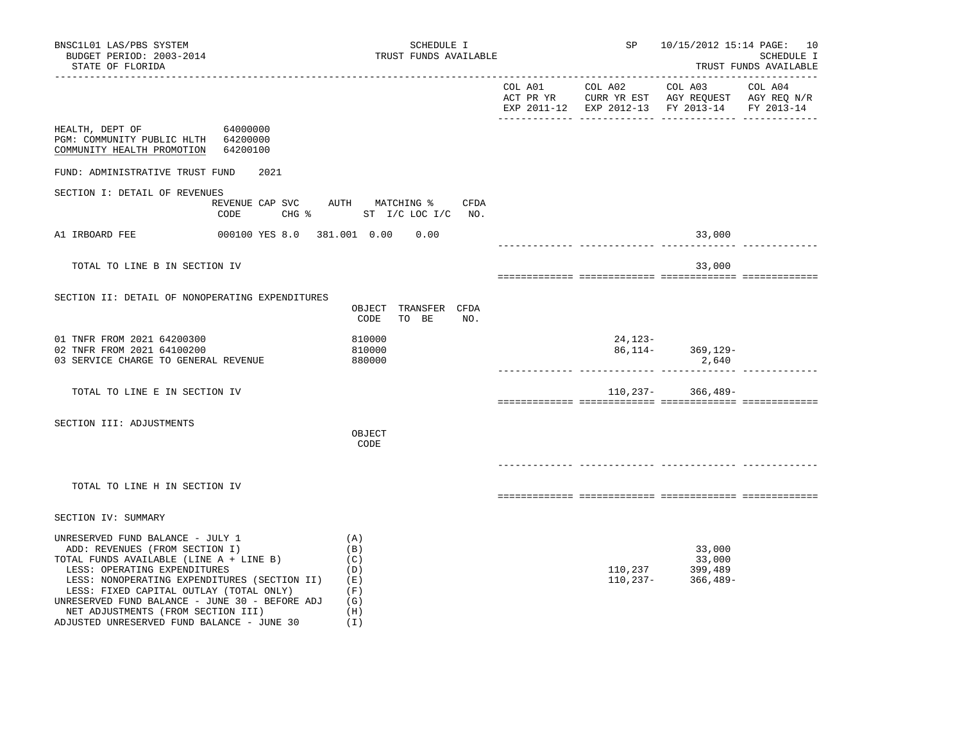| BNSC1L01 LAS/PBS SYSTEM<br>BUDGET PERIOD: 2003-2014<br>STATE OF FLORIDA                                                                                                                                                                                                                                                                                                        | SCHEDULE I<br>TRUST FUNDS AVAILABLE                              | SP      | 10/15/2012 15:14 PAGE: 10                                | SCHEDULE I<br>TRUST FUNDS AVAILABLE |
|--------------------------------------------------------------------------------------------------------------------------------------------------------------------------------------------------------------------------------------------------------------------------------------------------------------------------------------------------------------------------------|------------------------------------------------------------------|---------|----------------------------------------------------------|-------------------------------------|
|                                                                                                                                                                                                                                                                                                                                                                                |                                                                  |         | EXP 2011-12 EXP 2012-13 FY 2013-14 FY 2013-14            |                                     |
| HEALTH, DEPT OF 64000000<br>PGM: COMMUNITY PUBLIC HLTH 64200000<br>COMMUNITY HEALTH PROMOTION 64200100                                                                                                                                                                                                                                                                         |                                                                  |         |                                                          |                                     |
| 2021<br>FUND: ADMINISTRATIVE TRUST FUND                                                                                                                                                                                                                                                                                                                                        |                                                                  |         |                                                          |                                     |
| SECTION I: DETAIL OF REVENUES<br>CODE                                                                                                                                                                                                                                                                                                                                          | REVENUE CAP SVC AUTH MATCHING % CFDA<br>CHG % ST I/C LOC I/C NO. |         |                                                          |                                     |
| A1 IRBOARD FEE                                                                                                                                                                                                                                                                                                                                                                 | 000100 YES 8.0 381.001 0.00 0.00                                 |         | 33,000                                                   |                                     |
| TOTAL TO LINE B IN SECTION IV                                                                                                                                                                                                                                                                                                                                                  |                                                                  |         | 33,000                                                   |                                     |
| SECTION II: DETAIL OF NONOPERATING EXPENDITURES                                                                                                                                                                                                                                                                                                                                | OBJECT TRANSFER CFDA<br>CODE<br>TO BE NO.                        |         |                                                          |                                     |
| 01 TNFR FROM 2021 64200300<br>02 TNFR FROM 2021 64100200<br>03 SERVICE CHARGE TO GENERAL REVENUE                                                                                                                                                                                                                                                                               | 810000<br>810000<br>880000                                       | 24,123- | $86,114-$ 369,129-<br>2,640                              |                                     |
| TOTAL TO LINE E IN SECTION IV                                                                                                                                                                                                                                                                                                                                                  |                                                                  |         | $110,237-$ 366,489-                                      |                                     |
| SECTION III: ADJUSTMENTS                                                                                                                                                                                                                                                                                                                                                       | OBJECT<br>CODE                                                   |         |                                                          |                                     |
| TOTAL TO LINE H IN SECTION IV                                                                                                                                                                                                                                                                                                                                                  |                                                                  |         |                                                          |                                     |
| SECTION IV: SUMMARY                                                                                                                                                                                                                                                                                                                                                            |                                                                  |         |                                                          |                                     |
| UNRESERVED FUND BALANCE - JULY 1<br>ADD: REVENUES (FROM SECTION I)<br>TOTAL FUNDS AVAILABLE (LINE A + LINE B)<br>LESS: OPERATING EXPENDITURES<br>LESS: NONOPERATING EXPENDITURES (SECTION II)<br>LESS: FIXED CAPITAL OUTLAY (TOTAL ONLY)<br>UNRESERVED FUND BALANCE - JUNE 30 - BEFORE ADJ<br>NET ADJUSTMENTS (FROM SECTION III)<br>ADJUSTED UNRESERVED FUND BALANCE - JUNE 30 | (A)<br>(B)<br>(C)<br>(D)<br>( E )<br>(F)<br>(G)<br>(H)<br>(I)    |         | 33,000<br>33,000<br>110,237 399,489<br>110,237- 366,489- |                                     |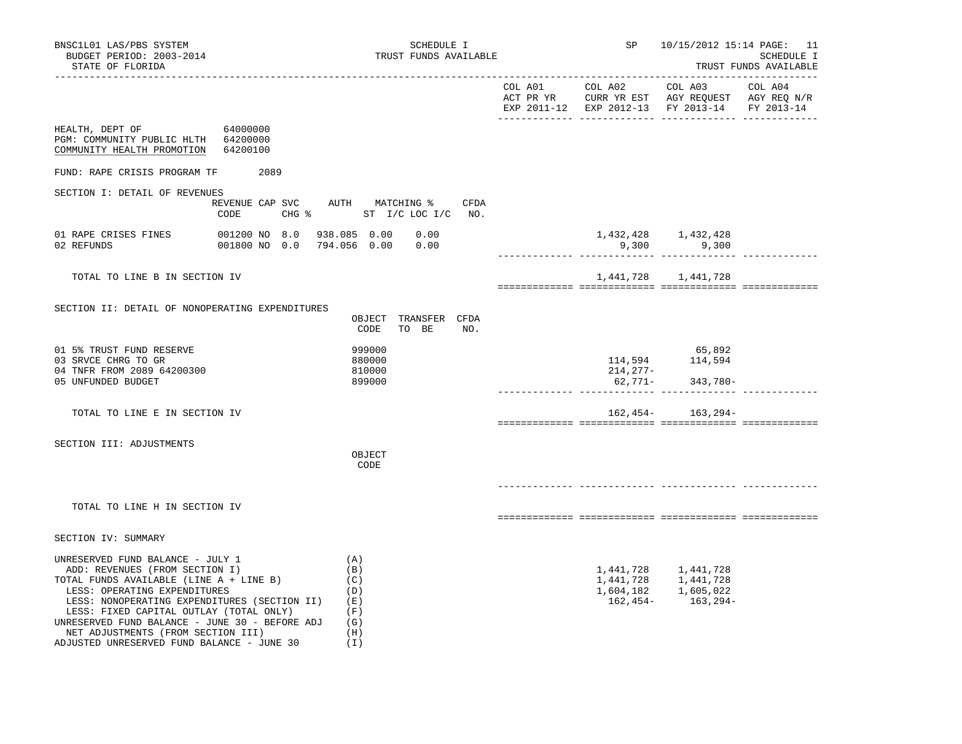| BNSC1L01 LAS/PBS SYSTEM<br>BUDGET PERIOD: 2003-2014<br>STATE OF FLORIDA                                                                                                                                                                                                                                                          |                            | SCHEDULE I<br>TRUST FUNDS AVAILABLE                                 | SP                  | 10/15/2012 15:14 PAGE: 11                                                     | SCHEDULE I<br>TRUST FUNDS AVAILABLE |
|----------------------------------------------------------------------------------------------------------------------------------------------------------------------------------------------------------------------------------------------------------------------------------------------------------------------------------|----------------------------|---------------------------------------------------------------------|---------------------|-------------------------------------------------------------------------------|-------------------------------------|
|                                                                                                                                                                                                                                                                                                                                  |                            |                                                                     |                     | EXP 2011-12 EXP 2012-13 FY 2013-14 FY 2013-14                                 |                                     |
| 64000000<br>HEALTH, DEPT OF<br>PGM: COMMUNITY PUBLIC HLTH 64200000<br>COMMUNITY HEALTH PROMOTION                                                                                                                                                                                                                                 | 64200100                   |                                                                     |                     |                                                                               |                                     |
| FUND: RAPE CRISIS PROGRAM TF                                                                                                                                                                                                                                                                                                     | 2089                       |                                                                     |                     |                                                                               |                                     |
| SECTION I: DETAIL OF REVENUES                                                                                                                                                                                                                                                                                                    | CODE                       | REVENUE CAP SVC AUTH MATCHING %<br>CFDA<br>CHG % ST I/C LOC I/C NO. |                     |                                                                               |                                     |
| 01 RAPE CRISES FINES<br>02 REFUNDS                                                                                                                                                                                                                                                                                               | 001800 NO 0.0 794.056 0.00 | 001200 NO 8.0 938.085 0.00 0.00<br>0.00                             | 9,300               | 1,432,428 1,432,428<br>9,300                                                  |                                     |
| TOTAL TO LINE B IN SECTION IV                                                                                                                                                                                                                                                                                                    |                            |                                                                     |                     | 1,441,728 1,441,728                                                           |                                     |
| SECTION II: DETAIL OF NONOPERATING EXPENDITURES                                                                                                                                                                                                                                                                                  |                            | OBJECT TRANSFER CFDA<br>CODE<br>TO BE<br>NO.                        |                     |                                                                               |                                     |
| 01 5% TRUST FUND RESERVE<br>03 SRVCE CHRG TO GR<br>04 TNFR FROM 2089 64200300<br>05 UNFUNDED BUDGET                                                                                                                                                                                                                              |                            | 999000<br>880000<br>810000<br>899000                                | 214,277-<br>62,771- | 65,892<br>114,594 114,594<br>343,780-                                         |                                     |
| TOTAL TO LINE E IN SECTION IV                                                                                                                                                                                                                                                                                                    |                            |                                                                     |                     | $162,454-163,294-$                                                            |                                     |
| SECTION III: ADJUSTMENTS                                                                                                                                                                                                                                                                                                         |                            | OBJECT<br>CODE                                                      |                     |                                                                               |                                     |
| TOTAL TO LINE H IN SECTION IV                                                                                                                                                                                                                                                                                                    |                            |                                                                     |                     |                                                                               |                                     |
| SECTION IV: SUMMARY                                                                                                                                                                                                                                                                                                              |                            |                                                                     |                     |                                                                               |                                     |
| UNRESERVED FUND BALANCE - JULY 1<br>ADD: REVENUES (FROM SECTION I)<br>TOTAL FUNDS AVAILABLE (LINE A + LINE B)<br>LESS: OPERATING EXPENDITURES<br>LESS: NONOPERATING EXPENDITURES (SECTION II)<br>LESS: FIXED CAPITAL OUTLAY (TOTAL ONLY)<br>UNRESERVED FUND BALANCE - JUNE 30 - BEFORE ADJ<br>NET ADJUSTMENTS (FROM SECTION III) |                            | (A)<br>(B)<br>(C)<br>(D)<br>(E)<br>(F)<br>(G)<br>(H)                | 162,454-            | 1,441,728 1,441,728<br>1,441,728 1,441,728<br>1,604,182 1,605,022<br>163,294- |                                     |

ADJUSTED UNRESERVED FUND BALANCE - JUNE 30 (I)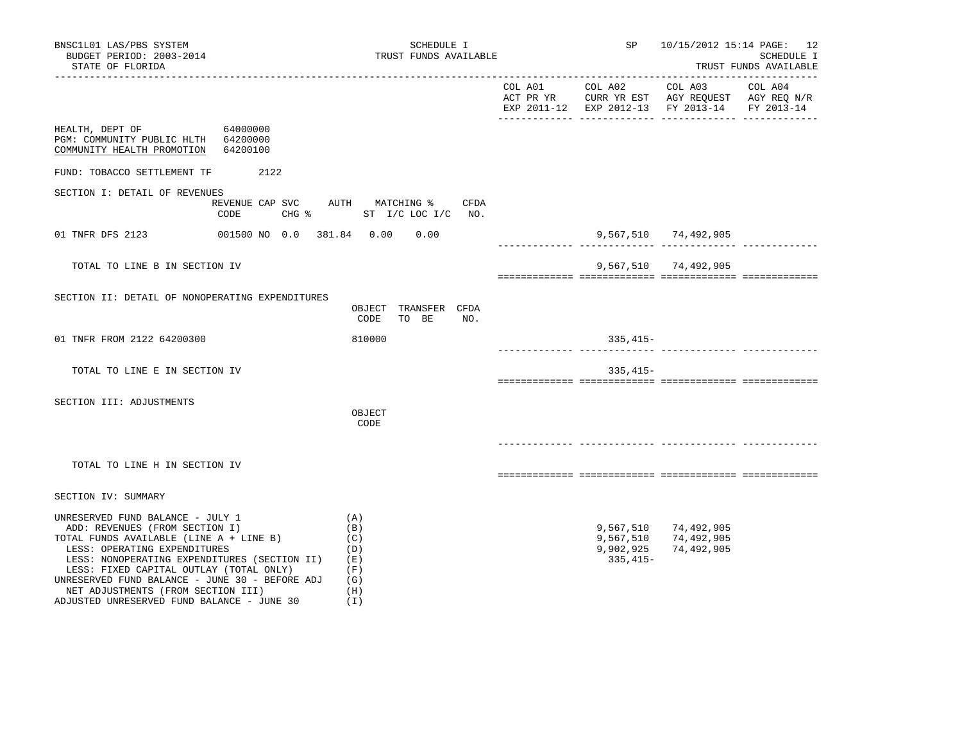| BNSC1L01 LAS/PBS SYSTEM<br>BUDGET PERIOD: 2003-2014<br>STATE OF FLORIDA                                                                                                                                                                                                                                                          | SCHEDULE I<br>TRUST FUNDS AVAILABLE                  | SP                                   | 10/15/2012 15:14 PAGE: 12                                                                                                         | SCHEDULE I<br>TRUST FUNDS AVAILABLE |
|----------------------------------------------------------------------------------------------------------------------------------------------------------------------------------------------------------------------------------------------------------------------------------------------------------------------------------|------------------------------------------------------|--------------------------------------|-----------------------------------------------------------------------------------------------------------------------------------|-------------------------------------|
|                                                                                                                                                                                                                                                                                                                                  |                                                      |                                      | COL A01 COL A02 COL A03 COL A04<br>ACT PR YR CURR YR EST AGY REQUEST AGY REQ N/R<br>EXP 2011-12 EXP 2012-13 FY 2013-14 FY 2013-14 | --------------                      |
| HEALTH, DEPT OF 64000000<br>PGM: COMMUNITY PUBLIC HLTH 64200000<br>COMMUNITY HEALTH PROMOTION 64200100                                                                                                                                                                                                                           |                                                      |                                      |                                                                                                                                   |                                     |
| FUND: TOBACCO SETTLEMENT TF 2122                                                                                                                                                                                                                                                                                                 |                                                      |                                      |                                                                                                                                   |                                     |
| SECTION I: DETAIL OF REVENUES<br>REVENUE CAP SVC AUTH MATCHING %<br>CODE                                                                                                                                                                                                                                                         | CFDA<br>CHG % ST I/C LOC I/C NO.                     |                                      |                                                                                                                                   |                                     |
| 01 TNFR DFS 2123 001500 NO 0.0 381.84 0.00 0.00                                                                                                                                                                                                                                                                                  |                                                      |                                      | 9,567,510 74,492,905                                                                                                              |                                     |
| TOTAL TO LINE B IN SECTION IV                                                                                                                                                                                                                                                                                                    |                                                      |                                      | 9,567,510 74,492,905                                                                                                              |                                     |
| SECTION II: DETAIL OF NONOPERATING EXPENDITURES                                                                                                                                                                                                                                                                                  | OBJECT TRANSFER CFDA<br>CODE<br>TO BE<br>NO.         |                                      |                                                                                                                                   |                                     |
| 01 TNFR FROM 2122 64200300                                                                                                                                                                                                                                                                                                       | 810000                                               | 335,415-                             |                                                                                                                                   |                                     |
| TOTAL TO LINE E IN SECTION IV                                                                                                                                                                                                                                                                                                    |                                                      | $335,415-$                           |                                                                                                                                   |                                     |
| SECTION III: ADJUSTMENTS                                                                                                                                                                                                                                                                                                         | OBJECT<br>CODE                                       |                                      |                                                                                                                                   |                                     |
| TOTAL TO LINE H IN SECTION IV                                                                                                                                                                                                                                                                                                    |                                                      |                                      |                                                                                                                                   |                                     |
| SECTION IV: SUMMARY                                                                                                                                                                                                                                                                                                              |                                                      |                                      |                                                                                                                                   |                                     |
| UNRESERVED FUND BALANCE - JULY 1<br>ADD: REVENUES (FROM SECTION I)<br>TOTAL FUNDS AVAILABLE (LINE A + LINE B)<br>LESS: OPERATING EXPENDITURES<br>LESS: NONOPERATING EXPENDITURES (SECTION II)<br>LESS: FIXED CAPITAL OUTLAY (TOTAL ONLY)<br>UNRESERVED FUND BALANCE - JUNE 30 - BEFORE ADJ<br>NET ADJUSTMENTS (FROM SECTION III) | (A)<br>(B)<br>(C)<br>(D)<br>(E)<br>(F)<br>(G)<br>(H) | 9,567,510<br>9,902,925<br>$335,415-$ | 9,567,510 74,492,905<br>74,492,905<br>74,492,905                                                                                  |                                     |

ADJUSTED UNRESERVED FUND BALANCE - JUNE 30 (I)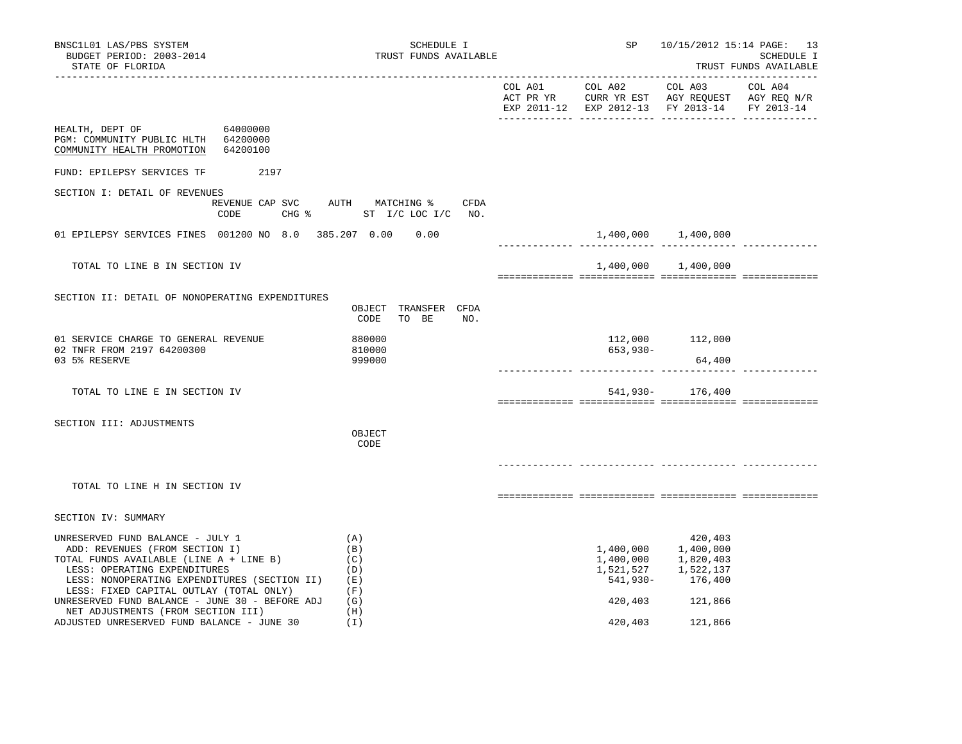| BNSC1L01 LAS/PBS SYSTEM<br>BUDGET PERIOD: 2003-2014<br>STATE OF FLORIDA                                                                                                                                                                                                                                                                                                        | SCHEDULE I<br>TRUST FUNDS AVAILABLE                         | ______________________________________ | SP                                                                    | ________________________                                                        | 10/15/2012 15:14 PAGE: 13<br>SCHEDULE I<br>TRUST FUNDS AVAILABLE |
|--------------------------------------------------------------------------------------------------------------------------------------------------------------------------------------------------------------------------------------------------------------------------------------------------------------------------------------------------------------------------------|-------------------------------------------------------------|----------------------------------------|-----------------------------------------------------------------------|---------------------------------------------------------------------------------|------------------------------------------------------------------|
|                                                                                                                                                                                                                                                                                                                                                                                |                                                             |                                        |                                                                       | EXP 2011-12 EXP 2012-13 FY 2013-14                                              | FY 2013-14                                                       |
| HEALTH, DEPT OF<br>64000000<br>PGM: COMMUNITY PUBLIC HLTH 64200000<br>COMMUNITY HEALTH PROMOTION 64200100                                                                                                                                                                                                                                                                      |                                                             |                                        |                                                                       |                                                                                 |                                                                  |
| FUND: EPILEPSY SERVICES TF<br>2197                                                                                                                                                                                                                                                                                                                                             |                                                             |                                        |                                                                       |                                                                                 |                                                                  |
| SECTION I: DETAIL OF REVENUES<br>REVENUE CAP SVC<br>CODE                                                                                                                                                                                                                                                                                                                       | AUTH MATCHING % CFDA<br>CHG % ST I/C LOC I/C NO.            |                                        |                                                                       |                                                                                 |                                                                  |
| 01 EPILEPSY SERVICES FINES 001200 NO 8.0 385.207 0.00                                                                                                                                                                                                                                                                                                                          | 0.00                                                        |                                        |                                                                       | 1,400,000 1,400,000                                                             |                                                                  |
| TOTAL TO LINE B IN SECTION IV                                                                                                                                                                                                                                                                                                                                                  |                                                             |                                        |                                                                       | 1,400,000 1,400,000                                                             |                                                                  |
| SECTION II: DETAIL OF NONOPERATING EXPENDITURES                                                                                                                                                                                                                                                                                                                                | OBJECT TRANSFER CFDA<br>CODE<br>TO BE<br>NO.                |                                        |                                                                       |                                                                                 |                                                                  |
| 01 SERVICE CHARGE TO GENERAL REVENUE<br>02 TNFR FROM 2197 64200300<br>03 5% RESERVE                                                                                                                                                                                                                                                                                            | 880000<br>810000<br>999000                                  |                                        | $653,930-$                                                            | 112,000 112,000<br>64,400                                                       |                                                                  |
| TOTAL TO LINE E IN SECTION IV                                                                                                                                                                                                                                                                                                                                                  |                                                             | ________________________________       |                                                                       | 541,930- 176,400                                                                |                                                                  |
| SECTION III: ADJUSTMENTS                                                                                                                                                                                                                                                                                                                                                       | OBJECT<br>CODE                                              |                                        |                                                                       |                                                                                 |                                                                  |
| TOTAL TO LINE H IN SECTION IV                                                                                                                                                                                                                                                                                                                                                  |                                                             |                                        |                                                                       |                                                                                 |                                                                  |
| SECTION IV: SUMMARY                                                                                                                                                                                                                                                                                                                                                            |                                                             |                                        |                                                                       |                                                                                 |                                                                  |
| UNRESERVED FUND BALANCE - JULY 1<br>ADD: REVENUES (FROM SECTION I)<br>TOTAL FUNDS AVAILABLE (LINE A + LINE B)<br>LESS: OPERATING EXPENDITURES<br>LESS: NONOPERATING EXPENDITURES (SECTION II)<br>LESS: FIXED CAPITAL OUTLAY (TOTAL ONLY)<br>UNRESERVED FUND BALANCE - JUNE 30 - BEFORE ADJ<br>NET ADJUSTMENTS (FROM SECTION III)<br>ADJUSTED UNRESERVED FUND BALANCE - JUNE 30 | (A)<br>(B)<br>(C)<br>(D)<br>(E)<br>(F)<br>(G)<br>(H)<br>(I) |                                        | 1,400,000<br>1,400,000<br>1,521,527<br>541,930-<br>420,403<br>420,403 | 420,403<br>1,400,000<br>1,820,403<br>1,522,137<br>176,400<br>121,866<br>121,866 |                                                                  |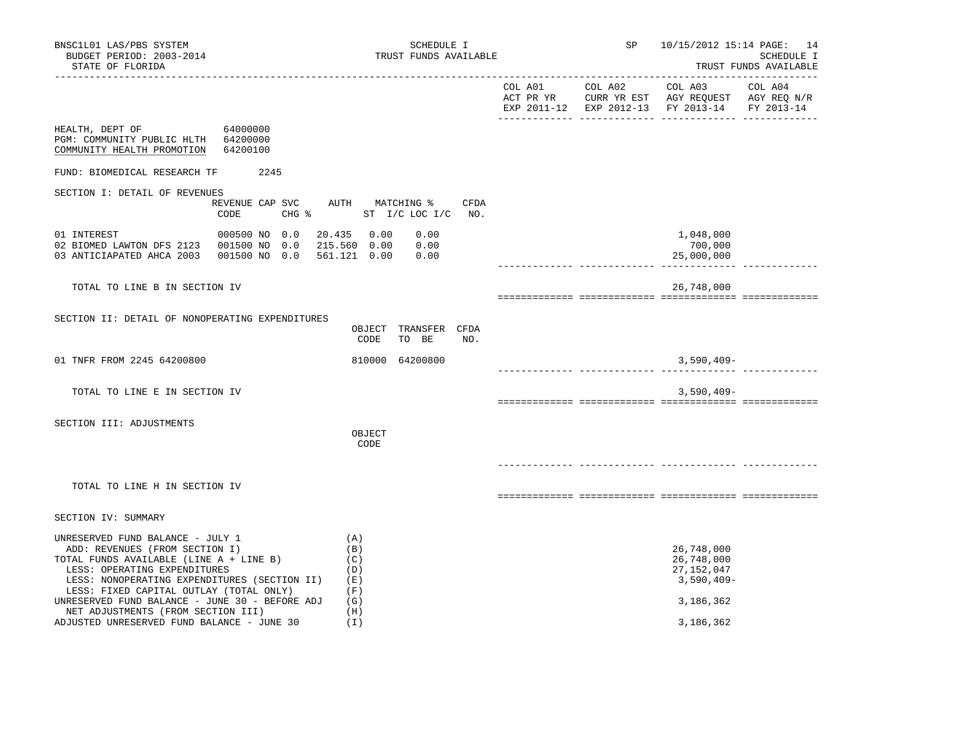| BNSC1L01 LAS/PBS SYSTEM<br>BUDGET PERIOD: 2003-2014<br>STATE OF FLORIDA                                                                                                                                                                                                                                                          | SCHEDULE I<br>TRUST FUNDS AVAILABLE                                        | SP              | 10/15/2012 15:14 PAGE: 14                                                                                         | SCHEDULE I<br>TRUST FUNDS AVAILABLE |
|----------------------------------------------------------------------------------------------------------------------------------------------------------------------------------------------------------------------------------------------------------------------------------------------------------------------------------|----------------------------------------------------------------------------|-----------------|-------------------------------------------------------------------------------------------------------------------|-------------------------------------|
|                                                                                                                                                                                                                                                                                                                                  |                                                                            | COL A01 COL A02 | COL A03 COL A04<br>ACT PR YR CURR YR EST AGY REQUEST AGY REQ N/R<br>EXP 2011-12 EXP 2012-13 FY 2013-14 FY 2013-14 |                                     |
| HEALTH, DEPT OF<br>64000000<br>PGM: COMMUNITY PUBLIC HLTH 64200000<br>COMMUNITY HEALTH PROMOTION<br>64200100                                                                                                                                                                                                                     |                                                                            |                 |                                                                                                                   |                                     |
| FUND: BIOMEDICAL RESEARCH TF<br>2245                                                                                                                                                                                                                                                                                             |                                                                            |                 |                                                                                                                   |                                     |
| SECTION I: DETAIL OF REVENUES<br>CODE                                                                                                                                                                                                                                                                                            | REVENUE CAP SVC AUTH MATCHING %<br><b>CFDA</b><br>CHG % ST I/C LOC I/C NO. |                 |                                                                                                                   |                                     |
| 000500 NO 0.0<br>01 INTEREST<br>02 BIOMED LAWTON DFS 2123  001500 NO 0.0<br>03 ANTICIAPATED AHCA 2003  001500 NO 0.0                                                                                                                                                                                                             | 20.435 0.00<br>0.00<br>215.560 0.00<br>0.00<br>561.121 0.00<br>0.00        |                 | 1,048,000<br>700,000<br>25,000,000                                                                                |                                     |
| TOTAL TO LINE B IN SECTION IV                                                                                                                                                                                                                                                                                                    |                                                                            |                 | 26,748,000                                                                                                        |                                     |
| SECTION II: DETAIL OF NONOPERATING EXPENDITURES                                                                                                                                                                                                                                                                                  | OBJECT TRANSFER CFDA<br>CODE<br>TO BE<br>NO.                               |                 |                                                                                                                   |                                     |
| 01 TNFR FROM 2245 64200800                                                                                                                                                                                                                                                                                                       | 810000 64200800                                                            |                 | $3,590,409-$                                                                                                      |                                     |
| TOTAL TO LINE E IN SECTION IV                                                                                                                                                                                                                                                                                                    |                                                                            |                 | $3,590,409-$                                                                                                      |                                     |
| SECTION III: ADJUSTMENTS                                                                                                                                                                                                                                                                                                         | OBJECT<br>CODE                                                             |                 |                                                                                                                   |                                     |
| TOTAL TO LINE H IN SECTION IV                                                                                                                                                                                                                                                                                                    |                                                                            |                 |                                                                                                                   |                                     |
| SECTION IV: SUMMARY                                                                                                                                                                                                                                                                                                              |                                                                            |                 |                                                                                                                   |                                     |
| UNRESERVED FUND BALANCE - JULY 1<br>ADD: REVENUES (FROM SECTION I)<br>TOTAL FUNDS AVAILABLE (LINE A + LINE B)<br>LESS: OPERATING EXPENDITURES<br>LESS: NONOPERATING EXPENDITURES (SECTION II)<br>LESS: FIXED CAPITAL OUTLAY (TOTAL ONLY)<br>UNRESERVED FUND BALANCE - JUNE 30 - BEFORE ADJ<br>NET ADJUSTMENTS (FROM SECTION III) | (A)<br>(B)<br>(C)<br>(D)<br>(E)<br>(F)<br>(G)<br>(H)                       |                 | 26,748,000<br>26,748,000<br>27, 152, 047<br>$3,590,409-$<br>3,186,362                                             |                                     |
| ADJUSTED UNRESERVED FUND BALANCE - JUNE 30                                                                                                                                                                                                                                                                                       | (I)                                                                        |                 | 3,186,362                                                                                                         |                                     |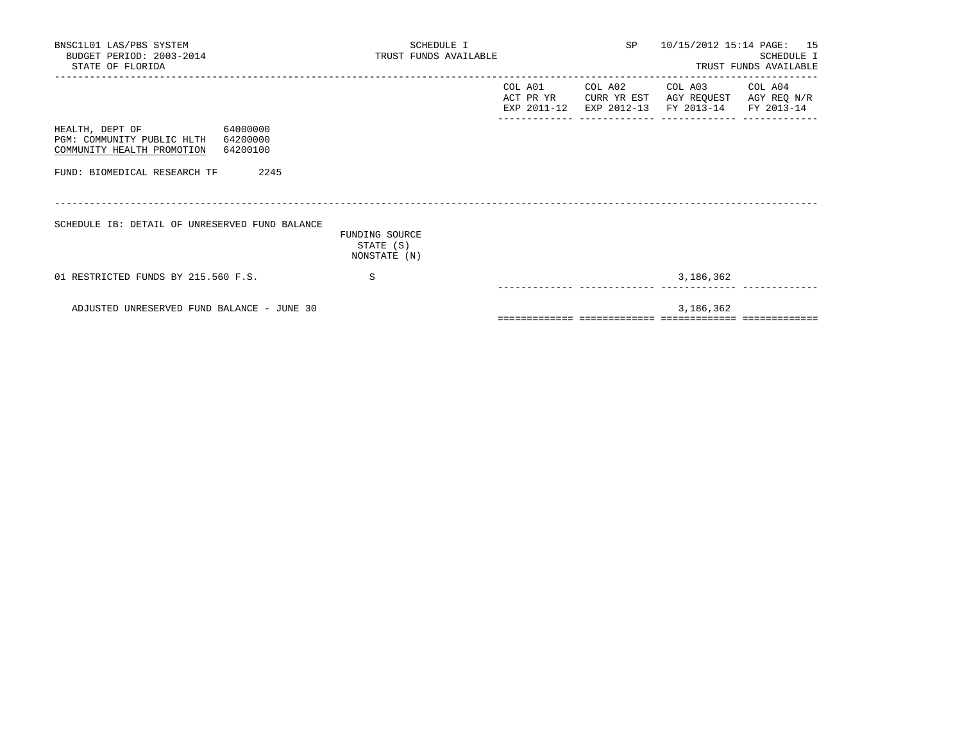| BNSC1L01 LAS/PBS SYSTEM<br>BUDGET PERIOD: 2003-2014<br>STATE OF FLORIDA                                         | SCHEDULE I<br>TRUST FUNDS AVAILABLE         | SP<br>10/15/2012 15:14 PAGE: 15<br>SCHEDULE I<br>TRUST FUNDS AVAILABLE |                                 |                                                                                                                   |  |  |
|-----------------------------------------------------------------------------------------------------------------|---------------------------------------------|------------------------------------------------------------------------|---------------------------------|-------------------------------------------------------------------------------------------------------------------|--|--|
|                                                                                                                 |                                             |                                                                        | COL A01 COL A02                 | COL A03 COL A04<br>ACT PR YR CURR YR EST AGY REQUEST AGY REQ N/R<br>EXP 2011-12 EXP 2012-13 FY 2013-14 FY 2013-14 |  |  |
| HEALTH, DEPT OF<br>64000000<br>PGM: COMMUNITY PUBLIC HLTH<br>64200000<br>COMMUNITY HEALTH PROMOTION<br>64200100 |                                             |                                                                        |                                 |                                                                                                                   |  |  |
| 2245<br>FUND: BIOMEDICAL RESEARCH TF                                                                            |                                             |                                                                        |                                 |                                                                                                                   |  |  |
| SCHEDULE IB: DETAIL OF UNRESERVED FUND BALANCE                                                                  | FUNDING SOURCE<br>STATE (S)<br>NONSTATE (N) |                                                                        |                                 |                                                                                                                   |  |  |
| 01 RESTRICTED FUNDS BY 215.560 F.S.                                                                             | S                                           |                                                                        | ______________ ________________ | 3,186,362                                                                                                         |  |  |
| ADJUSTED UNRESERVED FUND BALANCE - JUNE 30                                                                      |                                             |                                                                        |                                 | 3,186,362                                                                                                         |  |  |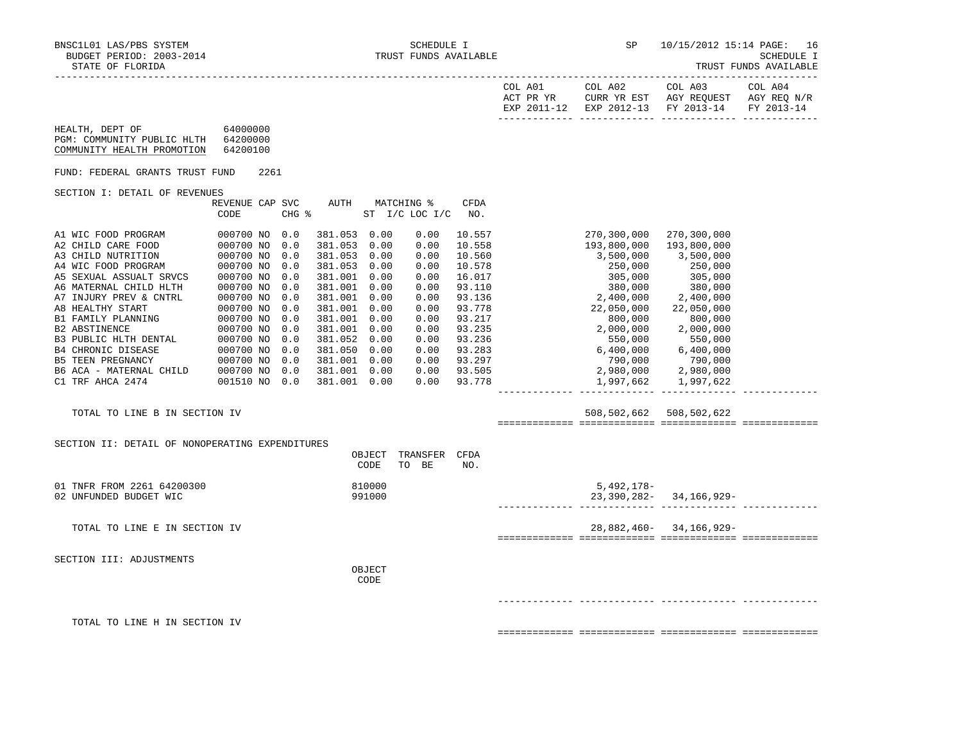|  |  | TRUST FUNDS AVAILABLE |
|--|--|-----------------------|
|--|--|-----------------------|

| COL A01<br>ACT PR YR<br>12–2011 PYD | COL A02<br>CURR YR EST<br>$2012 - 13$<br>F.XD | COL A03<br>AGY REQUEST<br>FY 2013-14 | COL A04<br>AGY REQ N/R<br>FY 2013-14 |
|-------------------------------------|-----------------------------------------------|--------------------------------------|--------------------------------------|
|                                     |                                               |                                      |                                      |

| HEALTH, DEPT OF            | 64000000 |
|----------------------------|----------|
| PGM: COMMUNITY PUBLIC HLTH | 64200000 |
| COMMUNITY HEALTH PROMOTION | 64200100 |

FUND: FEDERAL GRANTS TRUST FUND 2261

## SECTION I: DETAIL OF REVENUES

|                           | REVENUE CAP | <b>SVC</b> | AUTH    |      | MATCHING %      | CFDA   |                            |
|---------------------------|-------------|------------|---------|------|-----------------|--------|----------------------------|
|                           | CODE        | CHG %      |         | ST   | $I/C$ LOC $I/C$ | NO.    |                            |
|                           |             |            |         |      |                 |        |                            |
| A1 WIC FOOD PROGRAM       | 000700 NO   | 0.0        | 381.053 | 0.00 | 0.00            | 10.557 | 270,300,000<br>270,300,000 |
| A2 CHILD CARE FOOD        | 000700 NO   | 0.0        | 381.053 | 0.00 | 0.00            | 10.558 | 193,800,000<br>193,800,000 |
| A3 CHILD NUTRITION        | 000700 NO   | 0.0        | 381.053 | 0.00 | 0.00            | 10.560 | 3,500,000<br>3,500,000     |
| A4 WIC FOOD PROGRAM       | 000700 NO   | 0.0        | 381.053 | 0.00 | 0.00            | 10.578 | 250,000<br>250,000         |
| A5 SEXUAL ASSUALT SRVCS   | 000700 NO   | 0.0        | 381.001 | 0.00 | 0.00            | 16.017 | 305,000<br>305,000         |
| A6 MATERNAL CHILD HLTH    | 000700 NO   | 0.0        | 381.001 | 0.00 | 0.00            | 93.110 | 380,000<br>380,000         |
| A7 INJURY PREV & CNTRL    | 000700 NO   | 0.0        | 381.001 | 0.00 | 0.00            | 93.136 | 2,400,000<br>2,400,000     |
| A8 HEALTHY START          | 000700 NO   | 0.0        | 381.001 | 0.00 | 0.00            | 93.778 | 22,050,000<br>22,050,000   |
| B1 FAMILY PLANNING        | 000700 NO   | 0.0        | 381.001 | 0.00 | 0.00            | 93.217 | 800,000<br>800,000         |
| <b>B2 ABSTINENCE</b>      | 000700 NO   | 0.0        | 381.001 | 0.00 | 0.00            | 93.235 | 2,000,000<br>2,000,000     |
| B3 PUBLIC HLTH DENTAL     | 000700 NO   | 0.0        | 381.052 | 0.00 | 0.00            | 93.236 | 550,000<br>550,000         |
| <b>B4 CHRONIC DISEASE</b> | 000700 NO   | 0.0        | 381.050 | 0.00 | 0.00            | 93.283 | 6,400,000<br>6,400,000     |
| <b>B5 TEEN PREGNANCY</b>  | 000700 NO   | 0.0        | 381.001 | 0.00 | 0.00            | 93.297 | 790,000<br>790,000         |
| B6 ACA - MATERNAL CHILD   | 000700 NO   | 0.0        | 381.001 | 0.00 | 0.00            | 93.505 | 2,980,000<br>2,980,000     |
| C1 TRF AHCA 2474          | 001510 NO   | 0.0        | 381.001 | 0.00 | 0.00            | 93.778 | 1,997,662<br>1,997,622     |
|                           |             |            |         |      |                 |        |                            |

# TOTAL TO LINE B IN SECTION IV 508,502,622 508,502,622 508,502,622

============= ============= ============= =============

| SECTION II: DETAIL OF NONOPERATING EXPENDITURES |        |       |          |      |                             |
|-------------------------------------------------|--------|-------|----------|------|-----------------------------|
|                                                 | OBJECT |       | TRANSFER | CFDA |                             |
|                                                 | CODE   | TO BE |          | NO.  |                             |
| 01 TNFR FROM 2261 64200300                      | 810000 |       |          |      | $5,492,178-$                |
| 02 UNFUNDED BUDGET WIC                          | 991000 |       |          |      | $23,390,282 - 34,166,929 -$ |
|                                                 |        |       |          |      |                             |
|                                                 |        |       |          |      |                             |
| TOTAL TO LINE E IN SECTION IV                   |        |       |          |      | 28,882,460- 34,166,929-     |
|                                                 |        |       |          |      |                             |
|                                                 |        |       |          |      |                             |
| SECTION III: ADJUSTMENTS                        |        |       |          |      |                             |
|                                                 | OBJECT |       |          |      |                             |
|                                                 | CODE   |       |          |      |                             |
|                                                 |        |       |          |      |                             |
|                                                 |        |       |          |      |                             |
|                                                 |        |       |          |      |                             |
| TOTAL TO LINE H IN SECTION IV                   |        |       |          |      |                             |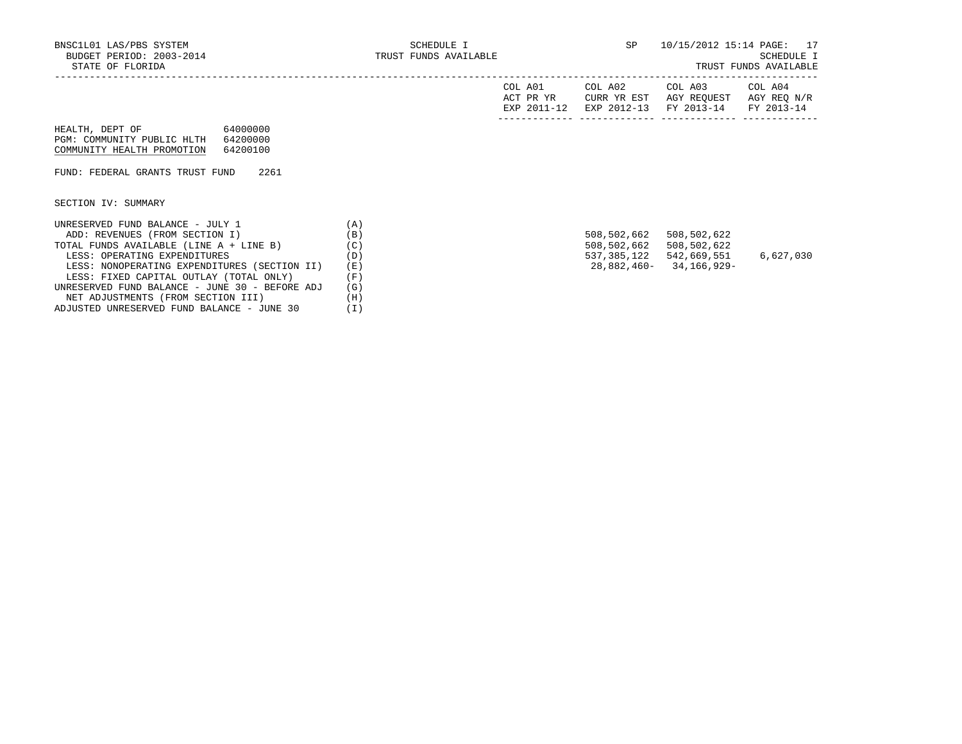|  |  | TRUST FUNDS AVAILABLE |
|--|--|-----------------------|
|--|--|-----------------------|

|                                                |          | COL A01<br>ACT PR YR<br>EXP 2011-12 | COL A02<br>CURR YR EST<br>EXP 2012-13 | COL A03<br>AGY REOUEST<br>FY 2013-14 | COL A04<br>AGY REQ N/R<br>FY 2013-14 |
|------------------------------------------------|----------|-------------------------------------|---------------------------------------|--------------------------------------|--------------------------------------|
| 64000000<br>HEALTH, DEPT OF                    |          |                                     |                                       |                                      |                                      |
| PGM: COMMUNITY PUBLIC HLTH<br>64200000         |          |                                     |                                       |                                      |                                      |
| COMMUNITY HEALTH PROMOTION<br>64200100         |          |                                     |                                       |                                      |                                      |
|                                                |          |                                     |                                       |                                      |                                      |
| 2261<br>FUND: FEDERAL GRANTS TRUST FUND        |          |                                     |                                       |                                      |                                      |
|                                                |          |                                     |                                       |                                      |                                      |
|                                                |          |                                     |                                       |                                      |                                      |
| SECTION IV: SUMMARY                            |          |                                     |                                       |                                      |                                      |
|                                                |          |                                     |                                       |                                      |                                      |
| UNRESERVED FUND BALANCE - JULY 1               | (A)      |                                     |                                       |                                      |                                      |
| ADD: REVENUES (FROM SECTION I)                 | (B)      |                                     | 508,502,662                           | 508,502,622                          |                                      |
| TOTAL FUNDS AVAILABLE (LINE A + LINE B)        | (C)      |                                     | 508,502,662                           | 508,502,622                          |                                      |
| LESS: OPERATING EXPENDITURES                   | (D)      |                                     | 537,385,122                           | 542,669,551                          | 6,627,030                            |
| LESS: NONOPERATING EXPENDITURES (SECTION II)   | (E)      |                                     |                                       | 28,882,460-34,166,929-               |                                      |
| LESS: FIXED CAPITAL OUTLAY (TOTAL ONLY)        | (F)      |                                     |                                       |                                      |                                      |
| UNRESERVED FUND BALANCE - JUNE 30 - BEFORE ADJ | (G)      |                                     |                                       |                                      |                                      |
| NET ADJUSTMENTS (FROM SECTION III)             | (H)      |                                     |                                       |                                      |                                      |
| ADJUSTED UNRESERVED FUND BALANCE - JUNE 30     | $(\bot)$ |                                     |                                       |                                      |                                      |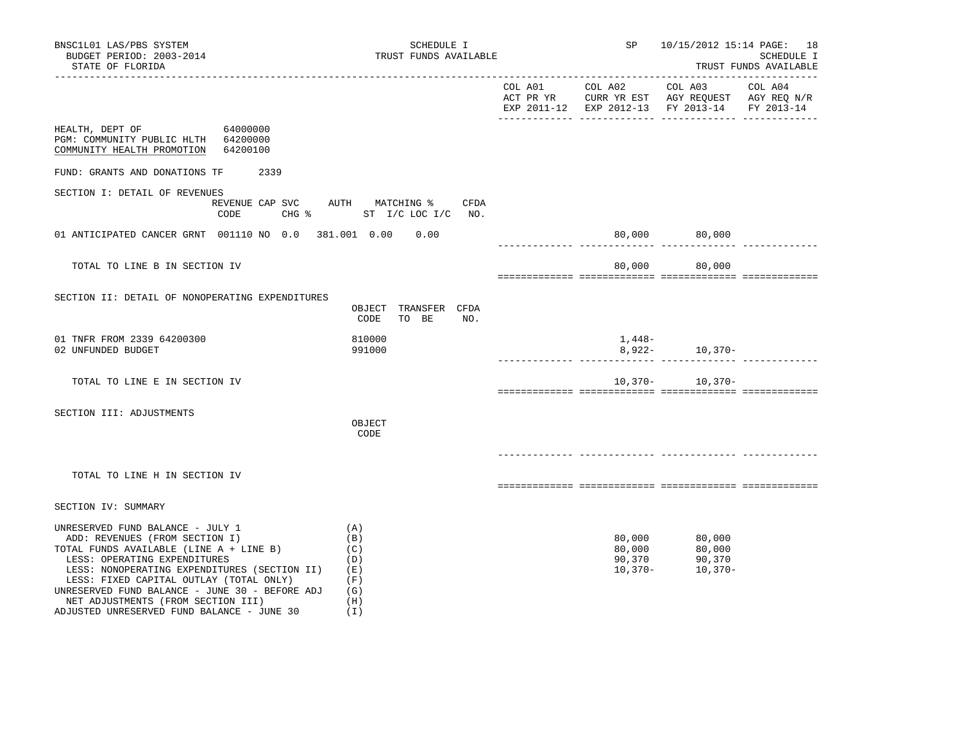| BNSC1L01 LAS/PBS SYSTEM<br>BUDGET PERIOD: 2003-2014<br>STATE OF FLORIDA                                                                                                                                                                                                                                                          | SCHEDULE I<br>TRUST FUNDS AVAILABLE                  | SP                                      | 10/15/2012 15:14 PAGE: 18                                                                                                                                                                                                                                                                          | SCHEDULE I<br>TRUST FUNDS AVAILABLE |
|----------------------------------------------------------------------------------------------------------------------------------------------------------------------------------------------------------------------------------------------------------------------------------------------------------------------------------|------------------------------------------------------|-----------------------------------------|----------------------------------------------------------------------------------------------------------------------------------------------------------------------------------------------------------------------------------------------------------------------------------------------------|-------------------------------------|
|                                                                                                                                                                                                                                                                                                                                  |                                                      |                                         | $\begin{tabular}{lllllllllll} \multicolumn{2}{l}{{\text{COL A01}}} & \multicolumn{2}{c}{\text{COL A02}} & \multicolumn{2}{c}{\text{COL A03}} & \multicolumn{2}{c}{\text{COL A04}} \end{tabular}$<br>ACT PR YR CURR YR EST AGY REQUEST AGY REQ N/R<br>EXP 2011-12 EXP 2012-13 FY 2013-14 FY 2013-14 |                                     |
| HEALTH, DEPT OF 64000000<br>PGM: COMMUNITY PUBLIC HLTH 64200000<br>COMMUNITY HEALTH PROMOTION<br>64200100                                                                                                                                                                                                                        |                                                      |                                         |                                                                                                                                                                                                                                                                                                    |                                     |
| 2339<br>FUND: GRANTS AND DONATIONS TF                                                                                                                                                                                                                                                                                            |                                                      |                                         |                                                                                                                                                                                                                                                                                                    |                                     |
| SECTION I: DETAIL OF REVENUES<br>REVENUE CAP SVC AUTH MATCHING %<br>CODE                                                                                                                                                                                                                                                         | CFDA<br>CHG % ST I/C LOC I/C NO.                     |                                         |                                                                                                                                                                                                                                                                                                    |                                     |
| 01 ANTICIPATED CANCER GRNT 001110 NO 0.0 381.001 0.00 0.00                                                                                                                                                                                                                                                                       |                                                      |                                         | 80,000 80,000                                                                                                                                                                                                                                                                                      |                                     |
| TOTAL TO LINE B IN SECTION IV                                                                                                                                                                                                                                                                                                    |                                                      | 80,000                                  | 80,000                                                                                                                                                                                                                                                                                             |                                     |
| SECTION II: DETAIL OF NONOPERATING EXPENDITURES                                                                                                                                                                                                                                                                                  | OBJECT TRANSFER CFDA<br>CODE<br>TO BE<br>NO.         |                                         |                                                                                                                                                                                                                                                                                                    |                                     |
| 01 TNFR FROM 2339 64200300<br>02 UNFUNDED BUDGET                                                                                                                                                                                                                                                                                 | 810000<br>991000                                     | 1,448–                                  | $8,922-10,370-$                                                                                                                                                                                                                                                                                    |                                     |
| TOTAL TO LINE E IN SECTION IV                                                                                                                                                                                                                                                                                                    |                                                      |                                         | $10,370-10,370-$                                                                                                                                                                                                                                                                                   |                                     |
| SECTION III: ADJUSTMENTS                                                                                                                                                                                                                                                                                                         | OBJECT<br>CODE                                       |                                         |                                                                                                                                                                                                                                                                                                    |                                     |
| TOTAL TO LINE H IN SECTION IV                                                                                                                                                                                                                                                                                                    |                                                      |                                         |                                                                                                                                                                                                                                                                                                    |                                     |
| SECTION IV: SUMMARY                                                                                                                                                                                                                                                                                                              |                                                      |                                         |                                                                                                                                                                                                                                                                                                    |                                     |
| UNRESERVED FUND BALANCE - JULY 1<br>ADD: REVENUES (FROM SECTION I)<br>TOTAL FUNDS AVAILABLE (LINE A + LINE B)<br>LESS: OPERATING EXPENDITURES<br>LESS: NONOPERATING EXPENDITURES (SECTION II)<br>LESS: FIXED CAPITAL OUTLAY (TOTAL ONLY)<br>UNRESERVED FUND BALANCE - JUNE 30 - BEFORE ADJ<br>NET ADJUSTMENTS (FROM SECTION III) | (A)<br>(B)<br>(C)<br>(D)<br>(E)<br>(F)<br>(G)<br>(H) | 80,000<br>80,000<br>90,370<br>$10,370-$ | 80,000<br>80,000<br>90,370<br>10,370-                                                                                                                                                                                                                                                              |                                     |

ADJUSTED UNRESERVED FUND BALANCE - JUNE 30 (I)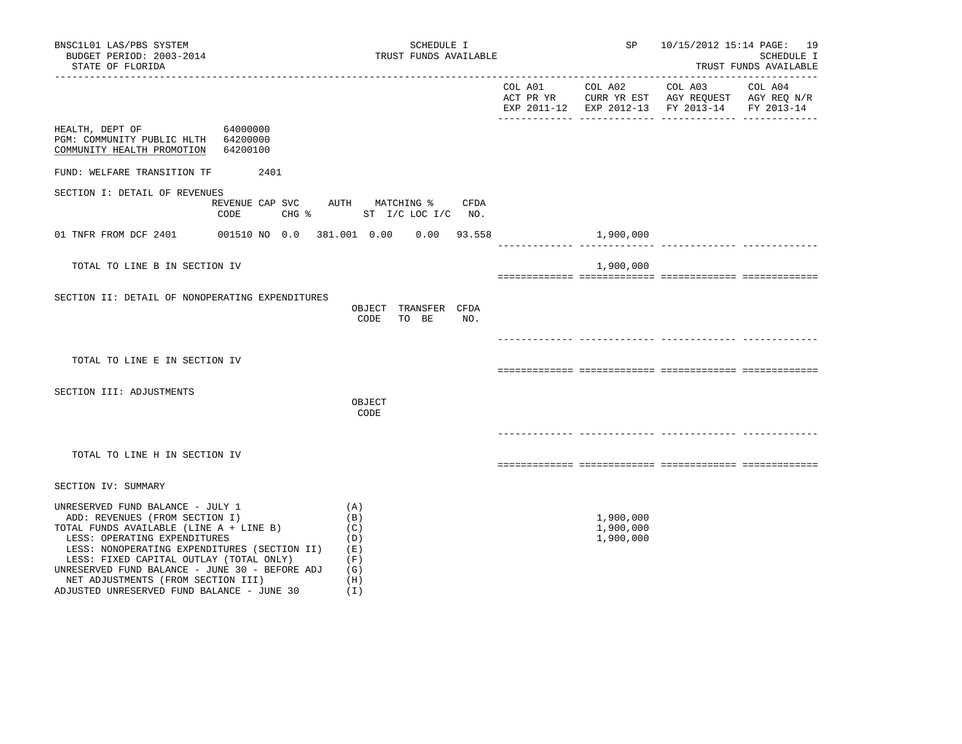| BNSC1L01 LAS/PBS SYSTEM<br>BUDGET PERIOD: 2003-2014<br>STATE OF FLORIDA                                                                                                                                                                                                                                                                                                        | SCHEDULE I<br>TRUST FUNDS AVAILABLE                         |                                     | SP 10/15/2012 15:14 PAGE: 19                                                                                      | SCHEDULE I<br>TRUST FUNDS AVAILABLE |
|--------------------------------------------------------------------------------------------------------------------------------------------------------------------------------------------------------------------------------------------------------------------------------------------------------------------------------------------------------------------------------|-------------------------------------------------------------|-------------------------------------|-------------------------------------------------------------------------------------------------------------------|-------------------------------------|
|                                                                                                                                                                                                                                                                                                                                                                                |                                                             | COL A01 COL A02                     | COL A03 COL A04<br>ACT PR YR CURR YR EST AGY REQUEST AGY REQ N/R<br>EXP 2011-12 EXP 2012-13 FY 2013-14 FY 2013-14 |                                     |
| HEALTH, DEPT OF<br>64000000<br>PGM: COMMUNITY PUBLIC HLTH 64200000<br>COMMUNITY HEALTH PROMOTION 64200100                                                                                                                                                                                                                                                                      |                                                             |                                     |                                                                                                                   |                                     |
| FUND: WELFARE TRANSITION TF 2401                                                                                                                                                                                                                                                                                                                                               |                                                             |                                     |                                                                                                                   |                                     |
| SECTION I: DETAIL OF REVENUES<br>REVENUE CAP SVC AUTH MATCHING %<br>CODE<br>$CHG$ $\approx$                                                                                                                                                                                                                                                                                    | CFDA<br>ST I/C LOC I/C NO.                                  |                                     |                                                                                                                   |                                     |
| 01 TNFR FROM DCF 2401                                                                                                                                                                                                                                                                                                                                                          | 001510 NO 0.0 381.001 0.00 0.00 93.558                      | 1,900,000                           |                                                                                                                   |                                     |
| TOTAL TO LINE B IN SECTION IV                                                                                                                                                                                                                                                                                                                                                  |                                                             | 1,900,000                           |                                                                                                                   |                                     |
| SECTION II: DETAIL OF NONOPERATING EXPENDITURES                                                                                                                                                                                                                                                                                                                                | OBJECT TRANSFER CFDA<br>CODE TO BE<br>NO.                   |                                     |                                                                                                                   |                                     |
| TOTAL TO LINE E IN SECTION IV                                                                                                                                                                                                                                                                                                                                                  |                                                             |                                     |                                                                                                                   |                                     |
| SECTION III: ADJUSTMENTS                                                                                                                                                                                                                                                                                                                                                       | OBJECT<br>CODE                                              |                                     |                                                                                                                   |                                     |
| TOTAL TO LINE H IN SECTION IV                                                                                                                                                                                                                                                                                                                                                  |                                                             |                                     |                                                                                                                   |                                     |
| SECTION IV: SUMMARY                                                                                                                                                                                                                                                                                                                                                            |                                                             |                                     |                                                                                                                   |                                     |
| UNRESERVED FUND BALANCE - JULY 1<br>ADD: REVENUES (FROM SECTION I)<br>TOTAL FUNDS AVAILABLE (LINE A + LINE B)<br>LESS: OPERATING EXPENDITURES<br>LESS: NONOPERATING EXPENDITURES (SECTION II)<br>LESS: FIXED CAPITAL OUTLAY (TOTAL ONLY)<br>UNRESERVED FUND BALANCE - JUNE 30 - BEFORE ADJ<br>NET ADJUSTMENTS (FROM SECTION III)<br>ADJUSTED UNRESERVED FUND BALANCE - JUNE 30 | (A)<br>(B)<br>(C)<br>(D)<br>(E)<br>(F)<br>(G)<br>(H)<br>(I) | 1,900,000<br>1,900,000<br>1,900,000 |                                                                                                                   |                                     |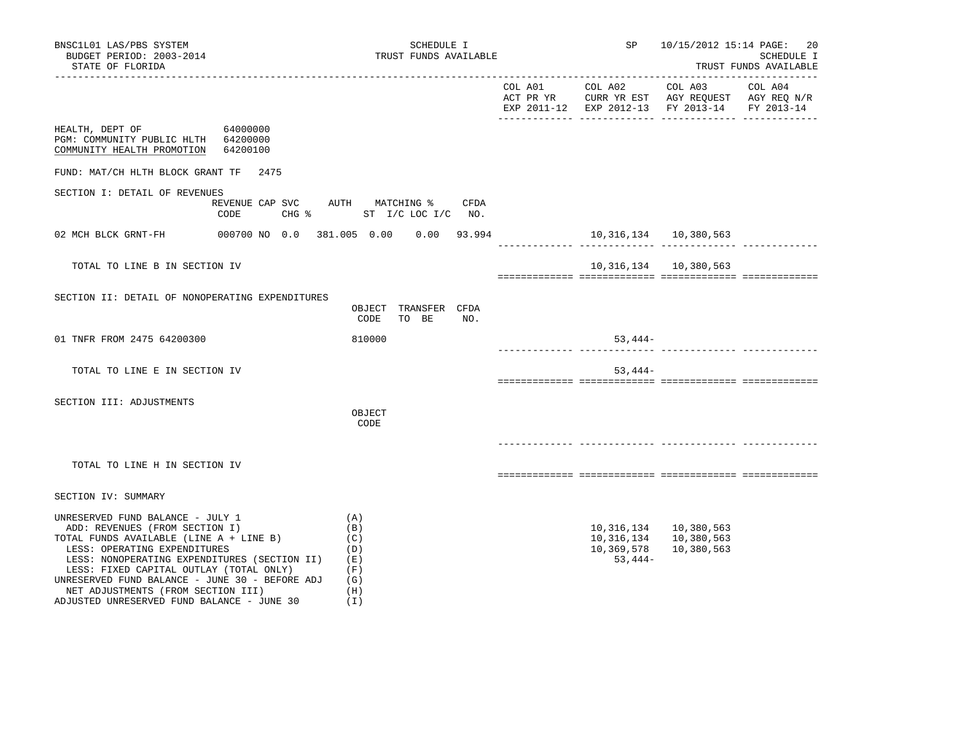| BNSC1L01 LAS/PBS SYSTEM<br>BUDGET PERIOD: 2003-2014<br>STATE OF FLORIDA                                                                                                                                                                                                                                                                                                        |                         | SCHEDULE I<br>TRUST FUNDS AVAILABLE                         | SP and the set of the set of the set of the set of the set of the set of the set of the set of the set of the set of the set of the set of the set of the set of the set of the set of the set of the set of the set of the se |                                                                                                                                   | 10/15/2012 15:14 PAGE: 20<br><b>SCHEDULE I</b><br>TRUST FUNDS AVAILABLE |
|--------------------------------------------------------------------------------------------------------------------------------------------------------------------------------------------------------------------------------------------------------------------------------------------------------------------------------------------------------------------------------|-------------------------|-------------------------------------------------------------|--------------------------------------------------------------------------------------------------------------------------------------------------------------------------------------------------------------------------------|-----------------------------------------------------------------------------------------------------------------------------------|-------------------------------------------------------------------------|
|                                                                                                                                                                                                                                                                                                                                                                                |                         |                                                             |                                                                                                                                                                                                                                | COL A01 COL A02 COL A03 COL A04<br>ACT PR YR CURR YR EST AGY REQUEST AGY REQ N/R<br>EXP 2011-12 EXP 2012-13 FY 2013-14 FY 2013-14 |                                                                         |
| HEALTH, DEPT OF<br>PGM: COMMUNITY PUBLIC HLTH 64200000<br>COMMUNITY HEALTH PROMOTION 64200100                                                                                                                                                                                                                                                                                  | 64000000                |                                                             |                                                                                                                                                                                                                                |                                                                                                                                   |                                                                         |
| FUND: MAT/CH HLTH BLOCK GRANT TF 2475                                                                                                                                                                                                                                                                                                                                          |                         |                                                             |                                                                                                                                                                                                                                |                                                                                                                                   |                                                                         |
| SECTION I: DETAIL OF REVENUES                                                                                                                                                                                                                                                                                                                                                  | REVENUE CAP SVC<br>CODE | AUTH MATCHING %<br><b>CFDA</b><br>CHG % ST I/C LOC I/C NO.  |                                                                                                                                                                                                                                |                                                                                                                                   |                                                                         |
| 02 MCH BLCK GRNT-FH 000700 NO 0.0 381.005 0.00 0.00 93.994                                                                                                                                                                                                                                                                                                                     |                         |                                                             | 10, 316, 134   10, 380, 563                                                                                                                                                                                                    |                                                                                                                                   |                                                                         |
| TOTAL TO LINE B IN SECTION IV                                                                                                                                                                                                                                                                                                                                                  |                         |                                                             |                                                                                                                                                                                                                                | 10, 316, 134 10, 380, 563                                                                                                         |                                                                         |
| SECTION II: DETAIL OF NONOPERATING EXPENDITURES                                                                                                                                                                                                                                                                                                                                |                         | OBJECT TRANSFER CFDA<br>CODE<br>TO BE<br>NO.                |                                                                                                                                                                                                                                |                                                                                                                                   |                                                                         |
| 01 TNFR FROM 2475 64200300                                                                                                                                                                                                                                                                                                                                                     |                         | 810000                                                      | 53,444-                                                                                                                                                                                                                        |                                                                                                                                   |                                                                         |
| TOTAL TO LINE E IN SECTION IV                                                                                                                                                                                                                                                                                                                                                  |                         |                                                             | $53,444-$                                                                                                                                                                                                                      |                                                                                                                                   |                                                                         |
| SECTION III: ADJUSTMENTS                                                                                                                                                                                                                                                                                                                                                       |                         | OBJECT<br>CODE                                              |                                                                                                                                                                                                                                |                                                                                                                                   |                                                                         |
| TOTAL TO LINE H IN SECTION IV                                                                                                                                                                                                                                                                                                                                                  |                         |                                                             |                                                                                                                                                                                                                                |                                                                                                                                   |                                                                         |
| SECTION IV: SUMMARY                                                                                                                                                                                                                                                                                                                                                            |                         |                                                             |                                                                                                                                                                                                                                |                                                                                                                                   |                                                                         |
| UNRESERVED FUND BALANCE - JULY 1<br>ADD: REVENUES (FROM SECTION I)<br>TOTAL FUNDS AVAILABLE (LINE A + LINE B)<br>LESS: OPERATING EXPENDITURES<br>LESS: NONOPERATING EXPENDITURES (SECTION II)<br>LESS: FIXED CAPITAL OUTLAY (TOTAL ONLY)<br>UNRESERVED FUND BALANCE - JUNE 30 - BEFORE ADJ<br>NET ADJUSTMENTS (FROM SECTION III)<br>ADJUSTED UNRESERVED FUND BALANCE - JUNE 30 |                         | (A)<br>(B)<br>(C)<br>(D)<br>(E)<br>(F)<br>(G)<br>(H)<br>(I) | 10,369,578<br>$53,444-$                                                                                                                                                                                                        | 10, 316, 134 10, 380, 563<br>10, 316, 134 10, 380, 563<br>10,380,563                                                              |                                                                         |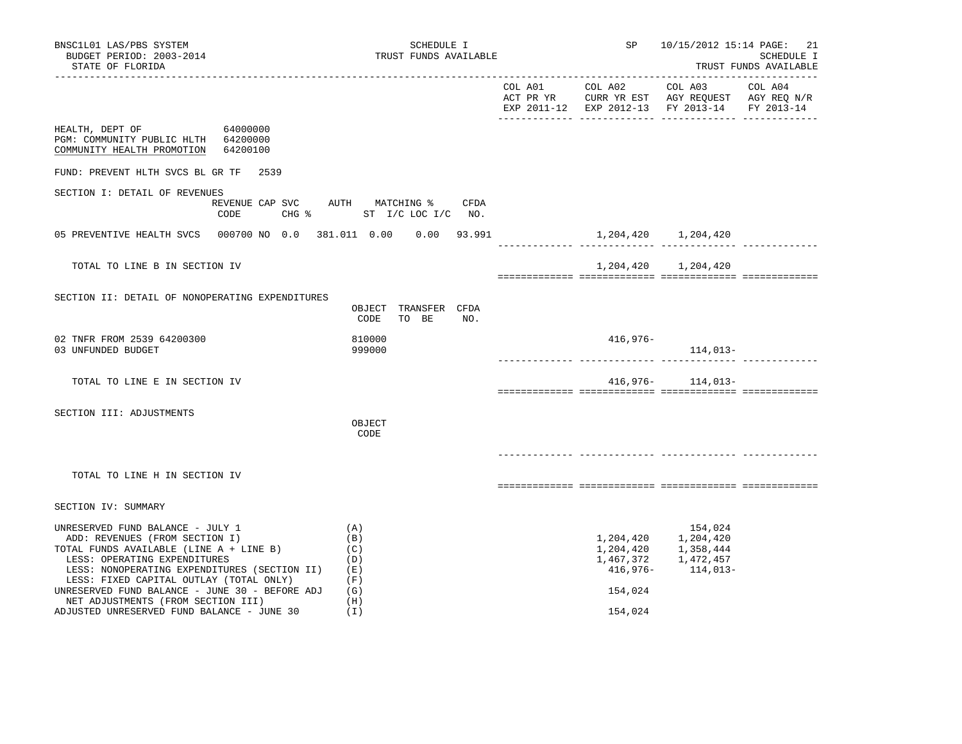| BNSC1L01 LAS/PBS SYSTEM<br>BUDGET PERIOD: 2003-2014<br>STATE OF FLORIDA                                                                                                                                                                                                                                                          | SCHEDULE I<br>TRUST FUNDS AVAILABLE                  |                     |          | SP 10/15/2012 15:14 PAGE: 21                                                                          | SCHEDULE I<br>TRUST FUNDS AVAILABLE |
|----------------------------------------------------------------------------------------------------------------------------------------------------------------------------------------------------------------------------------------------------------------------------------------------------------------------------------|------------------------------------------------------|---------------------|----------|-------------------------------------------------------------------------------------------------------|-------------------------------------|
|                                                                                                                                                                                                                                                                                                                                  |                                                      |                     |          | EXP 2011-12 EXP 2012-13 FY 2013-14 FY 2013-14                                                         |                                     |
| HEALTH, DEPT OF<br>64000000<br>PGM: COMMUNITY PUBLIC HLTH 64200000<br>COMMUNITY HEALTH PROMOTION 64200100                                                                                                                                                                                                                        |                                                      |                     |          |                                                                                                       |                                     |
| FUND: PREVENT HLTH SVCS BL GR TF 2539                                                                                                                                                                                                                                                                                            |                                                      |                     |          |                                                                                                       |                                     |
| SECTION I: DETAIL OF REVENUES<br>REVENUE CAP SVC<br>CODE                                                                                                                                                                                                                                                                         | AUTH MATCHING %<br>CFDA<br>CHG % ST I/C LOC I/C NO.  |                     |          |                                                                                                       |                                     |
| 05 PREVENTIVE HEALTH SVCS  000700 NO  0.0  381.011  0.00  0.00  93.991                                                                                                                                                                                                                                                           |                                                      | ______________ ____ |          | 1, 204, 420 1, 204, 420                                                                               |                                     |
| TOTAL TO LINE B IN SECTION IV                                                                                                                                                                                                                                                                                                    |                                                      |                     |          | 1,204,420 1,204,420                                                                                   |                                     |
| SECTION II: DETAIL OF NONOPERATING EXPENDITURES                                                                                                                                                                                                                                                                                  | OBJECT TRANSFER CFDA<br>CODE<br>TO BE<br>NO.         |                     |          |                                                                                                       |                                     |
| 02 TNFR FROM 2539 64200300<br>03 UNFUNDED BUDGET                                                                                                                                                                                                                                                                                 | 810000<br>999000                                     |                     | 416,976- | 114,013-                                                                                              |                                     |
| TOTAL TO LINE E IN SECTION IV                                                                                                                                                                                                                                                                                                    |                                                      |                     |          | $416,976-114,013-$                                                                                    |                                     |
| SECTION III: ADJUSTMENTS                                                                                                                                                                                                                                                                                                         | OBJECT<br>CODE                                       |                     |          |                                                                                                       |                                     |
| TOTAL TO LINE H IN SECTION IV                                                                                                                                                                                                                                                                                                    |                                                      |                     |          |                                                                                                       |                                     |
| SECTION IV: SUMMARY                                                                                                                                                                                                                                                                                                              |                                                      |                     |          |                                                                                                       |                                     |
| UNRESERVED FUND BALANCE - JULY 1<br>ADD: REVENUES (FROM SECTION I)<br>TOTAL FUNDS AVAILABLE (LINE A + LINE B)<br>LESS: OPERATING EXPENDITURES<br>LESS: NONOPERATING EXPENDITURES (SECTION II)<br>LESS: FIXED CAPITAL OUTLAY (TOTAL ONLY)<br>UNRESERVED FUND BALANCE - JUNE 30 - BEFORE ADJ<br>NET ADJUSTMENTS (FROM SECTION III) | (A)<br>(B)<br>(C)<br>(D)<br>(E)<br>(F)<br>(G)<br>(H) |                     | 154,024  | 154,024<br>1,204,420 1,204,420<br>1, 204, 420 1, 358, 444<br>1,467,372 1,472,457<br>416,976- 114,013- |                                     |
| ADJUSTED UNRESERVED FUND BALANCE - JUNE 30                                                                                                                                                                                                                                                                                       | (I)                                                  |                     | 154,024  |                                                                                                       |                                     |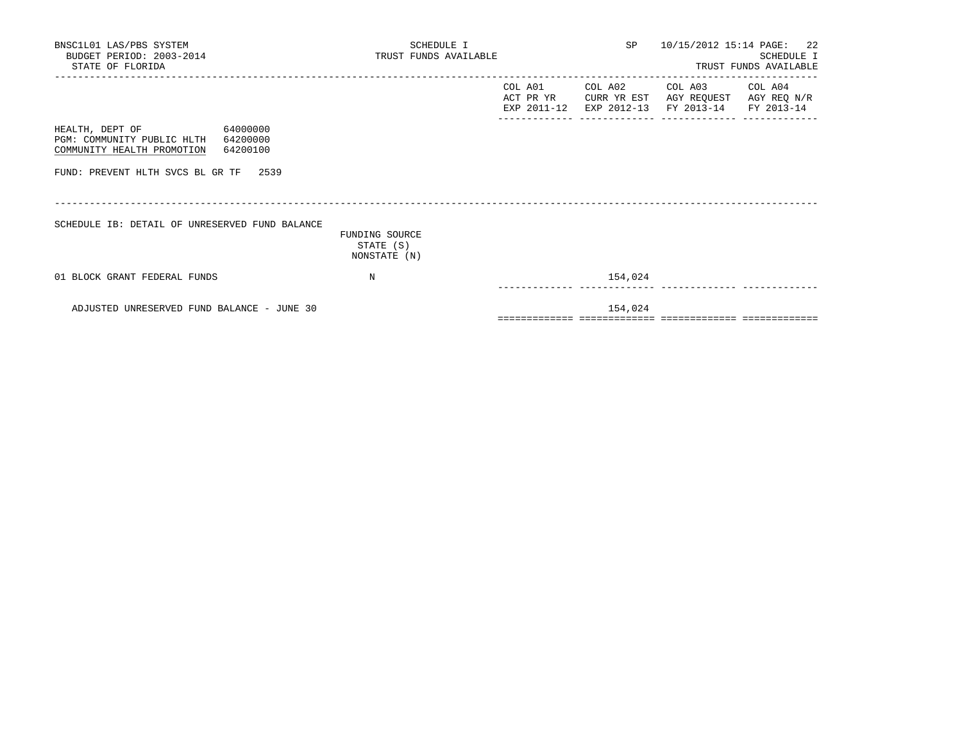| BNSC1L01 LAS/PBS SYSTEM<br>BUDGET PERIOD: 2003-2014<br>STATE OF FLORIDA                                         | SCHEDULE I<br>TRUST FUNDS AVAILABLE         |                      |         | SP 10/15/2012 15:14 PAGE: 22                                                                            | <b>SCHEDULE I</b><br>TRUST FUNDS AVAILABLE |
|-----------------------------------------------------------------------------------------------------------------|---------------------------------------------|----------------------|---------|---------------------------------------------------------------------------------------------------------|--------------------------------------------|
|                                                                                                                 |                                             | COL A01<br>ACT PR YR | COL A02 | COL A03 COL A04<br>CURR YR EST AGY REQUEST AGY REQ N/R<br>EXP 2011-12 EXP 2012-13 FY 2013-14 FY 2013-14 |                                            |
| 64000000<br>HEALTH, DEPT OF<br>PGM: COMMUNITY PUBLIC HLTH<br>64200000<br>COMMUNITY HEALTH PROMOTION<br>64200100 |                                             |                      |         |                                                                                                         |                                            |
| FUND: PREVENT HLTH SVCS BL GR TF 2539                                                                           |                                             |                      |         |                                                                                                         |                                            |
| SCHEDULE IB: DETAIL OF UNRESERVED FUND BALANCE                                                                  | FUNDING SOURCE<br>STATE (S)<br>NONSTATE (N) |                      |         |                                                                                                         |                                            |
| 01 BLOCK GRANT FEDERAL FUNDS                                                                                    | N                                           |                      | 154,024 |                                                                                                         |                                            |
| ADJUSTED UNRESERVED FUND BALANCE - JUNE 30                                                                      |                                             |                      | 154,024 |                                                                                                         |                                            |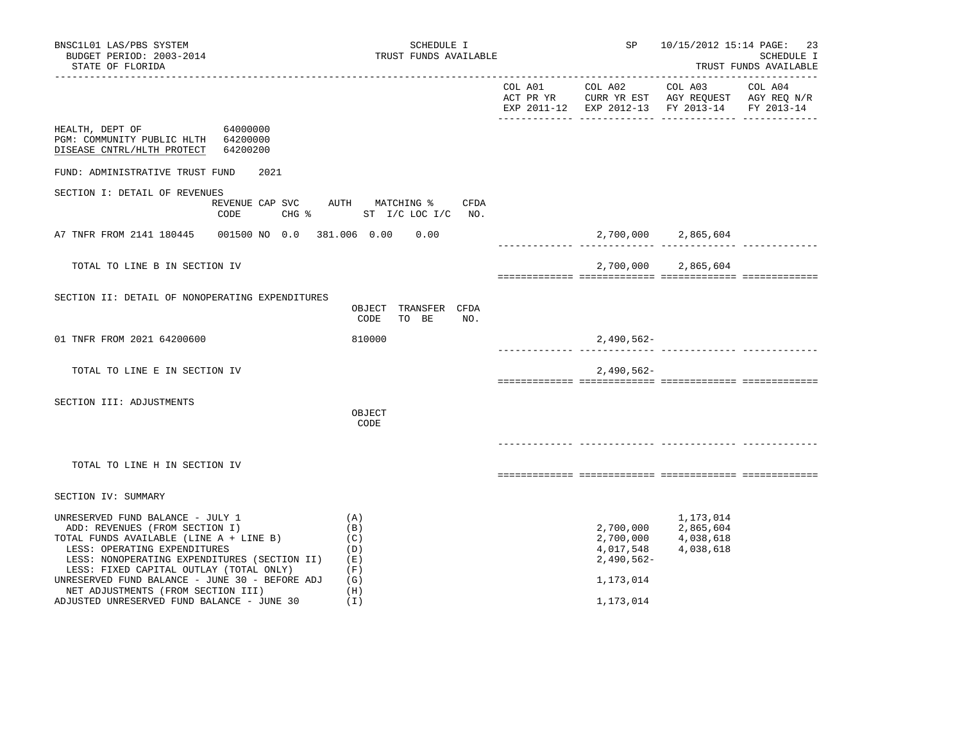| BNSC1L01 LAS/PBS SYSTEM<br>BUDGET PERIOD: 2003-2014<br>STATE OF FLORIDA                                                                                                                                                                                                                                                                                                        |                                    |                                                             | SCHEDULE I<br>TRUST FUNDS AVAILABLE |      | SP                                                               | 10/15/2012 15:14 PAGE: 23                                  | <b>SCHEDULE I</b><br>TRUST FUNDS AVAILABLE |
|--------------------------------------------------------------------------------------------------------------------------------------------------------------------------------------------------------------------------------------------------------------------------------------------------------------------------------------------------------------------------------|------------------------------------|-------------------------------------------------------------|-------------------------------------|------|------------------------------------------------------------------|------------------------------------------------------------|--------------------------------------------|
|                                                                                                                                                                                                                                                                                                                                                                                |                                    |                                                             |                                     |      |                                                                  | EXP 2011-12 EXP 2012-13 FY 2013-14 FY 2013-14              |                                            |
| HEALTH, DEPT OF<br>64000000<br>PGM: COMMUNITY PUBLIC HLTH 64200000<br>64200200<br>DISEASE CNTRL/HLTH PROTECT                                                                                                                                                                                                                                                                   |                                    |                                                             |                                     |      |                                                                  |                                                            |                                            |
| FUND: ADMINISTRATIVE TRUST FUND                                                                                                                                                                                                                                                                                                                                                | 2021                               |                                                             |                                     |      |                                                                  |                                                            |                                            |
| SECTION I: DETAIL OF REVENUES<br>CODE                                                                                                                                                                                                                                                                                                                                          | REVENUE CAP SVC<br>$CHG$ $\approx$ | AUTH MATCHING %                                             | ST I/C LOC I/C NO.                  | CFDA |                                                                  |                                                            |                                            |
| A7 TNFR FROM 2141 180445 001500 NO 0.0 381.006 0.00                                                                                                                                                                                                                                                                                                                            |                                    |                                                             | 0.00                                |      |                                                                  | 2,700,000 2,865,604                                        |                                            |
| TOTAL TO LINE B IN SECTION IV                                                                                                                                                                                                                                                                                                                                                  |                                    |                                                             |                                     |      | 2,700,000                                                        | 2,865,604                                                  |                                            |
| SECTION II: DETAIL OF NONOPERATING EXPENDITURES                                                                                                                                                                                                                                                                                                                                |                                    | CODE                                                        | OBJECT TRANSFER CFDA<br>TO BE       | NO.  |                                                                  |                                                            |                                            |
| 01 TNFR FROM 2021 64200600                                                                                                                                                                                                                                                                                                                                                     |                                    | 810000                                                      |                                     |      | $2,490,562-$                                                     |                                                            |                                            |
| TOTAL TO LINE E IN SECTION IV                                                                                                                                                                                                                                                                                                                                                  |                                    |                                                             |                                     |      | $2,490,562-$                                                     |                                                            |                                            |
| SECTION III: ADJUSTMENTS                                                                                                                                                                                                                                                                                                                                                       |                                    | OBJECT<br>CODE                                              |                                     |      |                                                                  |                                                            |                                            |
| TOTAL TO LINE H IN SECTION IV                                                                                                                                                                                                                                                                                                                                                  |                                    |                                                             |                                     |      |                                                                  |                                                            |                                            |
| SECTION IV: SUMMARY                                                                                                                                                                                                                                                                                                                                                            |                                    |                                                             |                                     |      |                                                                  |                                                            |                                            |
| UNRESERVED FUND BALANCE - JULY 1<br>ADD: REVENUES (FROM SECTION I)<br>TOTAL FUNDS AVAILABLE (LINE A + LINE B)<br>LESS: OPERATING EXPENDITURES<br>LESS: NONOPERATING EXPENDITURES (SECTION II)<br>LESS: FIXED CAPITAL OUTLAY (TOTAL ONLY)<br>UNRESERVED FUND BALANCE - JUNE 30 - BEFORE ADJ<br>NET ADJUSTMENTS (FROM SECTION III)<br>ADJUSTED UNRESERVED FUND BALANCE - JUNE 30 |                                    | (A)<br>(B)<br>(C)<br>(D)<br>(E)<br>(F)<br>(G)<br>(H)<br>(1) |                                     |      | 2,700,000<br>4,017,548<br>$2,490,562-$<br>1,173,014<br>1,173,014 | 1,173,014<br>2,700,000 2,865,604<br>4,038,618<br>4,038,618 |                                            |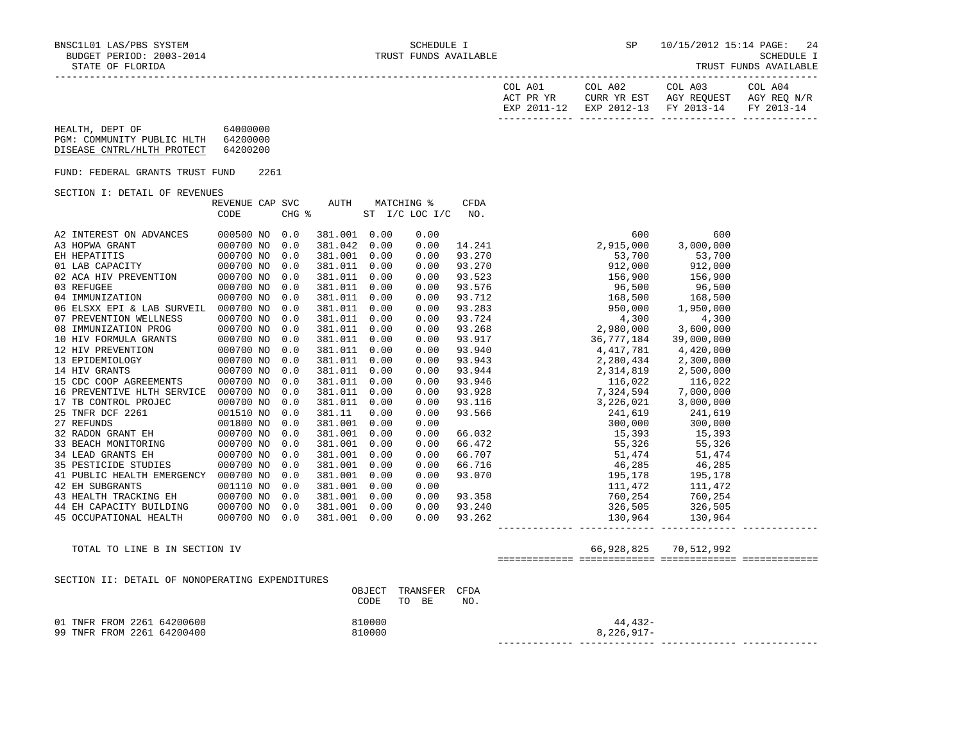| COL A01<br>ACT PR YR | COL A02 | COL A03<br>CURR YR EST AGY REOUEST AGY REO N/R | COL A04 |
|----------------------|---------|------------------------------------------------|---------|
|                      |         | EXP 2011-12 EXP 2012-13 FY 2013-14 FY 2013-14  |         |
|                      |         |                                                |         |

# HEALTH, DEPT OF 64000000 PGM: COMMUNITY PUBLIC HLTH 64200000 DISEASE CNTRL/HLTH PROTECT 64200200

FUND: FEDERAL GRANTS TRUST FUND 2261

#### SECTION I: DETAIL OF REVENUES

|                            | REVENUE CAP SVC |       | AUTH    |      | MATCHING %     | <b>CFDA</b> |                                                                |            |
|----------------------------|-----------------|-------|---------|------|----------------|-------------|----------------------------------------------------------------|------------|
|                            | CODE            | CHG % |         |      | ST I/C LOC I/C | NO.         |                                                                |            |
|                            |                 |       |         |      |                |             |                                                                |            |
| A2 INTEREST ON ADVANCES    | 000500 NO       | 0.0   | 381.001 | 0.00 | 0.00           |             | 600                                                            | 600        |
| A3 HOPWA GRANT             | 000700 NO       | 0.0   | 381.042 | 0.00 | 0.00           | 14.241      | 2,915,000                                                      | 3,000,000  |
| EH HEPATITIS               | 000700 NO       | 0.0   | 381.001 | 0.00 | 0.00           | 93.270      | 53,700                                                         | 53,700     |
| 01 LAB CAPACITY            | 000700 NO       | 0.0   | 381.011 | 0.00 | 0.00           | 93.270      | 912,000                                                        | 912,000    |
| 02 ACA HIV PREVENTION      | 000700 NO       | 0.0   | 381.011 | 0.00 | 0.00           | 93.523      | 156,900                                                        | 156,900    |
| 03 REFUGEE                 | 000700 NO       | 0.0   | 381.011 | 0.00 | 0.00           | 93.576      | 96,500 96,500                                                  |            |
| 04 IMMUNIZATION            | 000700 NO       | 0.0   | 381.011 | 0.00 | 0.00           | 93.712      | 168,500                                                        | 168,500    |
| 06 ELSXX EPI & LAB SURVEIL | 000700 NO       | 0.0   | 381.011 | 0.00 | 0.00           | 93.283      | 950,000                                                        | 1,950,000  |
| 07 PREVENTION WELLNESS     | 000700 NO       | 0.0   | 381.011 | 0.00 | 0.00           | 93.724      | 4,300                                                          | 4,300      |
| 08 IMMUNIZATION PROG       | 000700 NO       | 0.0   | 381.011 | 0.00 | 0.00           | 93.268      | 2,980,000                                                      | 3,600,000  |
| 10 HIV FORMULA GRANTS      | 000700 NO       | 0.0   | 381.011 | 0.00 | 0.00           | 93.917      | 36,777,184                                                     | 39,000,000 |
| 12 HIV PREVENTION          | 000700 NO       | 0.0   | 381.011 | 0.00 | 0.00           | 93.940      | 4,417,781                                                      | 4,420,000  |
| 13 EPIDEMIOLOGY            | 000700 NO       | 0.0   | 381.011 | 0.00 | 0.00           | 93.943      | 2,280,434                                                      | 2,300,000  |
| 14 HIV GRANTS              | 000700 NO       | 0.0   | 381.011 | 0.00 | 0.00           | 93.944      | 2,314,819                                                      | 2,500,000  |
| 15 CDC COOP AGREEMENTS     | 000700 NO       | 0.0   | 381.011 | 0.00 | 0.00           | 93.946      | 116,022 116,022                                                |            |
| 16 PREVENTIVE HLTH SERVICE | 000700 NO       | 0.0   | 381.011 | 0.00 | 0.00           | 93.928      | 7,324,594            7,000,000<br>3,226,021          3,000,000 |            |
| 17 TB CONTROL PROJEC       | 000700 NO       | 0.0   | 381.011 | 0.00 | 0.00           | 93.116      |                                                                |            |
| 25 TNFR DCF 2261           | 001510 NO       | 0.0   | 381.11  | 0.00 | 0.00           | 93.566      | 241,619                                                        | 241,619    |
| 27 REFUNDS                 | 001800 NO       | 0.0   | 381.001 | 0.00 | 0.00           |             | 300,000                                                        | 300,000    |
| 32 RADON GRANT EH          | 000700 NO       | 0.0   | 381.001 | 0.00 | 0.00           | 66.032      | 15,393                                                         | 15,393     |
| 33 BEACH MONITORING        | 000700 NO       | 0.0   | 381.001 | 0.00 | 0.00           | 66.472      | 55,326 55,326                                                  |            |
| 34 LEAD GRANTS EH          | 000700 NO       | 0.0   | 381.001 | 0.00 | 0.00           | 66.707      | 51,474 51,474                                                  |            |
| 35 PESTICIDE STUDIES       | 000700 NO       | 0.0   | 381.001 | 0.00 | 0.00           | 66.716      | 46,285 46,285                                                  |            |
| 41 PUBLIC HEALTH EMERGENCY | 000700 NO       | 0.0   | 381.001 | 0.00 | 0.00           | 93.070      | 195,178                                                        | 195,178    |
| 42 EH SUBGRANTS            | 001110 NO       | 0.0   | 381.001 | 0.00 | 0.00           |             | 111,472                                                        | 111,472    |
| 43 HEALTH TRACKING EH      | 000700 NO       | 0.0   | 381.001 | 0.00 | 0.00           | 93.358      | 760,254                                                        | 760,254    |
| 44 EH CAPACITY BUILDING    | 000700 NO       | 0.0   | 381.001 | 0.00 | 0.00           | 93.240      | 326,505                                                        | 326,505    |
| 45 OCCUPATIONAL HEALTH     | 000700 NO       | 0.0   | 381.001 | 0.00 | 0.00           | 93.262      | 130,964                                                        | 130,964    |
|                            |                 |       |         |      |                |             |                                                                |            |

TOTAL TO LINE B IN SECTION IV 66,928,825 70,512,992

============= ============= ============= =============

## SECTION II: DETAIL OF NONOPERATING EXPENDITURES

|                            | OBJECT TRANSFER CFDA |            |  |
|----------------------------|----------------------|------------|--|
|                            | CODE TO BE           | NO.        |  |
| 01 TNFR FROM 2261 64200600 | 810000               | 44,432-    |  |
| 99 TNFR FROM 2261 64200400 | 810000               | 8,226,917- |  |
|                            |                      |            |  |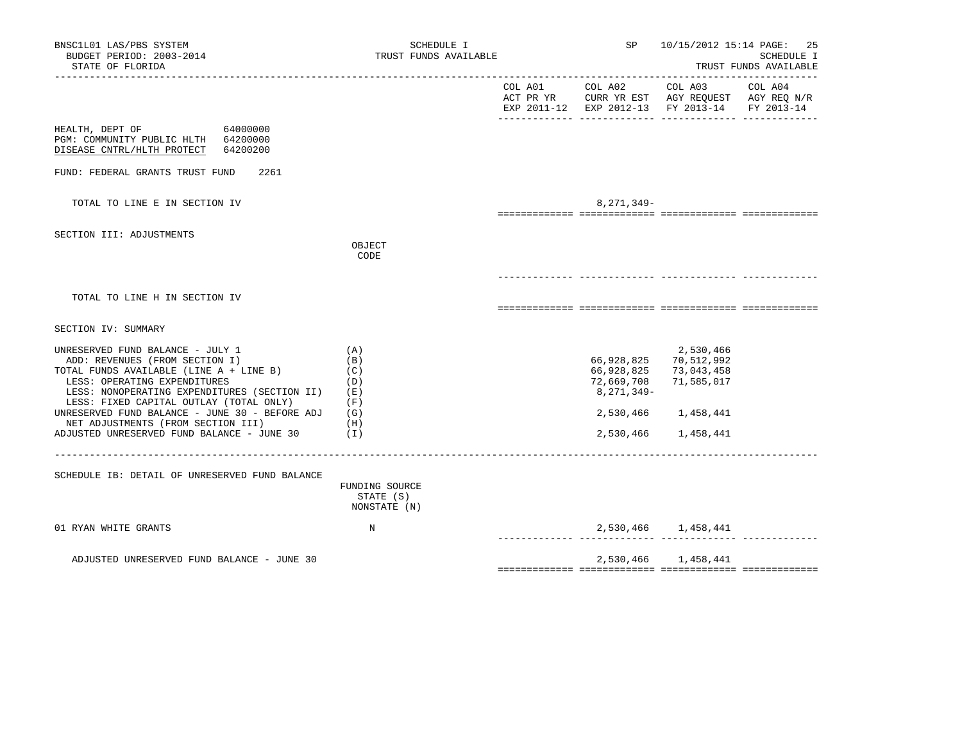| BNSC1L01 LAS/PBS SYSTEM<br>BUDGET PERIOD: 2003-2014<br>STATE OF FLORIDA                                                                                                                                                                      | SCHEDULE I<br>TRUST FUNDS AVAILABLE         | <b>SP</b>                              | 10/15/2012 15:14 PAGE: 25<br>SCHEDULE I<br>TRUST FUNDS AVAILABLE                               |                            |  |
|----------------------------------------------------------------------------------------------------------------------------------------------------------------------------------------------------------------------------------------------|---------------------------------------------|----------------------------------------|------------------------------------------------------------------------------------------------|----------------------------|--|
|                                                                                                                                                                                                                                              |                                             |                                        | ACT PR YR CURR YR EST AGY REQUEST AGY REQ N/R<br>EXP 2011-12 EXP 2012-13 FY 2013-14 FY 2013-14 |                            |  |
| 64000000<br>HEALTH, DEPT OF<br>PGM: COMMUNITY PUBLIC HLTH 64200000<br>DISEASE CNTRL/HLTH PROTECT<br>64200200                                                                                                                                 |                                             |                                        |                                                                                                |                            |  |
| FUND: FEDERAL GRANTS TRUST FUND<br>2261                                                                                                                                                                                                      |                                             |                                        |                                                                                                |                            |  |
| TOTAL TO LINE E IN SECTION IV                                                                                                                                                                                                                |                                             | 8,271,349-                             |                                                                                                |                            |  |
| SECTION III: ADJUSTMENTS                                                                                                                                                                                                                     | OBJECT<br>CODE                              |                                        |                                                                                                |                            |  |
|                                                                                                                                                                                                                                              |                                             |                                        |                                                                                                |                            |  |
| TOTAL TO LINE H IN SECTION IV                                                                                                                                                                                                                |                                             |                                        |                                                                                                |                            |  |
| SECTION IV: SUMMARY                                                                                                                                                                                                                          |                                             |                                        |                                                                                                |                            |  |
| UNRESERVED FUND BALANCE - JULY 1<br>ADD: REVENUES (FROM SECTION I)<br>TOTAL FUNDS AVAILABLE (LINE A + LINE B)<br>LESS: OPERATING EXPENDITURES<br>LESS: NONOPERATING EXPENDITURES (SECTION II) (E)<br>LESS: FIXED CAPITAL OUTLAY (TOTAL ONLY) | (A)<br>(B)<br>(C)<br>(D)<br>(F)             | 66,928,825<br>72,669,708<br>8,271,349- | 2,530,466<br>66,928,825 70,512,992<br>73,043,458<br>71,585,017                                 |                            |  |
| UNRESERVED FUND BALANCE - JUNE 30 - BEFORE ADJ $(G)$<br>NET ADJUSTMENTS (FROM SECTION III)<br>ADJUSTED UNRESERVED FUND BALANCE - JUNE 30                                                                                                     | (H)<br>(1)                                  | 2,530,466<br>2,530,466                 | 1,458,441<br>1,458,441                                                                         |                            |  |
| SCHEDULE IB: DETAIL OF UNRESERVED FUND BALANCE                                                                                                                                                                                               | FUNDING SOURCE<br>STATE (S)<br>NONSTATE (N) |                                        |                                                                                                |                            |  |
| 01 RYAN WHITE GRANTS                                                                                                                                                                                                                         | N                                           |                                        | 2,530,466 1,458,441                                                                            | <u>--------- ---------</u> |  |
| ADJUSTED UNRESERVED FUND BALANCE - JUNE 30                                                                                                                                                                                                   |                                             |                                        | 2,530,466 1,458,441                                                                            |                            |  |
|                                                                                                                                                                                                                                              |                                             |                                        |                                                                                                |                            |  |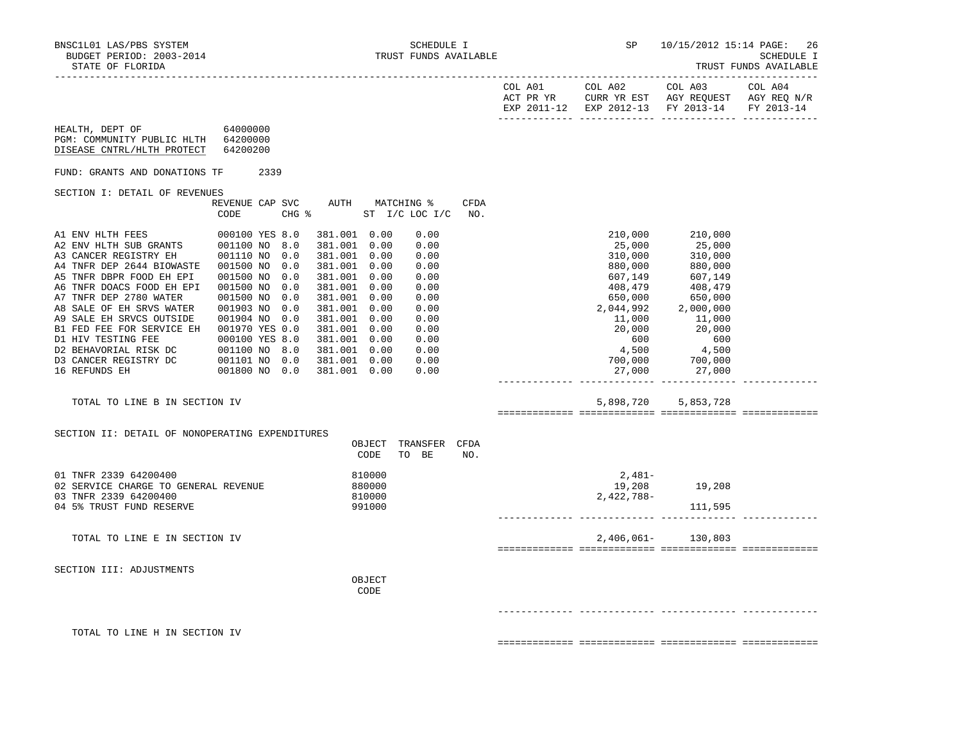|                                                                                                                                                                                                                                                                                                                                                                                                                          |                                                                                                     |  |                                                                                                                                                                                                                              |                                      |                                                                                                              |             |                                                                                                                                                                                                                                                                                          | EXP 2011-12 EXP 2012-13 FY 2013-14 FY 2013-14                                                                                                                                  |  |
|--------------------------------------------------------------------------------------------------------------------------------------------------------------------------------------------------------------------------------------------------------------------------------------------------------------------------------------------------------------------------------------------------------------------------|-----------------------------------------------------------------------------------------------------|--|------------------------------------------------------------------------------------------------------------------------------------------------------------------------------------------------------------------------------|--------------------------------------|--------------------------------------------------------------------------------------------------------------|-------------|------------------------------------------------------------------------------------------------------------------------------------------------------------------------------------------------------------------------------------------------------------------------------------------|--------------------------------------------------------------------------------------------------------------------------------------------------------------------------------|--|
| HEALTH, DEPT OF 64000000<br>PGM: COMMUNITY PUBLIC HLTH 64200000<br>DISEASE CNTRL/HLTH PROTECT                                                                                                                                                                                                                                                                                                                            | 64200200                                                                                            |  |                                                                                                                                                                                                                              |                                      |                                                                                                              |             |                                                                                                                                                                                                                                                                                          |                                                                                                                                                                                |  |
| FUND: GRANTS AND DONATIONS TF                                                                                                                                                                                                                                                                                                                                                                                            | 2339                                                                                                |  |                                                                                                                                                                                                                              |                                      |                                                                                                              |             |                                                                                                                                                                                                                                                                                          |                                                                                                                                                                                |  |
| SECTION I: DETAIL OF REVENUES                                                                                                                                                                                                                                                                                                                                                                                            |                                                                                                     |  |                                                                                                                                                                                                                              |                                      |                                                                                                              |             |                                                                                                                                                                                                                                                                                          |                                                                                                                                                                                |  |
|                                                                                                                                                                                                                                                                                                                                                                                                                          | REVENUE CAP SVC<br>CODE                                                                             |  |                                                                                                                                                                                                                              |                                      | AUTH MATCHING %<br>CHG % ST I/C LOC I/C                                                                      | CFDA<br>NO. |                                                                                                                                                                                                                                                                                          |                                                                                                                                                                                |  |
| A1 ENV HLTH FEES<br>A4 TNFR DEP 2644 BIOWASTE  001500 NO 0.0<br>A5 TNFR DBPR FOOD EH EPI<br>A6 TNFR DOACS FOOD EH EPI<br>A7 TNFR DEP 2780 WATER<br>A8 SALE OF EH SRVS WATER<br>A9 SALE EH SRVCS OUTSIDE<br>B1 FED FEE FOR SERVICE DI.<br>D1 HIV TESTING FEE 000100 YES 8.0<br>D2 BEHAVORIAL RISK DC 001100 NO 8.0<br>D3 CANCER REGISTRY DC 001101 NO 0.0<br>---------- FH 001800 NO 0.0<br>TOTAL TO LINE B IN SECTION IV | 000100 YES 8.0<br>001500 NO 0.0<br>001500 NO 0.0<br>001500 NO 0.0<br>001903 NO 0.0<br>001904 NO 0.0 |  | 381.001 0.00<br>381.001 0.00<br>381.001 0.00<br>381.001 0.00<br>381.001 0.00<br>381.001 0.00<br>381.001 0.00<br>381.001 0.00<br>381.001 0.00<br>381.001 0.00<br>381.001 0.00<br>381.001 0.00<br>381.001 0.00<br>381.001 0.00 |                                      | 0.00<br>0.00<br>0.00<br>0.00<br>0.00<br>0.00<br>0.00<br>0.00<br>0.00<br>0.00<br>0.00<br>0.00<br>0.00<br>0.00 |             | 25,000<br>310,000<br>880,000<br>607,149<br>408,479<br>650,000<br>2,044,992<br>20,000<br>600<br>$\begin{array}{ccc} 4 \, , \, 500 \ 700 \, , \, 000 \ 27 \, , \, 000 \ 27 \, , \, 000 \end{array} \qquad \begin{array}{ccc} 4 \, , \, 500 \ 700 \, , \, 000 \ 27 \, , \, 000 \end{array}$ | 210,000 210,000<br>25,000<br>$\frac{1}{310}$ ,000<br>880,000<br>880,000<br>607,149<br>408,479<br>650,000<br>2,000,000<br>11,000 11,000<br>20,000<br>600<br>5,898,720 5,853,728 |  |
| SECTION II: DETAIL OF NONOPERATING EXPENDITURES                                                                                                                                                                                                                                                                                                                                                                          |                                                                                                     |  |                                                                                                                                                                                                                              |                                      |                                                                                                              |             |                                                                                                                                                                                                                                                                                          |                                                                                                                                                                                |  |
|                                                                                                                                                                                                                                                                                                                                                                                                                          |                                                                                                     |  |                                                                                                                                                                                                                              | OBJECT<br>CODE                       | TRANSFER CFDA<br>TO BE                                                                                       | NO.         |                                                                                                                                                                                                                                                                                          |                                                                                                                                                                                |  |
| 01 TNFR 2339 64200400<br>02 SERVICE CHARGE TO GENERAL REVENUE<br>03 TNFR 2339 64200400<br>04 5% TRUST FUND RESERVE                                                                                                                                                                                                                                                                                                       |                                                                                                     |  |                                                                                                                                                                                                                              | 810000<br>880000<br>810000<br>991000 |                                                                                                              |             | 2,481-<br>2,422,788-                                                                                                                                                                                                                                                                     | 19,208 19,208<br>111,595                                                                                                                                                       |  |
| TOTAL TO LINE E IN SECTION IV                                                                                                                                                                                                                                                                                                                                                                                            |                                                                                                     |  |                                                                                                                                                                                                                              |                                      |                                                                                                              |             |                                                                                                                                                                                                                                                                                          | 2,406,061- 130,803                                                                                                                                                             |  |
| SECTION III: ADJUSTMENTS                                                                                                                                                                                                                                                                                                                                                                                                 |                                                                                                     |  |                                                                                                                                                                                                                              | OBJECT<br>CODE                       |                                                                                                              |             |                                                                                                                                                                                                                                                                                          |                                                                                                                                                                                |  |
|                                                                                                                                                                                                                                                                                                                                                                                                                          |                                                                                                     |  |                                                                                                                                                                                                                              |                                      |                                                                                                              |             |                                                                                                                                                                                                                                                                                          |                                                                                                                                                                                |  |
| TOTAL TO LINE H IN SECTION IV                                                                                                                                                                                                                                                                                                                                                                                            |                                                                                                     |  |                                                                                                                                                                                                                              |                                      |                                                                                                              |             |                                                                                                                                                                                                                                                                                          |                                                                                                                                                                                |  |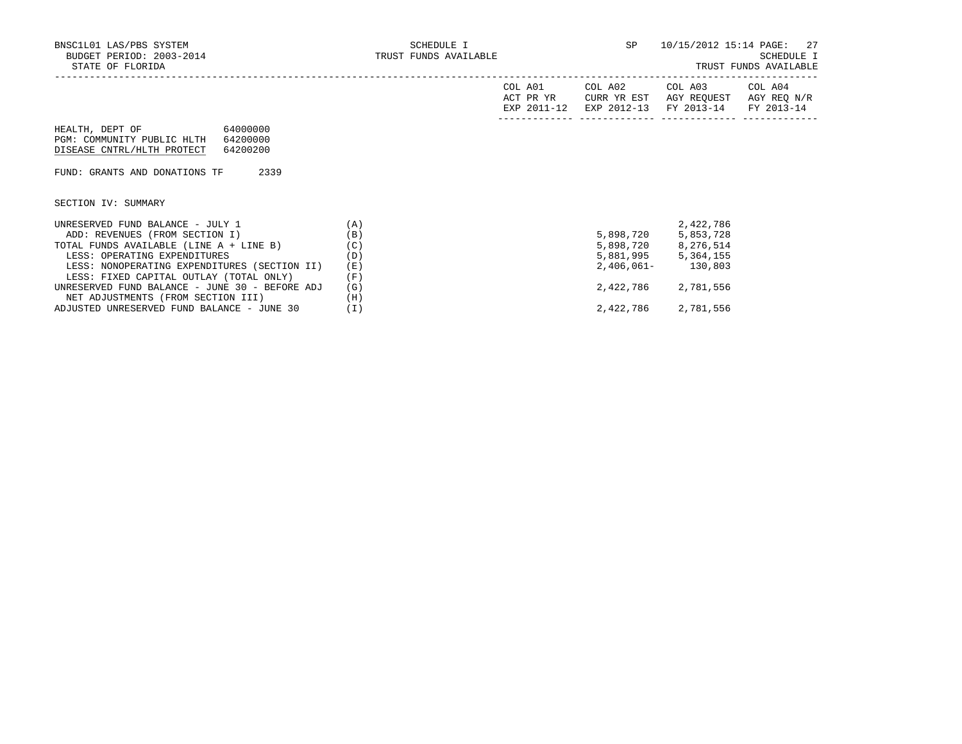| AGY REQ N/R                       |
|-----------------------------------|
| EXP 2012-13 FY 2013-14 FY 2013-14 |
|                                   |
|                                   |
|                                   |
|                                   |
|                                   |
|                                   |
|                                   |
|                                   |
|                                   |
|                                   |
|                                   |
|                                   |
|                                   |
|                                   |
|                                   |
|                                   |
|                                   |
|                                   |
|                                   |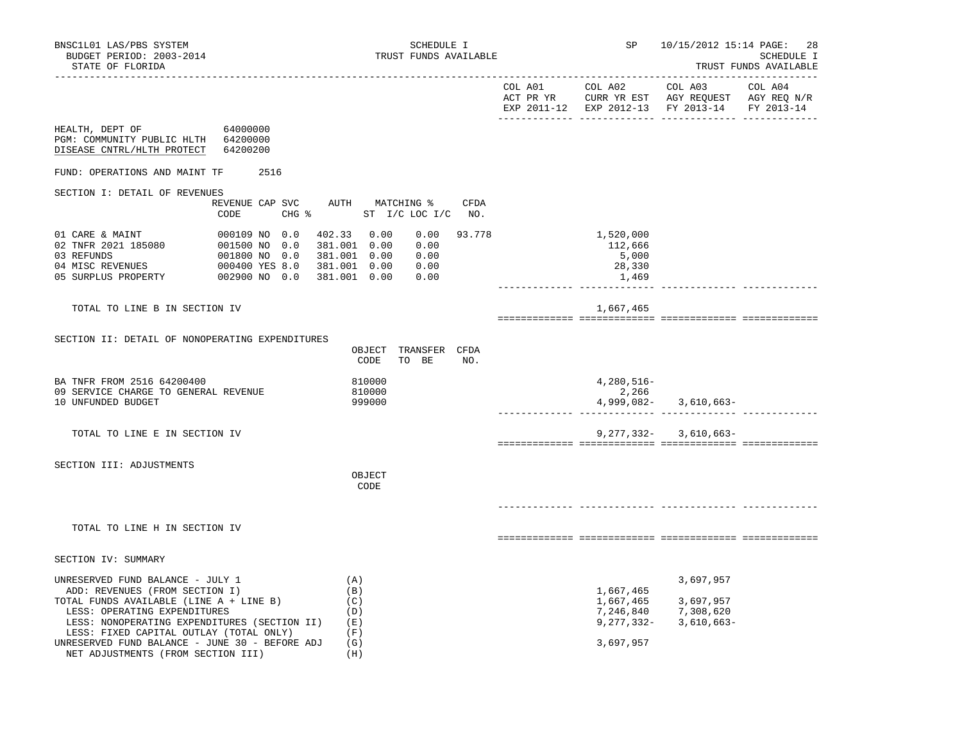|                                                                                                                                                                                                                                                                                                                                                                                                  |          |                                                                  |                                                                 | EXP 2011-12 EXP 2012-13 FY 2013-14 FY 2013-14 |  |
|--------------------------------------------------------------------------------------------------------------------------------------------------------------------------------------------------------------------------------------------------------------------------------------------------------------------------------------------------------------------------------------------------|----------|------------------------------------------------------------------|-----------------------------------------------------------------|-----------------------------------------------|--|
| HEALTH, DEPT OF 64000000<br>PGM: COMMUNITY PUBLIC HLTH 64200000<br>DISEASE CNTRL/HLTH PROTECT                                                                                                                                                                                                                                                                                                    | 64200200 |                                                                  |                                                                 |                                               |  |
| FUND: OPERATIONS AND MAINT TF                                                                                                                                                                                                                                                                                                                                                                    | 2516     |                                                                  |                                                                 |                                               |  |
| SECTION I: DETAIL OF REVENUES                                                                                                                                                                                                                                                                                                                                                                    |          |                                                                  |                                                                 |                                               |  |
|                                                                                                                                                                                                                                                                                                                                                                                                  | CODE     | REVENUE CAP SVC AUTH MATCHING % CFDA<br>CHG % ST I/C LOC I/C NO. |                                                                 |                                               |  |
| $\begin{array}{cccc} 01 & \texttt{CARE} & \& \texttt{MAINT} \\ 02 & \texttt{TNFR} & 2021 & 185080 \\ 03 & \texttt{REFUNDS} \\ 04 & \texttt{MISC REVENUES} \\ 05 & \texttt{SURPLUS} & \texttt{PROPERTIES} \\ 06 & \texttt{SURPLUS} \\ 07 & \texttt{ROPERTY} \\ 08 & \texttt{O1800 NO} & 0.0 \\ 09400 & \texttt{YES} & 8.0 \\ 09400 & \texttt{YES} & 8.0 \\ 00400 & \texttt{S301.001} & 0.00 \\ 0$ |          | 0.00<br>93.778<br>0.00<br>0.00<br>0.00<br>0.00                   | 1,520,000<br>112,666<br>5,000<br>28,330<br>1,469<br>----------- |                                               |  |
| TOTAL TO LINE B IN SECTION IV                                                                                                                                                                                                                                                                                                                                                                    |          |                                                                  | 1,667,465                                                       |                                               |  |
| SECTION II: DETAIL OF NONOPERATING EXPENDITURES                                                                                                                                                                                                                                                                                                                                                  |          | OBJECT TRANSFER CFDA                                             |                                                                 |                                               |  |
|                                                                                                                                                                                                                                                                                                                                                                                                  |          | CODE<br>TO BE<br>NO.                                             |                                                                 |                                               |  |
| BA TNFR FROM 2516 64200400<br>09 SERVICE CHARGE TO GENERAL REVENUE<br>10 UNFUNDED BUDGET                                                                                                                                                                                                                                                                                                         |          | 810000<br>810000<br>999000                                       | 4,280,516-<br>2,266                                             | $4,999,082 - 3,610,663 -$                     |  |
| TOTAL TO LINE E IN SECTION IV                                                                                                                                                                                                                                                                                                                                                                    |          |                                                                  |                                                                 | $9,277,332 - 3,610,663 -$                     |  |
|                                                                                                                                                                                                                                                                                                                                                                                                  |          |                                                                  |                                                                 |                                               |  |
| SECTION III: ADJUSTMENTS                                                                                                                                                                                                                                                                                                                                                                         |          | OBJECT<br>CODE                                                   |                                                                 |                                               |  |
|                                                                                                                                                                                                                                                                                                                                                                                                  |          |                                                                  |                                                                 |                                               |  |
| TOTAL TO LINE H IN SECTION IV                                                                                                                                                                                                                                                                                                                                                                    |          |                                                                  |                                                                 |                                               |  |
|                                                                                                                                                                                                                                                                                                                                                                                                  |          |                                                                  |                                                                 |                                               |  |
| SECTION IV: SUMMARY                                                                                                                                                                                                                                                                                                                                                                              |          |                                                                  |                                                                 |                                               |  |
| UNRESERVED FUND BALANCE - JULY 1                                                                                                                                                                                                                                                                                                                                                                 |          | (A)                                                              |                                                                 | 3,697,957                                     |  |
| ADD: REVENUES (FROM SECTION I)<br>TOTAL FUNDS AVAILABLE (LINE A + LINE B)                                                                                                                                                                                                                                                                                                                        |          | (B)<br>(C)                                                       | 1,667,465                                                       | 1,667,465 3,697,957                           |  |
| LESS: OPERATING EXPENDITURES                                                                                                                                                                                                                                                                                                                                                                     |          | (D)                                                              |                                                                 | 7,246,840 7,308,620                           |  |
| LESS: NONOPERATING EXPENDITURES (SECTION II)                                                                                                                                                                                                                                                                                                                                                     |          | (E)                                                              |                                                                 | $9, 277, 332 - 3, 610, 663 -$                 |  |
| LESS: FIXED CAPITAL OUTLAY (TOTAL ONLY)<br>UNRESERVED FUND BALANCE - JUNE 30 - BEFORE ADJ                                                                                                                                                                                                                                                                                                        |          | (F)<br>(G)                                                       | 3,697,957                                                       |                                               |  |
| NET ADJUSTMENTS (FROM SECTION III)                                                                                                                                                                                                                                                                                                                                                               |          | (H)                                                              |                                                                 |                                               |  |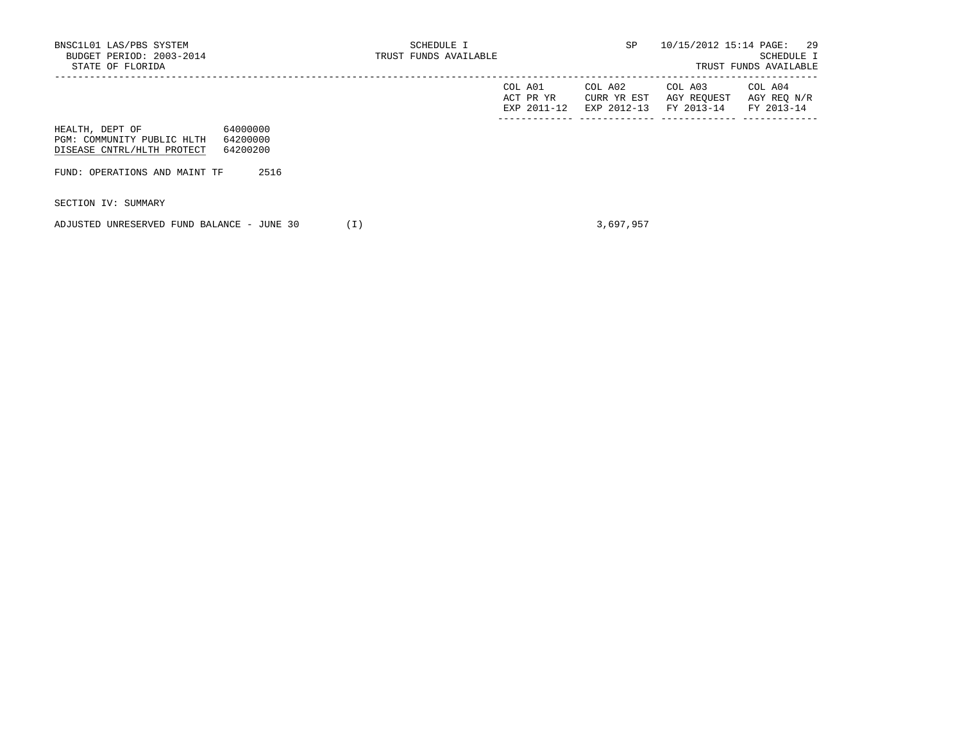|                                                                             |                                  | COL A01<br>ACT PR YR<br>EXP 2011-12 | COL A02<br>CURR YR EST<br>EXP 2012-13 | COL A03<br>AGY REQUEST<br>FY 2013-14 | COL A04<br>AGY REQ N/R<br>FY 2013-14 |
|-----------------------------------------------------------------------------|----------------------------------|-------------------------------------|---------------------------------------|--------------------------------------|--------------------------------------|
| HEALTH, DEPT OF<br>PGM: COMMUNITY PUBLIC HLTH<br>DISEASE CNTRL/HLTH PROTECT | 64000000<br>64200000<br>64200200 |                                     |                                       |                                      |                                      |
| FUND: OPERATIONS AND MAINT TF                                               | 2516                             |                                     |                                       |                                      |                                      |

SECTION IV: SUMMARY

ADJUSTED UNRESERVED FUND BALANCE - JUNE 30 (I) 3,697,957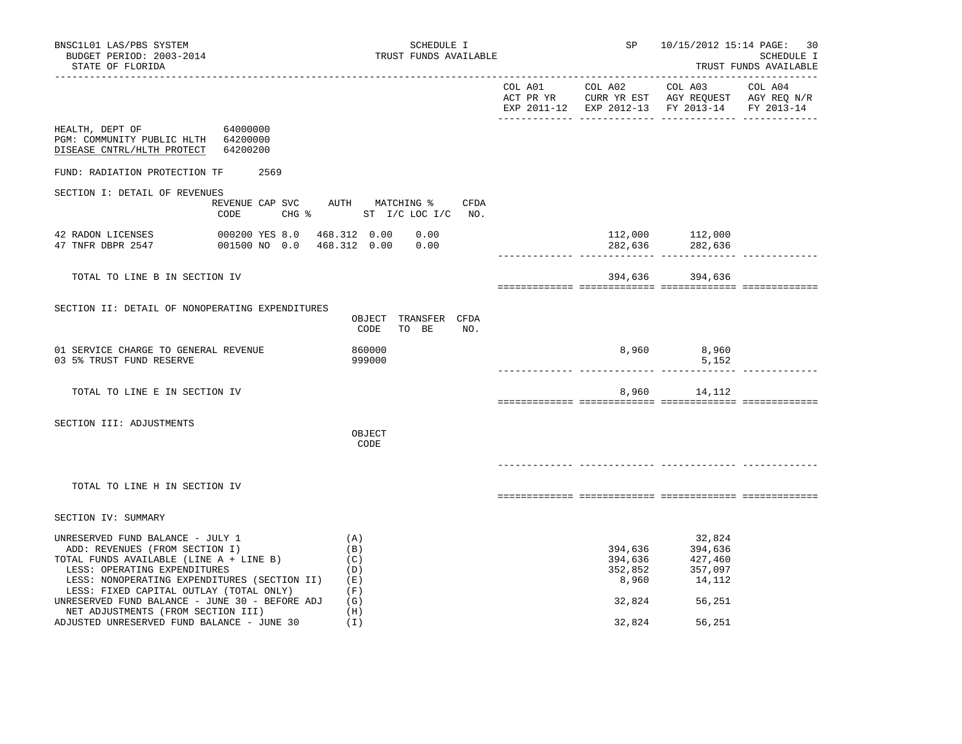|                                                                                                                             |                                         |                                              |                    | EXP 2011-12 EXP 2012-13 FY 2013-14 | FY 2013-14 |
|-----------------------------------------------------------------------------------------------------------------------------|-----------------------------------------|----------------------------------------------|--------------------|------------------------------------|------------|
| HEALTH, DEPT OF 64000000<br>PGM: COMMUNITY PUBLIC HLTH 64200000<br>DISEASE CNTRL/HLTH PROTECT                               | 64200200                                |                                              |                    |                                    |            |
| FUND: RADIATION PROTECTION TF                                                                                               | 2569                                    |                                              |                    |                                    |            |
| SECTION I: DETAIL OF REVENUES                                                                                               |                                         |                                              |                    |                                    |            |
|                                                                                                                             | REVENUE CAP SVC AUTH MATCHING %<br>CODE | CFDA<br>CHG % ST I/C LOC I/C NO.             |                    |                                    |            |
| 42 RADON LICENSES<br>47 TNFR DBPR 2547 001500 NO 0.0 468.312 0.00 0.00                                                      | 000200 YES 8.0 468.312 0.00 0.00        |                                              |                    | 112,000 112,000<br>282,636 282,636 |            |
| TOTAL TO LINE B IN SECTION IV                                                                                               |                                         |                                              |                    | 394,636 394,636                    |            |
| SECTION II: DETAIL OF NONOPERATING EXPENDITURES                                                                             |                                         | OBJECT TRANSFER CFDA<br>CODE<br>TO BE<br>NO. |                    |                                    |            |
| 01 SERVICE CHARGE TO GENERAL REVENUE<br>03 5% TRUST FUND RESERVE                                                            |                                         | 860000<br>999000                             |                    | 8,960 8,960<br>5,152               |            |
| TOTAL TO LINE E IN SECTION IV                                                                                               |                                         |                                              |                    | 8,960 14,112                       |            |
| SECTION III: ADJUSTMENTS                                                                                                    |                                         | OBJECT<br>CODE                               |                    |                                    |            |
| TOTAL TO LINE H IN SECTION IV                                                                                               |                                         |                                              |                    |                                    |            |
| SECTION IV: SUMMARY                                                                                                         |                                         |                                              |                    |                                    |            |
| UNRESERVED FUND BALANCE - JULY 1<br>ADD: REVENUES (FROM SECTION I)<br>TOTAL FUNDS AVAILABLE (LINE A + LINE B)               |                                         | (A)<br>(B)<br>(C)                            | 394,636<br>394,636 | 32,824<br>394,636<br>427,460       |            |
| LESS: OPERATING EXPENDITURES<br>LESS: NONOPERATING EXPENDITURES (SECTION II) (E)<br>LESS: FIXED CAPITAL OUTLAY (TOTAL ONLY) |                                         | (D)<br>(F)                                   |                    | $352,852$<br>8,960 14,112          |            |
| UNRESERVED FUND BALANCE - JUNE 30 - BEFORE ADJ                                                                              |                                         | (G)                                          |                    | 32,824 56,251                      |            |
| NET ADJUSTMENTS (FROM SECTION III)<br>ADJUSTED UNRESERVED FUND BALANCE - JUNE 30                                            |                                         | (H)<br>(I)                                   | 32,824             | 56,251                             |            |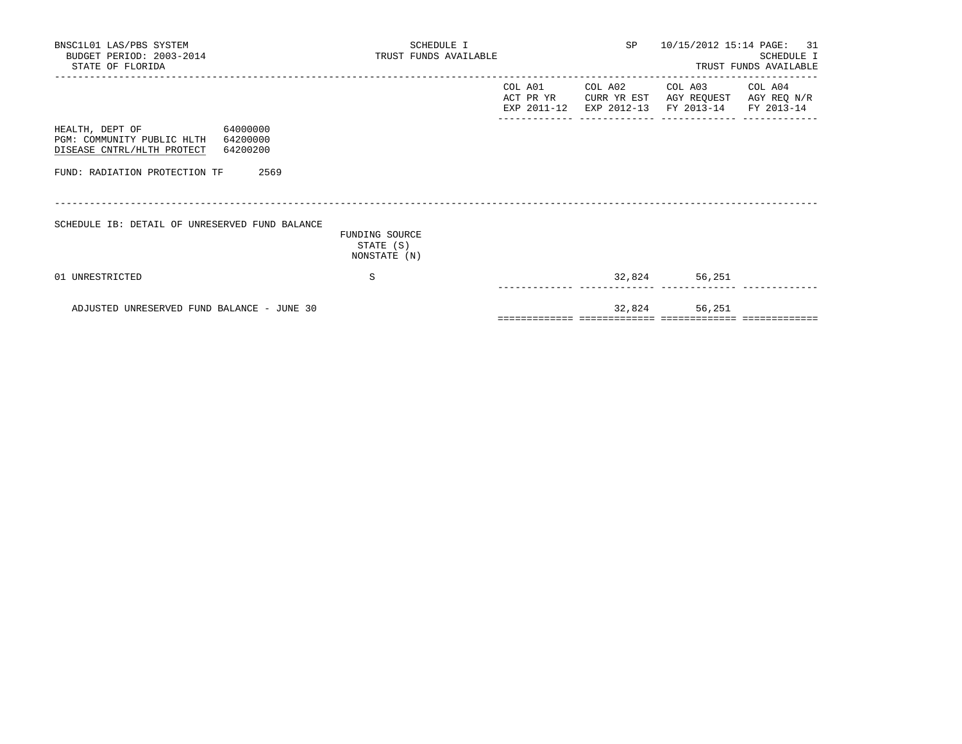| BNSC1L01 LAS/PBS SYSTEM<br>BUDGET PERIOD: 2003-2014<br>STATE OF FLORIDA                                   | SCHEDULE I<br>TRUST FUNDS AVAILABLE         | SP <sub>2</sub> | 10/15/2012 15:14 PAGE: 31 | SCHEDULE I<br>TRUST FUNDS AVAILABLE                                                                                       |  |
|-----------------------------------------------------------------------------------------------------------|---------------------------------------------|-----------------|---------------------------|---------------------------------------------------------------------------------------------------------------------------|--|
|                                                                                                           |                                             | COL A01         |                           | COL A02 COL A03 COL A04<br>ACT PR YR CURR YR EST AGY REQUEST AGY REQ N/R<br>EXP 2011-12 EXP 2012-13 FY 2013-14 FY 2013-14 |  |
| HEALTH, DEPT OF 64000000<br>PGM: COMMUNITY PUBLIC HLTH 64200000<br>DISEASE CNTRL/HLTH PROTECT<br>64200200 |                                             |                 |                           |                                                                                                                           |  |
| FUND: RADIATION PROTECTION TF<br>2569                                                                     |                                             |                 |                           |                                                                                                                           |  |
| SCHEDULE IB: DETAIL OF UNRESERVED FUND BALANCE                                                            | FUNDING SOURCE<br>STATE (S)<br>NONSTATE (N) |                 |                           |                                                                                                                           |  |
| 01 UNRESTRICTED                                                                                           | S                                           |                 |                           | 32,824 56,251                                                                                                             |  |
| ADJUSTED UNRESERVED FUND BALANCE - JUNE 30                                                                |                                             |                 | 32,824                    | 56,251                                                                                                                    |  |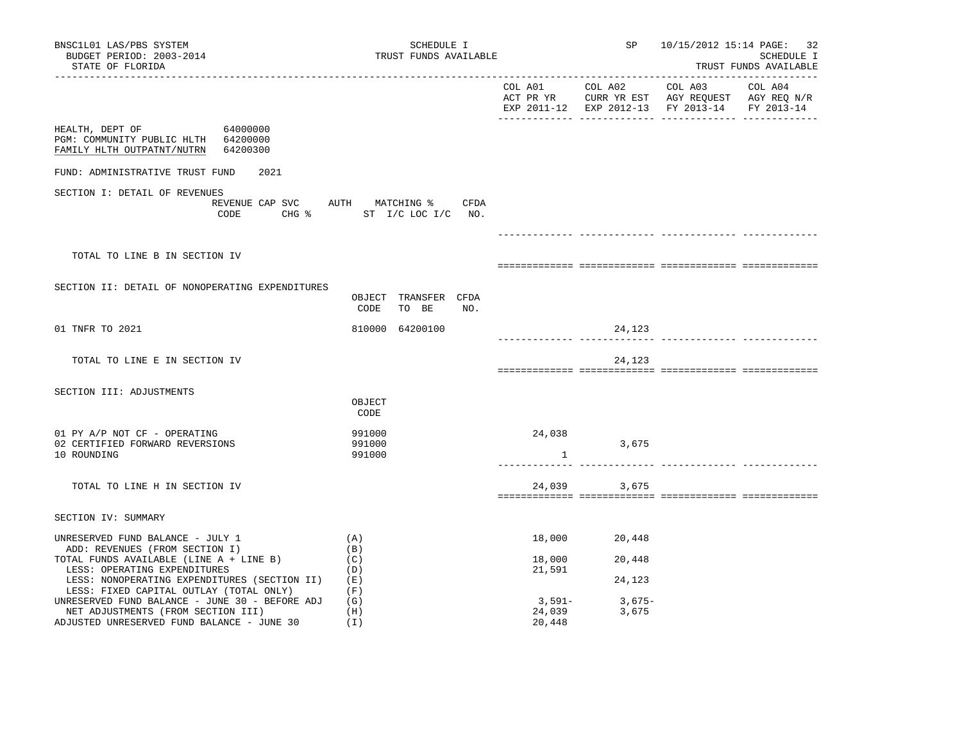| BNSC1L01 LAS/PBS SYSTEM<br>BUDGET PERIOD: 2003-2014<br>STATE OF FLORIDA                                                                                                                       | SCHEDULE I<br>TRUST FUNDS AVAILABLE                 |                            | SP                         |                                                                                                           | 10/15/2012 15:14 PAGE: 32<br>SCHEDULE I<br>TRUST FUNDS AVAILABLE |
|-----------------------------------------------------------------------------------------------------------------------------------------------------------------------------------------------|-----------------------------------------------------|----------------------------|----------------------------|-----------------------------------------------------------------------------------------------------------|------------------------------------------------------------------|
|                                                                                                                                                                                               |                                                     | COL A01                    | COL A02                    | COL A03<br>ACT PR YR CURR YR EST AGY REQUEST AGY REQ N/R<br>EXP 2011-12 EXP 2012-13 FY 2013-14 FY 2013-14 | ----------------------<br>COL A04                                |
| HEALTH, DEPT OF<br>64000000<br>PGM: COMMUNITY PUBLIC HLTH 64200000<br>FAMILY HLTH OUTPATNT/NUTRN<br>64200300                                                                                  |                                                     |                            |                            |                                                                                                           |                                                                  |
| FUND: ADMINISTRATIVE TRUST FUND<br>2021                                                                                                                                                       |                                                     |                            |                            |                                                                                                           |                                                                  |
| SECTION I: DETAIL OF REVENUES<br>REVENUE CAP SVC<br>CODE                                                                                                                                      | AUTH MATCHING %<br>CFDA<br>CHG % ST I/C LOC I/C NO. |                            |                            |                                                                                                           |                                                                  |
| TOTAL TO LINE B IN SECTION IV                                                                                                                                                                 |                                                     |                            |                            |                                                                                                           |                                                                  |
| SECTION II: DETAIL OF NONOPERATING EXPENDITURES                                                                                                                                               | OBJECT TRANSFER CFDA<br>CODE<br>TO BE<br>NO.        |                            |                            |                                                                                                           |                                                                  |
| 01 TNFR TO 2021                                                                                                                                                                               | 810000 64200100                                     |                            | 24,123                     | ______________ ________                                                                                   |                                                                  |
| TOTAL TO LINE E IN SECTION IV                                                                                                                                                                 |                                                     |                            | 24,123                     |                                                                                                           |                                                                  |
| SECTION III: ADJUSTMENTS                                                                                                                                                                      | OBJECT<br>CODE                                      |                            |                            |                                                                                                           |                                                                  |
| 01 PY A/P NOT CF - OPERATING<br>02 CERTIFIED FORWARD REVERSIONS<br>10 ROUNDING                                                                                                                | 991000<br>991000<br>991000                          | 24,038<br>1                | 3,675                      |                                                                                                           |                                                                  |
| TOTAL TO LINE H IN SECTION IV                                                                                                                                                                 |                                                     | 24,039                     | 3,675                      |                                                                                                           |                                                                  |
| SECTION IV: SUMMARY                                                                                                                                                                           |                                                     |                            |                            |                                                                                                           |                                                                  |
| UNRESERVED FUND BALANCE - JULY 1<br>ADD: REVENUES (FROM SECTION I)<br>TOTAL FUNDS AVAILABLE (LINE A + LINE B)<br>LESS: OPERATING EXPENDITURES<br>LESS: NONOPERATING EXPENDITURES (SECTION II) | (A)<br>(B)<br>(C)<br>(D)<br>(E)                     | 18,000<br>18,000<br>21,591 | 20,448<br>20,448<br>24,123 |                                                                                                           |                                                                  |
| LESS: FIXED CAPITAL OUTLAY (TOTAL ONLY)<br>UNRESERVED FUND BALANCE - JUNE 30 - BEFORE ADJ<br>NET ADJUSTMENTS (FROM SECTION III)<br>ADJUSTED UNRESERVED FUND BALANCE - JUNE 30                 | (F)<br>(G)<br>(H)<br>(I)                            | 3,591-<br>24,039<br>20,448 | 3,675-<br>3,675            |                                                                                                           |                                                                  |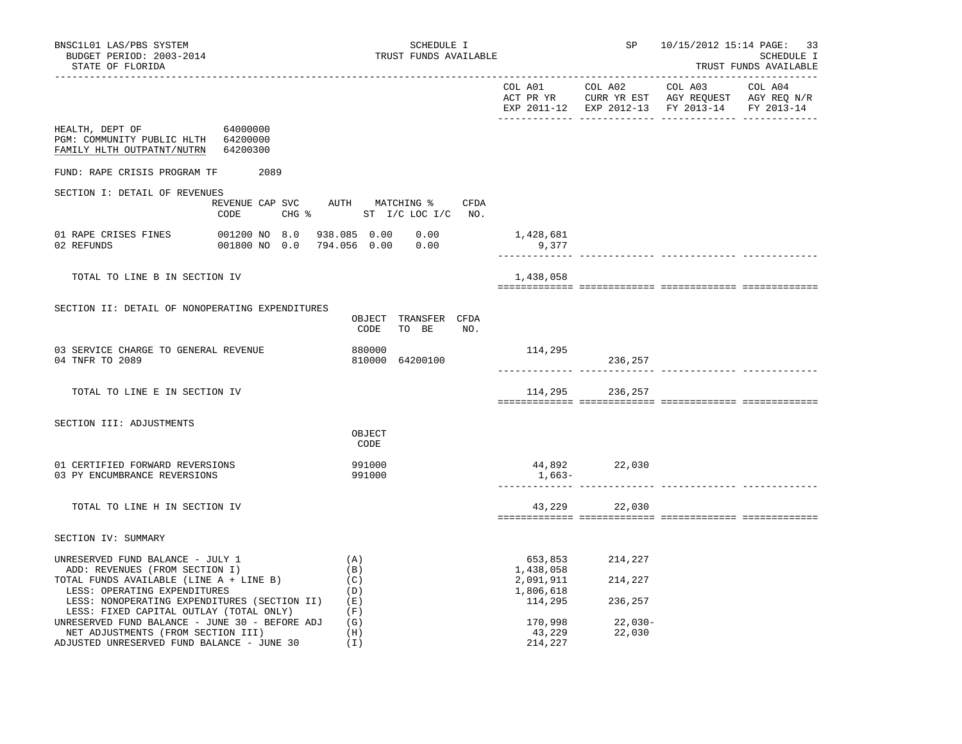| BNSC1L01 LAS/PBS SYSTEM<br>BUDGET PERIOD: 2003-2014<br>STATE OF FLORIDA                                                                                                                       |                                 | SCHEDULE I<br>TRUST FUNDS AVAILABLE                              |                                                           |                               | SP 10/15/2012 15:14 PAGE: 33       | SCHEDULE I<br>TRUST FUNDS AVAILABLE |
|-----------------------------------------------------------------------------------------------------------------------------------------------------------------------------------------------|---------------------------------|------------------------------------------------------------------|-----------------------------------------------------------|-------------------------------|------------------------------------|-------------------------------------|
|                                                                                                                                                                                               |                                 |                                                                  |                                                           |                               | EXP 2011-12 EXP 2012-13 FY 2013-14 | FY 2013-14                          |
| HEALTH, DEPT OF<br>PGM: COMMUNITY PUBLIC HLTH 64200000<br>FAMILY HLTH OUTPATNT/NUTRN 64200300                                                                                                 | 64000000                        |                                                                  |                                                           |                               |                                    |                                     |
| FUND: RAPE CRISIS PROGRAM TF 2089                                                                                                                                                             |                                 |                                                                  |                                                           |                               |                                    |                                     |
| SECTION I: DETAIL OF REVENUES                                                                                                                                                                 | CODE                            | REVENUE CAP SVC AUTH MATCHING % CFDA<br>CHG % ST I/C LOC I/C NO. |                                                           |                               |                                    |                                     |
| 02 REFUNDS                                                                                                                                                                                    | 001800 NO 0.0 794.056 0.00 0.00 |                                                                  | 1,428,681<br>9,377                                        |                               |                                    |                                     |
| TOTAL TO LINE B IN SECTION IV                                                                                                                                                                 |                                 |                                                                  | 1,438,058                                                 |                               |                                    |                                     |
| SECTION II: DETAIL OF NONOPERATING EXPENDITURES                                                                                                                                               |                                 | OBJECT TRANSFER CFDA<br>TO BE NO.<br>CODE                        |                                                           |                               |                                    |                                     |
| 03 SERVICE CHARGE TO GENERAL REVENUE<br>04 TNFR TO 2089                                                                                                                                       |                                 | 880000<br>810000 64200100                                        | 114,295                                                   | 236,257                       | <u>.  </u>                         |                                     |
| TOTAL TO LINE E IN SECTION IV                                                                                                                                                                 |                                 |                                                                  |                                                           | 114,295 236,257               |                                    |                                     |
| SECTION III: ADJUSTMENTS                                                                                                                                                                      |                                 | OBJECT<br>CODE                                                   |                                                           |                               |                                    |                                     |
| 01 CERTIFIED FORWARD REVERSIONS<br>03 PY ENCUMBRANCE REVERSIONS                                                                                                                               |                                 | 991000<br>991000                                                 | 1,663–                                                    | 44,892 22,030                 |                                    |                                     |
| TOTAL TO LINE H IN SECTION IV                                                                                                                                                                 |                                 |                                                                  |                                                           | 43,229 22,030                 |                                    |                                     |
| SECTION IV: SUMMARY                                                                                                                                                                           |                                 |                                                                  |                                                           |                               |                                    |                                     |
| UNRESERVED FUND BALANCE - JULY 1<br>ADD: REVENUES (FROM SECTION I)<br>TOTAL FUNDS AVAILABLE (LINE A + LINE B)<br>LESS: OPERATING EXPENDITURES<br>LESS: NONOPERATING EXPENDITURES (SECTION II) |                                 | (A)<br>(B)<br>(C)<br>(D)<br>(E)                                  | 653,853<br>1,438,058<br>2,091,911<br>1,806,618<br>114,295 | 214,227<br>214,227<br>236,257 |                                    |                                     |
| LESS: FIXED CAPITAL OUTLAY (TOTAL ONLY)<br>UNRESERVED FUND BALANCE - JUNE 30 - BEFORE ADJ<br>NET ADJUSTMENTS (FROM SECTION III)<br>ADJUSTED UNRESERVED FUND BALANCE - JUNE 30                 |                                 | (F)<br>(G)<br>(H)<br>(I)                                         | 170,998<br>43,229<br>214,227                              | 22,030-<br>22,030             |                                    |                                     |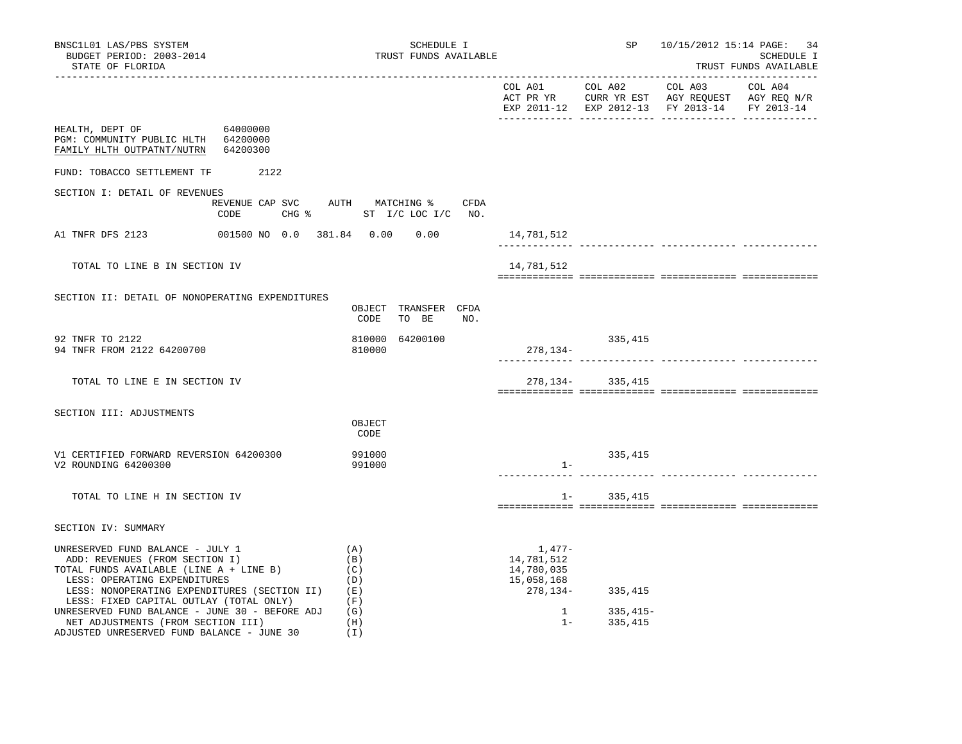| BNSC1L01 LAS/PBS SYSTEM<br>BUDGET PERIOD: 2003-2014<br>STATE OF FLORIDA                                                                                                                                                                                                                    | SCHEDULE I<br>TRUST FUNDS AVAILABLE           |                                                                              |                       | SP 10/15/2012 15:14 PAGE: 34                                                                   | SCHEDULE I<br>TRUST FUNDS AVAILABLE |
|--------------------------------------------------------------------------------------------------------------------------------------------------------------------------------------------------------------------------------------------------------------------------------------------|-----------------------------------------------|------------------------------------------------------------------------------|-----------------------|------------------------------------------------------------------------------------------------|-------------------------------------|
|                                                                                                                                                                                                                                                                                            |                                               | ________________________                                                     | COL A01 COL A02       | COL A03<br>ACT PR YR CURR YR EST AGY REQUEST AGY REQ N/R<br>EXP 2011-12 EXP 2012-13 FY 2013-14 | COL A04<br>FY 2013-14               |
| HEALTH, DEPT OF 64000000<br>PGM: COMMUNITY PUBLIC HLTH 64200000<br>FAMILY HLTH OUTPATNT/NUTRN 64200300                                                                                                                                                                                     |                                               |                                                                              |                       |                                                                                                |                                     |
| FUND: TOBACCO SETTLEMENT TF 2122                                                                                                                                                                                                                                                           |                                               |                                                                              |                       |                                                                                                |                                     |
| SECTION I: DETAIL OF REVENUES<br>REVENUE CAP SVC AUTH MATCHING %<br>CODE                                                                                                                                                                                                                   | CFDA<br>CHG $\frac{1}{2}$ ST I/C LOC I/C NO.  |                                                                              |                       |                                                                                                |                                     |
| A1 TNFR DFS 2123                                                                                                                                                                                                                                                                           | 001500 NO 0.0 381.84 0.00 0.00                | 14,781,512                                                                   |                       |                                                                                                |                                     |
| TOTAL TO LINE B IN SECTION IV                                                                                                                                                                                                                                                              |                                               | 14,781,512                                                                   |                       |                                                                                                |                                     |
| SECTION II: DETAIL OF NONOPERATING EXPENDITURES                                                                                                                                                                                                                                            | OBJECT TRANSFER CFDA<br>CODE<br>TO BE<br>NO.  |                                                                              |                       |                                                                                                |                                     |
| 92 TNFR TO 2122<br>94 TNFR FROM 2122 64200700                                                                                                                                                                                                                                              | 64200100<br>810000<br>810000                  | $278, 134-$                                                                  | 335,415               |                                                                                                |                                     |
| TOTAL TO LINE E IN SECTION IV                                                                                                                                                                                                                                                              |                                               |                                                                              | 278, 134 - 335, 415   |                                                                                                |                                     |
| SECTION III: ADJUSTMENTS                                                                                                                                                                                                                                                                   | OBJECT<br>CODE                                |                                                                              |                       |                                                                                                |                                     |
| V1 CERTIFIED FORWARD REVERSION 64200300<br>V2 ROUNDING 64200300                                                                                                                                                                                                                            | 991000<br>991000                              | $1 -$                                                                        | 335,415               | ____________ ______________ ______                                                             |                                     |
| TOTAL TO LINE H IN SECTION IV                                                                                                                                                                                                                                                              |                                               |                                                                              | $1 - 335,415$         |                                                                                                |                                     |
| SECTION IV: SUMMARY                                                                                                                                                                                                                                                                        |                                               |                                                                              |                       |                                                                                                |                                     |
| UNRESERVED FUND BALANCE - JULY 1<br>ADD: REVENUES (FROM SECTION I)<br>TOTAL FUNDS AVAILABLE (LINE A + LINE B)<br>LESS: OPERATING EXPENDITURES<br>LESS: NONOPERATING EXPENDITURES (SECTION II)<br>LESS: FIXED CAPITAL OUTLAY (TOTAL ONLY)<br>UNRESERVED FUND BALANCE - JUNE 30 - BEFORE ADJ | (A)<br>(B)<br>(C)<br>(D)<br>(E)<br>(F)<br>(G) | 1,477-<br>14,781,512<br>14,780,035<br>15,058,168<br>278,134-<br>$\mathbf{1}$ | 335,415<br>$335,415-$ |                                                                                                |                                     |
| NET ADJUSTMENTS (FROM SECTION III)<br>ADJUSTED UNRESERVED FUND BALANCE - JUNE 30                                                                                                                                                                                                           | (H)<br>(I)                                    | $1 -$                                                                        | 335,415               |                                                                                                |                                     |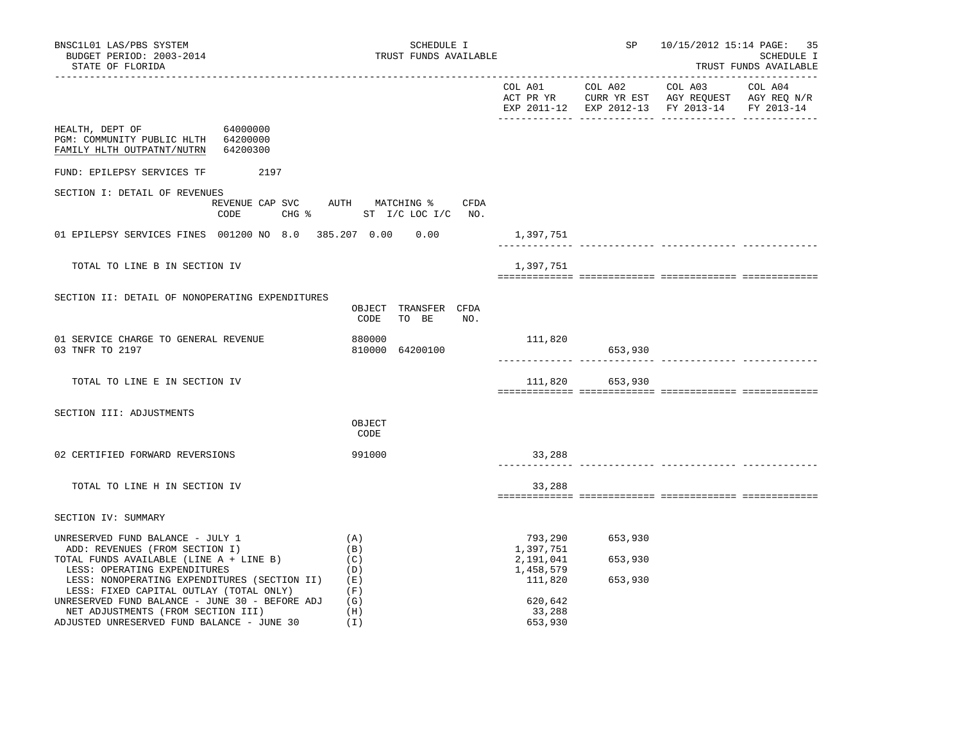| BNSC1L01 LAS/PBS SYSTEM<br>BUDGET PERIOD: 2003-2014<br>STATE OF FLORIDA                                                                                                                                                                                                                    | SCHEDULE I<br>TRUST FUNDS AVAILABLE                                          |                                                                      |                               | SP 10/15/2012 15:14 PAGE: 35<br>SCHEDULE I<br>TRUST FUNDS AVAILABLE |            |
|--------------------------------------------------------------------------------------------------------------------------------------------------------------------------------------------------------------------------------------------------------------------------------------------|------------------------------------------------------------------------------|----------------------------------------------------------------------|-------------------------------|---------------------------------------------------------------------|------------|
|                                                                                                                                                                                                                                                                                            |                                                                              |                                                                      |                               | EXP 2011-12 EXP 2012-13 FY 2013-14                                  | FY 2013-14 |
| 64000000<br>HEALTH, DEPT OF<br>PGM: COMMUNITY PUBLIC HLTH 64200000<br>FAMILY HLTH OUTPATNT/NUTRN<br>64200300                                                                                                                                                                               |                                                                              |                                                                      |                               |                                                                     |            |
| 2197<br>FUND: EPILEPSY SERVICES TF                                                                                                                                                                                                                                                         |                                                                              |                                                                      |                               |                                                                     |            |
| SECTION I: DETAIL OF REVENUES<br>CODE                                                                                                                                                                                                                                                      | REVENUE CAP SVC AUTH MATCHING % CFDA<br>CHG $\frac{1}{2}$ ST I/C LOC I/C NO. |                                                                      |                               |                                                                     |            |
| 01 EPILEPSY SERVICES FINES 001200 NO 8.0 385.207 0.00 0.00                                                                                                                                                                                                                                 |                                                                              | 1,397,751                                                            | <u>.  </u>                    |                                                                     |            |
| TOTAL TO LINE B IN SECTION IV                                                                                                                                                                                                                                                              |                                                                              | 1,397,751                                                            |                               |                                                                     |            |
| SECTION II: DETAIL OF NONOPERATING EXPENDITURES                                                                                                                                                                                                                                            | OBJECT TRANSFER CFDA<br>TO BE<br>CODE<br>NO.                                 |                                                                      |                               |                                                                     |            |
| 01 SERVICE CHARGE TO GENERAL REVENUE<br>03 TNFR TO 2197                                                                                                                                                                                                                                    | 880000<br>810000 64200100                                                    | 111,820                                                              | 653,930                       |                                                                     |            |
| TOTAL TO LINE E IN SECTION IV                                                                                                                                                                                                                                                              |                                                                              |                                                                      | 111,820 653,930               |                                                                     |            |
| SECTION III: ADJUSTMENTS                                                                                                                                                                                                                                                                   | OBJECT<br>CODE                                                               |                                                                      |                               |                                                                     |            |
| 02 CERTIFIED FORWARD REVERSIONS                                                                                                                                                                                                                                                            | 991000                                                                       | 33,288                                                               |                               | ------------ ------------                                           |            |
| TOTAL TO LINE H IN SECTION IV                                                                                                                                                                                                                                                              |                                                                              | 33,288                                                               |                               |                                                                     |            |
| SECTION IV: SUMMARY                                                                                                                                                                                                                                                                        |                                                                              |                                                                      |                               |                                                                     |            |
| UNRESERVED FUND BALANCE - JULY 1<br>ADD: REVENUES (FROM SECTION I)<br>TOTAL FUNDS AVAILABLE (LINE A + LINE B)<br>LESS: OPERATING EXPENDITURES<br>LESS: NONOPERATING EXPENDITURES (SECTION II)<br>LESS: FIXED CAPITAL OUTLAY (TOTAL ONLY)<br>UNRESERVED FUND BALANCE - JUNE 30 - BEFORE ADJ | (A)<br>(B)<br>(C)<br>(D)<br>(E)<br>(F)<br>(G)                                | 793,290<br>1,397,751<br>2,191,041<br>1,458,579<br>111,820<br>620,642 | 653,930<br>653,930<br>653,930 |                                                                     |            |
| NET ADJUSTMENTS (FROM SECTION III)<br>ADJUSTED UNRESERVED FUND BALANCE - JUNE 30                                                                                                                                                                                                           | (H)<br>(T)                                                                   | 33,288<br>653,930                                                    |                               |                                                                     |            |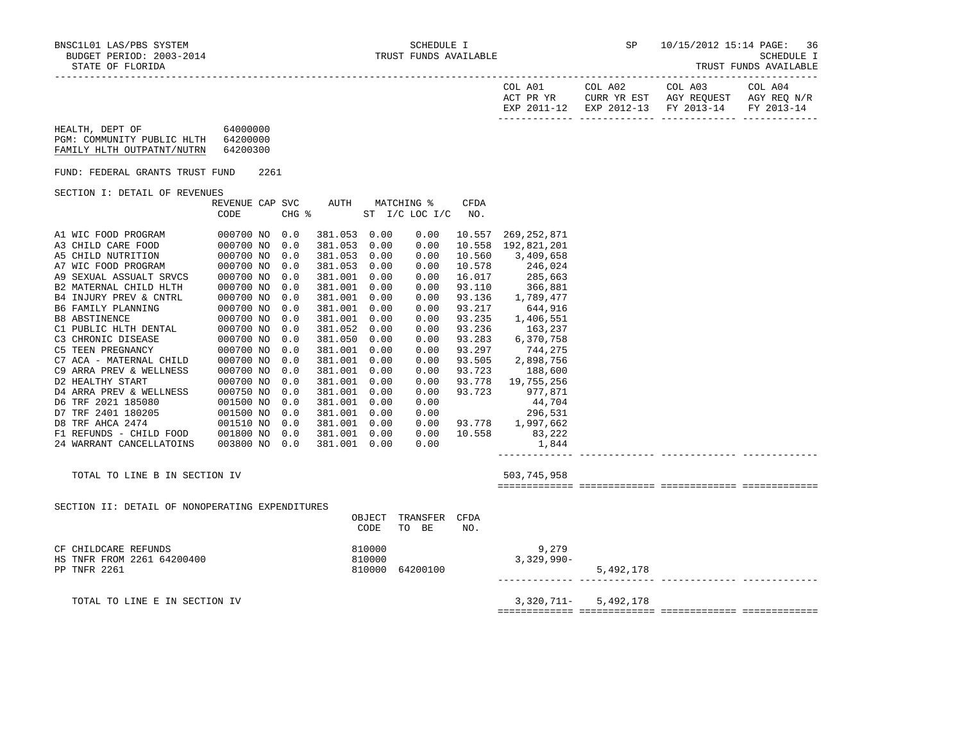| COL A01<br>ACT PR YR | COL A02 | COL A03<br>CURR YR EST AGY REOUEST AGY REO N/R | COL A04 |
|----------------------|---------|------------------------------------------------|---------|
|                      |         | EXP 2011-12 EXP 2012-13 FY 2013-14 FY 2013-14  |         |
|                      |         |                                                |         |

HEALTH, DEPT OF 64000000 PGM: COMMUNITY PUBLIC HLTH 64200000 FAMILY HLTH OUTPATNT/NUTRN 64200300

FUND: FEDERAL GRANTS TRUST FUND 2261

SECTION I: DETAIL OF REVENUES

|                          | REVENUE CAP | SVC   | AUTH    |      | MATCHING %     | <b>CFDA</b> |             |
|--------------------------|-------------|-------|---------|------|----------------|-------------|-------------|
|                          | CODE        | CHG % |         |      | ST I/C LOC I/C | NO.         |             |
|                          |             |       |         |      |                |             |             |
| A1 WIC FOOD PROGRAM      | 000700 NO   | 0.0   | 381.053 | 0.00 | 0.00           | 10.557      | 269,252,871 |
| A3 CHILD CARE FOOD       | 000700 NO   | 0.0   | 381.053 | 0.00 | 0.00           | 10.558      | 192,821,201 |
| A5 CHILD NUTRITION       | 000700 NO   | 0.0   | 381.053 | 0.00 | 0.00           | 10.560      | 3,409,658   |
| A7 WIC FOOD PROGRAM      | 000700 NO   | 0.0   | 381.053 | 0.00 | 0.00           | 10.578      | 246,024     |
| A9 SEXUAL ASSUALT SRVCS  | 000700 NO   | 0.0   | 381.001 | 0.00 | 0.00           | 16.017      | 285,663     |
| B2 MATERNAL CHILD HLTH   | 000700 NO   | 0.0   | 381.001 | 0.00 | 0.00           | 93.110      | 366,881     |
| B4 INJURY PREV & CNTRL   | 000700 NO   | 0.0   | 381.001 | 0.00 | 0.00           | 93.136      | 1,789,477   |
| B6 FAMILY PLANNING       | 000700 NO   | 0.0   | 381.001 | 0.00 | 0.00           | 93.217      | 644,916     |
| <b>B8 ABSTINENCE</b>     | 000700 NO   | 0.0   | 381.001 | 0.00 | 0.00           | 93.235      | 1,406,551   |
| C1 PUBLIC HLTH DENTAL    | 000700 NO   | 0.0   | 381.052 | 0.00 | 0.00           | 93.236      | 163,237     |
| C3 CHRONIC DISEASE       | 000700 NO   | 0.0   | 381.050 | 0.00 | 0.00           | 93.283      | 6,370,758   |
| <b>C5 TEEN PREGNANCY</b> | 000700 NO   | 0.0   | 381.001 | 0.00 | 0.00           | 93.297      | 744,275     |
| C7 ACA - MATERNAL CHILD  | 000700 NO   | 0.0   | 381.001 | 0.00 | 0.00           | 93.505      | 2,898,756   |
| C9 ARRA PREV & WELLNESS  | 000700 NO   | 0.0   | 381.001 | 0.00 | 0.00           | 93.723      | 188,600     |
| D2 HEALTHY START         | 000700 NO   | 0.0   | 381.001 | 0.00 | 0.00           | 93.778      | 19,755,256  |
| D4 ARRA PREV & WELLNESS  | 000750 NO   | 0.0   | 381.001 | 0.00 | 0.00           | 93.723      | 977,871     |
| D6 TRF 2021 185080       | 001500 NO   | 0.0   | 381.001 | 0.00 | 0.00           |             | 44,704      |
| D7 TRF 2401 180205       | 001500 NO   | 0.0   | 381.001 | 0.00 | 0.00           |             | 296,531     |
| D8 TRF AHCA 2474         | 001510 NO   | 0.0   | 381.001 | 0.00 | 0.00           | 93.778      | 1,997,662   |
| F1 REFUNDS - CHILD FOOD  | 001800 NO   | 0.0   | 381.001 | 0.00 | 0.00           | 10.558      | 83,222      |
| 24 WARRANT CANCELLATOINS | 003800 NO   | 0.0   | 381.001 | 0.00 | 0.00           |             | 1,844       |
|                          |             |       |         |      |                |             |             |

TOTAL TO LINE B IN SECTION IV 503,745,958

SECTION II: DETAIL OF NONOPERATING EXPENDITURES

============= ============= ============= =============

| postion it: points of nongranting parameters.                      | OBJECT<br>CODE             | TRANSFER CFDA<br>TO<br>BE | NO. |                        |           |
|--------------------------------------------------------------------|----------------------------|---------------------------|-----|------------------------|-----------|
| CF CHILDCARE REFUNDS<br>HS TNFR FROM 2261 64200400<br>PP TNFR 2261 | 810000<br>810000<br>810000 | 64200100                  |     | 9,279<br>$3,329,990 -$ | 5,492,178 |

TOTAL TO LINE E IN SECTION IV 3,320,711- 5,492,178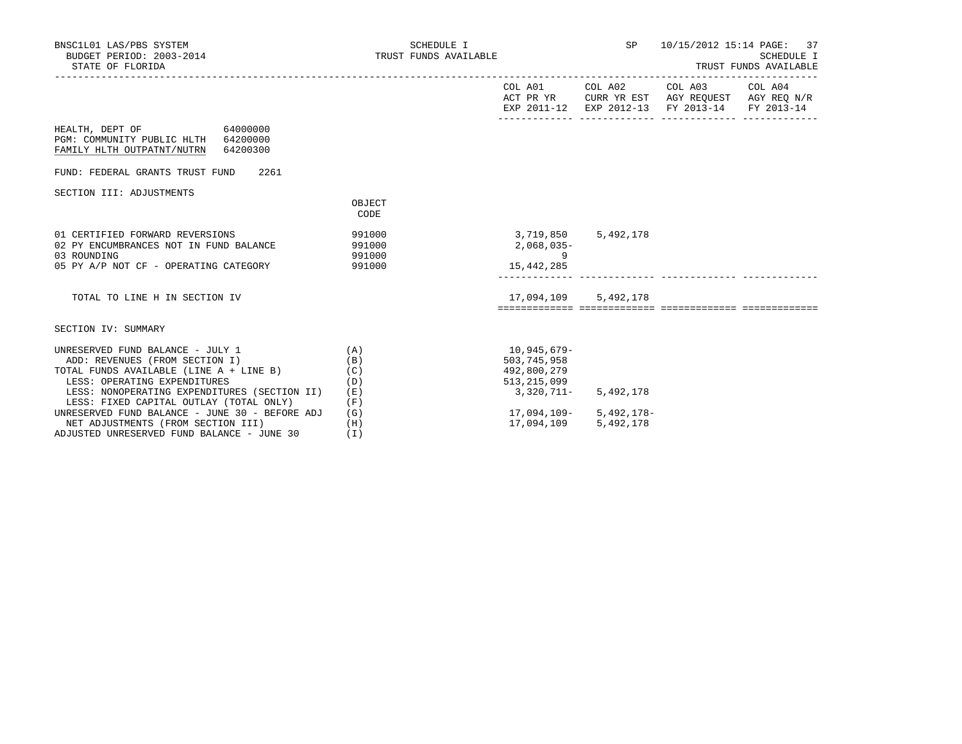| BNSC1L01 LAS/PBS SYSTEM<br>BUDGET PERIOD: 2003-2014<br>STATE OF FLORIDA                                                                                                                              | SCHEDULE I<br>TRUST FUNDS AVAILABLE |                                                                                                               |                                     | SP 10/15/2012 15:14 PAGE: 37<br>TRUST FUNDS AVAILABLE                                                                             | SCHEDULE I |
|------------------------------------------------------------------------------------------------------------------------------------------------------------------------------------------------------|-------------------------------------|---------------------------------------------------------------------------------------------------------------|-------------------------------------|-----------------------------------------------------------------------------------------------------------------------------------|------------|
|                                                                                                                                                                                                      |                                     |                                                                                                               |                                     | COL A01 COL A02 COL A03 COL A04<br>ACT PR YR CURR YR EST AGY REQUEST AGY REQ N/R<br>EXP 2011-12 EXP 2012-13 FY 2013-14 FY 2013-14 |            |
| HEALTH, DEPT OF 64000000<br>PGM: COMMUNITY PUBLIC HLTH 64200000<br>FAMILY HLTH OUTPATNT/NUTRN 64200300                                                                                               |                                     |                                                                                                               |                                     |                                                                                                                                   |            |
| FUND: FEDERAL GRANTS TRUST FUND 2261                                                                                                                                                                 |                                     |                                                                                                               |                                     |                                                                                                                                   |            |
| SECTION III: ADJUSTMENTS                                                                                                                                                                             | OBJECT<br>CODE                      |                                                                                                               |                                     |                                                                                                                                   |            |
| 01 CERTIFIED FORWARD REVERSIONS<br>02 PY ENCUMBRANCES NOT IN FUND BALANCE<br>03 ROUNDING<br>991000<br>05 PY A/P NOT CF - OPERATING CATEGORY                                                          | 991000<br>991000<br>991000          | 3,719,850 5,492,178<br>2,068,035-<br>$\sim$ 0.000 $\sim$ 0.000 $\sim$ 0.000 $\sim$ 0.000 $\sim$<br>15,442,285 |                                     |                                                                                                                                   |            |
| TOTAL TO LINE H IN SECTION IV                                                                                                                                                                        |                                     | 17,094,109 5,492,178                                                                                          |                                     |                                                                                                                                   |            |
| SECTION IV: SUMMARY                                                                                                                                                                                  |                                     |                                                                                                               |                                     |                                                                                                                                   |            |
| (A)<br>UNRESERVED FUND BALANCE - JULY 1<br>ADD: REVENUES (FROM SECTION I)<br>TOTAL FUNDS AVAILABLE (LINE A + LINE B)<br>LESS: OPERATING EXPENDITURES<br>LESS: NONOPERATING EXPENDITURES (SECTION II) | (B)<br>(C)<br>(D)<br>(E)            | 10,945,679-<br>503,745,958<br>492,800,279<br>513,215,099<br>3,320,711-                                        | 5,492,178                           |                                                                                                                                   |            |
| LESS: FIXED CAPITAL OUTLAY (TOTAL ONLY)<br>UNRESERVED FUND BALANCE - JUNE 30 - BEFORE ADJ<br>NET ADJUSTMENTS (FROM SECTION III)<br>ADJUSTED UNRESERVED FUND BALANCE - JUNE 30                        | (F)<br>(G)<br>(H)<br>(T)            | 17,094,109                                                                                                    | 17,094,109- 5,492,178-<br>5,492,178 |                                                                                                                                   |            |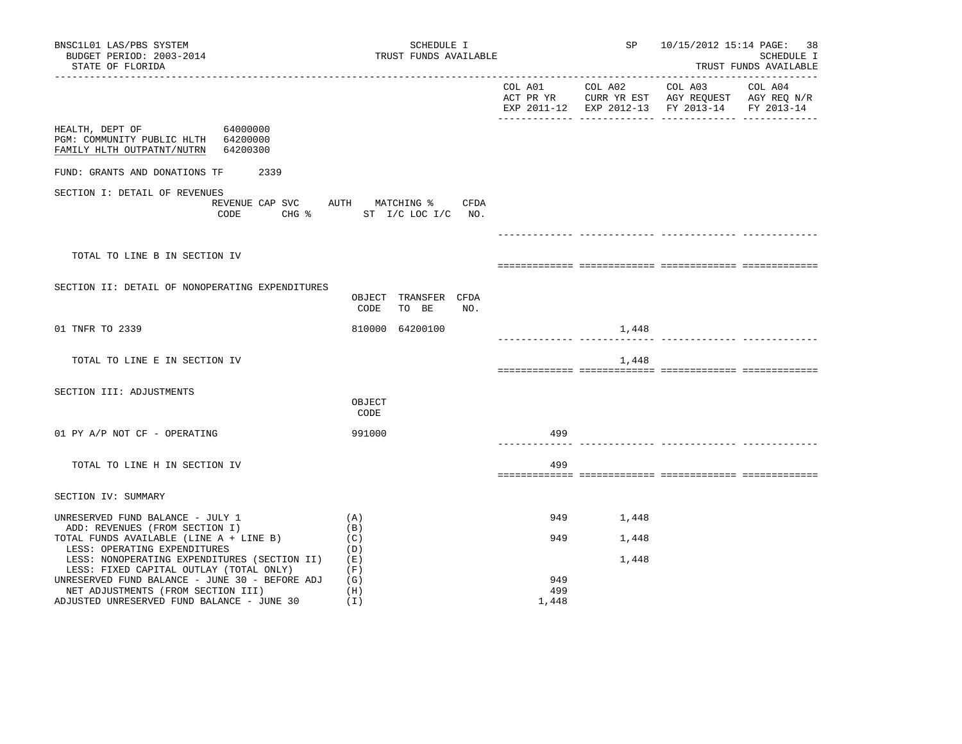| BNSC1L01 LAS/PBS SYSTEM<br>BUDGET PERIOD: 2003-2014<br>STATE OF FLORIDA                                                                                                                       | SCHEDULE I<br>TRUST FUNDS AVAILABLE                           |                     | SP                      | 10/15/2012 15:14 PAGE: 38                                                                                 | SCHEDULE I<br>TRUST FUNDS AVAILABLE |
|-----------------------------------------------------------------------------------------------------------------------------------------------------------------------------------------------|---------------------------------------------------------------|---------------------|-------------------------|-----------------------------------------------------------------------------------------------------------|-------------------------------------|
|                                                                                                                                                                                               |                                                               | COL A01             | COL A02                 | COL A03<br>ACT PR YR CURR YR EST AGY REQUEST AGY REQ N/R<br>EXP 2011-12 EXP 2012-13 FY 2013-14 FY 2013-14 | COL A04                             |
| HEALTH, DEPT OF<br>64000000<br>PGM: COMMUNITY PUBLIC HLTH 64200000<br>FAMILY HLTH OUTPATNT/NUTRN<br>64200300                                                                                  |                                                               |                     |                         |                                                                                                           |                                     |
| FUND: GRANTS AND DONATIONS TF<br>2339                                                                                                                                                         |                                                               |                     |                         |                                                                                                           |                                     |
| SECTION I: DETAIL OF REVENUES<br>CODE<br>$CHG$ $\approx$                                                                                                                                      | REVENUE CAP SVC AUTH MATCHING %<br>CFDA<br>ST I/C LOC I/C NO. |                     |                         |                                                                                                           |                                     |
|                                                                                                                                                                                               |                                                               |                     |                         |                                                                                                           |                                     |
| TOTAL TO LINE B IN SECTION IV                                                                                                                                                                 |                                                               |                     |                         |                                                                                                           |                                     |
| SECTION II: DETAIL OF NONOPERATING EXPENDITURES                                                                                                                                               | OBJECT TRANSFER CFDA<br>CODE TO BE<br>NO.                     |                     |                         |                                                                                                           |                                     |
| 01 TNFR TO 2339                                                                                                                                                                               | 810000 64200100                                               |                     | 1,448                   |                                                                                                           |                                     |
| TOTAL TO LINE E IN SECTION IV                                                                                                                                                                 |                                                               |                     | 1,448                   |                                                                                                           |                                     |
| SECTION III: ADJUSTMENTS                                                                                                                                                                      | OBJECT<br>CODE                                                |                     |                         |                                                                                                           |                                     |
| 01 PY A/P NOT CF - OPERATING                                                                                                                                                                  | 991000                                                        | 499                 |                         |                                                                                                           |                                     |
| TOTAL TO LINE H IN SECTION IV                                                                                                                                                                 |                                                               | 499                 |                         |                                                                                                           |                                     |
| SECTION IV: SUMMARY                                                                                                                                                                           |                                                               |                     |                         |                                                                                                           |                                     |
| UNRESERVED FUND BALANCE - JULY 1<br>ADD: REVENUES (FROM SECTION I)<br>TOTAL FUNDS AVAILABLE (LINE A + LINE B)<br>LESS: OPERATING EXPENDITURES<br>LESS: NONOPERATING EXPENDITURES (SECTION II) | (A)<br>(B)<br>(C)<br>(D)<br>(E)                               | 949<br>949          | 1,448<br>1,448<br>1,448 |                                                                                                           |                                     |
| LESS: FIXED CAPITAL OUTLAY (TOTAL ONLY)<br>UNRESERVED FUND BALANCE - JUNE 30 - BEFORE ADJ<br>NET ADJUSTMENTS (FROM SECTION III)<br>ADJUSTED UNRESERVED FUND BALANCE - JUNE 30                 | (F)<br>(G)<br>(H)<br>(I)                                      | 949<br>499<br>1,448 |                         |                                                                                                           |                                     |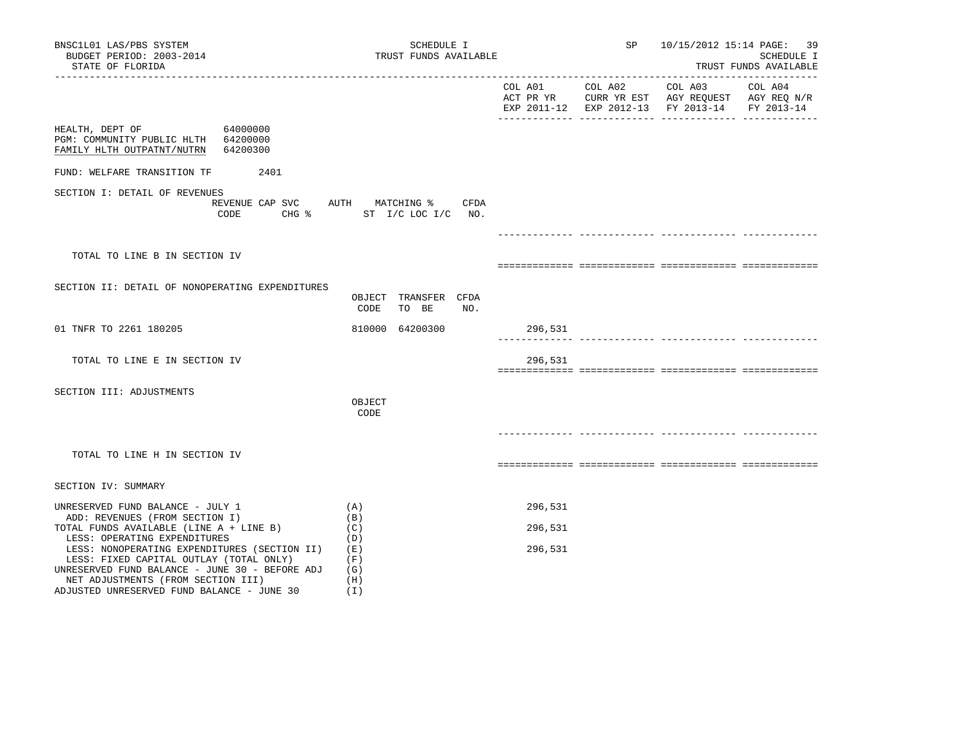| BNSC1L01 LAS/PBS SYSTEM<br>BUDGET PERIOD: 2003-2014<br>STATE OF FLORIDA<br>------------------                                                                                       | SCHEDULE I<br>TRUST FUNDS AVAILABLE                              |         |                 | SP 10/15/2012 15:14 PAGE: 39                                                                                                               | SCHEDULE I<br>TRUST FUNDS AVAILABLE |
|-------------------------------------------------------------------------------------------------------------------------------------------------------------------------------------|------------------------------------------------------------------|---------|-----------------|--------------------------------------------------------------------------------------------------------------------------------------------|-------------------------------------|
|                                                                                                                                                                                     |                                                                  |         | COL A01 COL A02 | COL A03 COL A04<br>ACT PR YR $\,$ CURR YR EST $\,$ AGY REQUEST $\,$ AGY REQ $\,$ N/R $\,$<br>EXP 2011-12 EXP 2012-13 FY 2013-14 FY 2013-14 |                                     |
| 64000000<br>HEALTH, DEPT OF<br>PGM: COMMUNITY PUBLIC HLTH 64200000<br>FAMILY HLTH OUTPATNT/NUTRN 64200300                                                                           |                                                                  |         |                 |                                                                                                                                            |                                     |
| FUND: WELFARE TRANSITION TF 2401                                                                                                                                                    |                                                                  |         |                 |                                                                                                                                            |                                     |
| SECTION I: DETAIL OF REVENUES<br>CODE                                                                                                                                               | REVENUE CAP SVC AUTH MATCHING % CFDA<br>CHG % ST I/C LOC I/C NO. |         |                 |                                                                                                                                            |                                     |
|                                                                                                                                                                                     |                                                                  |         |                 |                                                                                                                                            |                                     |
| TOTAL TO LINE B IN SECTION IV                                                                                                                                                       |                                                                  |         |                 |                                                                                                                                            |                                     |
| SECTION II: DETAIL OF NONOPERATING EXPENDITURES                                                                                                                                     | OBJECT TRANSFER CFDA<br>CODE<br>TO BE<br>NO.                     |         |                 |                                                                                                                                            |                                     |
| 01 TNFR TO 2261 180205                                                                                                                                                              | 810000 64200300                                                  | 296,531 |                 |                                                                                                                                            |                                     |
| TOTAL TO LINE E IN SECTION IV                                                                                                                                                       |                                                                  | 296,531 |                 |                                                                                                                                            |                                     |
| SECTION III: ADJUSTMENTS                                                                                                                                                            | OBJECT<br>CODE                                                   |         |                 |                                                                                                                                            |                                     |
| TOTAL TO LINE H IN SECTION IV                                                                                                                                                       |                                                                  |         |                 |                                                                                                                                            |                                     |
| SECTION IV: SUMMARY                                                                                                                                                                 |                                                                  |         |                 |                                                                                                                                            |                                     |
| UNRESERVED FUND BALANCE - JULY 1                                                                                                                                                    | (A)                                                              | 296,531 |                 |                                                                                                                                            |                                     |
| ADD: REVENUES (FROM SECTION I)<br>TOTAL FUNDS AVAILABLE (LINE A + LINE B)<br>LESS: OPERATING EXPENDITURES                                                                           | (B)<br>(C)<br>(D)                                                | 296,531 |                 |                                                                                                                                            |                                     |
| LESS: NONOPERATING EXPENDITURES (SECTION II) (E)<br>LESS: FIXED CAPITAL OUTLAY (TOTAL ONLY)<br>UNRESERVED FUND BALANCE - JUNE 30 - BEFORE ADJ<br>NET ADJUSTMENTS (FROM SECTION III) | (F)<br>(G)<br>(H)                                                | 296,531 |                 |                                                                                                                                            |                                     |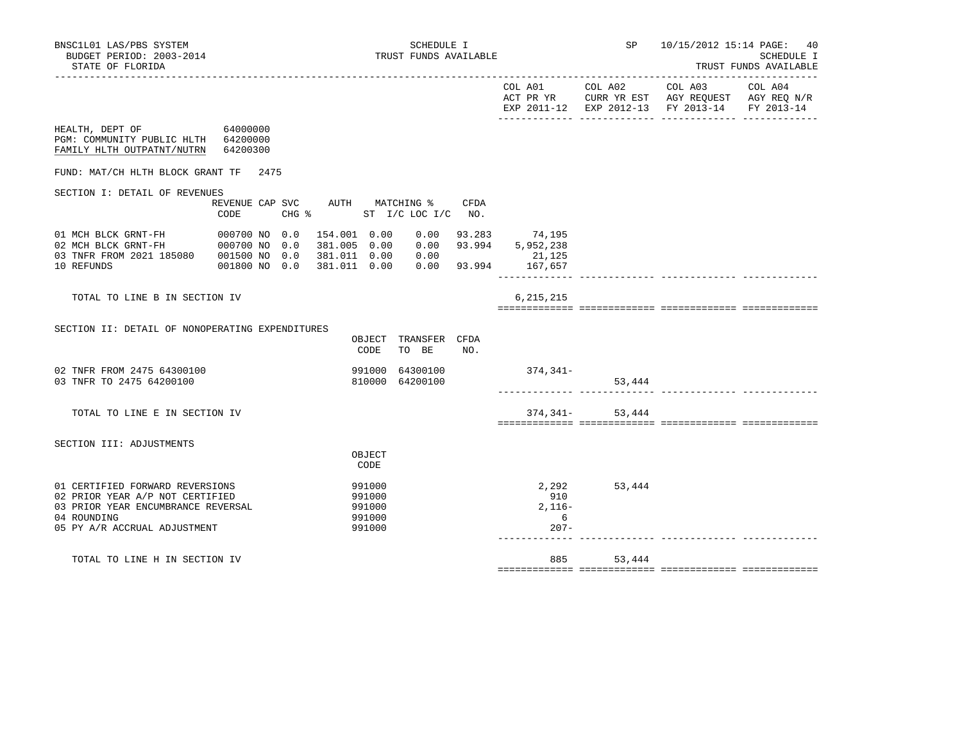|                                                                                               |                         |                                             |                               |      |                               |                      | EXP 2011-12 EXP 2012-13 FY 2013-14 FY 2013-14 |  |
|-----------------------------------------------------------------------------------------------|-------------------------|---------------------------------------------|-------------------------------|------|-------------------------------|----------------------|-----------------------------------------------|--|
| HEALTH, DEPT OF 64000000<br>PGM: COMMUNITY PUBLIC HLTH 64200000<br>FAMILY HLTH OUTPATNT/NUTRN | 64200300                |                                             |                               |      |                               |                      |                                               |  |
| FUND: MAT/CH HLTH BLOCK GRANT TF                                                              | 2475                    |                                             |                               |      |                               |                      |                                               |  |
| SECTION I: DETAIL OF REVENUES                                                                 |                         |                                             |                               |      |                               |                      |                                               |  |
|                                                                                               | REVENUE CAP SVC<br>CODE | AUTH MATCHING %<br>CHG % ST I/C LOC I/C NO. |                               | CFDA |                               |                      |                                               |  |
|                                                                                               |                         | 154.001 0.00                                | 0.00                          |      | 93.283 74,195                 |                      |                                               |  |
|                                                                                               |                         | 381.005 0.00                                |                               |      | $0.00$ 93.994 5,952,238       |                      |                                               |  |
| 03 TNFR FROM 2021 185080 001500 NO 0.0<br>10 REFUNDS                                          | 001800 NO 0.0           | 381.011  0.00  0.00<br>381.011 0.00         |                               |      | 21,125<br>0.00 93.994 167,657 |                      |                                               |  |
|                                                                                               |                         |                                             |                               |      |                               |                      |                                               |  |
| TOTAL TO LINE B IN SECTION IV                                                                 |                         |                                             |                               |      | 6, 215, 215                   |                      |                                               |  |
| SECTION II: DETAIL OF NONOPERATING EXPENDITURES                                               |                         |                                             |                               |      |                               |                      |                                               |  |
|                                                                                               |                         | CODE                                        | OBJECT TRANSFER CFDA<br>TO BE | NO.  |                               |                      |                                               |  |
| 02 TNFR FROM 2475 64300100                                                                    |                         |                                             | 991000 64300100               |      | 374,341-                      |                      |                                               |  |
| 03 TNFR TO 2475 64200100                                                                      |                         |                                             | 810000 64200100               |      |                               | 53,444               |                                               |  |
|                                                                                               |                         |                                             |                               |      |                               |                      |                                               |  |
| TOTAL TO LINE E IN SECTION IV                                                                 |                         |                                             |                               |      |                               | $374, 341 - 53, 444$ |                                               |  |
| SECTION III: ADJUSTMENTS                                                                      |                         |                                             |                               |      |                               |                      |                                               |  |
|                                                                                               |                         | OBJECT<br>CODE                              |                               |      |                               |                      |                                               |  |
| 01 CERTIFIED FORWARD REVERSIONS                                                               |                         | 991000                                      |                               |      | 2,292                         | 53,444               |                                               |  |
| 02 PRIOR YEAR A/P NOT CERTIFIED                                                               |                         | 991000                                      |                               |      | 910                           |                      |                                               |  |
| 03 PRIOR YEAR ENCUMBRANCE REVERSAL<br>04 ROUNDING                                             |                         | 991000<br>991000                            |                               |      | $2,116-$<br>6                 |                      |                                               |  |
| 05 PY A/R ACCRUAL ADJUSTMENT                                                                  |                         | 991000                                      |                               |      | $207 -$                       |                      |                                               |  |
| TOTAL TO LINE H IN SECTION IV                                                                 |                         |                                             |                               |      |                               | 885<br>53,444        |                                               |  |
|                                                                                               |                         |                                             |                               |      |                               |                      |                                               |  |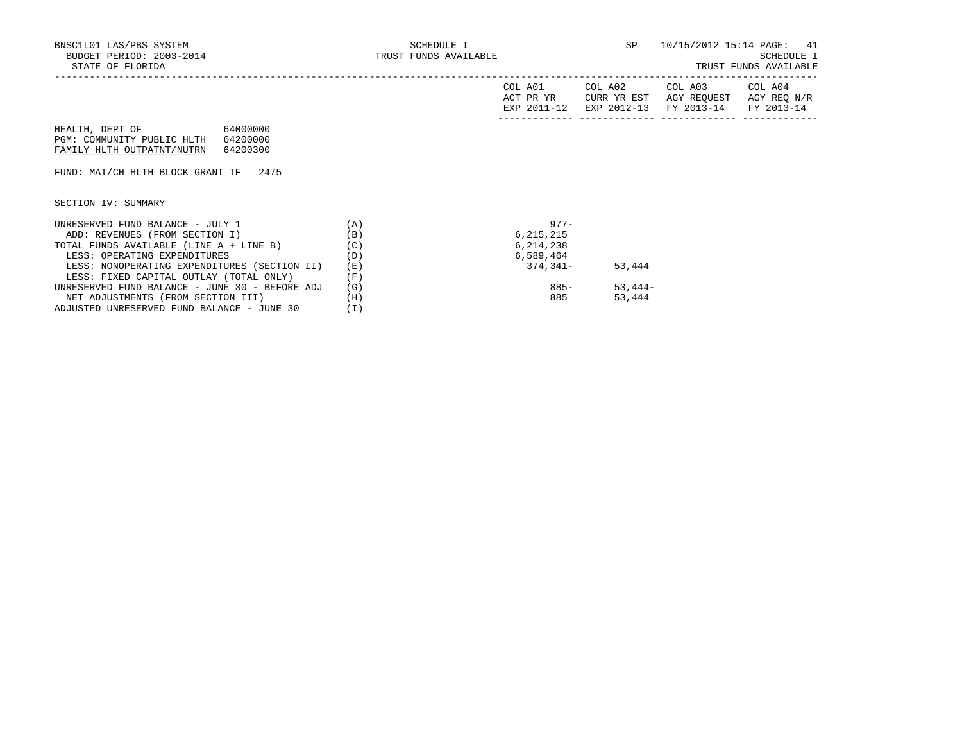|  |  | TRUST FUNDS AVAILABLE |  |
|--|--|-----------------------|--|
|--|--|-----------------------|--|

|                                                |          | COL A01<br>ACT PR YR<br>EXP 2011-12 | COL A02<br>CURR YR EST<br>EXP 2012-13 | COL A03<br>AGY REQUEST<br>FY 2013-14 | COL A04<br>AGY REQ N/R<br>FY 2013-14 |
|------------------------------------------------|----------|-------------------------------------|---------------------------------------|--------------------------------------|--------------------------------------|
| HEALTH, DEPT OF 64000000                       |          |                                     |                                       |                                      |                                      |
| PGM: COMMUNITY PUBLIC HLTH<br>64200000         |          |                                     |                                       |                                      |                                      |
| FAMILY HLTH OUTPATNT/NUTRN<br>64200300         |          |                                     |                                       |                                      |                                      |
|                                                |          |                                     |                                       |                                      |                                      |
| FUND: MAT/CH HLTH BLOCK GRANT TF 2475          |          |                                     |                                       |                                      |                                      |
|                                                |          |                                     |                                       |                                      |                                      |
|                                                |          |                                     |                                       |                                      |                                      |
| SECTION IV: SUMMARY                            |          |                                     |                                       |                                      |                                      |
|                                                |          |                                     |                                       |                                      |                                      |
| UNRESERVED FUND BALANCE - JULY 1               | (A)      | $977 -$                             |                                       |                                      |                                      |
| ADD: REVENUES (FROM SECTION I)                 | (B)      | 6, 215, 215                         |                                       |                                      |                                      |
| TOTAL FUNDS AVAILABLE (LINE A + LINE B)        | (C)      | 6, 214, 238                         |                                       |                                      |                                      |
| LESS: OPERATING EXPENDITURES                   | (D)      | 6,589,464                           |                                       |                                      |                                      |
| LESS: NONOPERATING EXPENDITURES (SECTION II)   | (E)      | 374,341-                            | 53,444                                |                                      |                                      |
| LESS: FIXED CAPITAL OUTLAY (TOTAL ONLY)        | (F)      |                                     |                                       |                                      |                                      |
| UNRESERVED FUND BALANCE - JUNE 30 - BEFORE ADJ | (G)      | 885-                                | $53,444-$                             |                                      |                                      |
| NET ADJUSTMENTS (FROM SECTION III)             | (H)      | 885                                 | 53,444                                |                                      |                                      |
| ADJUSTED UNRESERVED FUND BALANCE - JUNE 30     | $(\bot)$ |                                     |                                       |                                      |                                      |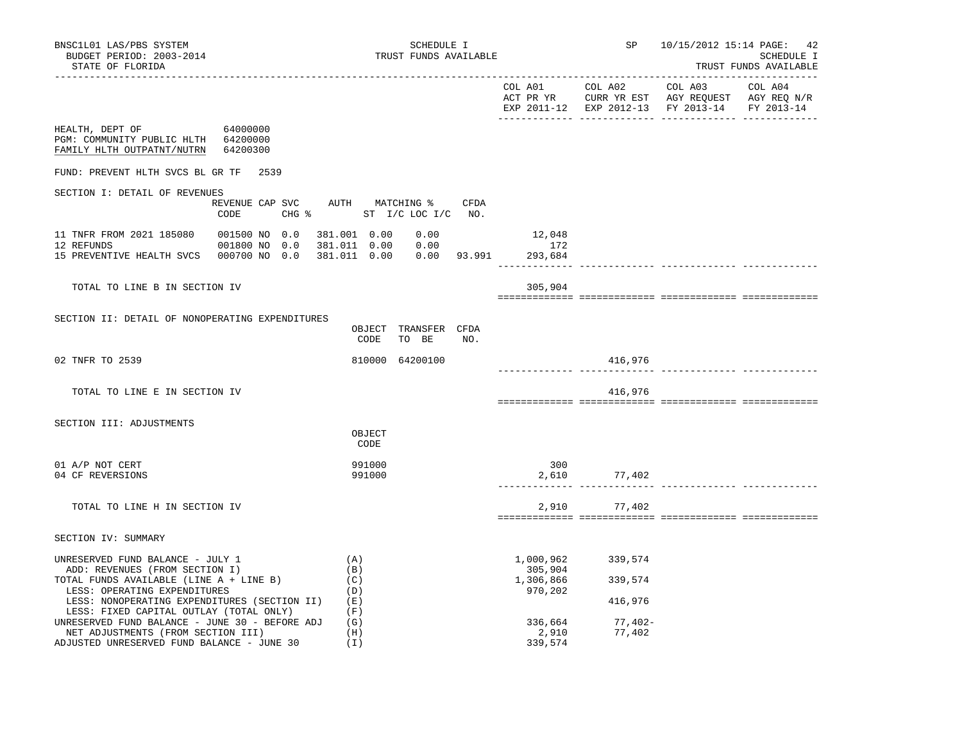|                                                                                                              |                                                             |                      | COL A01 COL A02 | COL A03<br>ACT PR YR $\,$ CURR YR EST $\,$ AGY REQUEST $\,$ AGY REQ $\,$ N/R $\,$<br>EXP 2011-12 EXP 2012-13 FY 2013-14 | COL A04<br>FY 2013-14 |
|--------------------------------------------------------------------------------------------------------------|-------------------------------------------------------------|----------------------|-----------------|-------------------------------------------------------------------------------------------------------------------------|-----------------------|
| HEALTH, DEPT OF<br>64000000<br>PGM: COMMUNITY PUBLIC HLTH 64200000<br>64200300<br>FAMILY HLTH OUTPATNT/NUTRN |                                                             |                      |                 |                                                                                                                         |                       |
| FUND: PREVENT HLTH SVCS BL GR TF<br>2539                                                                     |                                                             |                      |                 |                                                                                                                         |                       |
| SECTION I: DETAIL OF REVENUES                                                                                |                                                             |                      |                 |                                                                                                                         |                       |
| REVENUE CAP SVC<br>CODE                                                                                      | AUTH MATCHING %<br>CFDA<br>CHG % ST I/C LOC I/C NO.         |                      |                 |                                                                                                                         |                       |
| 11 TNFR FROM 2021 185080<br>001500 NO 0.0                                                                    | 381.001 0.00<br>0.00                                        | 12,048               |                 |                                                                                                                         |                       |
| 12 REFUNDS<br>001800 NO 0.0<br>15 PREVENTIVE HEALTH SVCS 000700 NO 0.0                                       | 381.011  0.00  0.00<br>381.011  0.00  0.00  93.991  293,684 | 172                  |                 |                                                                                                                         |                       |
| TOTAL TO LINE B IN SECTION IV                                                                                |                                                             | 305,904              |                 |                                                                                                                         |                       |
|                                                                                                              |                                                             |                      |                 |                                                                                                                         |                       |
| SECTION II: DETAIL OF NONOPERATING EXPENDITURES                                                              | OBJECT<br>TRANSFER CFDA<br>CODE<br>TO BE<br>NO.             |                      |                 |                                                                                                                         |                       |
| 02 TNFR TO 2539                                                                                              | 810000 64200100                                             |                      | 416,976         |                                                                                                                         |                       |
| TOTAL TO LINE E IN SECTION IV                                                                                |                                                             |                      | 416,976         |                                                                                                                         |                       |
| SECTION III: ADJUSTMENTS                                                                                     |                                                             |                      |                 |                                                                                                                         |                       |
|                                                                                                              | OBJECT<br>CODE                                              |                      |                 |                                                                                                                         |                       |
| 01 A/P NOT CERT<br>04 CF REVERSIONS                                                                          | 991000<br>991000                                            | 300<br>2,610         | 77,402          |                                                                                                                         |                       |
| TOTAL TO LINE H IN SECTION IV                                                                                |                                                             | 2,910                | 77,402          |                                                                                                                         |                       |
|                                                                                                              |                                                             |                      |                 |                                                                                                                         |                       |
| SECTION IV: SUMMARY                                                                                          |                                                             |                      |                 |                                                                                                                         |                       |
| UNRESERVED FUND BALANCE - JULY 1<br>ADD: REVENUES (FROM SECTION I)                                           | (A)<br>(B)                                                  | 1,000,962<br>305,904 | 339,574         |                                                                                                                         |                       |
| TOTAL FUNDS AVAILABLE (LINE A + LINE B)<br>LESS: OPERATING EXPENDITURES                                      | (C)<br>(D)                                                  | 1,306,866<br>970,202 | 339,574         |                                                                                                                         |                       |
| LESS: NONOPERATING EXPENDITURES (SECTION II)                                                                 | (E)                                                         |                      | 416,976         |                                                                                                                         |                       |
| LESS: FIXED CAPITAL OUTLAY (TOTAL ONLY)<br>UNRESERVED FUND BALANCE - JUNE 30 - BEFORE ADJ                    | (F)<br>(G)                                                  | 336,664              | 77,402-         |                                                                                                                         |                       |

NET ADJUSTMENTS (FROM SECTION III) (H) 2,910 77,402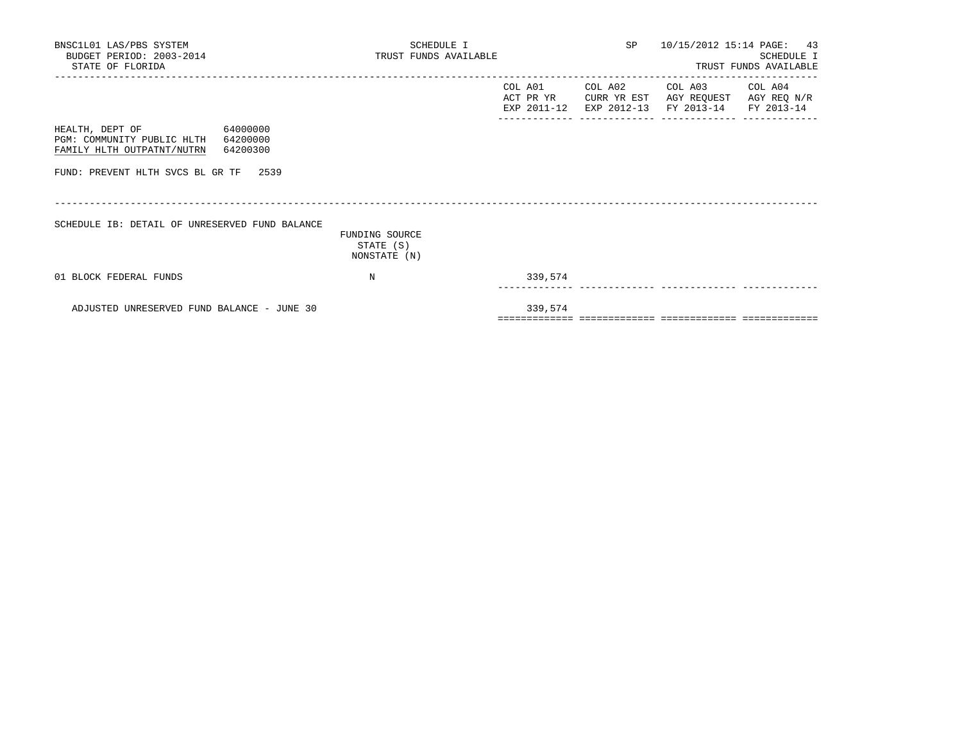| BNSC1L01 LAS/PBS SYSTEM<br>BUDGET PERIOD: 2003-2014<br>STATE OF FLORIDA                                                                                  | SCHEDULE I<br>TRUST FUNDS AVAILABLE<br>_________________________________ |         |         | SP 10/15/2012 15:14 PAGE: 43                                                                                      | SCHEDULE I<br>TRUST FUNDS AVAILABLE |
|----------------------------------------------------------------------------------------------------------------------------------------------------------|--------------------------------------------------------------------------|---------|---------|-------------------------------------------------------------------------------------------------------------------|-------------------------------------|
|                                                                                                                                                          |                                                                          | COL A01 | COL A02 | COL A03 COL A04<br>ACT PR YR CURR YR EST AGY REQUEST AGY REQ N/R<br>EXP 2011-12 EXP 2012-13 FY 2013-14 FY 2013-14 |                                     |
| 64000000<br>HEALTH, DEPT OF<br>PGM: COMMUNITY PUBLIC HLTH<br>64200000<br>FAMILY HLTH OUTPATNT/NUTRN<br>64200300<br>FUND: PREVENT HLTH SVCS BL GR TF 2539 |                                                                          |         |         |                                                                                                                   |                                     |
| SCHEDULE IB: DETAIL OF UNRESERVED FUND BALANCE                                                                                                           | FUNDING SOURCE<br>STATE (S)<br>NONSTATE (N)                              |         |         |                                                                                                                   |                                     |
| 01 BLOCK FEDERAL FUNDS                                                                                                                                   | N                                                                        | 339,574 |         |                                                                                                                   |                                     |
| ADJUSTED UNRESERVED FUND BALANCE - JUNE 30                                                                                                               |                                                                          | 339,574 |         |                                                                                                                   |                                     |

============= ============= ============= =============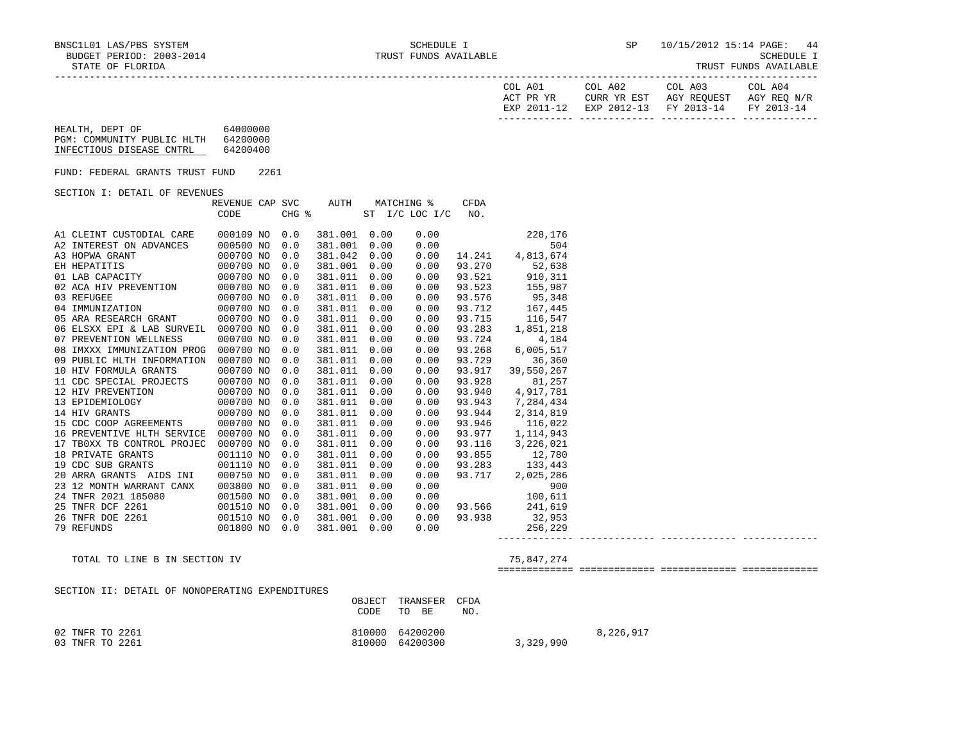| COL A01<br>ACT PR YR | COL A02 | COL A03<br>CURR YR EST AGY REOUEST AGY REO N/R | COL A04 |
|----------------------|---------|------------------------------------------------|---------|
|                      |         | EXP 2011-12 EXP 2012-13 FY 2013-14 FY 2013-14  |         |
|                      |         |                                                |         |

| HEALTH, DEPT OF            | 64000000 |
|----------------------------|----------|
| PGM: COMMUNITY PUBLIC HLTH | 64200000 |
| INFECTIOUS DISEASE CNTRL   | 64200400 |

FUND: FEDERAL GRANTS TRUST FUND 2261

SECTION I: DETAIL OF REVENUES

|     |                          | REVENUE CAP SVC |       | AUTH    | MATCHING % |                 | CFDA   |            |
|-----|--------------------------|-----------------|-------|---------|------------|-----------------|--------|------------|
|     |                          | CODE            | CHG % |         | SТ         | $I/C$ LOC $I/C$ | NO.    |            |
|     |                          |                 |       |         |            |                 |        |            |
|     | A1 CLEINT CUSTODIAL CARE | 000109 NO       | 0.0   | 381.001 | 0.00       | 0.00            |        | 228,176    |
|     | A2 INTEREST ON ADVANCES  | 000500 NO       | 0.0   | 381.001 | 0.00       | 0.00            |        | 504        |
|     | A3 HOPWA GRANT           | 000700 NO       | 0.0   | 381.042 | 0.00       | 0.00            | 14.241 | 4,813,674  |
|     | EH HEPATITIS             | 000700 NO       | 0.0   | 381.001 | 0.00       | 0.00            | 93.270 | 52,638     |
|     | 01 LAB CAPACITY          | 000700 NO       | 0.0   | 381.011 | 0.00       | 0.00            | 93.521 | 910,311    |
| 02  | ACA HIV PREVENTION       | 000700 NO       | 0.0   | 381.011 | 0.00       | 0.00            | 93.523 | 155,987    |
| 03  | REFUGEE                  | 000700 NO       | 0.0   | 381.011 | 0.00       | 0.00            | 93.576 | 95,348     |
| 04  | IMMUNIZATION             | 000700 NO       | 0.0   | 381.011 | 0.00       | 0.00            | 93.712 | 167,445    |
| 0.5 | ARA RESEARCH GRANT       | 000700 NO       | 0.0   | 381.011 | 0.00       | 0.00            | 93.715 | 116,547    |
| 06  | ELSXX EPI & LAB SURVEIL  | 000700 NO       | 0.0   | 381.011 | 0.00       | 0.00            | 93.283 | 1,851,218  |
| 07  | PREVENTION WELLNESS      | 000700 NO       | 0.0   | 381.011 | 0.00       | 0.00            | 93.724 | 4,184      |
| 08  | IMXXX IMMUNIZATION PROG  | 000700 NO       | 0.0   | 381.011 | 0.00       | 0.00            | 93.268 | 6,005,517  |
| 09  | PUBLIC HLTH INFORMATION  | 000700 NO       | 0.0   | 381.011 | 0.00       | 0.00            | 93.729 | 36,360     |
| 10  | HIV FORMULA GRANTS       | 000700 NO       | 0.0   | 381.011 | 0.00       | 0.00            | 93.917 | 39,550,267 |
| 11  | CDC SPECIAL PROJECTS     | 000700 NO       | 0.0   | 381.011 | 0.00       | 0.00            | 93.928 | 81,257     |
|     | 12 HIV PREVENTION        | 000700 NO       | 0.0   | 381.011 | 0.00       | 0.00            | 93.940 | 4,917,781  |
| 13  | EPIDEMIOLOGY             | 000700 NO       | 0.0   | 381.011 | 0.00       | 0.00            | 93.943 | 7,284,434  |
|     | 14 HIV GRANTS            | 000700 NO       | 0.0   | 381.011 | 0.00       | 0.00            | 93.944 | 2,314,819  |
| 15  | CDC COOP AGREEMENTS      | 000700 NO       | 0.0   | 381.011 | 0.00       | 0.00            | 93.946 | 116,022    |
| 16  | PREVENTIVE HLTH SERVICE  | 000700 NO       | 0.0   | 381.011 | 0.00       | 0.00            | 93.977 | 1,114,943  |
| 17  | TBOXX TB CONTROL PROJEC  | 000700 NO       | 0.0   | 381.011 | 0.00       | 0.00            | 93.116 | 3,226,021  |
| 18  | PRIVATE GRANTS           | 001110 NO       | 0.0   | 381.011 | 0.00       | 0.00            | 93.855 | 12,780     |
| 19  | CDC SUB GRANTS           | 001110 NO       | 0.0   | 381.011 | 0.00       | 0.00            | 93.283 | 133,443    |
| 20  | ARRA GRANTS<br>AIDS INI  | 000750 NO       | 0.0   | 381.011 | 0.00       | 0.00            | 93.717 | 2,025,286  |
| 23  | 12 MONTH WARRANT CANX    | 003800 NO       | 0.0   | 381.011 | 0.00       | 0.00            |        | 900        |
| 24  | TNFR 2021 185080         | 001500 NO       | 0.0   | 381.001 | 0.00       | 0.00            |        | 100,611    |
| 25  | TNFR DCF 2261            | 001510 NO       | 0.0   | 381.001 | 0.00       | 0.00            | 93.566 | 241,619    |
| 26  | TNFR DOE 2261            | 001510 NO       | 0.0   | 381.001 | 0.00       | 0.00            | 93.938 | 32,953     |
| 79  | REFUNDS                  | 001800 NO       | 0.0   | 381.001 | 0.00       | 0.00            |        | 256,229    |

TOTAL TO LINE B IN SECTION IV 75,847,274

============= ============= ============= =============

------------- ------------- ------------- -------------

### SECTION II: DETAIL OF NONOPERATING EXPENDITURES OBJECT TRANSFER CFDA CODE TO BE NO. 02 TNFR TO 2261 810000 64200200 8, 226, 917 03 TNFR TO 2261 810000 64200300 3,329,990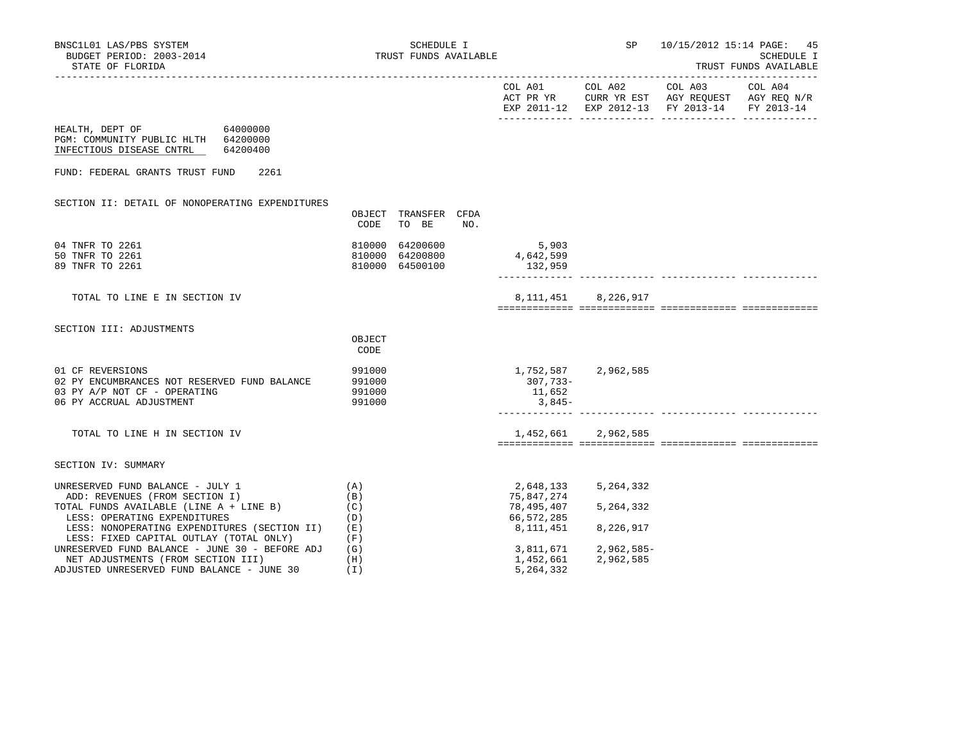| BUDGET PERIOD: 2003-2014<br>STATE OF FLORIDA                                                                                                                                    |                                      | TRUST FUNDS AVAILABLE                   |     |                                                     |                                                                                                        | <b>SCHEDULE I</b><br>TRUST FUNDS AVAILABLE |
|---------------------------------------------------------------------------------------------------------------------------------------------------------------------------------|--------------------------------------|-----------------------------------------|-----|-----------------------------------------------------|--------------------------------------------------------------------------------------------------------|--------------------------------------------|
|                                                                                                                                                                                 |                                      |                                         |     | COL A01                                             | COL A02 COL A03<br>ACT PR YR CURR YR EST AGY REQUEST AGY REQ N/R<br>EXP 2011-12 EXP 2012-13 FY 2013-14 | COL A04<br>FY 2013-14                      |
| 64000000<br>HEALTH, DEPT OF<br>PGM: COMMUNITY PUBLIC HLTH 64200000<br>INFECTIOUS DISEASE CNTRL<br>64200400                                                                      |                                      |                                         |     |                                                     |                                                                                                        |                                            |
| FUND: FEDERAL GRANTS TRUST FUND<br>2261                                                                                                                                         |                                      |                                         |     |                                                     |                                                                                                        |                                            |
| SECTION II: DETAIL OF NONOPERATING EXPENDITURES                                                                                                                                 | CODE                                 | OBJECT TRANSFER CFDA<br>TO BE           | NO. |                                                     |                                                                                                        |                                            |
| 04 TNFR TO 2261<br>50 TNFR TO 2261<br>89 TNFR TO 2261                                                                                                                           | 810000<br>810000                     | 64200600<br>64200800<br>810000 64500100 |     | 5,903<br>4,642,599<br>132,959                       |                                                                                                        |                                            |
| TOTAL TO LINE E IN SECTION IV                                                                                                                                                   |                                      |                                         |     |                                                     | 8, 111, 451 8, 226, 917                                                                                |                                            |
| SECTION III: ADJUSTMENTS                                                                                                                                                        | OBJECT<br>CODE                       |                                         |     |                                                     |                                                                                                        |                                            |
| 01 CF REVERSIONS<br>02 PY ENCUMBRANCES NOT RESERVED FUND BALANCE<br>03 PY A/P NOT CF - OPERATING<br>06 PY ACCRUAL ADJUSTMENT                                                    | 991000<br>991000<br>991000<br>991000 |                                         |     | 307,733-<br>11,652<br>3,845-                        | 1,752,587 2,962,585                                                                                    |                                            |
| TOTAL TO LINE H IN SECTION IV                                                                                                                                                   |                                      |                                         |     |                                                     | 1,452,661 2,962,585                                                                                    |                                            |
| SECTION IV: SUMMARY                                                                                                                                                             |                                      |                                         |     |                                                     |                                                                                                        |                                            |
| UNRESERVED FUND BALANCE - JULY 1<br>ADD: REVENUES (FROM SECTION I)<br>TOTAL FUNDS AVAILABLE (LINE A + LINE B)<br>LESS: OPERATING EXPENDITURES                                   | (A)<br>(B)<br>(C)<br>(D)             |                                         |     | 2,648,133<br>75,847,274<br>78,495,407<br>66,572,285 | 5,264,332<br>5,264,332                                                                                 |                                            |
| LESS: NONOPERATING EXPENDITURES (SECTION II)<br>LESS: FIXED CAPITAL OUTLAY (TOTAL ONLY)<br>UNRESERVED FUND BALANCE - JUNE 30 - BEFORE ADJ<br>NET ADJUSTMENTS (FROM SECTION III) | (E)<br>(F)<br>(G)<br>(H)             |                                         |     | 8,111,451<br>3,811,671<br>1,452,661                 | 8,226,917<br>$2,962,585-$<br>2,962,585                                                                 |                                            |

NET ADJUSTMENTS (FROM SECTION III) (H) (H) 1,452,661 2,452,661 2,962,5861 2,962,985 2,964,332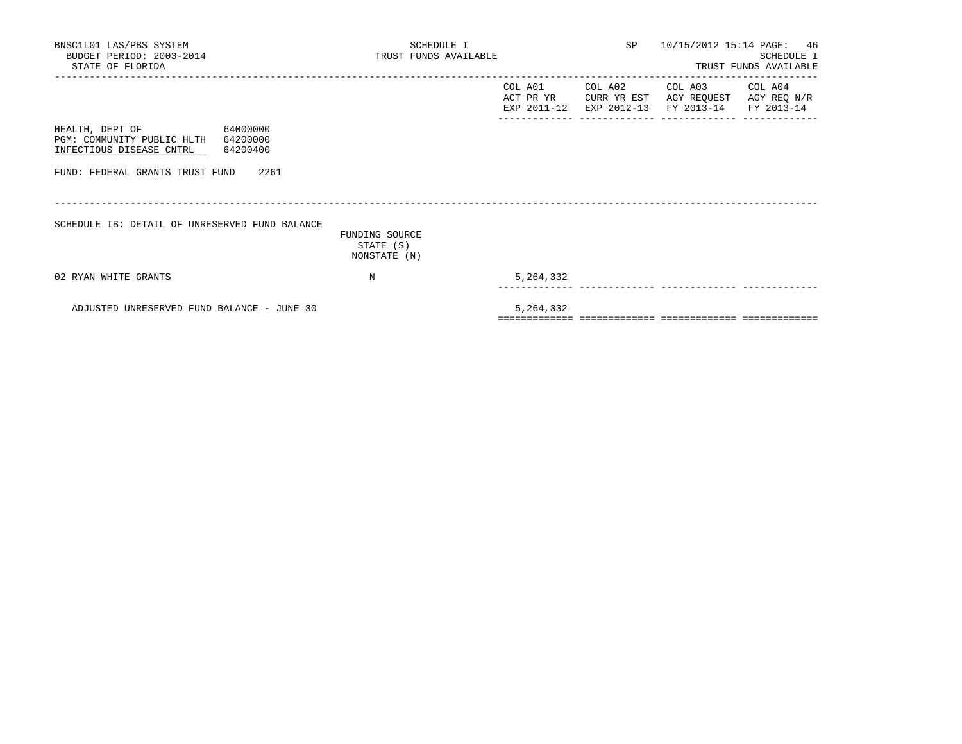| BNSC1L01 LAS/PBS SYSTEM<br>BUDGET PERIOD: 2003-2014<br>STATE OF FLORIDA                                       | SCHEDULE I<br>TRUST FUNDS AVAILABLE         |           | SP      | 10/15/2012 15:14 PAGE: 46                                                                                         | SCHEDULE I<br>TRUST FUNDS AVAILABLE |
|---------------------------------------------------------------------------------------------------------------|---------------------------------------------|-----------|---------|-------------------------------------------------------------------------------------------------------------------|-------------------------------------|
|                                                                                                               |                                             | COL A01   | COL A02 | COL A03 COL A04<br>ACT PR YR CURR YR EST AGY REQUEST AGY REQ N/R<br>EXP 2011-12 EXP 2012-13 FY 2013-14 FY 2013-14 |                                     |
| 64000000<br>HEALTH, DEPT OF<br>PGM: COMMUNITY PUBLIC HLTH<br>64200000<br>64200400<br>INFECTIOUS DISEASE CNTRL |                                             |           |         |                                                                                                                   |                                     |
| FUND: FEDERAL GRANTS TRUST FUND<br>2261                                                                       |                                             |           |         |                                                                                                                   |                                     |
| SCHEDULE IB: DETAIL OF UNRESERVED FUND BALANCE                                                                | FUNDING SOURCE<br>STATE (S)<br>NONSTATE (N) |           |         |                                                                                                                   |                                     |
| 02 RYAN WHITE GRANTS                                                                                          | N                                           | 5,264,332 |         |                                                                                                                   |                                     |
| ADJUSTED UNRESERVED FUND BALANCE - JUNE 30                                                                    |                                             | 5,264,332 |         |                                                                                                                   |                                     |

============= ============= ============= =============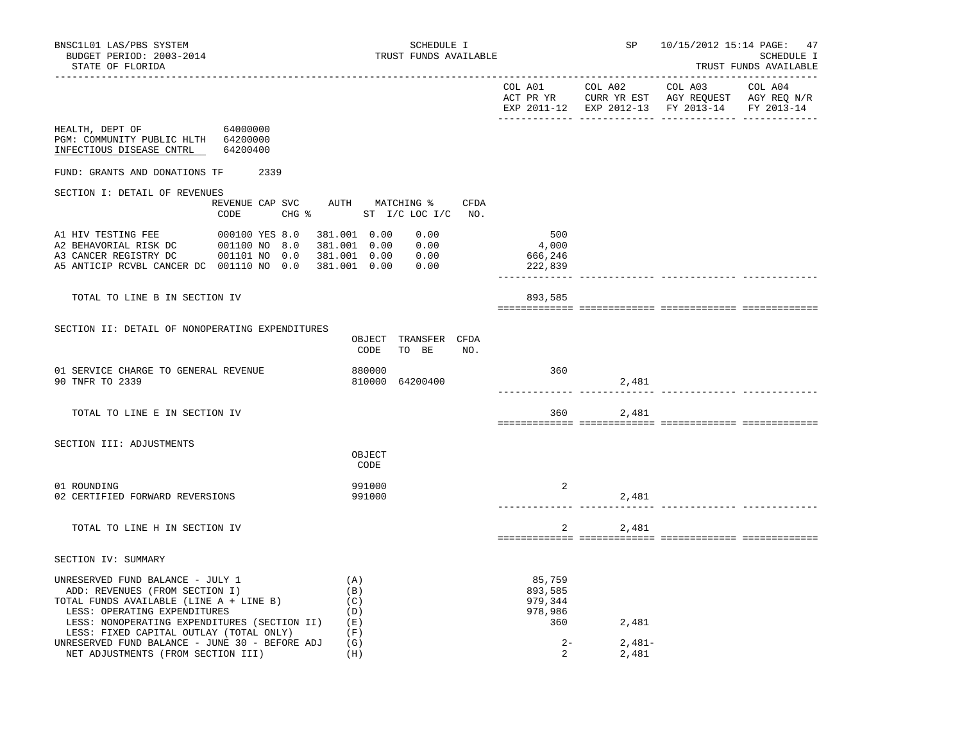|                                                                                                      |                                         |                                  |                    |                     | EXP 2011-12 EXP 2012-13 FY 2013-14 FY 2013-14 |  |
|------------------------------------------------------------------------------------------------------|-----------------------------------------|----------------------------------|--------------------|---------------------|-----------------------------------------------|--|
| HEALTH, DEPT OF 64000000<br>PGM: COMMUNITY PUBLIC HLTH 64200000<br>INFECTIOUS DISEASE CNTRL 64200400 |                                         |                                  |                    |                     |                                               |  |
| FUND: GRANTS AND DONATIONS TF                                                                        | 2339                                    |                                  |                    |                     |                                               |  |
| SECTION I: DETAIL OF REVENUES                                                                        |                                         |                                  |                    |                     |                                               |  |
|                                                                                                      | REVENUE CAP SVC AUTH MATCHING %<br>CODE | CFDA<br>CHG % ST I/C LOC I/C NO. |                    |                     |                                               |  |
|                                                                                                      |                                         | 381.001 0.00<br>0.00             | 500                |                     |                                               |  |
| A3 CANCER REGISTRY DC   001101 NO   0.0  381.001  0.00   0.00                                        |                                         | 381.001  0.00  0.00              | 4,000              |                     |                                               |  |
| A5 ANTICIP RCVBL CANCER DC 001110 NO 0.0 381.001 0.00                                                |                                         | 0.00                             | 666,246<br>222,839 |                     |                                               |  |
|                                                                                                      |                                         |                                  |                    |                     |                                               |  |
| TOTAL TO LINE B IN SECTION IV                                                                        |                                         |                                  | 893,585            |                     |                                               |  |
|                                                                                                      |                                         |                                  |                    |                     |                                               |  |
| SECTION II: DETAIL OF NONOPERATING EXPENDITURES                                                      |                                         | OBJECT TRANSFER CFDA             |                    |                     |                                               |  |
|                                                                                                      |                                         | CODE<br>TO BE<br>NO.             |                    |                     |                                               |  |
| 01 SERVICE CHARGE TO GENERAL REVENUE<br>90 TNFR TO 2339                                              |                                         | 880000<br>810000 64200400        | 360                | 2,481               |                                               |  |
| TOTAL TO LINE E IN SECTION IV                                                                        |                                         |                                  |                    | 360 2,481           |                                               |  |
|                                                                                                      |                                         |                                  |                    |                     |                                               |  |
| SECTION III: ADJUSTMENTS                                                                             |                                         | OBJECT<br>CODE                   |                    |                     |                                               |  |
| 01 ROUNDING                                                                                          |                                         | 991000                           | 2                  |                     |                                               |  |
| 02 CERTIFIED FORWARD REVERSIONS                                                                      |                                         | 991000                           |                    | 2,481<br>__________ |                                               |  |
| TOTAL TO LINE H IN SECTION IV                                                                        |                                         |                                  | 2                  | 2,481               |                                               |  |
| SECTION IV: SUMMARY                                                                                  |                                         |                                  |                    |                     |                                               |  |
| UNRESERVED FUND BALANCE - JULY 1                                                                     |                                         | (A)                              | 85,759             |                     |                                               |  |
| ADD: REVENUES (FROM SECTION I)                                                                       |                                         | (B)                              | 893,585            |                     |                                               |  |
| TOTAL FUNDS AVAILABLE (LINE A + LINE B)                                                              |                                         | (C)                              | 979,344            |                     |                                               |  |
| LESS: OPERATING EXPENDITURES<br>LESS: NONOPERATING EXPENDITURES (SECTION II) (E)                     |                                         | (D)                              | 978,986<br>360     | 2,481               |                                               |  |
| LESS: FIXED CAPITAL OUTLAY (TOTAL ONLY)                                                              |                                         | (F)                              |                    |                     |                                               |  |
| UNRESERVED FUND BALANCE - JUNE 30 - BEFORE ADJ                                                       |                                         | (G)                              | $2 -$              | $2,481-$            |                                               |  |

NET ADJUSTMENTS (FROM SECTION III) (H) (H) 2 2,481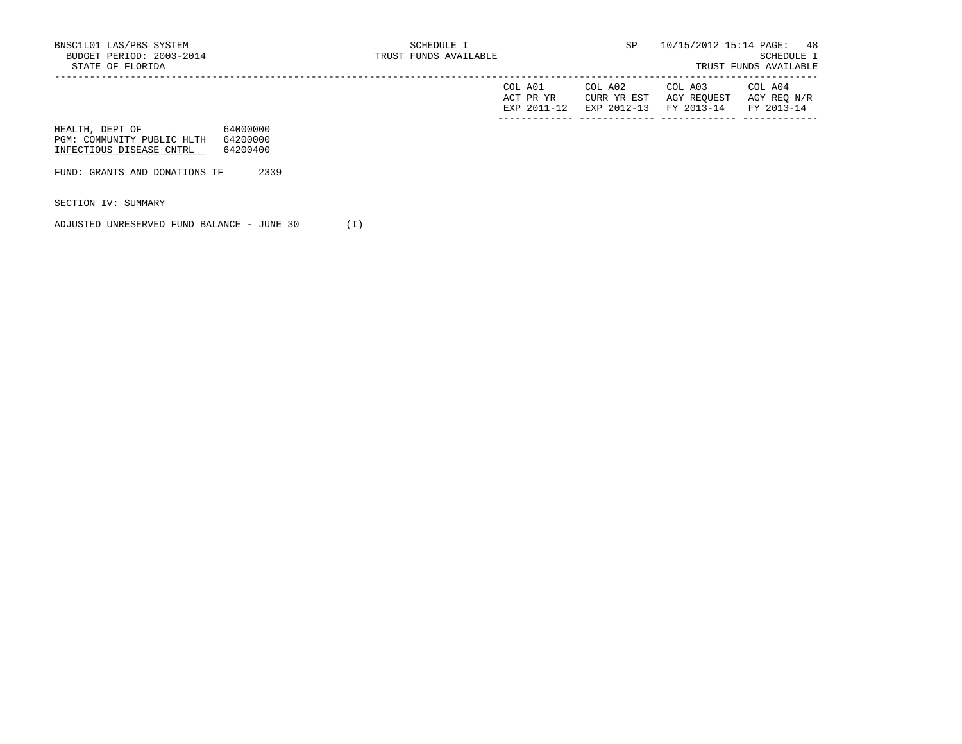| COL<br>A01<br>ACT PR YR<br>FYD | COL A02<br>YR EST<br>HTRR.<br>$2012 - 13$<br><b>EXP</b> | COL A03<br>AGY REQUEST<br>$2013 - 14$<br><b>FV</b> | COL A04<br>AGY REQ<br>N/R<br>$2013 - 14$<br><b>TRAZ</b> |
|--------------------------------|---------------------------------------------------------|----------------------------------------------------|---------------------------------------------------------|
|                                |                                                         |                                                    |                                                         |

| HEALTH, DEPT OF            | 64000000 |
|----------------------------|----------|
| PGM: COMMUNITY PUBLIC HLTH | 64200000 |
| INFECTIOUS DISEASE CNTRL   | 64200400 |

FUND: GRANTS AND DONATIONS TF 2339

SECTION IV: SUMMARY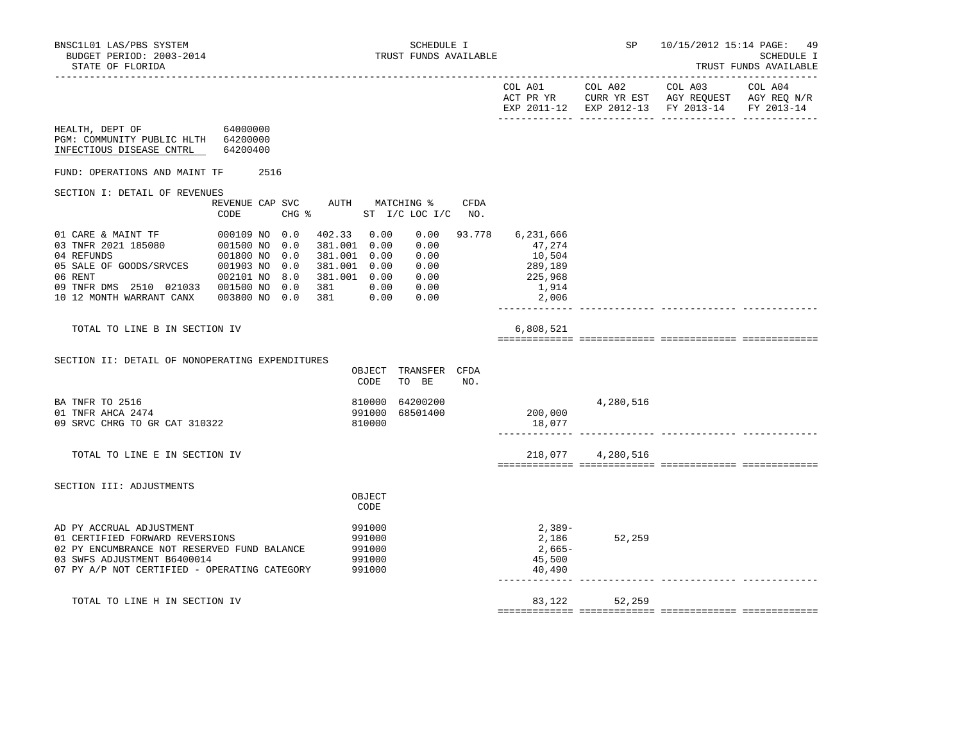|                                                                                                                                                                                           |                                                                                                    |                 |                                                                      |                                      |                                                                     |        |                                                                       | EXP 2011-12 EXP 2012-13 FY 2013-14 | FY 2013-14 |
|-------------------------------------------------------------------------------------------------------------------------------------------------------------------------------------------|----------------------------------------------------------------------------------------------------|-----------------|----------------------------------------------------------------------|--------------------------------------|---------------------------------------------------------------------|--------|-----------------------------------------------------------------------|------------------------------------|------------|
| HEALTH, DEPT OF<br>PGM: COMMUNITY PUBLIC HLTH 64200000<br>INFECTIOUS DISEASE CNTRL                                                                                                        | 64000000<br>64200400                                                                               |                 |                                                                      |                                      |                                                                     |        |                                                                       |                                    |            |
| FUND: OPERATIONS AND MAINT TF                                                                                                                                                             | 2516                                                                                               |                 |                                                                      |                                      |                                                                     |        |                                                                       |                                    |            |
| SECTION I: DETAIL OF REVENUES                                                                                                                                                             | REVENUE CAP SVC<br>CODE                                                                            | $CHG$ $\approx$ |                                                                      |                                      | AUTH MATCHING %<br>ST I/C LOC I/C NO.                               | CFDA   |                                                                       |                                    |            |
| 01 CARE & MAINT TF<br>03 TNFR 2021 185080<br>04 REFUNDS<br>05 SALE OF GOODS/SRVCES<br>06 RENT<br>09 TNFR DMS 2510 021033 001500 NO 0.0<br>10 12 MONTH WARRANT CANX                        | 000109 NO 0.0<br>001500 NO 0.0<br>001800 NO 0.0<br>001903 NO 0.0<br>002101 NO 8.0<br>003800 NO 0.0 |                 | 402.33<br>381.001 0.00<br>381.001 0.00<br>381.001 0.00<br>381<br>381 | 0.00<br>0.00<br>0.00                 | 0.00<br>0.00<br>0.00<br>0.00<br>381.001  0.00  0.00<br>0.00<br>0.00 | 93.778 | 6,231,666<br>47,274<br>10,504<br>289,189<br>225,968<br>1,914<br>2,006 |                                    |            |
| TOTAL TO LINE B IN SECTION IV                                                                                                                                                             |                                                                                                    |                 |                                                                      |                                      |                                                                     |        | 6,808,521                                                             |                                    |            |
| SECTION II: DETAIL OF NONOPERATING EXPENDITURES                                                                                                                                           |                                                                                                    |                 |                                                                      | OBJECT<br>CODE                       | TRANSFER CFDA<br>TO BE                                              | NO.    |                                                                       |                                    |            |
| BA TNFR TO 2516<br>01 TNFR AHCA 2474<br>09 SRVC CHRG TO GR CAT 310322                                                                                                                     |                                                                                                    |                 |                                                                      | 810000<br>991000<br>810000           | 64200200<br>68501400                                                |        | 200,000<br>18,077                                                     | 4,280,516                          |            |
| TOTAL TO LINE E IN SECTION IV                                                                                                                                                             |                                                                                                    |                 |                                                                      |                                      |                                                                     |        | 218,077                                                               | 4,280,516                          |            |
| SECTION III: ADJUSTMENTS                                                                                                                                                                  |                                                                                                    |                 |                                                                      | OBJECT<br>CODE                       |                                                                     |        |                                                                       |                                    |            |
| AD PY ACCRUAL ADJUSTMENT<br>01 CERTIFIED FORWARD REVERSIONS<br>02 PY ENCUMBRANCE NOT RESERVED FUND BALANCE<br>03 SWFS ADJUSTMENT B6400014<br>07 PY A/P NOT CERTIFIED - OPERATING CATEGORY |                                                                                                    |                 | 991000                                                               | 991000<br>991000<br>991000<br>991000 |                                                                     |        | 2,389-<br>2,186<br>2,665-<br>45,500<br>40,490                         | 52,259                             |            |
| TOTAL TO LINE H IN SECTION IV                                                                                                                                                             |                                                                                                    |                 |                                                                      |                                      |                                                                     |        | 83,122                                                                | 52,259                             |            |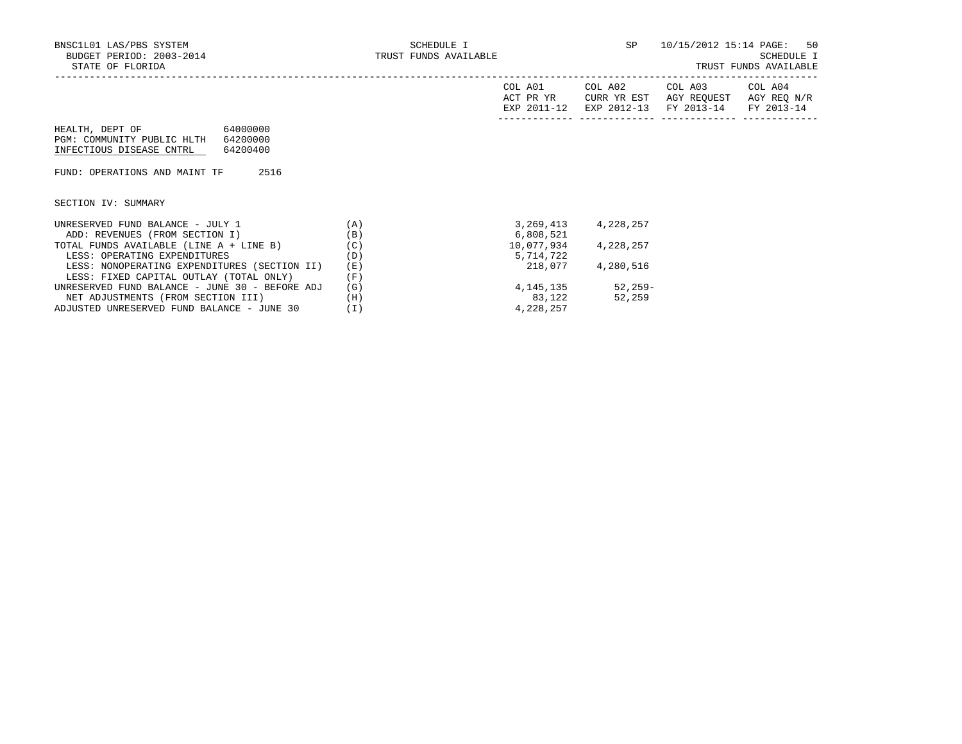|                                                                                                               |            | COL A01<br>ACT PR YR<br>EXP 2011-12 | COL A02<br>CURR YR EST<br>EXP 2012-13 | COL A03<br>AGY REOUEST<br>FY 2013-14 | COL A04<br>AGY REQ N/R<br>FY 2013-14 |
|---------------------------------------------------------------------------------------------------------------|------------|-------------------------------------|---------------------------------------|--------------------------------------|--------------------------------------|
| 64000000<br>HEALTH, DEPT OF<br>PGM: COMMUNITY PUBLIC HLTH<br>64200000<br>INFECTIOUS DISEASE CNTRL<br>64200400 |            |                                     |                                       |                                      |                                      |
| 2516<br>FUND: OPERATIONS AND MAINT TF                                                                         |            |                                     |                                       |                                      |                                      |
| SECTION IV: SUMMARY                                                                                           |            |                                     |                                       |                                      |                                      |
| UNRESERVED FUND BALANCE - JULY 1<br>ADD: REVENUES (FROM SECTION I)                                            | (A)<br>(B) | 3,269,413<br>6,808,521              | 4,228,257                             |                                      |                                      |
| TOTAL FUNDS AVAILABLE (LINE A + LINE B)<br>LESS: OPERATING EXPENDITURES                                       | (C)<br>(D) | 10,077,934<br>5,714,722             | 4,228,257                             |                                      |                                      |
| LESS: NONOPERATING EXPENDITURES (SECTION II)<br>LESS: FIXED CAPITAL OUTLAY (TOTAL ONLY)                       | (E)<br>(F) | 218,077                             | 4,280,516                             |                                      |                                      |
| UNRESERVED FUND BALANCE - JUNE 30 - BEFORE ADJ                                                                | (G)        | 4,145,135                           | 52,259-                               |                                      |                                      |
| NET ADJUSTMENTS (FROM SECTION III)                                                                            | (H)        | 83,122                              | 52,259                                |                                      |                                      |
| ADJUSTED UNRESERVED FUND BALANCE - JUNE 30                                                                    | (I)        | 4,228,257                           |                                       |                                      |                                      |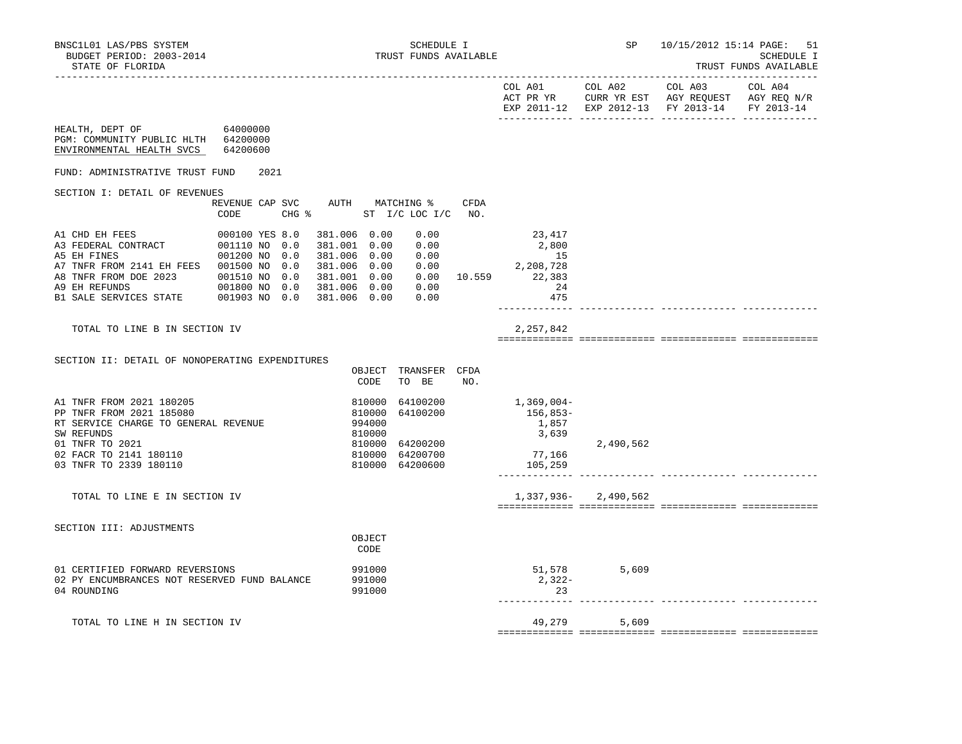| BNSC1L01 LAS/PBS SYSTEM<br>BUDGET PERIOD: 2003-2014<br>STATE OF FLORIDA                                                                                                                                                                                                                                                                                    |                                              | SCHEDULE I TRUST FUNDS AVAILABLE |                |                                                                                                               |     |                                                                                                                               |                     | SP 10/15/2012 15:14 PAGE:<br>-51<br>SCHEDULE I<br>TRUST FUNDS AVAILABLE                                                                                                                                                                                                                                                       |  |
|------------------------------------------------------------------------------------------------------------------------------------------------------------------------------------------------------------------------------------------------------------------------------------------------------------------------------------------------------------|----------------------------------------------|----------------------------------|----------------|---------------------------------------------------------------------------------------------------------------|-----|-------------------------------------------------------------------------------------------------------------------------------|---------------------|-------------------------------------------------------------------------------------------------------------------------------------------------------------------------------------------------------------------------------------------------------------------------------------------------------------------------------|--|
|                                                                                                                                                                                                                                                                                                                                                            |                                              |                                  |                |                                                                                                               |     |                                                                                                                               |                     | $\begin{tabular}{lllllllllll} \multicolumn{2}{l}{{\text{COL A02}}} & \multicolumn{2}{c}{\text{COL A03}} & \multicolumn{2}{c}{\text{COL A04}} \end{tabular}$<br>$\begin{tabular}{lllllll} ACT & PR & YR & CURR & YR & EST & AGY & REGUEST & AGY & REG & N/R \\ \end{tabular}$<br>EXP 2011-12 EXP 2012-13 FY 2013-14 FY 2013-14 |  |
| HEALTH, DEPT OF 64000000<br>PGM: COMMUNITY PUBLIC HLTH 64200000<br>ENVIRONMENTAL HEALTH SVCS 64200600                                                                                                                                                                                                                                                      |                                              |                                  |                |                                                                                                               |     |                                                                                                                               |                     |                                                                                                                                                                                                                                                                                                                               |  |
| FUND: ADMINISTRATIVE TRUST FUND 2021                                                                                                                                                                                                                                                                                                                       |                                              |                                  |                |                                                                                                               |     |                                                                                                                               |                     |                                                                                                                                                                                                                                                                                                                               |  |
| SECTION I: DETAIL OF REVENUES                                                                                                                                                                                                                                                                                                                              | REVENUE CAP SVC AUTH MATCHING % CFDA<br>CODE | CHG % ST I/C LOC I/C NO.         |                |                                                                                                               |     |                                                                                                                               |                     |                                                                                                                                                                                                                                                                                                                               |  |
| A1 CHD EH FEES<br>A3 FEDERAL CONTRACT<br>A3 FEDERAL CONTRACT<br>A5 EH FINES<br>$001200 N0 0.0 381.006 0.00 0.00$<br>27 TNFR FROM 2141 EH FEES<br>201500 NO 0.0 381.006 0.00 0.00<br>38 TNFR FROM DOE 2023 001510 NO 0.0 381.001 0.00 0.00 10.559<br>39 EH REFUNDS 001800 NO 0.0 381.006 0.00 0.00<br>B1 SALE SERVICES STATE 001903 NO 0.0 381.006 0.00 0.0 | 000100 YES 8.0 381.006 0.00                  |                                  |                | 0.00                                                                                                          |     | 23,417<br>$\begin{array}{ccc} 0.00 & 2,800 \\ 0.00 & 15 \\ 0.00 & 2,208,728 \end{array}$<br>$0.00$ 10.559 22,383<br>24<br>475 |                     |                                                                                                                                                                                                                                                                                                                               |  |
| TOTAL TO LINE B IN SECTION IV                                                                                                                                                                                                                                                                                                                              |                                              |                                  |                |                                                                                                               |     | 2,257,842                                                                                                                     |                     |                                                                                                                                                                                                                                                                                                                               |  |
| SECTION II: DETAIL OF NONOPERATING EXPENDITURES                                                                                                                                                                                                                                                                                                            |                                              |                                  |                | OBJECT TRANSFER CFDA<br>CODE TO BE                                                                            | NO. |                                                                                                                               |                     |                                                                                                                                                                                                                                                                                                                               |  |
| A1 TNFR FROM 2021 180205<br>PP TNFR FROM 2021 185080<br>RT SERVICE CHARGE TO GENERAL REVENUE<br>SW REFUNDS<br>01 TNFR TO 2021<br>02 FACR TO 2141 180110<br>03 TNFR TO 2339 180110                                                                                                                                                                          |                                              |                                  | 810000         | 810000 64100200<br>810000 64100200<br>994000<br>810000 64200200<br>$810000$ $64200700$<br>$810000$ $64200600$ |     | 1,369,004-<br>$156,853-$<br>1,857<br>3,639<br>77,166<br>105,259                                                               | 2,490,562           |                                                                                                                                                                                                                                                                                                                               |  |
| TOTAL TO LINE E IN SECTION IV                                                                                                                                                                                                                                                                                                                              |                                              |                                  |                |                                                                                                               |     |                                                                                                                               | 1,337,936-2,490,562 |                                                                                                                                                                                                                                                                                                                               |  |
| SECTION III: ADJUSTMENTS                                                                                                                                                                                                                                                                                                                                   |                                              |                                  | OBJECT<br>CODE |                                                                                                               |     |                                                                                                                               |                     |                                                                                                                                                                                                                                                                                                                               |  |

 01 CERTIFIED FORWARD REVERSIONS 991000 51,578 5,609 02 PY ENCUMBRANCES NOT RESERVED FUND BALANCE 991000 991000 2,322-<br>04 ROUNDING 23 04 ROUNDING ------------- ------------- ------------- -------------

TOTAL TO LINE H IN SECTION IV  $49.279$  5,609

============= ============= ============= =============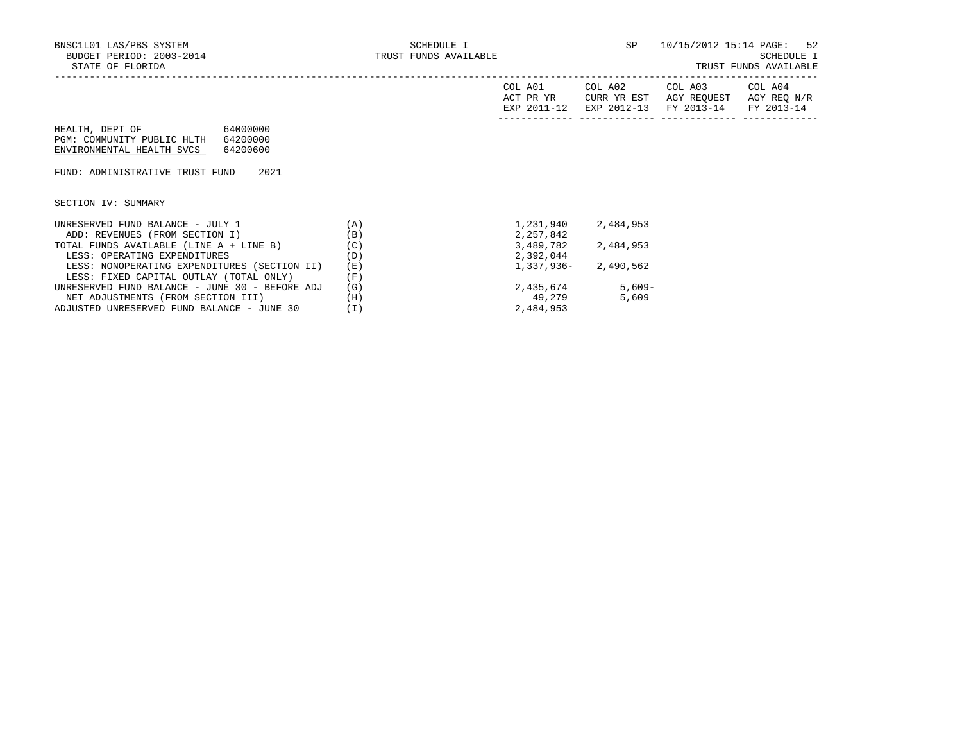| COL<br>A01<br>ACT PR YR<br>FYD | COL A02<br>YR EST<br>HTRR.<br>$2012 - 12$<br><b>EXP</b> | COL A03<br>AGY REQUEST<br>$2013 - 14$<br><b>FV</b> | COL A04<br>AGY REQ<br>N/R<br>$2013 - 14$<br><b>TRAZ</b> |
|--------------------------------|---------------------------------------------------------|----------------------------------------------------|---------------------------------------------------------|
|                                |                                                         |                                                    |                                                         |

| HEALTH, DEPT OF            | 64000000 |
|----------------------------|----------|
| PGM: COMMUNITY PUBLIC HLTH | 64200000 |
| ENVIRONMENTAL HEALTH SVCS  | 64200600 |

FUND: ADMINISTRATIVE TRUST FUND 2021

SECTION IV: SUMMARY

| UNRESERVED FUND BALANCE - JULY 1               | 'A ) | 1,231,940    | 2,484,953 |
|------------------------------------------------|------|--------------|-----------|
| ADD: REVENUES (FROM SECTION I)                 | (B)  | 2,257,842    |           |
| TOTAL FUNDS AVAILABLE (LINE A + LINE B)        | (C)  | 3,489,782    | 2,484,953 |
| LESS: OPERATING EXPENDITURES                   | (D)  | 2,392,044    |           |
| LESS: NONOPERATING EXPENDITURES (SECTION II)   | (E)  | $1,337,936-$ | 2,490,562 |
| LESS: FIXED CAPITAL OUTLAY (TOTAL ONLY)        | (F)  |              |           |
| UNRESERVED FUND BALANCE - JUNE 30 - BEFORE ADJ | (G)  | 2,435,674    | $5.609 -$ |
| NET ADJUSTMENTS (FROM SECTION III)             | (H)  | 49.279       | 5,609     |
| ADJUSTED UNRESERVED FUND BALANCE - JUNE 30     |      | 2,484,953    |           |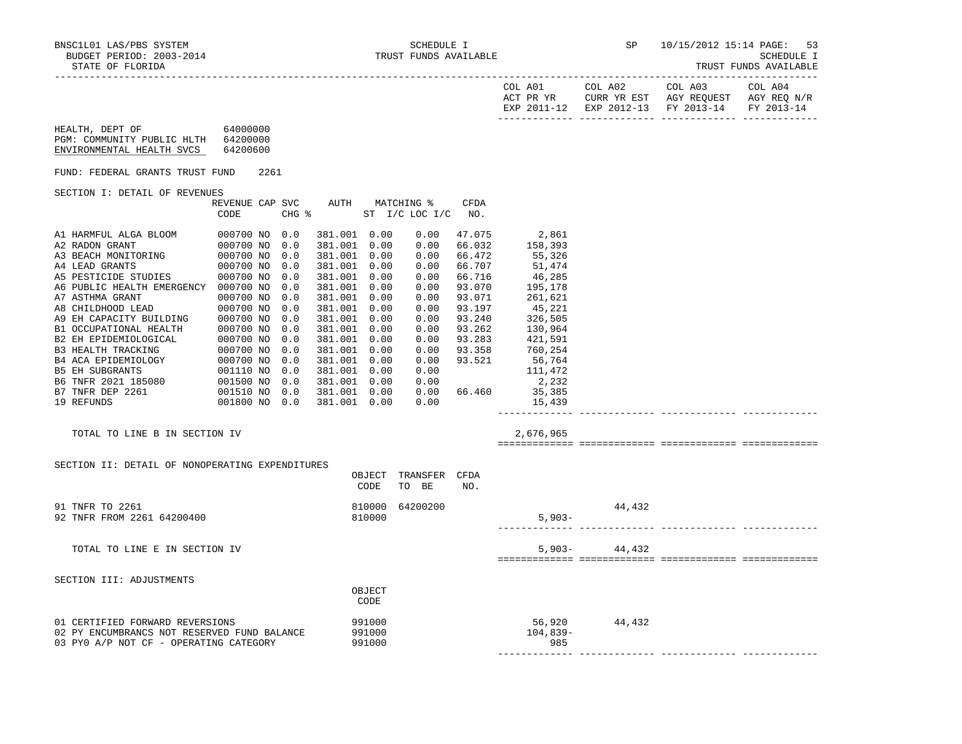|--|

| COL A01<br>ACT PR YR<br>RXP 2011-12 | COL A02<br>CURR YR EST | COL A03<br>AGY REOUEST<br>EXP 2012-13 FY 2013-14 | COL A04<br>AGY REO N/R |
|-------------------------------------|------------------------|--------------------------------------------------|------------------------|
|                                     |                        |                                                  | FY 2013-14             |

| HEALTH, DEPT OF            | 64000000 |
|----------------------------|----------|
| PGM: COMMUNITY PUBLIC HLTH | 64200000 |
| ENVIRONMENTAL HEALTH SVCS  | 64200600 |

FUND: FEDERAL GRANTS TRUST FUND 2261

#### SECTION I: DETAIL OF REVENUES

|                            | REVENUE CAP | SVC   | AUTH    |    | MATCHING % |                 | <b>CFDA</b> |         |  |
|----------------------------|-------------|-------|---------|----|------------|-----------------|-------------|---------|--|
|                            | CODE        | CHG % |         | ST |            | $I/C$ LOC $I/C$ | NO.         |         |  |
| A1 HARMFUL ALGA BLOOM      | 000700 NO   | 0.0   | 381.001 |    | 0.00       | 0.00            | 47.075      | 2,861   |  |
| A2 RADON GRANT             | 000700 NO   | 0.0   | 381.001 |    | 0.00       | 0.00            | 66.032      | 158,393 |  |
| A3 BEACH MONITORING        | 000700 NO   | 0.0   | 381.001 |    | 0.00       | 0.00            | 66.472      | 55,326  |  |
| A4 LEAD GRANTS             | 000700 NO   | 0.0   | 381.001 |    | 0.00       | 0.00            | 66.707      | 51,474  |  |
| A5 PESTICIDE STUDIES       | 000700 NO   | 0.0   | 381.001 |    | 0.00       | 0.00            | 66.716      | 46,285  |  |
| A6 PUBLIC HEALTH EMERGENCY | 000700 NO   | 0.0   | 381.001 |    | 0.00       | 0.00            | 93.070      | 195,178 |  |
| A7 ASTHMA GRANT            | 000700 NO   | 0.0   | 381.001 |    | 0.00       | 0.00            | 93.071      | 261,621 |  |
| A8 CHILDHOOD LEAD          | 000700 NO   | 0.0   | 381.001 |    | 0.00       | 0.00            | 93.197      | 45,221  |  |
| A9 EH CAPACITY BUILDING    | 000700 NO   | 0.0   | 381.001 |    | 0.00       | 0.00            | 93.240      | 326,505 |  |
| B1 OCCUPATIONAL HEALTH     | 000700 NO   | 0.0   | 381.001 |    | 0.00       | 0.00            | 93.262      | 130,964 |  |
| B2 EH EPIDEMIOLOGICAL      | 000700 NO   | 0.0   | 381.001 |    | 0.00       | 0.00            | 93.283      | 421,591 |  |
| <b>B3 HEALTH TRACKING</b>  | 000700 NO   | 0.0   | 381.001 |    | 0.00       | 0.00            | 93.358      | 760,254 |  |
| B4 ACA EPIDEMIOLOGY        | 000700 NO   | 0.0   | 381.001 |    | 0.00       | 0.00            | 93.521      | 56,764  |  |
| <b>B5 EH SUBGRANTS</b>     | 001110 NO   | 0.0   | 381.001 |    | 0.00       | 0.00            |             | 111,472 |  |
| B6 TNFR 2021 185080        | 001500 NO   | 0.0   | 381.001 |    | 0.00       | 0.00            |             | 2,232   |  |
| B7 TNFR DEP 2261           | 001510 NO   | 0.0   | 381.001 |    | 0.00       | 0.00            | 66.460      | 35,385  |  |
| 19 REFUNDS                 | 001800 NO   | 0.0   | 381.001 |    | 0.00       | 0.00            |             | 15,439  |  |
|                            |             |       |         |    |            |                 |             |         |  |

-----------------------------------------------------------------------------------------------------------------------------------

#### TOTAL TO LINE B IN SECTION IV 2,676,965

============= ============= ============= =============

## SECTION II: DETAIL OF NONOPERATING EXPENDITURES OBJECT TRANSFER CFDA CODE TO BE NO. 91 TNFR TO 2261 64200400 1200 1200 810000 64200200 1200 810000 44,432<br>92 TNFR FROM 2261 64200400 1200 810000 810000 1200 810000 5,903-92 TNFR FROM 2261 64200400 ------------- ------------- ------------- ------------- TOTAL TO LINE E IN SECTION IV 5,903-44,432 ============= ============= ============= ============= SECTION III: ADJUSTMENTS **OBJECT CODE**  01 CERTIFIED FORWARD REVERSIONS 991000 56,920 44,432 02 PY ENCUMBRANCS NOT RESERVED FUND BALANCE 03 PY0 A/P NOT CF - OPERATING CATEGORY 991000 985 ------------- ------------- ------------- -------------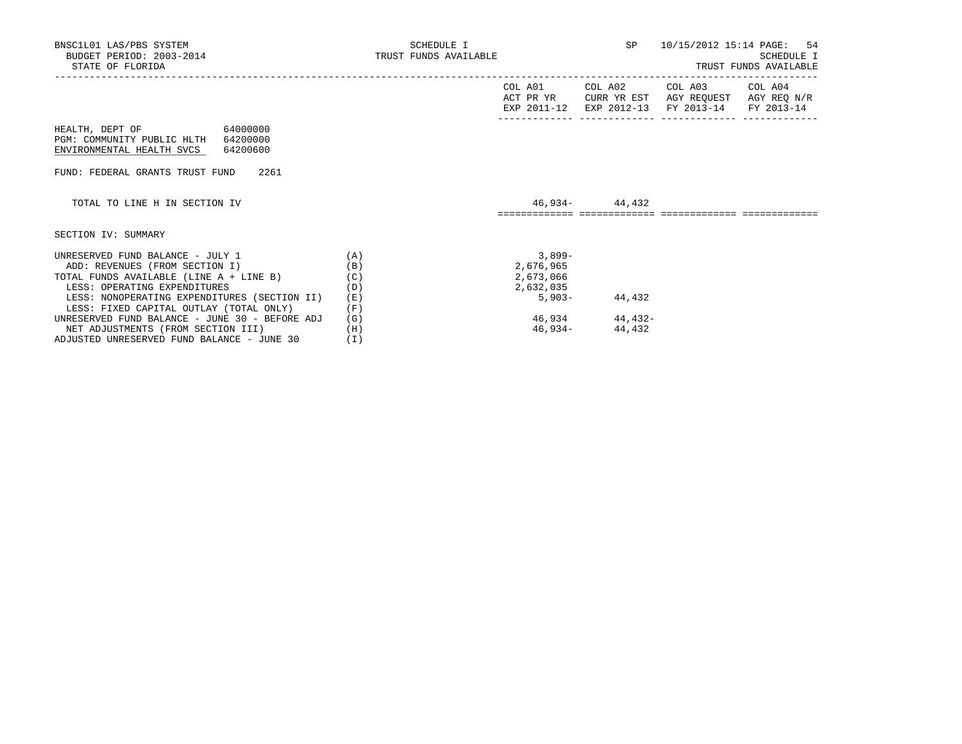| BNSC1L01 LAS/PBS SYSTEM<br>BUDGET PERIOD: 2003-2014<br>STATE OF FLORIDA                                                                       | SCHEDULE I<br>TRUST FUNDS AVAILABLE |                                                 |                   | SP 10/15/2012 15:14 PAGE: 54                                                                            | SCHEDULE I<br>TRUST FUNDS AVAILABLE |
|-----------------------------------------------------------------------------------------------------------------------------------------------|-------------------------------------|-------------------------------------------------|-------------------|---------------------------------------------------------------------------------------------------------|-------------------------------------|
|                                                                                                                                               |                                     | COL A01<br>ACT PR YR                            |                   | COL A02 COL A03<br>CURR YR EST AGY REQUEST AGY REQ N/R<br>EXP 2011-12 EXP 2012-13 FY 2013-14 FY 2013-14 | COL A04                             |
| HEALTH, DEPT OF 64000000<br>PGM: COMMUNITY PUBLIC HLTH 64200000<br>ENVIRONMENTAL HEALTH SVCS 64200600                                         |                                     |                                                 |                   |                                                                                                         |                                     |
| FUND: FEDERAL GRANTS TRUST FUND 2261                                                                                                          |                                     |                                                 |                   |                                                                                                         |                                     |
| TOTAL TO LINE H IN SECTION IV                                                                                                                 |                                     |                                                 | 46,934- 44,432    |                                                                                                         |                                     |
| SECTION IV: SUMMARY                                                                                                                           |                                     |                                                 |                   |                                                                                                         |                                     |
| UNRESERVED FUND BALANCE - JULY 1<br>ADD: REVENUES (FROM SECTION I)<br>TOTAL FUNDS AVAILABLE (LINE A + LINE B)<br>LESS: OPERATING EXPENDITURES | (A)<br>(B)<br>(C)<br>(D)            | $3,899-$<br>2,676,965<br>2,673,066<br>2,632,035 |                   |                                                                                                         |                                     |
| LESS: NONOPERATING EXPENDITURES (SECTION II)<br>LESS: FIXED CAPITAL OUTLAY (TOTAL ONLY)<br>UNRESERVED FUND BALANCE - JUNE 30 - BEFORE ADJ     | (E)<br>(F)<br>(G)                   | 5,903-<br>46,934                                | 44,432<br>44,432- |                                                                                                         |                                     |

NET ADJUSTMENTS (FROM SECTION III) (H) 46,934- 44,432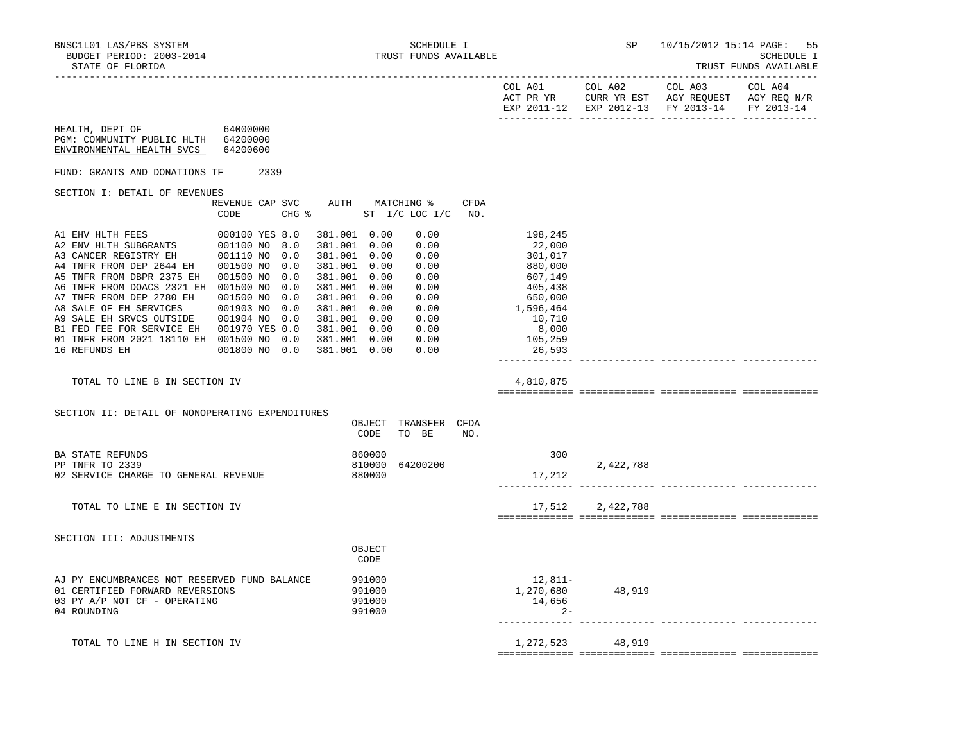HEALTH, DEPT OF 64000000

TRUST FUNDS AVAILABLE

| DIAID OF FIORIPA |     |                                     |         |                                                              | THODI I ONDO UATHUMUU                |
|------------------|-----|-------------------------------------|---------|--------------------------------------------------------------|--------------------------------------|
|                  |     | COL A01<br>ACT PR YR<br>EXP 2011-12 | COL A02 | COL A03<br>CURR YR EST AGY REOUEST<br>EXP 2012-13 FY 2013-14 | COL A04<br>AGY REO N/R<br>FY 2013-14 |
|                  | $-$ |                                     |         |                                                              |                                      |

| PGM: COMMUNITY PUBLIC HLTH<br>ENVIRONMENTAL HEALTH SVCS                                                                                                                                                                                                                            | 64200000<br>64200600                                                                                                            |      |                                               |                                                                                                                                                              |                                      |                                                                              |                    |                                                                                                          |                  |  |
|------------------------------------------------------------------------------------------------------------------------------------------------------------------------------------------------------------------------------------------------------------------------------------|---------------------------------------------------------------------------------------------------------------------------------|------|-----------------------------------------------|--------------------------------------------------------------------------------------------------------------------------------------------------------------|--------------------------------------|------------------------------------------------------------------------------|--------------------|----------------------------------------------------------------------------------------------------------|------------------|--|
| FUND: GRANTS AND DONATIONS TF                                                                                                                                                                                                                                                      |                                                                                                                                 | 2339 |                                               |                                                                                                                                                              |                                      |                                                                              |                    |                                                                                                          |                  |  |
| SECTION I: DETAIL OF REVENUES                                                                                                                                                                                                                                                      |                                                                                                                                 |      |                                               |                                                                                                                                                              |                                      |                                                                              |                    |                                                                                                          |                  |  |
|                                                                                                                                                                                                                                                                                    | REVENUE CAP SVC<br>CODE                                                                                                         |      | CHG %                                         |                                                                                                                                                              |                                      | AUTH MATCHING %<br>ST I/C LOC I/C                                            | <b>CFDA</b><br>NO. |                                                                                                          |                  |  |
| A1 EHV HLTH FEES<br>A2 ENV HLTH SUBGRANTS<br>A3 CANCER REGISTRY EH<br>A4 TNFR FROM DEP 2644 EH<br>A5 TNFR FROM DBPR 2375 EH<br>A6 TNFR FROM DOACS 2321 EH 001500 NO<br>A7 TNFR FROM DEP 2780 EH<br>A8 SALE OF EH SERVICES<br>A9 SALE EH SRVCS OUTSIDE<br>B1 FED FEE FOR SERVICE EH | 000100 YES 8.0<br>001100 NO 8.0<br>001110 NO<br>001500 NO<br>001500 NO<br>001500 NO<br>001903 NO<br>001904 NO<br>001970 YES 0.0 |      | 0.0<br>0.0<br>0.0<br>0.0<br>0.0<br>0.0<br>0.0 | 381.001 0.00<br>381.001 0.00<br>381.001 0.00<br>381.001 0.00<br>381.001 0.00<br>381.001 0.00<br>381.001 0.00<br>381.001 0.00<br>381.001 0.00<br>381.001 0.00 |                                      | 0.00<br>0.00<br>0.00<br>0.00<br>0.00<br>0.00<br>0.00<br>0.00<br>0.00<br>0.00 |                    | 198,245<br>22,000<br>301,017<br>880,000<br>607,149<br>405,438<br>650,000<br>1,596,464<br>10,710<br>8,000 |                  |  |
| 01 TNFR FROM 2021 18110 EH 001500 NO 0.0<br>16 REFUNDS EH                                                                                                                                                                                                                          | 001800 NO 0.0                                                                                                                   |      |                                               | 381.001 0.00<br>381.001 0.00                                                                                                                                 |                                      | 0.00<br>0.00                                                                 |                    | 105,259<br>26,593                                                                                        |                  |  |
| TOTAL TO LINE B IN SECTION IV                                                                                                                                                                                                                                                      |                                                                                                                                 |      |                                               |                                                                                                                                                              |                                      |                                                                              |                    | 4,810,875                                                                                                |                  |  |
| SECTION II: DETAIL OF NONOPERATING EXPENDITURES                                                                                                                                                                                                                                    |                                                                                                                                 |      |                                               |                                                                                                                                                              | OBJECT<br>CODE                       | TRANSFER CFDA<br>TO BE                                                       | NO.                |                                                                                                          |                  |  |
| <b>BA STATE REFUNDS</b><br>PP TNFR TO 2339<br>02 SERVICE CHARGE TO GENERAL REVENUE                                                                                                                                                                                                 |                                                                                                                                 |      |                                               |                                                                                                                                                              | 860000<br>810000<br>880000           | 64200200                                                                     |                    | 300<br>17,212                                                                                            | 2,422,788        |  |
| TOTAL TO LINE E IN SECTION IV                                                                                                                                                                                                                                                      |                                                                                                                                 |      |                                               |                                                                                                                                                              |                                      |                                                                              |                    | 17,512                                                                                                   | 2,422,788        |  |
| SECTION III: ADJUSTMENTS                                                                                                                                                                                                                                                           |                                                                                                                                 |      |                                               |                                                                                                                                                              | OBJECT<br>CODE                       |                                                                              |                    |                                                                                                          |                  |  |
| AJ PY ENCUMBRANCES NOT RESERVED FUND BALANCE<br>01 CERTIFIED FORWARD REVERSIONS<br>03 PY A/P NOT CF - OPERATING<br>04 ROUNDING                                                                                                                                                     |                                                                                                                                 |      |                                               |                                                                                                                                                              | 991000<br>991000<br>991000<br>991000 |                                                                              |                    | 12,811-<br>14,656<br>$2 -$                                                                               | 1,270,680 48,919 |  |
| TOTAL TO LINE H IN SECTION IV                                                                                                                                                                                                                                                      |                                                                                                                                 |      |                                               |                                                                                                                                                              |                                      |                                                                              |                    |                                                                                                          | 1,272,523 48,919 |  |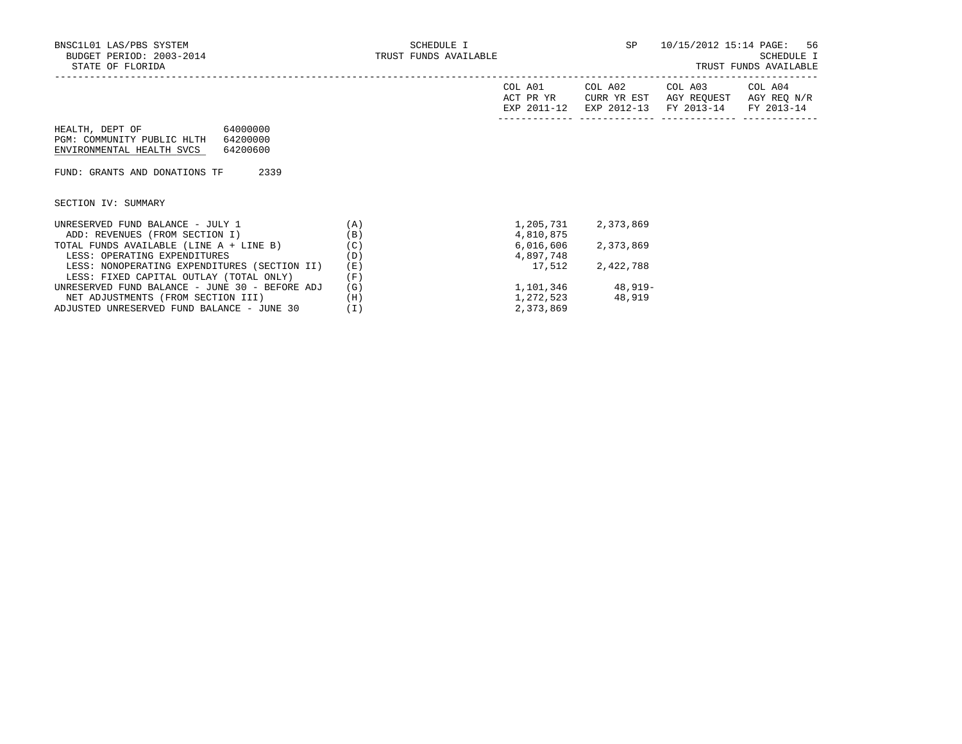| DIAIE OF FEORIDA                                                           |                                  |                                     |                        |                                                             | INUDI FUNDU AVAIDADIB  |
|----------------------------------------------------------------------------|----------------------------------|-------------------------------------|------------------------|-------------------------------------------------------------|------------------------|
|                                                                            |                                  | COL A01<br>ACT PR YR<br>EXP 2011-12 | COL A02<br>CURR YR EST | COL A03<br>AGY REOUEST<br>EXP 2012-13 FY 2013-14 FY 2013-14 | COL A04<br>AGY REO N/R |
| HEALTH, DEPT OF<br>PGM: COMMUNITY PUBLIC HLTH<br>ENVIRONMENTAL HEALTH SVCS | 64000000<br>64200000<br>64200600 |                                     |                        |                                                             |                        |

FUND: GRANTS AND DONATIONS TF 2339

SECTION IV: SUMMARY

| UNRESERVED FUND BALANCE - JULY 1               | 'A) | 1,205,731 | 2,373,869 |
|------------------------------------------------|-----|-----------|-----------|
| ADD: REVENUES (FROM SECTION I)                 | (B) | 4,810,875 |           |
| TOTAL FUNDS AVAILABLE (LINE A + LINE B)        | (C) | 6,016,606 | 2,373,869 |
| LESS: OPERATING EXPENDITURES                   | (D) | 4,897,748 |           |
| LESS: NONOPERATING EXPENDITURES (SECTION II)   | (E) | 17,512    | 2,422,788 |
| LESS: FIXED CAPITAL OUTLAY (TOTAL ONLY)        | (F) |           |           |
| UNRESERVED FUND BALANCE - JUNE 30 - BEFORE ADJ | (G) | 1,101,346 | $48.919-$ |
| NET ADJUSTMENTS (FROM SECTION III)             | (H) | 1,272,523 | 48,919    |
| ADJUSTED UNRESERVED FUND BALANCE - JUNE 30     |     | 2,373,869 |           |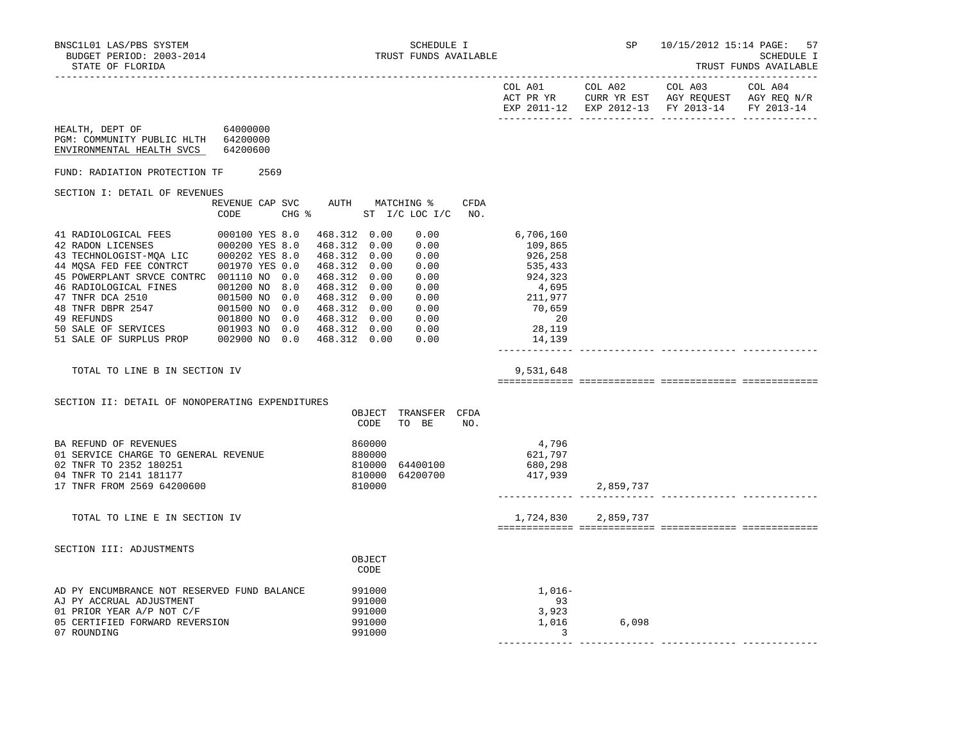| IRUSI FUNDS AVAILABLE |
|-----------------------|
|-----------------------|

|                                                                                                 |                |  |                 |                |                                 |      |                  |                     | COL A01 COL A02 COL A03<br>ACT PR YR CURR YR EST AGY REQUEST AGY REQ N/R<br>EXP 2011-12 EXP 2012-13 FY 2013-14 | COL A04<br>FY 2013-14 |
|-------------------------------------------------------------------------------------------------|----------------|--|-----------------|----------------|---------------------------------|------|------------------|---------------------|----------------------------------------------------------------------------------------------------------------|-----------------------|
| 64000000<br>HEALTH, DEPT OF<br>PGM: COMMUNITY PUBLIC HLTH 64200000<br>ENVIRONMENTAL HEALTH SVCS | 64200600       |  |                 |                |                                 |      |                  |                     |                                                                                                                |                       |
| FUND: RADIATION PROTECTION TF 2569                                                              |                |  |                 |                |                                 |      |                  |                     |                                                                                                                |                       |
| SECTION I: DETAIL OF REVENUES                                                                   |                |  |                 |                |                                 |      |                  |                     |                                                                                                                |                       |
|                                                                                                 |                |  |                 |                | REVENUE CAP SVC AUTH MATCHING % | CFDA |                  |                     |                                                                                                                |                       |
|                                                                                                 | CODE           |  | $CHG$ $\approx$ |                | ST I/C LOC I/C                  | NO.  |                  |                     |                                                                                                                |                       |
| 41 RADIOLOGICAL FEES                                                                            | 000100 YES 8.0 |  | 468.312 0.00    |                | 0.00                            |      | 6,706,160        |                     |                                                                                                                |                       |
| 41 RADIOLOGICAL FEES 000100 YES 8.0<br>42 RADON LICENSES 000200 YES 8.0                         |                |  | 468.312 0.00    |                | 0.00                            |      | 109,865          |                     |                                                                                                                |                       |
| 43 TECHNOLOGIST-MQA LIC 000202 YES 8.0<br>44 MQSA FED FEE CONTRCT 001970 YES 0.0                |                |  |                 |                | 468.312 0.00 0.00               |      | 926,258          |                     |                                                                                                                |                       |
|                                                                                                 |                |  | 468.312 0.00    |                | 0.00                            |      | 535,433          |                     |                                                                                                                |                       |
| 45 POWERPLANT SRVCE CONTRC 001110 NO 0.0                                                        |                |  | 468.312 0.00    |                | 0.00                            |      | 924,323          |                     |                                                                                                                |                       |
|                                                                                                 |                |  | 468.312 0.00    |                | 0.00<br>468.312  0.00  0.00     |      | 4,695<br>211,977 |                     |                                                                                                                |                       |
|                                                                                                 |                |  | 468.312 0.00    |                | 0.00                            |      | 70,659           |                     |                                                                                                                |                       |
|                                                                                                 |                |  |                 |                |                                 |      | 20               |                     |                                                                                                                |                       |
| 49 REFUNDS<br>49 REFUNDS<br>50 SALE OF SERVICES 001903 NO 0.0 468.312 0.00 0.00                 |                |  |                 |                |                                 |      | 28,119           |                     |                                                                                                                |                       |
| 51 SALE OF SURPLUS PROP 002900 NO 0.0 468.312 0.00 0.00                                         |                |  |                 |                |                                 |      | 14,139           |                     |                                                                                                                |                       |
|                                                                                                 |                |  |                 |                |                                 |      |                  |                     |                                                                                                                |                       |
| TOTAL TO LINE B IN SECTION IV                                                                   |                |  |                 |                |                                 |      | 9,531,648        |                     |                                                                                                                |                       |
|                                                                                                 |                |  |                 |                |                                 |      |                  |                     |                                                                                                                |                       |
| SECTION II: DETAIL OF NONOPERATING EXPENDITURES                                                 |                |  |                 |                |                                 |      |                  |                     |                                                                                                                |                       |
|                                                                                                 |                |  |                 | CODE           | OBJECT TRANSFER CFDA<br>TO BE   | NO.  |                  |                     |                                                                                                                |                       |
| BA REFUND OF REVENUES                                                                           |                |  |                 | 860000         |                                 |      | 4,796            |                     |                                                                                                                |                       |
| 01 SERVICE CHARGE TO GENERAL REVENUE                                                            |                |  |                 | 880000         |                                 |      | 621,797          |                     |                                                                                                                |                       |
| 02 TNFR TO 2352 180251                                                                          |                |  |                 |                | 810000 64400100                 |      | 680,298          |                     |                                                                                                                |                       |
| 04 TNFR TO 2141 181177                                                                          |                |  |                 |                | 810000 64200700                 |      | 417,939          |                     |                                                                                                                |                       |
| 17 TNFR FROM 2569 64200600                                                                      |                |  |                 | 810000         |                                 |      |                  | 2,859,737           |                                                                                                                |                       |
|                                                                                                 |                |  |                 |                |                                 |      |                  |                     |                                                                                                                |                       |
| TOTAL TO LINE E IN SECTION IV                                                                   |                |  |                 |                |                                 |      |                  | 1,724,830 2,859,737 |                                                                                                                |                       |
|                                                                                                 |                |  |                 |                |                                 |      |                  |                     |                                                                                                                |                       |
| SECTION III: ADJUSTMENTS                                                                        |                |  |                 |                |                                 |      |                  |                     |                                                                                                                |                       |
|                                                                                                 |                |  |                 | OBJECT<br>CODE |                                 |      |                  |                     |                                                                                                                |                       |
|                                                                                                 |                |  |                 |                |                                 |      |                  |                     |                                                                                                                |                       |
| AD PY ENCUMBRANCE NOT RESERVED FUND BALANCE                                                     |                |  | 991000          |                |                                 |      | $1,016-$         |                     |                                                                                                                |                       |
| AJ PY ACCRUAL ADJUSTMENT                                                                        |                |  |                 | 991000         |                                 |      | 93               |                     |                                                                                                                |                       |
| 01 PRIOR YEAR A/P NOT C/F                                                                       |                |  |                 | 991000         |                                 |      | 3,923            |                     |                                                                                                                |                       |
| 05 CERTIFIED FORWARD REVERSION                                                                  |                |  |                 | 991000         |                                 |      | 1,016            | 6,098               |                                                                                                                |                       |
| 07 ROUNDING                                                                                     |                |  |                 | 991000         |                                 |      | 3                |                     |                                                                                                                |                       |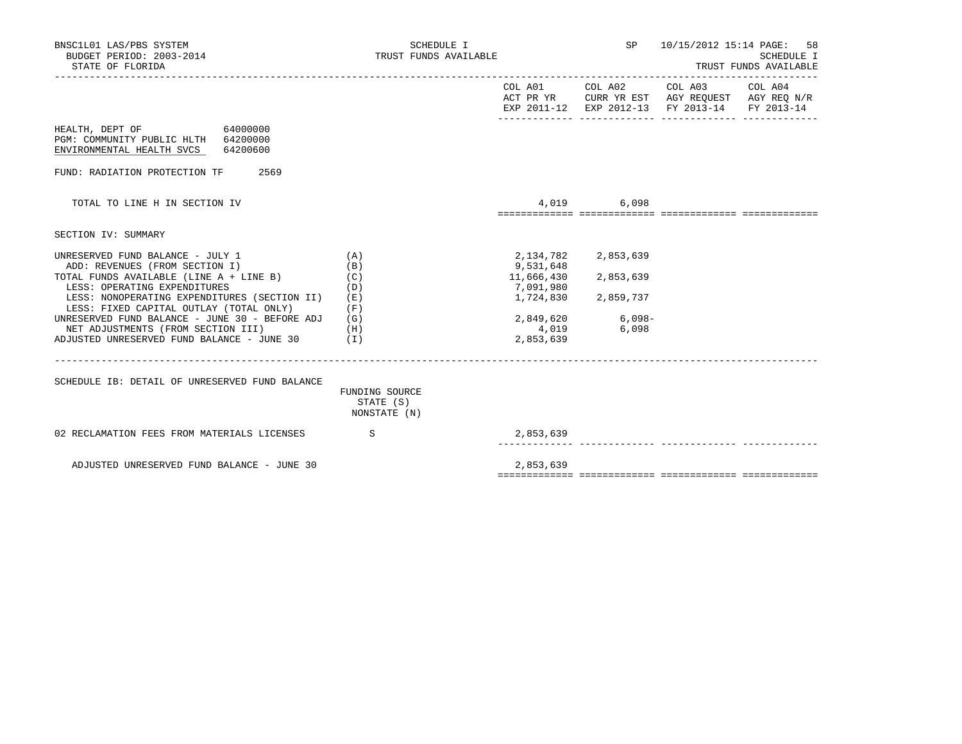|                                                         |                                      |                                     |             | SCHEDULE I<br>TRUST FUNDS AVAILABLE                                                                                                                                                   |
|---------------------------------------------------------|--------------------------------------|-------------------------------------|-------------|---------------------------------------------------------------------------------------------------------------------------------------------------------------------------------------|
|                                                         |                                      |                                     |             |                                                                                                                                                                                       |
|                                                         |                                      |                                     |             |                                                                                                                                                                                       |
|                                                         |                                      |                                     |             |                                                                                                                                                                                       |
|                                                         |                                      |                                     |             |                                                                                                                                                                                       |
|                                                         |                                      |                                     |             |                                                                                                                                                                                       |
| (A)<br>(B)<br>(C)                                       | 2,134,782<br>9,531,648<br>11,666,430 | 2,853,639<br>2,853,639              |             |                                                                                                                                                                                       |
| (D)<br>(E)<br>(F)                                       | 7,091,980<br>1,724,830               | 2,859,737                           |             |                                                                                                                                                                                       |
| (H)<br>ADJUSTED UNRESERVED FUND BALANCE - JUNE 30 $(1)$ | 4,019<br>2,853,639                   | 6,098                               |             |                                                                                                                                                                                       |
| FUNDING SOURCE<br>STATE (S)<br>NONSTATE (N)             |                                      |                                     |             |                                                                                                                                                                                       |
| $\mathbf S$                                             | 2,853,639                            |                                     |             |                                                                                                                                                                                       |
|                                                         | 2,853,639                            |                                     |             |                                                                                                                                                                                       |
|                                                         | (G)                                  | SCHEDULE I<br>TRUST FUNDS AVAILABLE | 4,019 6,098 | SP 10/15/2012 15:14 PAGE: 58<br>COL A01 COL A02 COL A03 COL A04<br>ACT PR YR CURR YR EST AGY REQUEST AGY REQ N/R<br>EXP 2011-12 EXP 2012-13 FY 2013-14 FY 2013-14<br>2,849,620 6,098- |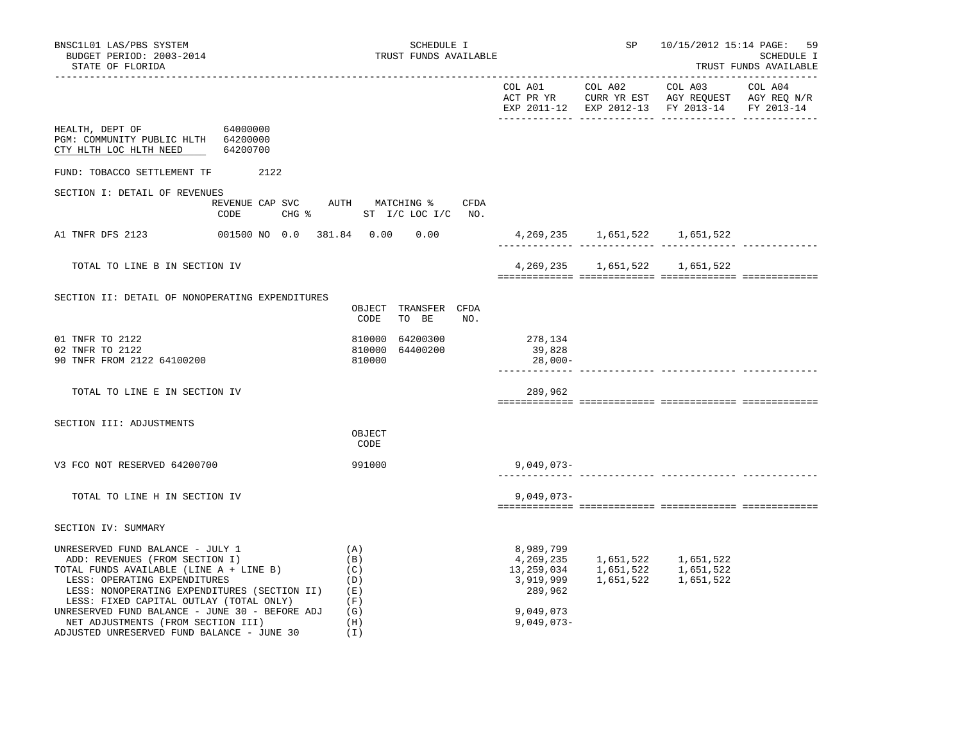| BNSC1L01 LAS/PBS SYSTEM<br>BUDGET PERIOD: 2003-2014<br>STATE OF FLORIDA                                                                                                                                                                                                                                                                                                        | SCHEDULE I<br>TRUST FUNDS AVAILABLE                              |                                                                                           | SP | 10/15/2012 15:14 PAGE: 59                                         | SCHEDULE I<br>TRUST FUNDS AVAILABLE |
|--------------------------------------------------------------------------------------------------------------------------------------------------------------------------------------------------------------------------------------------------------------------------------------------------------------------------------------------------------------------------------|------------------------------------------------------------------|-------------------------------------------------------------------------------------------|----|-------------------------------------------------------------------|-------------------------------------|
|                                                                                                                                                                                                                                                                                                                                                                                |                                                                  |                                                                                           |    | EXP 2011-12 EXP 2012-13 FY 2013-14                                | FY 2013-14                          |
| HEALTH, DEPT OF 64000000<br>PGM: COMMUNITY PUBLIC HLTH 64200000<br>CTY HLTH LOC HLTH NEED<br>64200700                                                                                                                                                                                                                                                                          |                                                                  |                                                                                           |    |                                                                   |                                     |
| FUND: TOBACCO SETTLEMENT TF 2122                                                                                                                                                                                                                                                                                                                                               |                                                                  |                                                                                           |    |                                                                   |                                     |
| SECTION I: DETAIL OF REVENUES<br>CODE                                                                                                                                                                                                                                                                                                                                          | REVENUE CAP SVC AUTH MATCHING % CFDA<br>CHG % ST I/C LOC I/C NO. |                                                                                           |    |                                                                   |                                     |
| A1 TNFR DFS 2123<br>001500 NO 0.0 381.84     0.00     0.00                                                                                                                                                                                                                                                                                                                     |                                                                  |                                                                                           |    | 4,269,235 1,651,522 1,651,522                                     |                                     |
| TOTAL TO LINE B IN SECTION IV                                                                                                                                                                                                                                                                                                                                                  |                                                                  |                                                                                           |    | 4, 269, 235 1, 651, 522 1, 651, 522                               |                                     |
| SECTION II: DETAIL OF NONOPERATING EXPENDITURES                                                                                                                                                                                                                                                                                                                                | OBJECT TRANSFER CFDA<br>TO BE<br>CODE<br>NO.                     |                                                                                           |    |                                                                   |                                     |
| 01 TNFR TO 2122<br>02 TNFR TO 2122<br>90 TNFR FROM 2122 64100200                                                                                                                                                                                                                                                                                                               | 810000 64200300<br>810000 64400200<br>810000                     | 278,134<br>39,828<br>28,000-                                                              |    |                                                                   |                                     |
| TOTAL TO LINE E IN SECTION IV                                                                                                                                                                                                                                                                                                                                                  |                                                                  | 289,962                                                                                   |    |                                                                   |                                     |
| SECTION III: ADJUSTMENTS                                                                                                                                                                                                                                                                                                                                                       | OBJECT<br>CODE                                                   |                                                                                           |    |                                                                   |                                     |
| V3 FCO NOT RESERVED 64200700                                                                                                                                                                                                                                                                                                                                                   | 991000                                                           | $9,049,073-$                                                                              |    |                                                                   |                                     |
| TOTAL TO LINE H IN SECTION IV                                                                                                                                                                                                                                                                                                                                                  |                                                                  | $9,049,073-$                                                                              |    |                                                                   |                                     |
| SECTION IV: SUMMARY                                                                                                                                                                                                                                                                                                                                                            |                                                                  |                                                                                           |    |                                                                   |                                     |
| UNRESERVED FUND BALANCE - JULY 1<br>ADD: REVENUES (FROM SECTION I)<br>TOTAL FUNDS AVAILABLE (LINE A + LINE B)<br>LESS: OPERATING EXPENDITURES<br>LESS: NONOPERATING EXPENDITURES (SECTION II)<br>LESS: FIXED CAPITAL OUTLAY (TOTAL ONLY)<br>UNRESERVED FUND BALANCE - JUNE 30 - BEFORE ADJ<br>NET ADJUSTMENTS (FROM SECTION III)<br>ADJUSTED UNRESERVED FUND BALANCE - JUNE 30 | (A)<br>(B)<br>(C)<br>(D)<br>(E)<br>(F)<br>(G)<br>(H)<br>(I)      | 8,989,799<br>4,269,235<br>13,259,034<br>3,919,999<br>289,962<br>9,049,073<br>$9,049,073-$ |    | 1,651,522 1,651,522<br>1,651,522 1,651,522<br>1,651,522 1,651,522 |                                     |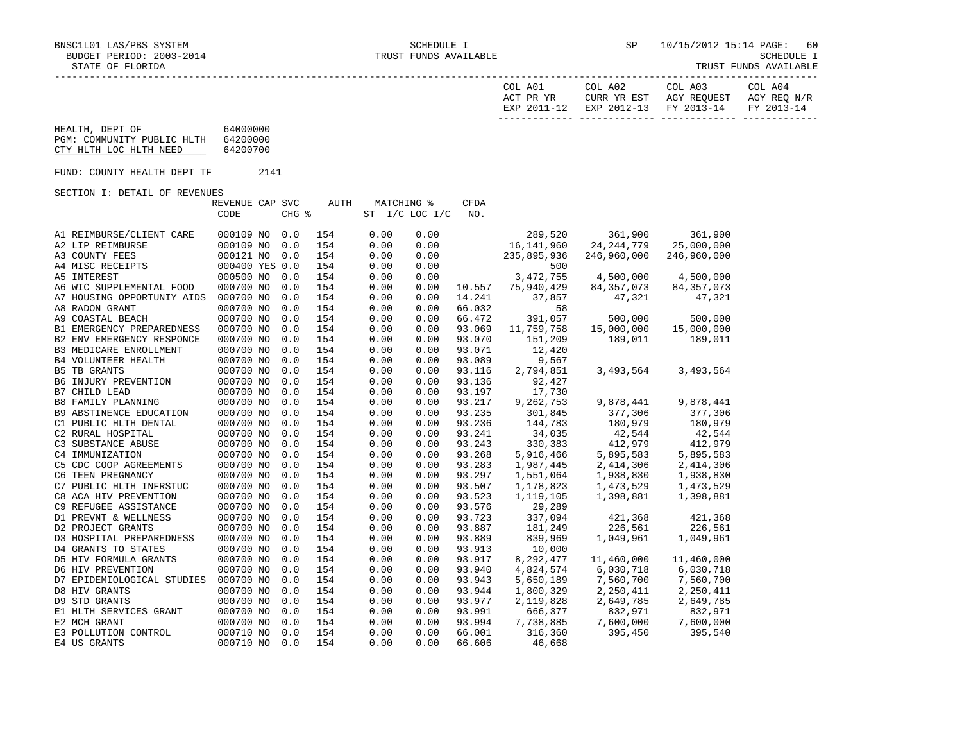| COL A01     | COL A02 | COL A03                           | COL A04     |
|-------------|---------|-----------------------------------|-------------|
| ACT PR YR   |         | CURR YR EST AGY REQUEST           | AGY REO N/R |
| EXP 2011-12 |         | EXP 2012-13 FY 2013-14 FY 2013-14 |             |
|             |         |                                   |             |

#### HEALTH, DEPT OF 64000000 PGM: COMMUNITY PUBLIC HLTH 64200000 CTY HLTH LOC HLTH NEED 64200700 FUND: COUNTY HEALTH DEPT TF 2141 SECTION I: DETAIL OF REVENUES REVENUE CAP SVC AUTH MATCHING % CFDA CODE CHG % ST I/C LOC I/C NO. A1 REIMBURSE/CLIENT CARE 000109 NO 0.0 154 0.00 0.00 289,520 361,900 361,900 A2 LIP REIMBURSE 000109 NO 0.0 154 0.00 0.00 16,141,960 24,244,779 25,000,000 A3 COUNTY FEES 000121 NO 0.0 154 0.00 0.00 235,895,936 246,960,000 246,960,000 A4 MISC RECEIPTS 000400 YES 0.0 154 0.00 0.00 500 A5 INTEREST 000500 NO 0.0 154 0.00 0.00 3,472,755 4,500,000 4,500,000 A6 WIC SUPPLEMENTAL FOOD 000700 NO 0.0 154 0.00 0.00 10.557 75,940,429 84,357,073 84,357,073 A7 HOUSING OPPORTUNIY AIDS 000700 NO 0.0 154 0.00 0.00 14.241 37,857 47,321 47,321 A8 RADON GRANT 000700 NO 0.0 154 0.00 0.00 66.032 58 A9 COASTAL BEACH 000700 NO 0.0 154 0.00 0.00 66.472 391,057 500,000 500,000 B1 EMERGENCY PREPAREDNESS 000700 NO 0.0 154 0.00 0.00 93.069 11,759,758 15,000,000 15,000,000 B2 ENV EMERGENCY RESPONCE 000700 NO 0.0 154 0.00 0.00 93.070 151,209 189,011 189,011 B3 MEDICARE ENROLLMENT 000700 NO 0.0 154 0.00 0.00 93.071 12,420 B4 VOLUNTEER HEALTH 000700 NO 0.0 154 0.00 0.00 93.089 9,567 B5 TB GRANTS 000700 NO 0.0 154 0.00 0.00 93.116 2,794,851 3,493,564 3,493,564 B6 INJURY PREVENTION 000700 NO 0.0 154 0.00 0.00 93.136 92,427 B7 CHILD LEAD 000700 NO 0.0 154 0.00 0.00 93.197 17,730 B8 FAMILY PLANNING 000700 NO 0.0 154 0.00 0.00 93.217 9,262,753 9,878,441 9,878,441 B9 ABSTINENCE EDUCATION 000700 NO 0.0 154 0.00 0.00 93.235 301,845 377,306 377,306 377,306<br>C1 PUBLIC HLTH DENTAL 000700 NO 0.0 154 0.00 0.00 93.236 144,783 180,979 180,979<br>C2 RURAL HOSPITAL 000700 NO 0.0 154 0.00 0.00 93.2 C1 PUBLIC HLTH DENTAL 000700 NO 0.0 154 0.00 0.00 93.236 144,783 C2 RURAL HOSPITAL 000700 NO 0.0 154 0.00 0.00 93.241 34,035 42,544 42,544 C3 SUBSTANCE ABUSE 000700 NO 0.0 154 0.00 0.00 93.243 330,383 412,979 412,979 C4 IMMUNIZATION 000700 NO 0.0 154 0.00 0.00 93.268 5,916,466 5,895,583 5,895,583 C5 CDC COOP AGREEMENTS 000700 NO 0.0 154 0.00 0.00 93.283 1,987,445 2,414,306 2,414,306 C6 TEEN PREGNANCY 000700 NO 0.0 154 0.00 0.00 93.297 1,551,064 1,938,830 1,938,830 C7 PUBLIC HLTH INFRSTUC 000700 NO 0.0 154 0.00 0.00 93.507 1,178,823 1,473,529 1,473,529 C8 ACA HIV PREVENTION 000700 NO 0.0 154 0.00 0.00 93.523 1,119,105 1,398,881 1,398,881 C9 REFUGEE ASSISTANCE 000700 NO 0.0 154 0.00 0.00 93.576 29,289 D1 PREVNT & WELLNESS 000700 NO 0.0 154 0.00 0.00 93.723 337,094 421,368 421,368 D2 PROJECT GRANTS 000700 NO 0.0 154 0.00 0.00 93.887 181,249 226,561 226,561 D3 HOSPITAL PREPAREDNESS 000700 NO 0.0 154 0.00 0.00 93.889 839,969 1,049,961 1,049,961 D4 GRANTS TO STATES 000700 NO 0.0 154 0.00 0.00 93.913 10,000 D5 HIV FORMULA GRANTS 000700 NO 0.0 154 0.00 0.00 93.917 8,292,477 11,460,000 11,460,000 D6 HIV PREVENTION 000700 NO 0.0 154 0.00 0.00 93.940 4,824,574 6,030,718 6,030,718 D7 EPIDEMIOLOGICAL STUDIES 000700 NO 0.0 154 0.00 0.00 93.943 5,650,189 7,560,700 7,560,700 D8 HIV GRANTS 000700 NO 0.0 154 0.00 0.00 93.944 1,800,329 2,250,411 2,250,411 D9 STD GRANTS 000700 NO 0.0 154 0.00 0.00 93.977 2,119,828 2,649,785 2,649,785 E1 HLTH SERVICES GRANT 000700 NO 0.0 154 0.00 0.00 93.991 666,377 832,971 832,971 E2 MCH GRANT 000700 NO 0.0 154 0.00 0.00 93.994 7,738,885 7,600,000 7,600,000 E3 POLLUTION CONTROL 000710 NO 0.0 154 0.00 0.00 66.001 316,360 395,450 395,540 E4 US GRANTS 000710 NO 0.0 154 0.00 0.00 66.606 46,668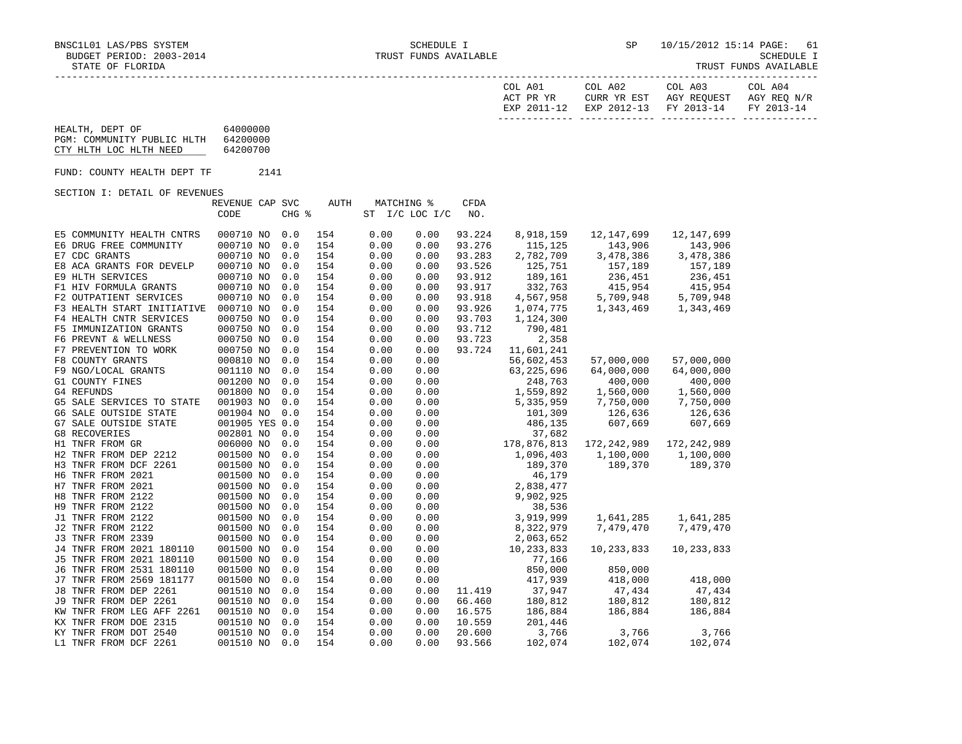| .<br>'LORIDA | TRUST. | YUNDS. | -------- |
|--------------|--------|--------|----------|
|              |        |        |          |

|                                                                         |                                  |            |            |              |                |                    | COL A01<br>ACT PR YR | COL A02<br>CURR YR EST<br>EXP 2011-12 EXP 2012-13 FY 2013-14 | COL A03<br>AGY REQUEST | COL A04<br>AGY REQ N/R<br>FY 2013-14 |
|-------------------------------------------------------------------------|----------------------------------|------------|------------|--------------|----------------|--------------------|----------------------|--------------------------------------------------------------|------------------------|--------------------------------------|
| HEALTH, DEPT OF<br>PGM: COMMUNITY PUBLIC HLTH<br>CTY HLTH LOC HLTH NEED | 64000000<br>64200000<br>64200700 |            |            |              |                |                    |                      |                                                              |                        | -------------                        |
| FUND: COUNTY HEALTH DEPT TF                                             | 2141                             |            |            |              |                |                    |                      |                                                              |                        |                                      |
| SECTION I: DETAIL OF REVENUES                                           |                                  |            |            |              |                |                    |                      |                                                              |                        |                                      |
|                                                                         | REVENUE CAP SVC<br>CODE          | CHG %      | AUTH       | MATCHING %   | ST I/C LOC I/C | <b>CFDA</b><br>NO. |                      |                                                              |                        |                                      |
| E5 COMMUNITY HEALTH CNTRS                                               | 000710 NO                        | 0.0        | 154        | 0.00         | 0.00           | 93.224             | 8,918,159            | 12,147,699                                                   | 12,147,699             |                                      |
| E6 DRUG FREE COMMUNITY                                                  | 000710 NO                        | 0.0        | 154        | 0.00         | 0.00           | 93.276             | 115,125              | 143,906                                                      | 143,906                |                                      |
| E7 CDC GRANTS                                                           | 000710 NO                        | 0.0        | 154        | 0.00         | 0.00           | 93.283             | 2,782,709            | 3,478,386                                                    | 3,478,386              |                                      |
| E8 ACA GRANTS FOR DEVELP                                                | 000710 NO                        | 0.0<br>0.0 | 154        | 0.00         | 0.00           | 93.526             | 125,751<br>189,161   | 157,189                                                      | 157,189<br>236,451     |                                      |
| E9 HLTH SERVICES<br>F1 HIV FORMULA GRANTS                               | 000710 NO<br>000710 NO           | 0.0        | 154<br>154 | 0.00<br>0.00 | 0.00<br>0.00   | 93.912<br>93.917   | 332,763              | 236,451<br>415,954                                           | 415,954                |                                      |
| F2 OUTPATIENT SERVICES                                                  | 000710 NO                        | 0.0        | 154        | 0.00         | 0.00           | 93.918             | 4,567,958            | $\overline{5}$<br>5,709,948                                  | 5,709,948              |                                      |
| F3 HEALTH START INITIATIVE                                              | 000710 NO                        | 0.0        | 154        | 0.00         | 0.00           | 93.926             | 1,074,775            | 1,343,469                                                    | 1,343,469              |                                      |
| F4 HEALTH CNTR SERVICES                                                 | 000750 NO                        | 0.0        | 154        | 0.00         | 0.00           | 93.703             | 1,124,300            |                                                              |                        |                                      |
| F5 IMMUNIZATION GRANTS                                                  | 000750 NO                        | 0.0        | 154        | 0.00         | 0.00           | 93.712             | 790,481              |                                                              |                        |                                      |
| F6 PREVNT & WELLNESS                                                    | 000750 NO                        | 0.0        | 154        | 0.00         | 0.00           | 93.723             | 2,358                |                                                              |                        |                                      |
| F7 PREVENTION TO WORK                                                   | 000750 NO                        | 0.0        | 154        | 0.00         | 0.00           | 93.724             | 11,601,241           |                                                              |                        |                                      |
| F8 COUNTY GRANTS                                                        | 000810 NO                        | 0.0        | 154        | 0.00         | 0.00           |                    | 56,602,453           | 57,000,000                                                   | 57,000,000             |                                      |
| F9 NGO/LOCAL GRANTS                                                     | 001110 NO                        | 0.0        | 154        | 0.00         | 0.00           |                    | 63, 225, 696         | 64,000,000                                                   | 64,000,000             |                                      |
| G1 COUNTY FINES                                                         | 001200 NO                        | 0.0        | 154        | 0.00         | 0.00           |                    | 248,763              | 400,000                                                      | 400,000                |                                      |
| G4 REFUNDS                                                              | 001800 NO                        | 0.0        | 154        | 0.00         | 0.00           |                    | 1,559,892            | 1,560,000                                                    | 1,560,000              |                                      |
| G5 SALE SERVICES TO STATE                                               | 001903 NO                        | 0.0        | 154        | 0.00         | 0.00           |                    | 5,335,959            | 7,750,000                                                    | 7,750,000              |                                      |
| G6 SALE OUTSIDE STATE                                                   | 001904 NO                        | 0.0        | 154        | 0.00         | 0.00           |                    | 101,309              | 126,636<br>607,669                                           | 126,636                |                                      |
| G7 SALE OUTSIDE STATE                                                   | 001905 YES 0.0                   |            | 154        | 0.00         | 0.00           |                    | 486,135              |                                                              | 607,669                |                                      |
| G8 RECOVERIES                                                           | 002801 NO                        | 0.0        | 154        | 0.00         | 0.00           |                    | 37,682               |                                                              |                        |                                      |
| H1 TNFR FROM GR                                                         | 006000 NO                        | 0.0        | 154        | 0.00         | 0.00           |                    | 178,876,813          | 172,242,989                                                  | 172,242,989            |                                      |
| H2 TNFR FROM DEP 2212                                                   | 001500 NO                        | 0.0<br>0.0 | 154<br>154 | 0.00         | 0.00           |                    | 1,096,403            | 1,100,000<br>189,370                                         | 1,100,000              |                                      |
| H3 TNFR FROM DCF 2261<br>H6 TNFR FROM 2021                              | 001500 NO<br>001500 NO           | 0.0        | 154        | 0.00<br>0.00 | 0.00<br>0.00   |                    | 189,370<br>46,179    |                                                              | 189,370                |                                      |
| H7 TNFR FROM 2021                                                       | 001500 NO                        | 0.0        | 154        | 0.00         | 0.00           |                    | 2,838,477            |                                                              |                        |                                      |
| H8 TNFR FROM 2122                                                       | 001500 NO                        | 0.0        | 154        | 0.00         | 0.00           |                    | 9,902,925            |                                                              |                        |                                      |
| H9 TNFR FROM 2122                                                       | 001500 NO                        | 0.0        | 154        | 0.00         | 0.00           |                    | 38,536               |                                                              |                        |                                      |
| J1 TNFR FROM 2122                                                       | 001500 NO                        | 0.0        | 154        | 0.00         | 0.00           |                    | 3,919,999            | 1,641,285                                                    | 1,641,285              |                                      |
| J2 TNFR FROM 2122                                                       | 001500 NO                        | 0.0        | 154        | 0.00         | 0.00           |                    | 8,322,979            | 7,479,470                                                    | 7,479,470              |                                      |
| J3 TNFR FROM 2339                                                       | 001500 NO                        | 0.0        | 154        | 0.00         | 0.00           |                    | 2,063,652            |                                                              |                        |                                      |
| J4 TNFR FROM 2021 180110                                                | 001500 NO                        | 0.0        | 154        | 0.00         | 0.00           |                    | 10,233,833           | 10,233,833                                                   | 10,233,833             |                                      |
| J5 TNFR FROM 2021 180110                                                | 001500 NO                        | 0.0        | 154        | 0.00         | 0.00           |                    | 77,166               |                                                              |                        |                                      |
| J6 TNFR FROM 2531 180110                                                | 001500 NO                        | 0.0        | 154        | 0.00         | 0.00           |                    | 850,000              | 850,000                                                      |                        |                                      |
| J7 TNFR FROM 2569 181177                                                | 001500 NO                        | 0.0        | 154        | 0.00         | 0.00           |                    | 417,939              | 418,000                                                      | 418,000                |                                      |
| J8 TNFR FROM DEP 2261                                                   | 001510 NO                        | 0.0        | 154        | 0.00         | 0.00           | 11.419             | 37,947               | 47,434                                                       | 47,434                 |                                      |
| J9 TNFR FROM DEP 2261                                                   | 001510 NO                        | 0.0        | 154        | 0.00         | 0.00           | 66.460             | 180,812              | $180, 812$<br>$186, 884$                                     | 180,812                |                                      |
| KW TNFR FROM LEG AFF 2261                                               | 001510 NO                        | 0.0        | 154        | 0.00         | 0.00           | 16.575             | 186,884              |                                                              | 186,884                |                                      |
| KX TNFR FROM DOE 2315                                                   | 001510 NO                        | 0.0        | 154        | 0.00         | 0.00           | 10.559             | 201,446              |                                                              |                        |                                      |
| KY TNFR FROM DOT 2540<br>L1 TNFR FROM DCF 2261                          | 001510 NO<br>001510 NO           | 0.0<br>0.0 | 154<br>154 | 0.00<br>0.00 | 0.00<br>0.00   | 20.600<br>93.566   | 3,766<br>102,074     | 3,766<br>102,074                                             | 3,766<br>102,074       |                                      |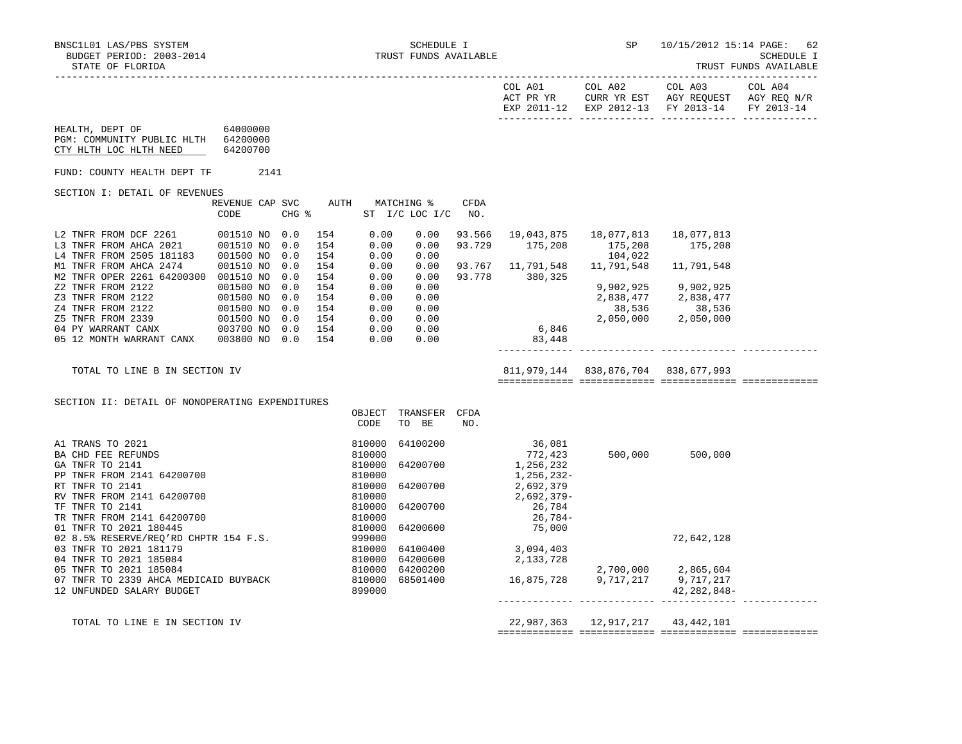|                                                                                              |                                                                  |            |                                                                                                                                 |                            |                                                                          |                  |                                                    | EXP 2011-12 EXP 2012-13 FY 2013-14                                               |                       | FY 2013-14 |
|----------------------------------------------------------------------------------------------|------------------------------------------------------------------|------------|---------------------------------------------------------------------------------------------------------------------------------|----------------------------|--------------------------------------------------------------------------|------------------|----------------------------------------------------|----------------------------------------------------------------------------------|-----------------------|------------|
| 64000000<br>HEALTH, DEPT OF<br>PGM: COMMUNITY PUBLIC HLTH 64200000<br>CTY HLTH LOC HLTH NEED | 64200700                                                         |            |                                                                                                                                 |                            |                                                                          |                  |                                                    |                                                                                  |                       |            |
| FUND: COUNTY HEALTH DEPT TF                                                                  |                                                                  | 2141       |                                                                                                                                 |                            |                                                                          |                  |                                                    |                                                                                  |                       |            |
| SECTION I: DETAIL OF REVENUES                                                                |                                                                  |            |                                                                                                                                 |                            |                                                                          |                  |                                                    |                                                                                  |                       |            |
|                                                                                              | REVENUE CAP SVC<br>CODE                                          |            | $CHG$ $\approx$                                                                                                                 |                            | AUTH MATCHING %<br>ST I/C LOC I/C NO.                                    | CFDA             |                                                    |                                                                                  |                       |            |
| L2 TNFR FROM DCF 2261<br>L3 TNFR FROM AHCA 2021 001510 NO 0.0<br>L4 TNFR FROM 2505 181183    | 001510 NO 0.0<br>001500 NO                                       | 0.0        | 154<br>154<br>154                                                                                                               | 0.00<br>0.00<br>0.00       | 0.00<br>0.00<br>0.00                                                     | 93.566<br>93.729 | a 3.729 175,208 175,208<br>104.022                 | 104,022                                                                          | 18,077,813<br>175,208 |            |
| M1 TNFR FROM AHCA 2474<br>M2 TNFR OPER 2261 64200300 001510 NO                               | 001510 NO                                                        | 0.0<br>0.0 | 154<br>154                                                                                                                      | 0.00<br>0.00               | 0.00<br>0.00                                                             |                  | 93.778 380,325                                     | 93.767 11,791,548 11,791,548 11,791,548                                          |                       |            |
| Z2 TNFR FROM 2122<br>Z3 TNFR FROM 2122<br>Z4 TNFR FROM 2122                                  | 001500 NO 0.0<br>001500 NO 0.0<br>001500 NO 0.0<br>001500 NO 0.0 |            | 154<br>154<br>154                                                                                                               | 0.00<br>0.00<br>0.00       | 0.00<br>0.00<br>0.00                                                     |                  |                                                    | 9,902,925 9,902,925<br>2,838,477<br>38,536 38,536<br>2,050,000 2,050,000         |                       |            |
| Z5 TNFR FROM 2339<br>04 PY WARRANT CANX<br>05 12 MONTH WARRANT CANX                          | 003700 NO 0.0 154<br>003800 NO 0.0 154                           |            | 154                                                                                                                             |                            | $\begin{array}{ccc} 0.00 & 0.00 \ 0.00 & 0.00 \ 0.00 & 0.00 \end{array}$ |                  | 6,846<br>83,448                                    |                                                                                  |                       |            |
| TOTAL TO LINE B IN SECTION IV                                                                |                                                                  |            |                                                                                                                                 |                            |                                                                          |                  |                                                    | 811,979,144 838,876,704 838,677,993                                              |                       |            |
| SECTION II: DETAIL OF NONOPERATING EXPENDITURES                                              |                                                                  |            |                                                                                                                                 |                            |                                                                          |                  |                                                    |                                                                                  |                       |            |
|                                                                                              |                                                                  |            |                                                                                                                                 | OBJECT<br>CODE             | TRANSFER CFDA<br>TO BE                                                   | NO.              |                                                    |                                                                                  |                       |            |
| A1 TRANS TO 2021<br>BA CHD FEE REFUNDS                                                       |                                                                  |            |                                                                                                                                 | 810000<br>810000           | 64100200                                                                 |                  | 36,081<br>772,423                                  | 500,000 500,000                                                                  |                       |            |
| GA TNFR TO 2141<br>PP TNFR FROM 2141 64200700<br>RT TNFR TO 2141                             |                                                                  |            |                                                                                                                                 | 810000<br>810000<br>810000 | 64200700<br>64200700                                                     |                  | 1,256,232<br>1,256,232-<br>2,692,379<br>2,692,379– |                                                                                  |                       |            |
| RV TNFR FROM 2141 64200700<br>TF TNFR TO 2141<br>TR TNFR FROM 2141 64200700                  |                                                                  |            |                                                                                                                                 | 810000<br>810000           | 64200700                                                                 |                  | 26,784<br>26,784-                                  |                                                                                  |                       |            |
| 01 TNFR TO 2021 180445<br>02 8.5% RESERVE/REQ'RD CHPTR 154 F.S.<br>03 TNFR TO 2021 181179    |                                                                  |            | $\begin{array}{r} 610000 \\ 810000 \\ 999000 \\ 999000 \\ 810000 \\ 810000 \\ 810000 \\ 810000 \\ 810000 \\ 840000 \end{array}$ |                            | 64200600<br>64100400                                                     |                  | 75,000                                             |                                                                                  | 72,642,128            |            |
| 04 TNFR TO 2021 185084                                                                       |                                                                  |            |                                                                                                                                 |                            | 64200600                                                                 |                  | 3,094,403<br>2,133,728                             |                                                                                  |                       |            |
| 05 TNFR TO 2021 185084<br>07 TNFR TO 2339 AHCA MEDICAID BUYBACK<br>12 UNFUNDED SALARY BUDGET |                                                                  |            |                                                                                                                                 | 899000                     | 64200200<br>68501400                                                     |                  |                                                    | 2,133,728<br>2,700,000 2,865,604<br>16,875,728 9,717,217 9,717,217<br>42.282,848 | 42,282,848-           |            |
| TOTAL TO LINE E IN SECTION IV                                                                |                                                                  |            |                                                                                                                                 |                            |                                                                          |                  |                                                    | 22,987,363  12,917,217  43,442,101                                               |                       |            |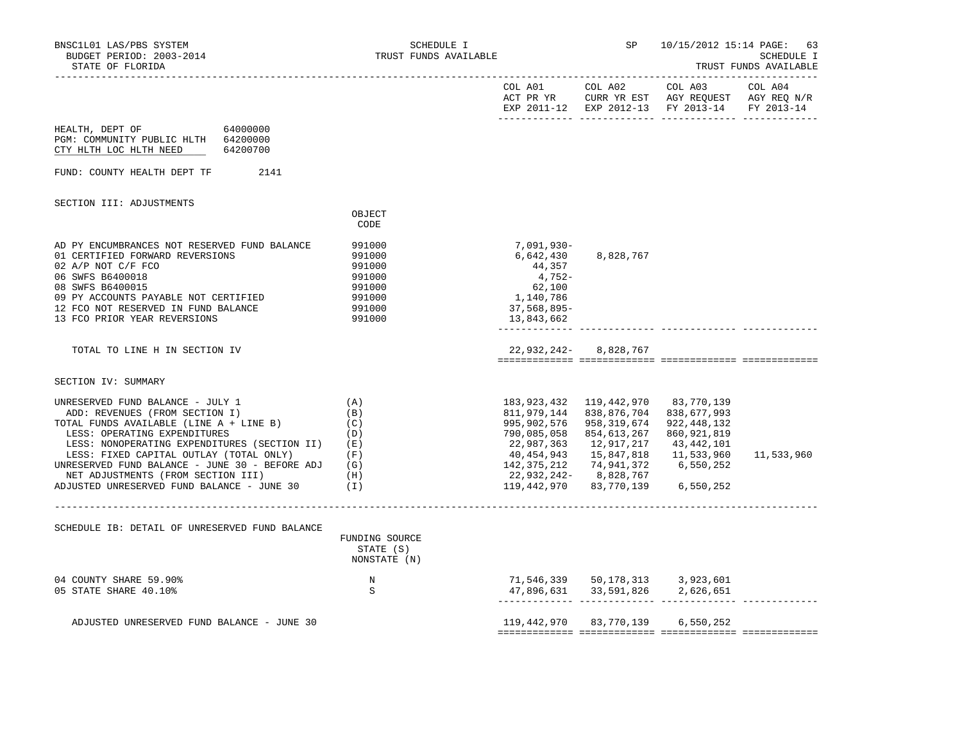| BNSC1L01 LAS/PBS SYSTEM<br>BUDGET PERIOD: 2003-2014<br>STATE OF FLORIDA                                                                                                                                                                                                                                                                                                              | SCHEDULE I<br>TRUST FUNDS AVAILABLE                                          |                                                                                                                             | SP –                                                                                                                         | 10/15/2012 15:14 PAGE:                                                                                          | 63<br>SCHEDULE I<br>TRUST FUNDS AVAILABLE |
|--------------------------------------------------------------------------------------------------------------------------------------------------------------------------------------------------------------------------------------------------------------------------------------------------------------------------------------------------------------------------------------|------------------------------------------------------------------------------|-----------------------------------------------------------------------------------------------------------------------------|------------------------------------------------------------------------------------------------------------------------------|-----------------------------------------------------------------------------------------------------------------|-------------------------------------------|
|                                                                                                                                                                                                                                                                                                                                                                                      |                                                                              |                                                                                                                             | COL A01 COL A02                                                                                                              | COL A03<br>ACT PR YR CURR YR EST AGY REQUEST AGY REQ N/R<br>EXP 2011-12 EXP 2012-13 FY 2013-14 FY 2013-14       | COL A04                                   |
| HEALTH, DEPT OF<br>64000000<br>PGM: COMMUNITY PUBLIC HLTH 64200000<br>CTY HLTH LOC HLTH NEED 64200700                                                                                                                                                                                                                                                                                |                                                                              |                                                                                                                             |                                                                                                                              |                                                                                                                 |                                           |
| FUND: COUNTY HEALTH DEPT TF<br>2141                                                                                                                                                                                                                                                                                                                                                  |                                                                              |                                                                                                                             |                                                                                                                              |                                                                                                                 |                                           |
| SECTION III: ADJUSTMENTS                                                                                                                                                                                                                                                                                                                                                             | OBJECT<br>CODE                                                               |                                                                                                                             |                                                                                                                              |                                                                                                                 |                                           |
| AD PY ENCUMBRANCES NOT RESERVED FUND BALANCE<br>01 CERTIFIED FORWARD REVERSIONS<br>02 A/P NOT C/F FCO<br>06 SWFS B6400018<br>08 SWFS B6400015<br>09 PY ACCOUNTS PAYABLE NOT CERTIFIED<br>12 FCO NOT RESERVED IN FUND BALANCE<br>13 FCO PRIOR YEAR REVERSIONS                                                                                                                         | 991000<br>991000<br>991000<br>991000<br>991000<br>991000<br>991000<br>991000 | 7,091,930-<br>6,642,430<br>44,357<br>4,752-<br>62,100<br>1,140,786<br>37,568,895-<br>13,843,662                             | 8,828,767                                                                                                                    |                                                                                                                 |                                           |
| TOTAL TO LINE H IN SECTION IV                                                                                                                                                                                                                                                                                                                                                        |                                                                              |                                                                                                                             | 22,932,242-8,828,767                                                                                                         |                                                                                                                 |                                           |
| SECTION IV: SUMMARY                                                                                                                                                                                                                                                                                                                                                                  |                                                                              |                                                                                                                             |                                                                                                                              |                                                                                                                 |                                           |
| UNRESERVED FUND BALANCE - JULY 1<br>ADD: REVENUES (FROM SECTION I)<br>TOTAL FUNDS AVAILABLE (LINE A + LINE B)<br>LESS: OPERATING EXPENDITURES<br>LESS: NONOPERATING EXPENDITURES (SECTION II)<br>LESS: FIXED CAPITAL OUTLAY (TOTAL ONLY)<br>UNRESERVED FUND BALANCE - JUNE 30 - BEFORE ADJ $(G)$<br>NET ADJUSTMENTS (FROM SECTION III)<br>ADJUSTED UNRESERVED FUND BALANCE - JUNE 30 | (A)<br>(B)<br>(C)<br>(D)<br>(E)<br>(F)<br>(H)<br>(1)                         | 183,923,432<br>995,902,576<br>790,085,058<br>22,987,363<br>40,454,943<br>142,375,212<br>22,932,242-8,828,767<br>119,442,970 | 119,442,970<br>811,979,144 838,876,704<br>958,319,674<br>854,613,267<br>12,917,217<br>15,847,818<br>74,941,372<br>83,770,139 | 83,770,139<br>838,677,993<br>922, 448, 132<br>860,921,819<br>43,442,101<br>11,533,960<br>6,550,252<br>6,550,252 | 11,533,960                                |
| SCHEDULE IB: DETAIL OF UNRESERVED FUND BALANCE                                                                                                                                                                                                                                                                                                                                       | FUNDING SOURCE<br>STATE (S)<br>NONSTATE (N)                                  |                                                                                                                             |                                                                                                                              |                                                                                                                 |                                           |
| 04 COUNTY SHARE 59.90%<br>05 STATE SHARE 40.10%                                                                                                                                                                                                                                                                                                                                      | N<br>S                                                                       |                                                                                                                             | 71,546,339 50,178,313 3,923,601                                                                                              |                                                                                                                 |                                           |
| ADJUSTED UNRESERVED FUND BALANCE - JUNE 30                                                                                                                                                                                                                                                                                                                                           |                                                                              |                                                                                                                             | 119,442,970 83,770,139 6,550,252                                                                                             |                                                                                                                 |                                           |
|                                                                                                                                                                                                                                                                                                                                                                                      |                                                                              |                                                                                                                             |                                                                                                                              |                                                                                                                 |                                           |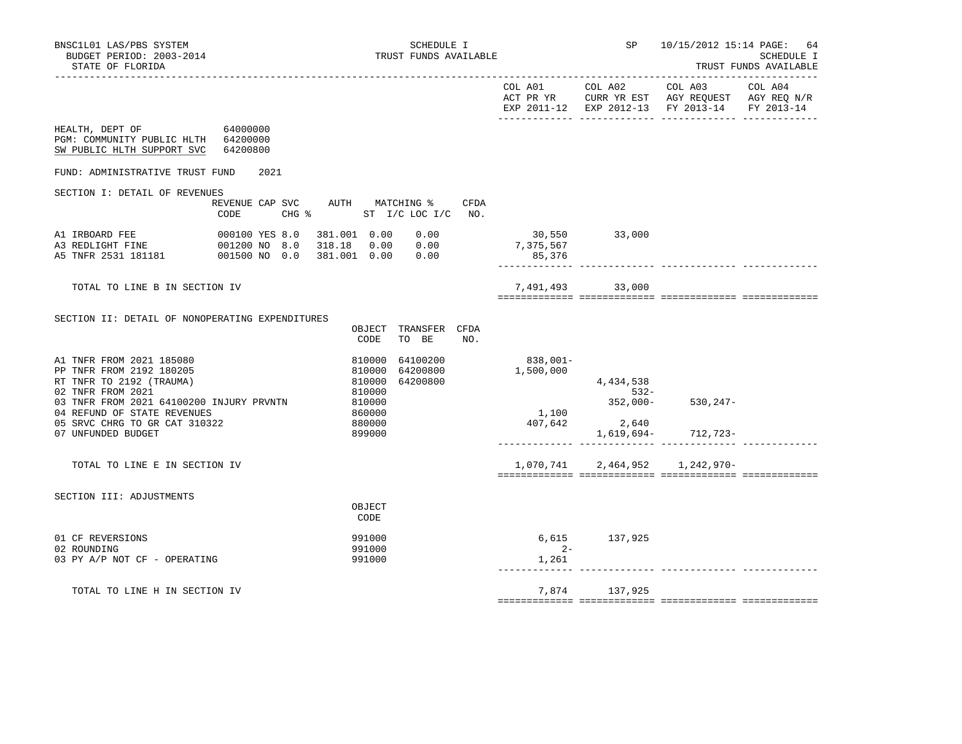|                                                                                                                                                                        |                                      |                                      | EXP 2011-12 EXP 2012-13 FY 2013-14 |                                         | FY 2013-14 |
|------------------------------------------------------------------------------------------------------------------------------------------------------------------------|--------------------------------------|--------------------------------------|------------------------------------|-----------------------------------------|------------|
| HEALTH, DEPT OF<br>64000000<br>PGM: COMMUNITY PUBLIC HLTH 64200000<br>SW PUBLIC HLTH SUPPORT SVC<br>64200800                                                           |                                      |                                      |                                    |                                         |            |
| FUND: ADMINISTRATIVE TRUST FUND<br>2021                                                                                                                                |                                      |                                      |                                    |                                         |            |
| SECTION I: DETAIL OF REVENUES<br>REVENUE CAP SVC AUTH MATCHING %<br>CHG % ST I/C LOC I/C NO.<br>CODE                                                                   | CFDA                                 |                                      |                                    |                                         |            |
| 381.001  0.00  0.00<br>A1 IRBOARD FEE<br>000100 YES 8.0<br>Al indeed : _<br>A3 REDLIGHT FINE 001200 NO 8.0<br>** TNEP 2531 181181 001500 NO 0.0                        |                                      | 30,550 33,000<br>7,375,567<br>85,376 |                                    |                                         |            |
| TOTAL TO LINE B IN SECTION IV                                                                                                                                          |                                      |                                      | 7,491,493 33,000                   |                                         |            |
| SECTION II: DETAIL OF NONOPERATING EXPENDITURES                                                                                                                        |                                      |                                      |                                    |                                         |            |
| CODE                                                                                                                                                                   | OBJECT TRANSFER CFDA<br>TO BE<br>NO. |                                      |                                    |                                         |            |
| 810000<br>A1 TNFR FROM 2021 185080<br>PP TNFR FROM 2192 180205<br>810000<br>RT TNFR TO 2192 (TRAUMA)<br>810000<br>02 TNFR FROM 2021<br>810000                          | 64100200<br>64200800<br>64200800     | 838,001-<br>1,500,000                | 4,434,538<br>$532 -$               |                                         |            |
| 03 TNFR FROM 2021 64100200 INJURY PRVNTN<br>810000<br>04 REFUND OF STATE REVENUES<br>860000<br>05 SRVC CHRG TO GR CAT 310322<br>880000<br>07 UNFUNDED BUDGET<br>899000 |                                      | 1,100<br>407,642                     | 2,640                              | 352,000-530,247-<br>1,619,694- 712,723- |            |
| TOTAL TO LINE E IN SECTION IV                                                                                                                                          |                                      |                                      | 1,070,741 2,464,952 1,242,970-     |                                         |            |
| SECTION III: ADJUSTMENTS<br>OBJECT<br>CODE                                                                                                                             |                                      |                                      |                                    |                                         |            |
| 01 CF REVERSIONS<br>991000<br>02 ROUNDING<br>991000<br>03 PY A/P NOT CF - OPERATING<br>991000                                                                          |                                      | $2 -$<br>1,261                       | 6,615 137,925                      |                                         |            |
| TOTAL TO LINE H IN SECTION IV                                                                                                                                          |                                      |                                      | 7,874 137,925                      |                                         |            |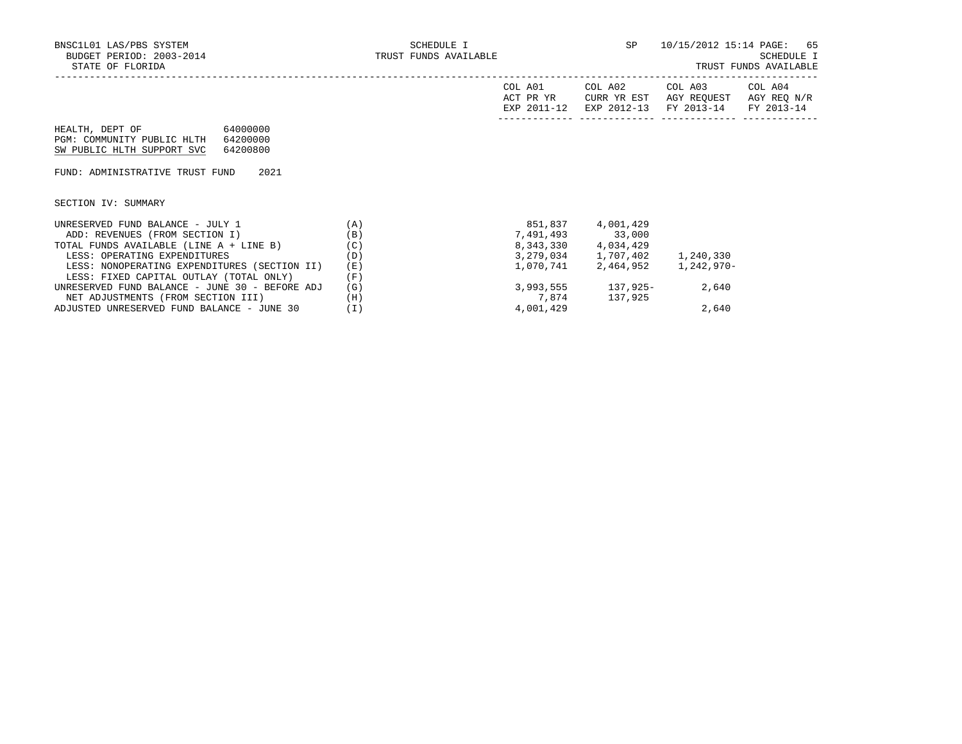| COL A01<br>ACT PR YR | COL A02<br>CURR YR EST            | COL A03<br>AGY REOUEST | COL A04<br>AGY REO N/R |
|----------------------|-----------------------------------|------------------------|------------------------|
| EXP 2011-12          | EXP 2012-13 FY 2013-14 FY 2013-14 |                        |                        |

HEALTH, DEPT OF 64000000 PGM: COMMUNITY PUBLIC HLTH 64200000 SW PUBLIC HLTH SUPPORT SVC 64200800

FUND: ADMINISTRATIVE TRUST FUND 2021

SECTION IV: SUMMARY

| UNRESERVED FUND BALANCE - JULY 1               | (A)   | 851,837   | 4,001,429   |            |
|------------------------------------------------|-------|-----------|-------------|------------|
| ADD: REVENUES (FROM SECTION I)                 | (B)   | 7,491,493 | 33,000      |            |
| TOTAL FUNDS AVAILABLE (LINE A + LINE B)        | (C)   | 8,343,330 | 4,034,429   |            |
| LESS: OPERATING EXPENDITURES                   | (D)   | 3,279,034 | 1,707,402   | 1,240,330  |
| LESS: NONOPERATING EXPENDITURES (SECTION II)   | (E)   | 1,070,741 | 2,464,952   | 1,242,970- |
| LESS: FIXED CAPITAL OUTLAY (TOTAL ONLY)        | (F)   |           |             |            |
| UNRESERVED FUND BALANCE - JUNE 30 - BEFORE ADJ | (G)   | 3,993,555 | $137.925 -$ | 2,640      |
| NET ADJUSTMENTS (FROM SECTION III)             | (H)   | 7,874     | 137,925     |            |
| ADJUSTED UNRESERVED FUND BALANCE - JUNE 30     | ' I ) | 4,001,429 |             | 2,640      |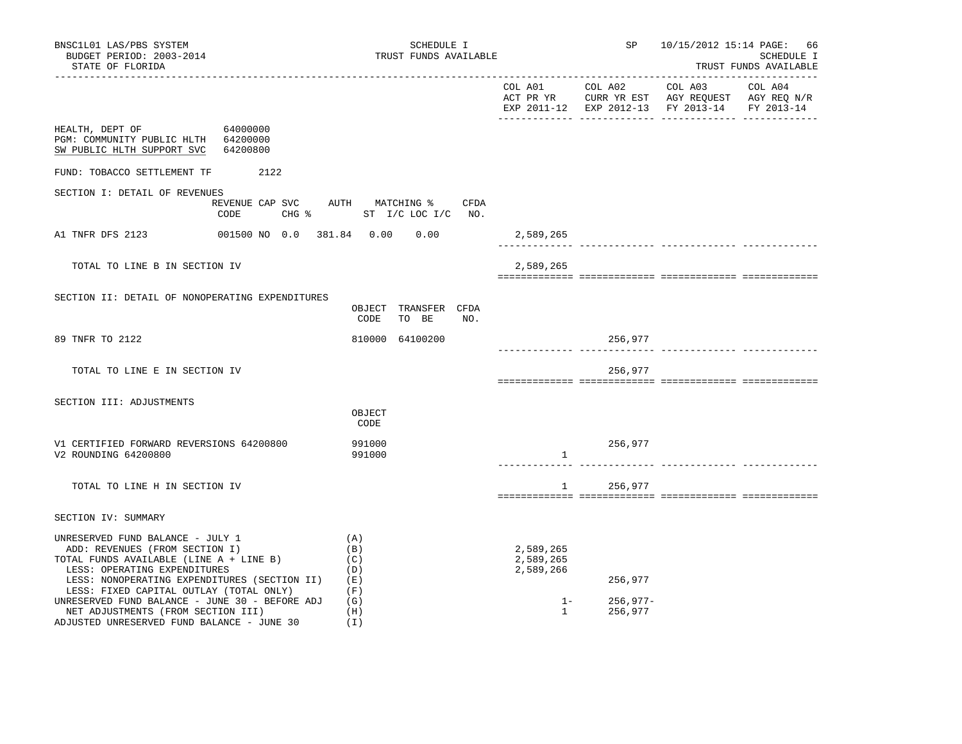| BNSC1L01 LAS/PBS SYSTEM<br>BUDGET PERIOD: 2003-2014<br>STATE OF FLORIDA                                                                                                                                                                                                                                                                                                        |          | SCHEDULE I<br>TRUST FUNDS AVAILABLE                                          |                                                              |                                  | SP 10/15/2012 15:14 PAGE: 66                  | SCHEDULE I<br>TRUST FUNDS AVAILABLE |
|--------------------------------------------------------------------------------------------------------------------------------------------------------------------------------------------------------------------------------------------------------------------------------------------------------------------------------------------------------------------------------|----------|------------------------------------------------------------------------------|--------------------------------------------------------------|----------------------------------|-----------------------------------------------|-------------------------------------|
|                                                                                                                                                                                                                                                                                                                                                                                |          |                                                                              |                                                              |                                  | EXP 2011-12 EXP 2012-13 FY 2013-14 FY 2013-14 |                                     |
| HEALTH, DEPT OF 64000000<br>PGM: COMMUNITY PUBLIC HLTH 64200000<br>SW PUBLIC HLTH SUPPORT SVC                                                                                                                                                                                                                                                                                  | 64200800 |                                                                              |                                                              |                                  |                                               |                                     |
| FUND: TOBACCO SETTLEMENT TF 2122                                                                                                                                                                                                                                                                                                                                               |          |                                                                              |                                                              |                                  |                                               |                                     |
| SECTION I: DETAIL OF REVENUES                                                                                                                                                                                                                                                                                                                                                  | CODE     | REVENUE CAP SVC AUTH MATCHING % CFDA<br>CHG $\frac{1}{2}$ ST I/C LOC I/C NO. |                                                              |                                  |                                               |                                     |
| A1 TNFR DFS 2123                                                                                                                                                                                                                                                                                                                                                               |          | 001500 NO 0.0 381.84  0.00  0.00                                             | 2,589,265                                                    |                                  |                                               |                                     |
| TOTAL TO LINE B IN SECTION IV                                                                                                                                                                                                                                                                                                                                                  |          |                                                                              | 2,589,265                                                    |                                  |                                               |                                     |
| SECTION II: DETAIL OF NONOPERATING EXPENDITURES                                                                                                                                                                                                                                                                                                                                |          | OBJECT TRANSFER CFDA<br>TO BE<br>CODE<br>NO.                                 |                                                              |                                  |                                               |                                     |
| 89 TNFR TO 2122                                                                                                                                                                                                                                                                                                                                                                |          | 810000 64100200                                                              |                                                              | 256,977                          |                                               |                                     |
| TOTAL TO LINE E IN SECTION IV                                                                                                                                                                                                                                                                                                                                                  |          |                                                                              |                                                              | 256,977                          |                                               |                                     |
| SECTION III: ADJUSTMENTS                                                                                                                                                                                                                                                                                                                                                       |          | OBJECT<br>CODE                                                               |                                                              |                                  |                                               |                                     |
| V1 CERTIFIED FORWARD REVERSIONS 64200800<br>V2 ROUNDING 64200800                                                                                                                                                                                                                                                                                                               |          | 991000<br>991000                                                             | $\mathbf{1}$                                                 | 256,977                          | .__________ ______________                    |                                     |
| TOTAL TO LINE H IN SECTION IV                                                                                                                                                                                                                                                                                                                                                  |          |                                                                              |                                                              | 1 256,977                        |                                               |                                     |
| SECTION IV: SUMMARY                                                                                                                                                                                                                                                                                                                                                            |          |                                                                              |                                                              |                                  |                                               |                                     |
| UNRESERVED FUND BALANCE - JULY 1<br>ADD: REVENUES (FROM SECTION I)<br>TOTAL FUNDS AVAILABLE (LINE A + LINE B)<br>LESS: OPERATING EXPENDITURES<br>LESS: NONOPERATING EXPENDITURES (SECTION II)<br>LESS: FIXED CAPITAL OUTLAY (TOTAL ONLY)<br>UNRESERVED FUND BALANCE - JUNE 30 - BEFORE ADJ<br>NET ADJUSTMENTS (FROM SECTION III)<br>ADJUSTED UNRESERVED FUND BALANCE - JUNE 30 |          | (A)<br>(B)<br>(C)<br>(D)<br>(E)<br>(F)<br>(G)<br>(H)<br>(I)                  | 2,589,265<br>2,589,265<br>2,589,266<br>$1 -$<br>$\mathbf{1}$ | 256,977<br>$256,977-$<br>256,977 |                                               |                                     |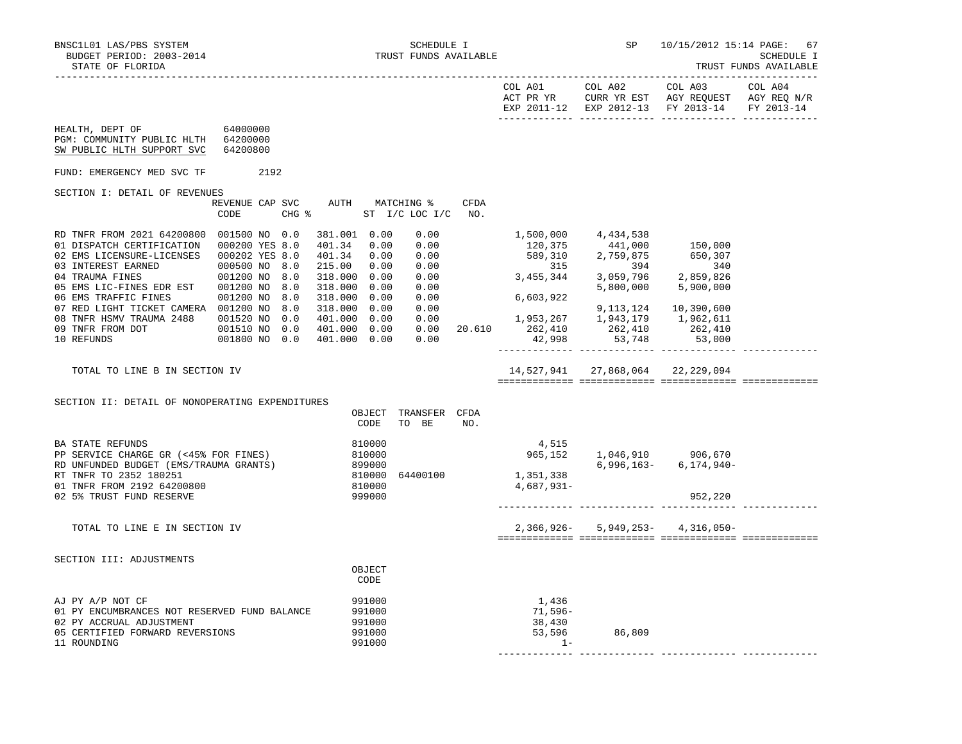------------- ------------- ------------- -------------

|                                                                                                                                                                                                                                                                                                                                                |                                                                                                                        |                                                                                                                                                    |                                                                      |             |                                               | EXP 2011-12 EXP 2012-13 FY 2013-14 FY 2013-14                                                                                                                                                                                                    |                                       |  |
|------------------------------------------------------------------------------------------------------------------------------------------------------------------------------------------------------------------------------------------------------------------------------------------------------------------------------------------------|------------------------------------------------------------------------------------------------------------------------|----------------------------------------------------------------------------------------------------------------------------------------------------|----------------------------------------------------------------------|-------------|-----------------------------------------------|--------------------------------------------------------------------------------------------------------------------------------------------------------------------------------------------------------------------------------------------------|---------------------------------------|--|
| 64000000<br>HEALTH, DEPT OF<br>PGM: COMMUNITY PUBLIC HLTH 64200000<br>SW PUBLIC HLTH SUPPORT SVC                                                                                                                                                                                                                                               | 64200800                                                                                                               |                                                                                                                                                    |                                                                      |             |                                               |                                                                                                                                                                                                                                                  |                                       |  |
| FUND: EMERGENCY MED SVC TF                                                                                                                                                                                                                                                                                                                     | 2192                                                                                                                   |                                                                                                                                                    |                                                                      |             |                                               |                                                                                                                                                                                                                                                  |                                       |  |
| SECTION I: DETAIL OF REVENUES                                                                                                                                                                                                                                                                                                                  | REVENUE CAP SVC<br>CODE                                                                                                | AUTH MATCHING %<br>CHG % ST I/C LOC I/C                                                                                                            |                                                                      | CFDA<br>NO. |                                               |                                                                                                                                                                                                                                                  |                                       |  |
| RD TNFR FROM 2021 64200800 001500 NO 0.0<br>01 DISPATCH CERTIFICATION 000200 YES 8.0<br>02 EMS LICENSURE-LICENSES  000202 YES 8.0<br>03 INTEREST EARNED<br>ED<br>04 TRAUMA FINES<br>05 EMS LIC-FINES EDR EST<br>06 EMS TRAFFIC FINES<br>07 RED LIGHT TICKET CAMERA 001200 NO 8.0<br>08 TNFR HSMV TRAUMA 2488<br>09 TNFR FROM DOT<br>10 REFUNDS | 000500 NO<br>8.0<br>001200 NO 8.0<br>001200 NO 8.0<br>001200 NO 8.0<br>001520 NO 0.0<br>001510 NO 0.0<br>001800 NO 0.0 | 381.001 0.00<br>401.34<br>0.00<br>401.34<br>0.00<br>215.00<br>0.00<br>318.000 0.00<br>318.000 0.00<br>318.000 0.00<br>318.000 0.00<br>401.000 0.00 | 0.00<br>0.00<br>0.00<br>0.00<br>0.00<br>0.00<br>0.00<br>0.00<br>0.00 |             | 1,500,000 4,434,538<br>6,603,922              | $120,375$<br>$589,310$<br>$315$<br>$315$<br>$394$<br>$340$<br>$3,455,344$<br>$3,059,796$<br>$2,859,826$<br>5,800,000<br>1,953,267 1,943,179 1,962,611<br>$401.000 \t 0.00 \t 0.00 \t 0.00 \t 20.610 \t 262,410 \t 262,410 \t 262,410 \t 262,410$ | 5,900,000<br>9, 113, 124 10, 390, 600 |  |
| TOTAL TO LINE B IN SECTION IV                                                                                                                                                                                                                                                                                                                  |                                                                                                                        |                                                                                                                                                    |                                                                      |             |                                               | 14,527,941 27,868,064 22,229,094                                                                                                                                                                                                                 |                                       |  |
| SECTION II: DETAIL OF NONOPERATING EXPENDITURES                                                                                                                                                                                                                                                                                                |                                                                                                                        | OBJECT<br>CODE                                                                                                                                     | TRANSFER CFDA<br>TO BE NO.                                           |             |                                               |                                                                                                                                                                                                                                                  |                                       |  |
| BA STATE REFUNDS<br>PP SERVICE CHARGE GR (<45% FOR FINES)<br>RD UNFUNDED BUDGET (EMS/TRAUMA GRANTS)<br>RT TNFR TO 2352 180251<br>01 TNFR FROM 2192 64200800<br>02 5% TRUST FUND RESERVE                                                                                                                                                        |                                                                                                                        | 810000<br>810000<br>899000<br>810000<br>810000<br>999000                                                                                           | 64400100                                                             |             | 4,515<br>1,351,338<br>4,687,931-              | 965,152 1,046,910 906,670<br>6,996,163-                                                                                                                                                                                                          | 6,174,940-<br>952,220                 |  |
| TOTAL TO LINE E IN SECTION IV                                                                                                                                                                                                                                                                                                                  |                                                                                                                        |                                                                                                                                                    |                                                                      |             |                                               | 2,366,926- 5,949,253- 4,316,050-                                                                                                                                                                                                                 |                                       |  |
| SECTION III: ADJUSTMENTS                                                                                                                                                                                                                                                                                                                       |                                                                                                                        | OBJECT<br>CODE                                                                                                                                     |                                                                      |             |                                               |                                                                                                                                                                                                                                                  |                                       |  |
| AJ PY A/P NOT CF<br>01 PY ENCUMBRANCES NOT RESERVED FUND BALANCE<br>02 PY ACCRUAL ADJUSTMENT<br>05 CERTIFIED FORWARD REVERSIONS<br>11 ROUNDING                                                                                                                                                                                                 |                                                                                                                        | 991000<br>991000<br>991000<br>991000<br>991000                                                                                                     |                                                                      |             | 1,436<br>71,596–<br>38,430<br>53,596<br>$1 -$ | 86,809                                                                                                                                                                                                                                           |                                       |  |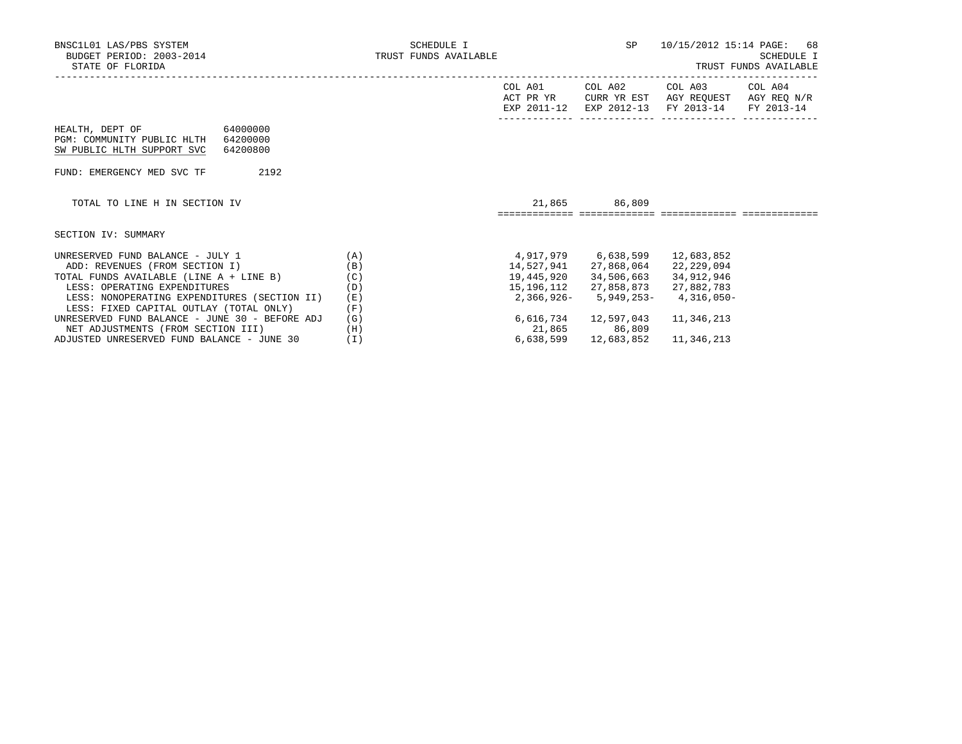| BNSC1L01 LAS/PBS SYSTEM<br>BUDGET PERIOD: 2003-2014<br>STATE OF FLORIDA                                                                                                                                                                                                                                                                    | SCHEDULE I<br>TRUST FUNDS AVAILABLE    |                                |                                       | SP 10/15/2012 15:14 PAGE: 68                                                                                                                                          | <b>SCHEDULE I</b><br>TRUST FUNDS AVAILABLE |
|--------------------------------------------------------------------------------------------------------------------------------------------------------------------------------------------------------------------------------------------------------------------------------------------------------------------------------------------|----------------------------------------|--------------------------------|---------------------------------------|-----------------------------------------------------------------------------------------------------------------------------------------------------------------------|--------------------------------------------|
|                                                                                                                                                                                                                                                                                                                                            |                                        |                                | COL A01 COL A02                       | COL A03 COL A04<br>ACT PR YR CURR YR EST AGY REQUEST AGY REQ N/R<br>EXP 2011-12 EXP 2012-13 FY 2013-14 FY 2013-14                                                     |                                            |
| HEALTH, DEPT OF 64000000<br>PGM: COMMUNITY PUBLIC HLTH 64200000<br>SW PUBLIC HLTH SUPPORT SVC 64200800                                                                                                                                                                                                                                     |                                        |                                |                                       |                                                                                                                                                                       |                                            |
| 2192<br>FUND: EMERGENCY MED SVC TF                                                                                                                                                                                                                                                                                                         |                                        |                                |                                       |                                                                                                                                                                       |                                            |
| TOTAL TO LINE H IN SECTION IV                                                                                                                                                                                                                                                                                                              |                                        | ============================   | 21,865 86,809                         |                                                                                                                                                                       |                                            |
| SECTION IV: SUMMARY                                                                                                                                                                                                                                                                                                                        |                                        |                                |                                       |                                                                                                                                                                       |                                            |
| UNRESERVED FUND BALANCE - JULY $1$ (A)<br>ADD: REVENUES (FROM SECTION I)<br>TOTAL FUNDS AVAILABLE (LINE A + LINE B)<br>LESS: OPERATING EXPENDITURES<br>LESS: NONOPERATING EXPENDITURES (SECTION II)<br>LESS: FIXED CAPITAL OUTLAY (TOTAL ONLY) (F)<br>UNRESERVED FUND BALANCE - JUNE 30 - BEFORE ADJ<br>NET ADJUSTMENTS (FROM SECTION III) | (B)<br>(C)<br>(D)<br>(E)<br>(G)<br>(H) | 4,917,979 6,638,599 12,683,852 | 6,616,734 12,597,043<br>21,865 86,809 | 14,527,941 27,868,064 22,229,094<br>19,445,920 34,506,663 34,912,946<br>15, 196, 112 27, 858, 873 27, 882, 783<br>$2,366,926 - 5,949,253 - 4,316,050 -$<br>11,346,213 |                                            |
| ADJUSTED UNRESERVED FUND BALANCE - JUNE 30                                                                                                                                                                                                                                                                                                 | (I)                                    |                                |                                       | 6,638,599 12,683,852 11,346,213                                                                                                                                       |                                            |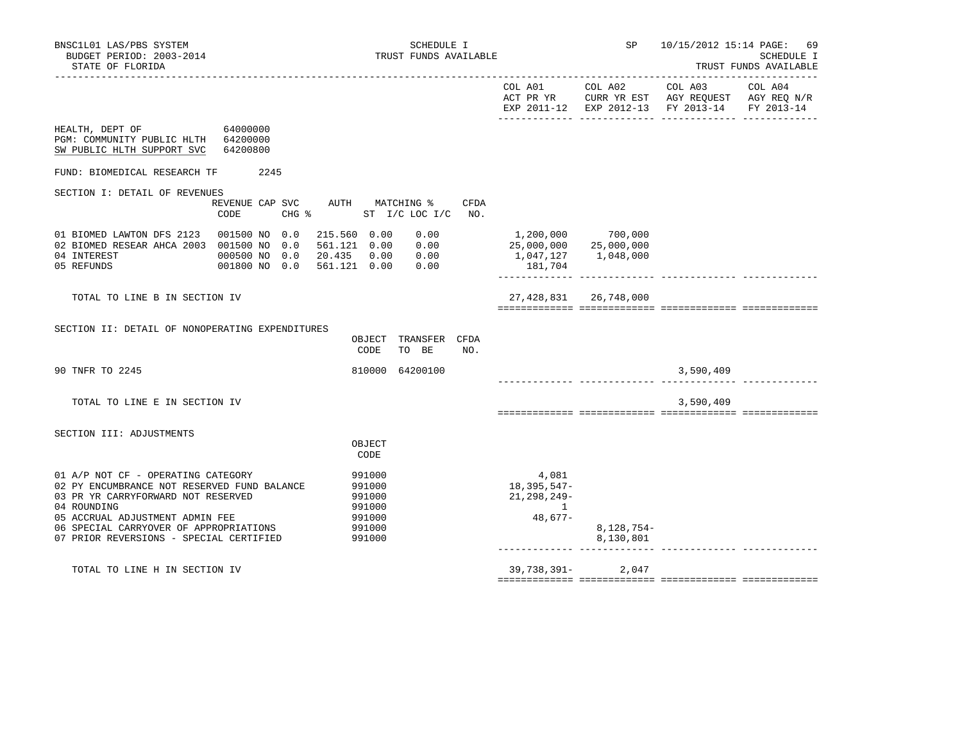|                                                                                                                                                                                                                                                                |                                                                                          |                                                                      | COL A01 COL A02           | COL A03<br>ACT PR YR CURR YR EST AGY REQUEST AGY REQ N/R<br>EXP 2011-12 EXP 2012-13 FY 2013-14 FY 2013-14 | COL A04 |
|----------------------------------------------------------------------------------------------------------------------------------------------------------------------------------------------------------------------------------------------------------------|------------------------------------------------------------------------------------------|----------------------------------------------------------------------|---------------------------|-----------------------------------------------------------------------------------------------------------|---------|
| HEALTH, DEPT OF 64000000<br>PGM: COMMUNITY PUBLIC HLTH 64200000<br>64200800<br>SW PUBLIC HLTH SUPPORT SVC                                                                                                                                                      |                                                                                          |                                                                      |                           |                                                                                                           |         |
| 2245<br>FUND: BIOMEDICAL RESEARCH TF                                                                                                                                                                                                                           |                                                                                          |                                                                      |                           |                                                                                                           |         |
| SECTION I: DETAIL OF REVENUES<br>REVENUE CAP SVC<br>$CHG$ $\frac{1}{6}$<br>CODE                                                                                                                                                                                | AUTH MATCHING %<br>CFDA<br>ST I/C LOC I/C NO.                                            |                                                                      |                           |                                                                                                           |         |
| 01 BIOMED LAWTON DFS 2123  001500 NO 0.0<br>02 BIOMED RESEAR AHCA 2003 001500 NO 0.0<br>04 INTEREST<br>000500 NO 0.0<br>001800 NO 0.0<br>05 REFUNDS                                                                                                            | 215.560 0.00<br>0.00<br>561.121  0.00  0.00<br>20.435  0.00  0.00<br>561.121  0.00  0.00 | 1,200,000<br>25,000,000 25,000,000<br>1,047,127 1,048,000<br>181,704 | 700,000                   |                                                                                                           |         |
| TOTAL TO LINE B IN SECTION IV                                                                                                                                                                                                                                  |                                                                                          |                                                                      | 27, 428, 831 26, 748, 000 |                                                                                                           |         |
| SECTION II: DETAIL OF NONOPERATING EXPENDITURES                                                                                                                                                                                                                | OBJECT TRANSFER CFDA<br>CODE<br>TO BE<br>NO.                                             |                                                                      |                           |                                                                                                           |         |
| 90 TNFR TO 2245                                                                                                                                                                                                                                                | 810000 64200100                                                                          |                                                                      |                           | 3,590,409                                                                                                 |         |
| TOTAL TO LINE E IN SECTION IV                                                                                                                                                                                                                                  |                                                                                          |                                                                      |                           | 3,590,409                                                                                                 |         |
| SECTION III: ADJUSTMENTS                                                                                                                                                                                                                                       |                                                                                          |                                                                      |                           |                                                                                                           |         |
|                                                                                                                                                                                                                                                                | OBJECT<br>CODE                                                                           |                                                                      |                           |                                                                                                           |         |
| 01 A/P NOT CF - OPERATING CATEGORY<br>02 PY ENCUMBRANCE NOT RESERVED FUND BALANCE<br>03 PR YR CARRYFORWARD NOT RESERVED<br>04 ROUNDING<br>05 ACCRUAL ADJUSTMENT ADMIN FEE<br>06 SPECIAL CARRYOVER OF APPROPRIATIONS<br>07 PRIOR REVERSIONS - SPECIAL CERTIFIED | 991000<br>991000<br>991000<br>991000<br>991000<br>991000<br>991000                       | 4,081<br>18,395,547-<br>21, 298, 249-<br>$\overline{1}$<br>48,677-   | 8,128,754-<br>8,130,801   |                                                                                                           |         |
| TOTAL TO LINE H IN SECTION IV                                                                                                                                                                                                                                  |                                                                                          |                                                                      | 39,738,391-2,047          |                                                                                                           |         |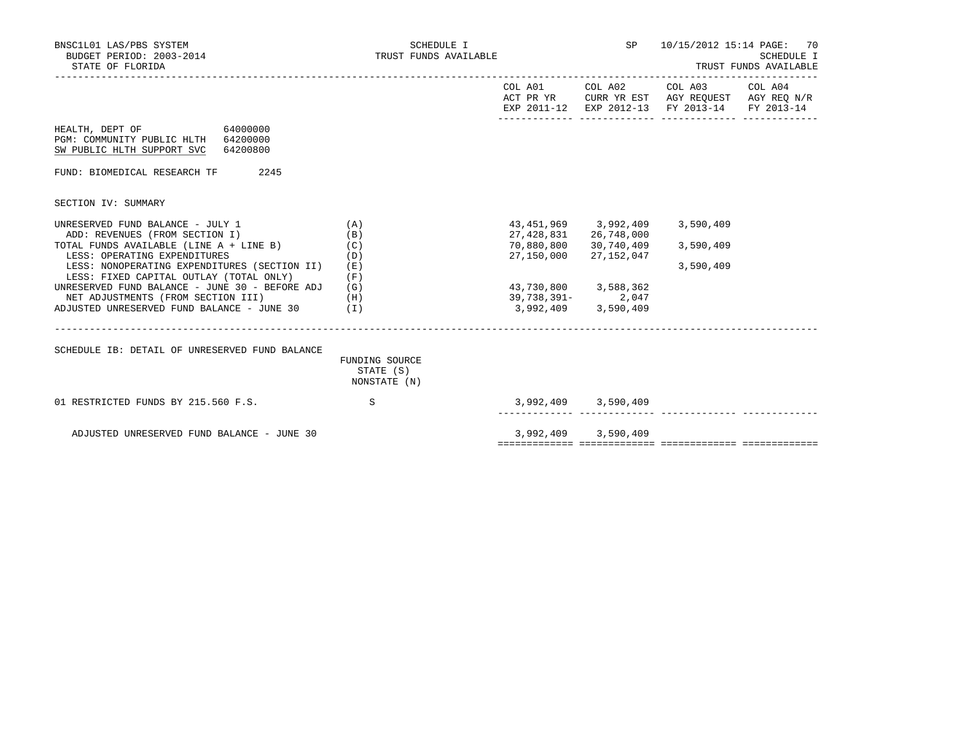| BNSC1L01 LAS/PBS SYSTEM<br>BUDGET PERIOD: 2003-2014<br>STATE OF FLORIDA                                   |                                             | SCHEDULE I<br>TRUST FUNDS AVAILABLE |                                      |                          | SP 10/15/2012 15:14 PAGE: 70                                                                                                      | SCHEDULE I<br>TRUST FUNDS AVAILABLE |
|-----------------------------------------------------------------------------------------------------------|---------------------------------------------|-------------------------------------|--------------------------------------|--------------------------|-----------------------------------------------------------------------------------------------------------------------------------|-------------------------------------|
|                                                                                                           |                                             |                                     |                                      |                          | COL A01 COL A02 COL A03 COL A04<br>ACT PR YR CURR YR EST AGY REQUEST AGY REQ N/R<br>EXP 2011-12 EXP 2012-13 FY 2013-14 FY 2013-14 |                                     |
| HEALTH, DEPT OF 64000000<br>PGM: COMMUNITY PUBLIC HLTH 64200000<br>SW PUBLIC HLTH SUPPORT SVC<br>64200800 |                                             |                                     |                                      |                          |                                                                                                                                   |                                     |
| 2245<br>FUND: BIOMEDICAL RESEARCH TF                                                                      |                                             |                                     |                                      |                          |                                                                                                                                   |                                     |
| SECTION IV: SUMMARY                                                                                       |                                             |                                     |                                      |                          |                                                                                                                                   |                                     |
| UNRESERVED FUND BALANCE - JULY 1<br>ADD: REVENUES (FROM SECTION I)                                        | (A)<br>(B)                                  |                                     | 43,451,969   3,992,409<br>27,428,831 | 26,748,000               | 3,590,409                                                                                                                         |                                     |
| TOTAL FUNDS AVAILABLE (LINE A + LINE B)<br>LESS: OPERATING EXPENDITURES                                   | (C)<br>(D)                                  |                                     | 70,880,800<br>27,150,000             | 30,740,409<br>27,152,047 | 3,590,409                                                                                                                         |                                     |
| LESS: NONOPERATING EXPENDITURES (SECTION II)<br>LESS: FIXED CAPITAL OUTLAY (TOTAL ONLY)                   | (E)<br>(F)                                  |                                     |                                      |                          | 3,590,409                                                                                                                         |                                     |
| UNRESERVED FUND BALANCE - JUNE 30 - BEFORE ADJ $(G)$                                                      |                                             |                                     |                                      | 43,730,800 3,588,362     |                                                                                                                                   |                                     |
| NET ADJUSTMENTS (FROM SECTION III)                                                                        | (H)                                         |                                     |                                      | 39,738,391-2,047         |                                                                                                                                   |                                     |
| ADJUSTED UNRESERVED FUND BALANCE - JUNE 30                                                                | (I)                                         |                                     |                                      | 3,992,409 3,590,409      |                                                                                                                                   |                                     |
| SCHEDULE IB: DETAIL OF UNRESERVED FUND BALANCE                                                            |                                             |                                     |                                      |                          |                                                                                                                                   |                                     |
|                                                                                                           | FUNDING SOURCE<br>STATE (S)<br>NONSTATE (N) |                                     |                                      |                          |                                                                                                                                   |                                     |
| 01 RESTRICTED FUNDS BY 215.560 F.S.                                                                       | S                                           |                                     |                                      | 3,992,409 3,590,409      |                                                                                                                                   |                                     |
| ADJUSTED UNRESERVED FUND BALANCE - JUNE 30                                                                |                                             |                                     |                                      | 3,992,409 3,590,409      |                                                                                                                                   |                                     |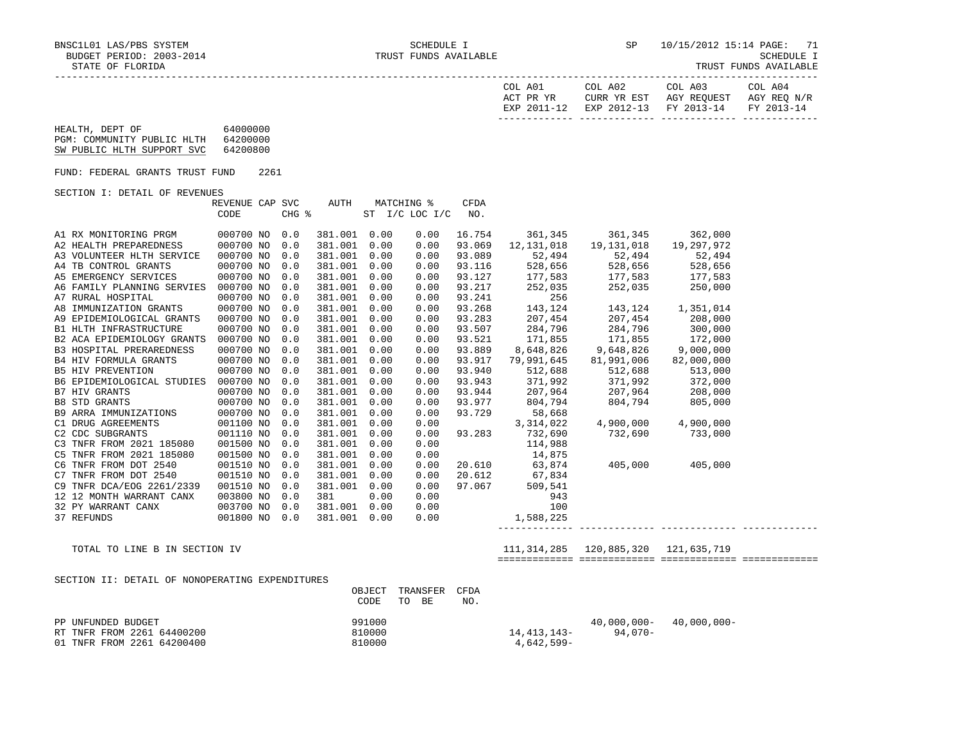|  |  | TRUST FUNDS AVAILABLE |  |
|--|--|-----------------------|--|
|--|--|-----------------------|--|

| COL A01<br>ACT PR YR | COL A02 | COL A03<br>CURR YR EST AGY REOUEST AGY REO N/R | COL A04 |
|----------------------|---------|------------------------------------------------|---------|
|                      |         | EXP 2011-12 EXP 2012-13 FY 2013-14 FY 2013-14  |         |
|                      |         |                                                |         |

# HEALTH, DEPT OF 64000000 PGM: COMMUNITY PUBLIC HLTH 64200000

|  | SW PUBLIC HLTH SUPPORT SVC | 64200800 |
|--|----------------------------|----------|
|  |                            |          |

FUND: FEDERAL GRANTS TRUST FUND 2261

SECTION I: DETAIL OF REVENUES

|                                 | REVENUE CAP SVC |       | AUTH    | MATCHING % |                | <b>CFDA</b> |            |            |            |
|---------------------------------|-----------------|-------|---------|------------|----------------|-------------|------------|------------|------------|
|                                 | CODE            | CHG % |         |            | ST I/C LOC I/C | NO.         |            |            |            |
|                                 |                 |       |         |            |                |             |            |            |            |
| A1 RX MONITORING PRGM           | 000700 NO       | 0.0   | 381.001 | 0.00       | 0.00           | 16.754      | 361,345    | 361,345    | 362,000    |
| A2 HEALTH PREPAREDNESS          | 000700 NO       | 0.0   | 381.001 | 0.00       | 0.00           | 93.069      | 12,131,018 | 19,131,018 | 19,297,972 |
| A3 VOLUNTEER HLTH SERVICE       | 000700 NO       | 0.0   | 381.001 | 0.00       | 0.00           | 93.089      | 52,494     | 52,494     | 52,494     |
| A4 TB CONTROL GRANTS            | 000700 NO       | 0.0   | 381.001 | 0.00       | 0.00           | 93.116      | 528,656    | 528,656    | 528,656    |
| A5 EMERGENCY SERVICES           | 000700 NO       | 0.0   | 381.001 | 0.00       | 0.00           | 93.127      | 177,583    | 177,583    | 177,583    |
| A6 FAMILY PLANNING SERVIES      | 000700 NO       | 0.0   | 381.001 | 0.00       | 0.00           | 93.217      | 252,035    | 252,035    | 250,000    |
| A7 RURAL HOSPITAL               | 000700 NO       | 0.0   | 381.001 | 0.00       | 0.00           | 93.241      | 256        |            |            |
| A8 IMMUNIZATION GRANTS          | 000700 NO       | 0.0   | 381.001 | 0.00       | 0.00           | 93.268      | 143,124    | 143,124    | 1,351,014  |
| A9 EPIDEMIOLOGICAL GRANTS       | 000700 NO       | 0.0   | 381.001 | 0.00       | 0.00           | 93.283      | 207,454    | 207,454    | 208,000    |
| <b>B1 HLTH INFRASTRUCTURE</b>   | 000700 NO       | 0.0   | 381.001 | 0.00       | 0.00           | 93.507      | 284,796    | 284,796    | 300,000    |
| B2 ACA EPIDEMIOLOGY GRANTS      | 000700 NO       | 0.0   | 381.001 | 0.00       | 0.00           | 93.521      | 171,855    | 171,855    | 172,000    |
| <b>B3 HOSPITAL PRERAREDNESS</b> | 000700 NO       | 0.0   | 381.001 | 0.00       | 0.00           | 93.889      | 8,648,826  | 9,648,826  | 9,000,000  |
| <b>B4 HIV FORMULA GRANTS</b>    | 000700 NO       | 0.0   | 381.001 | 0.00       | 0.00           | 93.917      | 79,991,645 | 81,991,006 | 82,000,000 |
| <b>B5 HIV PREVENTION</b>        | 000700 NO       | 0.0   | 381.001 | 0.00       | 0.00           | 93.940      | 512,688    | 512,688    | 513,000    |
| B6 EPIDEMIOLOGICAL STUDIES      | 000700 NO       | 0.0   | 381.001 | 0.00       | 0.00           | 93.943      | 371,992    | 371,992    | 372,000    |
| <b>B7 HIV GRANTS</b>            | 000700 NO       | 0.0   | 381.001 | 0.00       | 0.00           | 93.944      | 207,964    | 207,964    | 208,000    |
| <b>B8 STD GRANTS</b>            | 000700 NO       | 0.0   | 381.001 | 0.00       | 0.00           | 93.977      | 804,794    | 804,794    | 805,000    |
| <b>B9 ARRA IMMUNIZATIONS</b>    | 000700 NO       | 0.0   | 381.001 | 0.00       | 0.00           | 93.729      | 58,668     |            |            |
| C1 DRUG AGREEMENTS              | 001100 NO       | 0.0   | 381.001 | 0.00       | 0.00           |             | 3,314,022  | 4,900,000  | 4,900,000  |
| C2 CDC SUBGRANTS                | 001110 NO       | 0.0   | 381.001 | 0.00       | 0.00           | 93.283      | 732,690    | 732,690    | 733,000    |
| C3 TNFR FROM 2021 185080        | 001500 NO       | 0.0   | 381.001 | 0.00       | 0.00           |             | 114,988    |            |            |
| C5 TNFR FROM 2021 185080        | 001500 NO       | 0.0   | 381.001 | 0.00       | 0.00           |             | 14,875     |            |            |
| C6 TNFR FROM DOT 2540           | 001510 NO       | 0.0   | 381.001 | 0.00       | 0.00           | 20.610      | 63,874     | 405,000    | 405,000    |
| C7 TNFR FROM DOT 2540           | 001510 NO       | 0.0   | 381.001 | 0.00       | 0.00           | 20.612      | 67,834     |            |            |
| C9 TNFR DCA/EOG 2261/2339       | 001510 NO       | 0.0   | 381.001 | 0.00       | 0.00           | 97.067      | 509,541    |            |            |
| 12 12 MONTH WARRANT CANX        | 003800 NO       | 0.0   | 381     | 0.00       | 0.00           |             | 943        |            |            |
| 32 PY WARRANT CANX              | 003700 NO       | 0.0   | 381.001 | 0.00       | 0.00           |             | 100        |            |            |
| 37 REFUNDS                      | 001800 NO       | 0.0   | 381.001 | 0.00       | 0.00           |             | 1,588,225  |            |            |

 TOTAL TO LINE B IN SECTION IV 111,314,285 120,885,320 121,635,719 ============= ============= ============= =============

------------- ------------- ------------- -------------

SECTION II: DETAIL OF NONOPERATING EXPENDITURES

|                            | OBJECT TRANSFER CFDA |    |    |     |             |                             |  |
|----------------------------|----------------------|----|----|-----|-------------|-----------------------------|--|
|                            | CODE                 | TO | BE | NO. |             |                             |  |
| PP UNFUNDED BUDGET         | 991000               |    |    |     |             | $40,000,000 - 40,000,000 -$ |  |
| RT TNFR FROM 2261 64400200 | 810000               |    |    |     | 14,413,143- | 94.070-                     |  |
| 01 TNFR FROM 2261 64200400 | 810000               |    |    |     | 4,642,599-  |                             |  |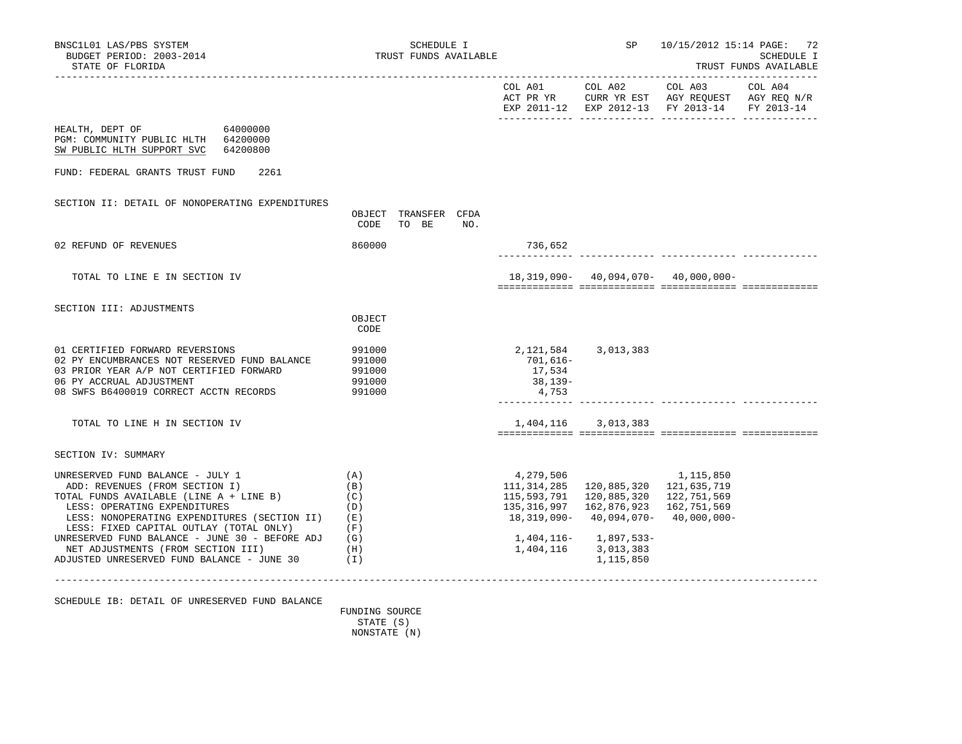|                                                                                                                                                                                                                                                                                                                                                                                                  |                                                |     |                                                                |                                                                                                                                                                                    | EXP 2011-12 EXP 2012-13 FY 2013-14 FY 2013-14 |  |
|--------------------------------------------------------------------------------------------------------------------------------------------------------------------------------------------------------------------------------------------------------------------------------------------------------------------------------------------------------------------------------------------------|------------------------------------------------|-----|----------------------------------------------------------------|------------------------------------------------------------------------------------------------------------------------------------------------------------------------------------|-----------------------------------------------|--|
| HEALTH, DEPT OF 64000000<br>PGM: COMMUNITY PUBLIC HLTH 64200000<br>SW PUBLIC HLTH SUPPORT SVC 64200800                                                                                                                                                                                                                                                                                           |                                                |     |                                                                |                                                                                                                                                                                    |                                               |  |
| FUND: FEDERAL GRANTS TRUST FUND<br>2261                                                                                                                                                                                                                                                                                                                                                          |                                                |     |                                                                |                                                                                                                                                                                    |                                               |  |
| SECTION II: DETAIL OF NONOPERATING EXPENDITURES                                                                                                                                                                                                                                                                                                                                                  | OBJECT TRANSFER CFDA<br>CODE<br>TO BE          | NO. |                                                                |                                                                                                                                                                                    |                                               |  |
| 02 REFUND OF REVENUES                                                                                                                                                                                                                                                                                                                                                                            | 860000                                         |     | 736,652                                                        |                                                                                                                                                                                    |                                               |  |
| TOTAL TO LINE E IN SECTION IV                                                                                                                                                                                                                                                                                                                                                                    |                                                |     |                                                                | $18,319,090 - 40,094,070 - 40,000,000 -$                                                                                                                                           |                                               |  |
| SECTION III: ADJUSTMENTS                                                                                                                                                                                                                                                                                                                                                                         | OBJECT<br>CODE                                 |     |                                                                |                                                                                                                                                                                    |                                               |  |
| 01 CERTIFIED FORWARD REVERSIONS<br>02 PY ENCUMBRANCES NOT RESERVED FUND BALANCE<br>03 PRIOR YEAR A/P NOT CERTIFIED FORWARD<br>06 PY ACCRUAL ADJUSTMENT<br>08 SWFS B6400019 CORRECT ACCTN RECORDS                                                                                                                                                                                                 | 991000<br>991000<br>991000<br>991000<br>991000 |     | 2,121,584 3,013,383<br>701,616–<br>17,534<br>38,139-<br>4,753  |                                                                                                                                                                                    |                                               |  |
| TOTAL TO LINE H IN SECTION IV                                                                                                                                                                                                                                                                                                                                                                    |                                                |     |                                                                | 1,404,116 3,013,383                                                                                                                                                                |                                               |  |
| SECTION IV: SUMMARY                                                                                                                                                                                                                                                                                                                                                                              |                                                |     |                                                                |                                                                                                                                                                                    |                                               |  |
| UNRESERVED FUND BALANCE - JULY 1<br>ADD: REVENUES (FROM SECTION I)<br>TOTAL FUNDS AVAILABLE (LINE A + LINE B)<br>LESS: OPERATING EXPENDITURES<br>LESS: NONOPERATING EXPENDITURES (SECTION II) (E)<br>LESS: FIXED CAPITAL OUTLAY (TOTAL ONLY)<br>UNRESERVED FUND BALANCE - JUNE 30 - BEFORE ADJ $(G)$<br>NET ADJUSTMENTS (FROM SECTION III) (H)<br>ADJUSTED UNRESERVED FUND BALANCE - JUNE 30 (I) | (A)<br>(B)<br>(C)<br>(D)<br>(F)                |     | 4,279,506<br>111,314,285<br>115,593,791<br>1,404,116 3,013,383 | 1,115,850<br>120,885,320 121,635,719<br>120,885,320<br>135, 316, 997 162, 876, 923 162, 751, 569<br>$18,319,090 - 40,094,070 - 40,000,000 -$<br>1,404,116- 1,897,533-<br>1,115,850 | 122,751,569                                   |  |
|                                                                                                                                                                                                                                                                                                                                                                                                  |                                                |     |                                                                |                                                                                                                                                                                    |                                               |  |

SCHEDULE IB: DETAIL OF UNRESERVED FUND BALANCE

 FUNDING SOURCE STATE (S) NONSTATE (N)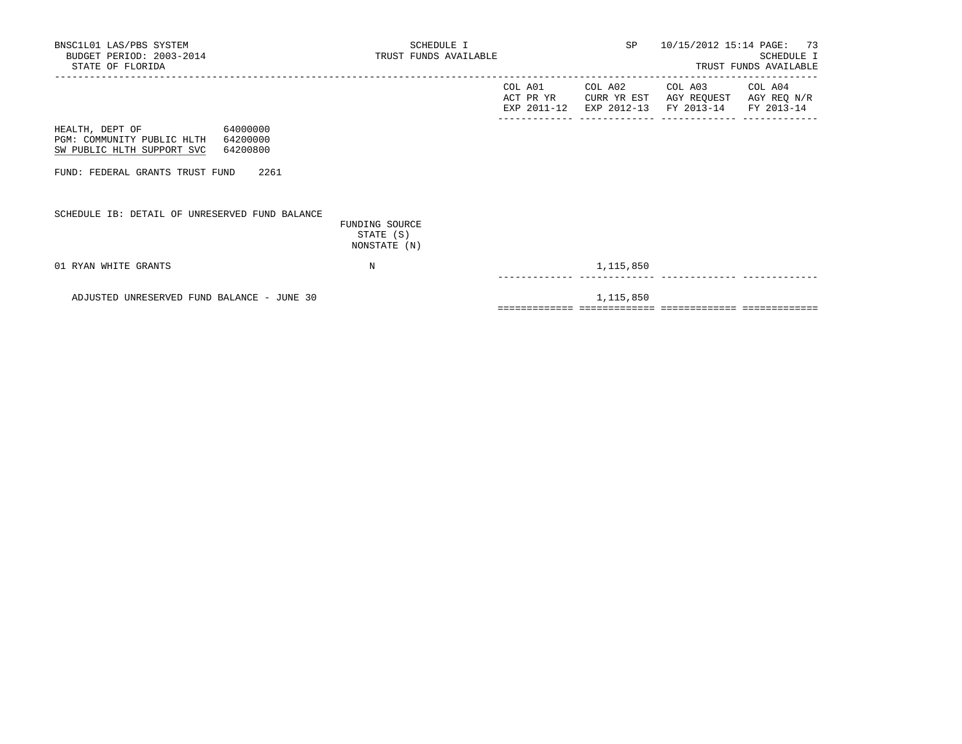| BNSC1L01 LAS/PBS SYSTEM<br>BUDGET PERIOD: 2003-2014<br>STATE OF FLORIDA                                | SCHEDULE I<br>TRUST FUNDS AVAILABLE         |                      |                        | SP 10/15/2012 15:14 PAGE: 73                                                                | SCHEDULE I<br>TRUST FUNDS AVAILABLE |
|--------------------------------------------------------------------------------------------------------|---------------------------------------------|----------------------|------------------------|---------------------------------------------------------------------------------------------|-------------------------------------|
|                                                                                                        |                                             | COL A01<br>ACT PR YR | COL A02<br>CURR YR EST | COL A03 COL A04<br>AGY REQUEST AGY REQ N/R<br>EXP 2011-12 EXP 2012-13 FY 2013-14 FY 2013-14 |                                     |
| HEALTH, DEPT OF 64000000<br>PGM: COMMUNITY PUBLIC HLTH 64200000<br>SW PUBLIC HLTH SUPPORT SVC 64200800 |                                             |                      |                        |                                                                                             |                                     |
| FUND: FEDERAL GRANTS TRUST FUND 2261                                                                   |                                             |                      |                        |                                                                                             |                                     |
| SCHEDULE IB: DETAIL OF UNRESERVED FUND BALANCE                                                         | FUNDING SOURCE<br>STATE (S)<br>NONSTATE (N) |                      |                        |                                                                                             |                                     |
| 01 RYAN WHITE GRANTS                                                                                   | N                                           |                      | 1,115,850              |                                                                                             |                                     |
| ADJUSTED UNRESERVED FUND BALANCE - JUNE 30                                                             |                                             |                      | 1,115,850              |                                                                                             |                                     |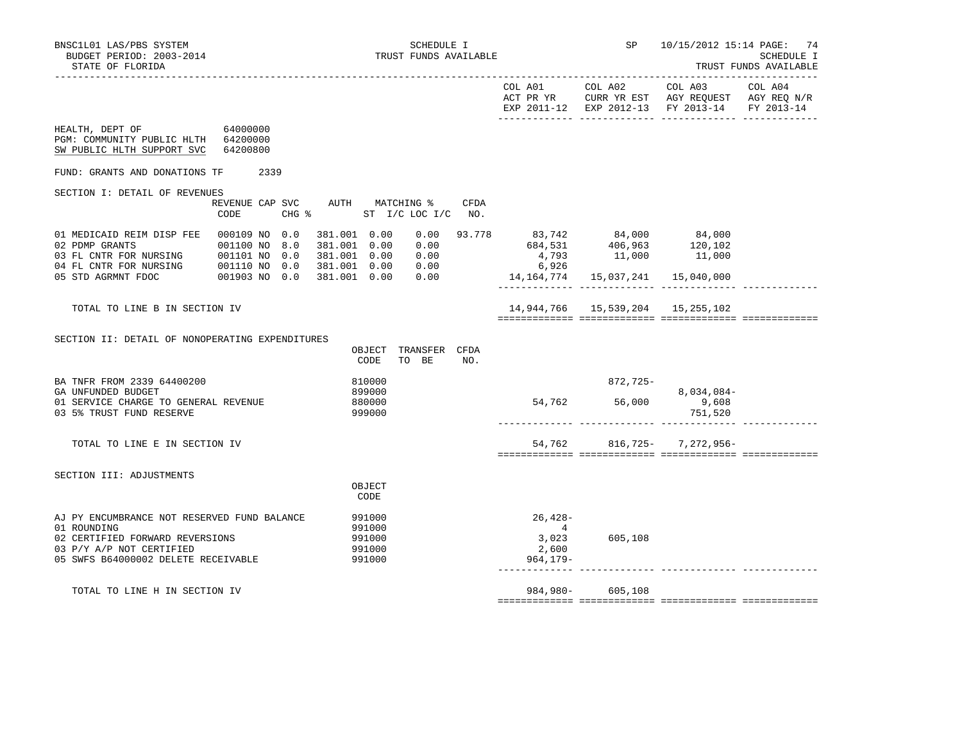|                                                                                                                                                       |                                 |        |        |                                            |      |                | EXP 2011-12 EXP 2012-13 FY 2013-14                                                                                                                                                                                                  |            | FY 2013-14 |
|-------------------------------------------------------------------------------------------------------------------------------------------------------|---------------------------------|--------|--------|--------------------------------------------|------|----------------|-------------------------------------------------------------------------------------------------------------------------------------------------------------------------------------------------------------------------------------|------------|------------|
| HEALTH, DEPT OF<br>PGM: COMMUNITY PUBLIC HLTH 64200000<br>SW PUBLIC HLTH SUPPORT SVC                                                                  | 64000000<br>64200800            |        |        |                                            |      |                |                                                                                                                                                                                                                                     |            |            |
| FUND: GRANTS AND DONATIONS TF 2339                                                                                                                    |                                 |        |        |                                            |      |                |                                                                                                                                                                                                                                     |            |            |
| SECTION I: DETAIL OF REVENUES                                                                                                                         |                                 |        |        |                                            |      |                |                                                                                                                                                                                                                                     |            |            |
|                                                                                                                                                       | REVENUE CAP SVC AUTH MATCHING % |        |        |                                            | CFDA |                |                                                                                                                                                                                                                                     |            |            |
|                                                                                                                                                       | CODE                            |        |        | CHG % ST I/C LOC I/C NO.                   |      |                |                                                                                                                                                                                                                                     |            |            |
| 01 MEDICAID REIM DISP FEE  000109 NO  0.0                                                                                                             |                                 |        |        |                                            |      |                |                                                                                                                                                                                                                                     |            |            |
|                                                                                                                                                       |                                 |        |        |                                            |      |                |                                                                                                                                                                                                                                     |            |            |
|                                                                                                                                                       |                                 |        |        | 381.001  0.00  0.00                        |      |                | $\begin{array}{cccccccc} 381.001 & 0.00 & 0.00 & 93.778 & & 83.742 & & 84.000 & & 84.000 \\ 381.001 & 0.00 & 0.00 & & & 684.531 & & 406.963 & & 120.102 \\ 381.001 & 0.00 & 0.00 & & & & 4.793 & & 11.000 & & & 11.000 \end{array}$ |            |            |
|                                                                                                                                                       |                                 |        |        |                                            |      | 6,926          |                                                                                                                                                                                                                                     |            |            |
| 02 PDMP GRANTS<br>03 FL CNTR FOR NURSING<br>03 FL CNTR FOR NURSING<br>03 FL CNTR FOR NURSING<br>03 O110 NO 0.0<br>05 STD AGRMNT FDOC<br>001903 NO 0.0 |                                 |        |        | $381.001$ 0.00 0.00<br>$381.001$ 0.00 0.00 |      |                | $14, 164, 774$ 15, 037, 241 15, 040, 000                                                                                                                                                                                            |            |            |
|                                                                                                                                                       |                                 |        |        |                                            |      |                |                                                                                                                                                                                                                                     |            |            |
| TOTAL TO LINE B IN SECTION IV                                                                                                                         |                                 |        |        |                                            |      |                | 14,944,766   15,539,204   15,255,102                                                                                                                                                                                                |            |            |
|                                                                                                                                                       |                                 |        |        |                                            |      |                |                                                                                                                                                                                                                                     |            |            |
|                                                                                                                                                       |                                 |        |        |                                            |      |                |                                                                                                                                                                                                                                     |            |            |
| SECTION II: DETAIL OF NONOPERATING EXPENDITURES                                                                                                       |                                 |        |        |                                            |      |                |                                                                                                                                                                                                                                     |            |            |
|                                                                                                                                                       |                                 |        |        | OBJECT TRANSFER CFDA                       |      |                |                                                                                                                                                                                                                                     |            |            |
|                                                                                                                                                       |                                 |        | CODE   | TO BE                                      | NO.  |                |                                                                                                                                                                                                                                     |            |            |
| BA TNFR FROM 2339 64400200                                                                                                                            |                                 |        | 810000 |                                            |      |                | 872,725-                                                                                                                                                                                                                            |            |            |
| GA UNFUNDED BUDGET                                                                                                                                    |                                 |        | 899000 |                                            |      |                |                                                                                                                                                                                                                                     | 8,034,084- |            |
| 01 SERVICE CHARGE TO GENERAL REVENUE                                                                                                                  |                                 |        | 880000 |                                            |      |                | $54,762$ $56,000$ $9,608$                                                                                                                                                                                                           |            |            |
| 03 5% TRUST FUND RESERVE                                                                                                                              |                                 |        | 999000 |                                            |      |                |                                                                                                                                                                                                                                     | 751,520    |            |
|                                                                                                                                                       |                                 |        |        |                                            |      |                |                                                                                                                                                                                                                                     |            |            |
| TOTAL TO LINE E IN SECTION IV                                                                                                                         |                                 |        |        |                                            |      |                | 54,762 816,725- 7,272,956-                                                                                                                                                                                                          |            |            |
|                                                                                                                                                       |                                 |        |        |                                            |      |                |                                                                                                                                                                                                                                     |            |            |
|                                                                                                                                                       |                                 |        |        |                                            |      |                |                                                                                                                                                                                                                                     |            |            |
| SECTION III: ADJUSTMENTS                                                                                                                              |                                 |        |        |                                            |      |                |                                                                                                                                                                                                                                     |            |            |
|                                                                                                                                                       |                                 |        | OBJECT |                                            |      |                |                                                                                                                                                                                                                                     |            |            |
|                                                                                                                                                       |                                 |        | CODE   |                                            |      |                |                                                                                                                                                                                                                                     |            |            |
| AJ PY ENCUMBRANCE NOT RESERVED FUND BALANCE                                                                                                           |                                 | 991000 |        |                                            |      | $26,428-$      |                                                                                                                                                                                                                                     |            |            |
| 01 ROUNDING                                                                                                                                           |                                 |        | 991000 |                                            |      | $\overline{4}$ |                                                                                                                                                                                                                                     |            |            |
| 02 CERTIFIED FORWARD REVERSIONS                                                                                                                       |                                 |        | 991000 |                                            |      |                | 3,023 605,108                                                                                                                                                                                                                       |            |            |
| 03 P/Y A/P NOT CERTIFIED                                                                                                                              |                                 |        | 991000 |                                            |      | 2,600          |                                                                                                                                                                                                                                     |            |            |
| 05 SWFS B64000002 DELETE RECEIVABLE                                                                                                                   |                                 |        | 991000 |                                            |      | $964, 179 -$   |                                                                                                                                                                                                                                     |            |            |
|                                                                                                                                                       |                                 |        |        |                                            |      |                |                                                                                                                                                                                                                                     |            |            |
|                                                                                                                                                       |                                 |        |        |                                            |      |                |                                                                                                                                                                                                                                     |            |            |
| TOTAL TO LINE H IN SECTION IV                                                                                                                         |                                 |        |        |                                            |      |                | 984,980- 605,108                                                                                                                                                                                                                    |            |            |
|                                                                                                                                                       |                                 |        |        |                                            |      |                |                                                                                                                                                                                                                                     |            |            |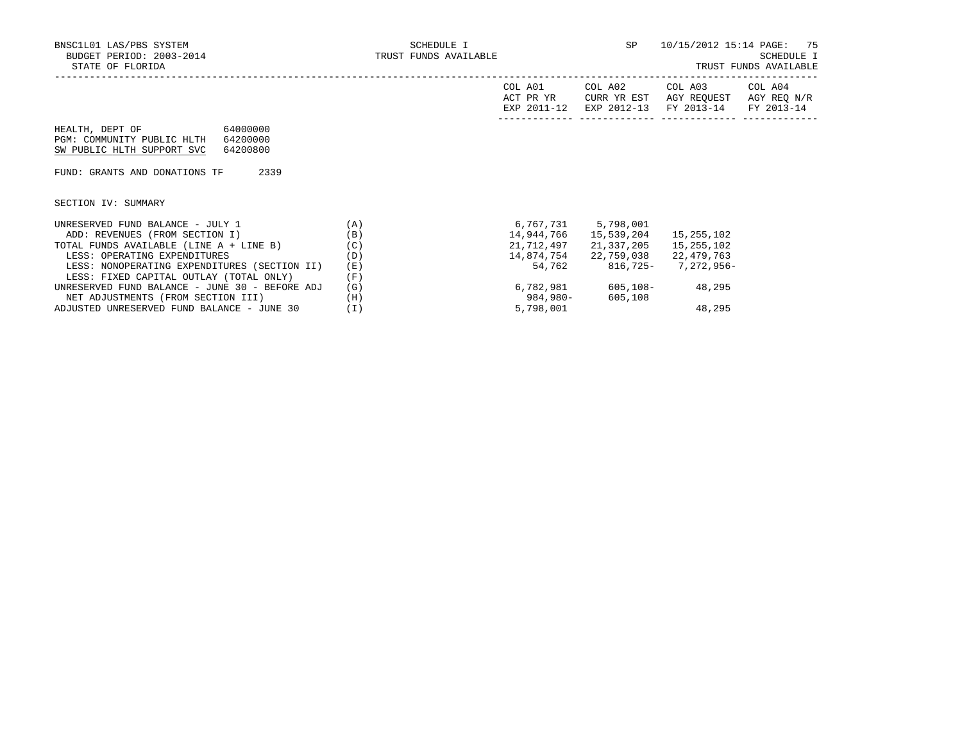|                                                                                                                 |          | COL A01<br>ACT PR YR<br>EXP 2011-12 | COL A02<br>CURR YR EST<br>EXP 2012-13 | COL A03<br>AGY REOUEST<br>FY 2013-14 | COL A04<br>AGY REQ N/R<br>FY 2013-14 |
|-----------------------------------------------------------------------------------------------------------------|----------|-------------------------------------|---------------------------------------|--------------------------------------|--------------------------------------|
| 64000000<br>HEALTH, DEPT OF<br>PGM: COMMUNITY PUBLIC HLTH<br>64200000<br>SW PUBLIC HLTH SUPPORT SVC<br>64200800 |          |                                     |                                       |                                      |                                      |
| 2339<br>FUND: GRANTS AND DONATIONS TF                                                                           |          |                                     |                                       |                                      |                                      |
| SECTION IV: SUMMARY                                                                                             |          |                                     |                                       |                                      |                                      |
| UNRESERVED FUND BALANCE - JULY 1                                                                                | (A)      |                                     | 6,767,731 5,798,001                   |                                      |                                      |
| ADD: REVENUES (FROM SECTION I)                                                                                  | (B)      | 14,944,766                          | 15,539,204                            | 15,255,102                           |                                      |
| TOTAL FUNDS AVAILABLE (LINE A + LINE B)                                                                         | (C)      | 21,712,497                          | 21,337,205                            | 15,255,102                           |                                      |
| LESS: OPERATING EXPENDITURES                                                                                    | (D)      |                                     | 14,874,754 22,759,038 22,479,763      |                                      |                                      |
| LESS: NONOPERATING EXPENDITURES (SECTION II)                                                                    | (E)      | 54,762                              | 816,725- 7,272,956-                   |                                      |                                      |
| LESS: FIXED CAPITAL OUTLAY (TOTAL ONLY)                                                                         | (F)      |                                     |                                       |                                      |                                      |
| UNRESERVED FUND BALANCE - JUNE 30 - BEFORE ADJ                                                                  | (G)      |                                     | 6,782,981 605,108- 48,295             |                                      |                                      |
| NET ADJUSTMENTS (FROM SECTION III)                                                                              | (H)      | 984,980-                            | 605,108                               |                                      |                                      |
| ADJUSTED UNRESERVED FUND BALANCE - JUNE 30                                                                      | $(\bot)$ | 5,798,001                           |                                       | 48,295                               |                                      |

ADJUSTED UNRESERVED FUND BALANCE - JUNE 30 (I)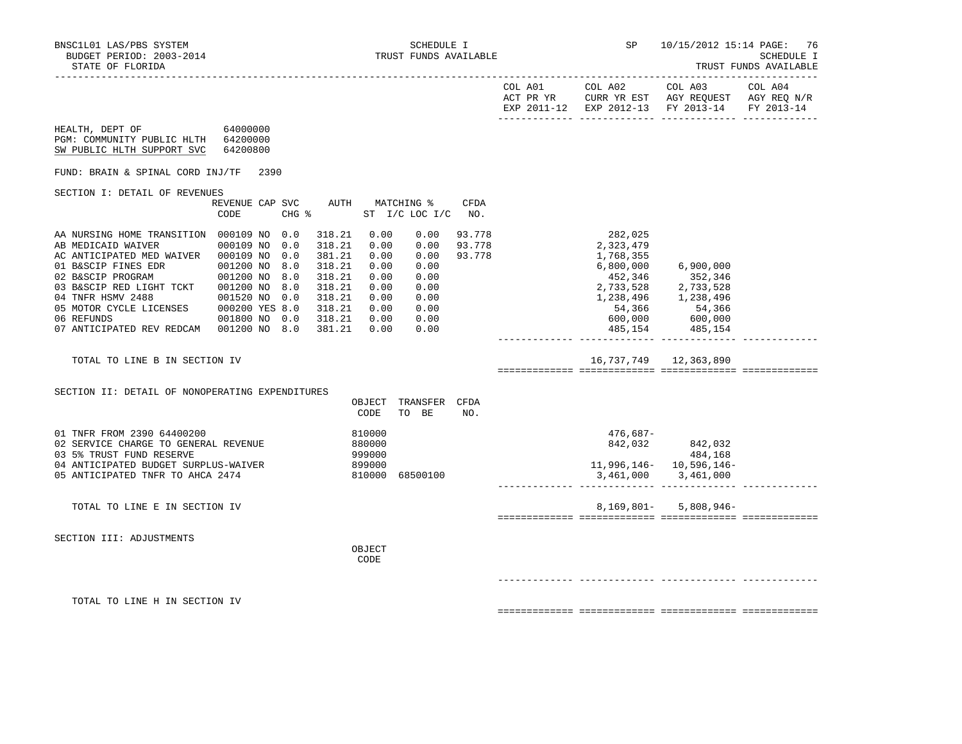| ______<br>$\sim$ | $-L$ |                                            |                             | 1100 T                           | . טעש                |
|------------------|------|--------------------------------------------|-----------------------------|----------------------------------|----------------------|
|                  |      |                                            |                             |                                  |                      |
|                  |      |                                            |                             |                                  |                      |
|                  |      | $\sim$ $\sim$ $\sim$<br>$\Delta \cap$<br>. | $\sim$ $\sim$ $\sim$<br>∆∩つ | ⊼∩ ⊼<br>$\cap$ $\cap$ $\Gamma$ . | $\sim$<br><b>AO4</b> |

|                                                                                                                                                                                                                                                                                                                               |                                                      |                                 |                                                                                                       |                                                                      |                                                                              |                            | COL A01<br>ACT PR YR | COL A02<br>EXP 2011-12 EXP 2012-13 FY 2013-14                                                                                    | COL A03<br>CURR YR EST AGY REQUEST AGY REQ N/R                      | COL A04<br>FY 2013-14 |
|-------------------------------------------------------------------------------------------------------------------------------------------------------------------------------------------------------------------------------------------------------------------------------------------------------------------------------|------------------------------------------------------|---------------------------------|-------------------------------------------------------------------------------------------------------|----------------------------------------------------------------------|------------------------------------------------------------------------------|----------------------------|----------------------|----------------------------------------------------------------------------------------------------------------------------------|---------------------------------------------------------------------|-----------------------|
| 64000000<br>HEALTH, DEPT OF<br>PGM: COMMUNITY PUBLIC HLTH 64200000<br>SW PUBLIC HLTH SUPPORT SVC                                                                                                                                                                                                                              | 64200800                                             |                                 |                                                                                                       |                                                                      |                                                                              |                            |                      |                                                                                                                                  |                                                                     |                       |
| FUND: BRAIN & SPINAL CORD INJ/TF                                                                                                                                                                                                                                                                                              | 2390                                                 |                                 |                                                                                                       |                                                                      |                                                                              |                            |                      |                                                                                                                                  |                                                                     |                       |
| SECTION I: DETAIL OF REVENUES                                                                                                                                                                                                                                                                                                 |                                                      |                                 |                                                                                                       |                                                                      |                                                                              |                            |                      |                                                                                                                                  |                                                                     |                       |
|                                                                                                                                                                                                                                                                                                                               | REVENUE CAP SVC<br>CODE                              | CHG %                           | AUTH                                                                                                  |                                                                      | MATCHING %<br>ST I/C LOC I/C                                                 | CFDA<br>NO.                |                      |                                                                                                                                  |                                                                     |                       |
| AA NURSING HOME TRANSITION 000109 NO 0.0<br>AB MEDICAID WAIVER<br>AC ANTICIPATED MED WAIVER 000109 NO<br>01 B&SCIP FINES EDR<br>02 B&SCIP PROGRAM<br>03 B&SCIP RED LIGHT TCKT 001200 NO<br>04 TNFR HSMV 2488<br>05 MOTOR CYCLE LICENSES 000200 YES 8.0<br>06 REFUNDS 001800 NO 0.0<br>07 ANTICIPATED REV REDCAM 001200 NO 8.0 | 000109 NO<br>001200 NO<br>001200 NO<br>001520 NO 0.0 | 0.0<br>0.0<br>8.0<br>8.0<br>8.0 | 318.21<br>318.21<br>381.21<br>318.21<br>318.21<br>318.21<br>318.21<br>318.21<br>318.21 0.00<br>381.21 | 0.00<br>0.00<br>0.00<br>0.00<br>0.00<br>0.00<br>0.00<br>0.00<br>0.00 | 0.00<br>0.00<br>0.00<br>0.00<br>0.00<br>0.00<br>0.00<br>0.00<br>0.00<br>0.00 | 93.778<br>93.778<br>93.778 |                      | 282,025<br>2,323,479<br>1,768,355<br>6,800,000<br>452,346<br>2, 733, 528<br>2, 733, 528<br>1, 238, 496<br>1, 238, 496<br>485,154 | 6,900,000<br>352,346<br>54,366 54,366<br>600,000 600,000<br>485,154 |                       |
| TOTAL TO LINE B IN SECTION IV                                                                                                                                                                                                                                                                                                 |                                                      |                                 |                                                                                                       |                                                                      |                                                                              |                            |                      |                                                                                                                                  | 16, 737, 749 12, 363, 890                                           |                       |
| SECTION II: DETAIL OF NONOPERATING EXPENDITURES                                                                                                                                                                                                                                                                               |                                                      |                                 |                                                                                                       |                                                                      |                                                                              |                            |                      |                                                                                                                                  |                                                                     |                       |
|                                                                                                                                                                                                                                                                                                                               |                                                      |                                 |                                                                                                       | CODE                                                                 | OBJECT TRANSFER CFDA<br>TO BE                                                | NO.                        |                      |                                                                                                                                  |                                                                     |                       |
| 01 TNFR FROM 2390 64400200<br>02 SERVICE CHARGE TO GENERAL REVENUE<br>03 5% TRUST FUND RESERVE<br>04 ANTICIPATED BUDGET SURPLUS-WAIVER<br>05 ANTICIPATED TNFR TO AHCA 2474                                                                                                                                                    |                                                      |                                 |                                                                                                       | 810000<br>880000<br>999000<br>899000<br>810000                       | 68500100                                                                     |                            |                      | 476,687-<br>3,461,000 3,461,000                                                                                                  | $842,032$ $842,032$<br>484,168<br>11,996,146 - 10,596,146 -         |                       |
| TOTAL TO LINE E IN SECTION IV                                                                                                                                                                                                                                                                                                 |                                                      |                                 |                                                                                                       |                                                                      |                                                                              |                            |                      | 8,169,801-                                                                                                                       | $5,808,946-$                                                        |                       |
| SECTION III: ADJUSTMENTS                                                                                                                                                                                                                                                                                                      |                                                      |                                 |                                                                                                       | OBJECT<br>CODE                                                       |                                                                              |                            |                      |                                                                                                                                  |                                                                     |                       |
| TOTAL TO LINE H IN SECTION IV                                                                                                                                                                                                                                                                                                 |                                                      |                                 |                                                                                                       |                                                                      |                                                                              |                            |                      |                                                                                                                                  |                                                                     |                       |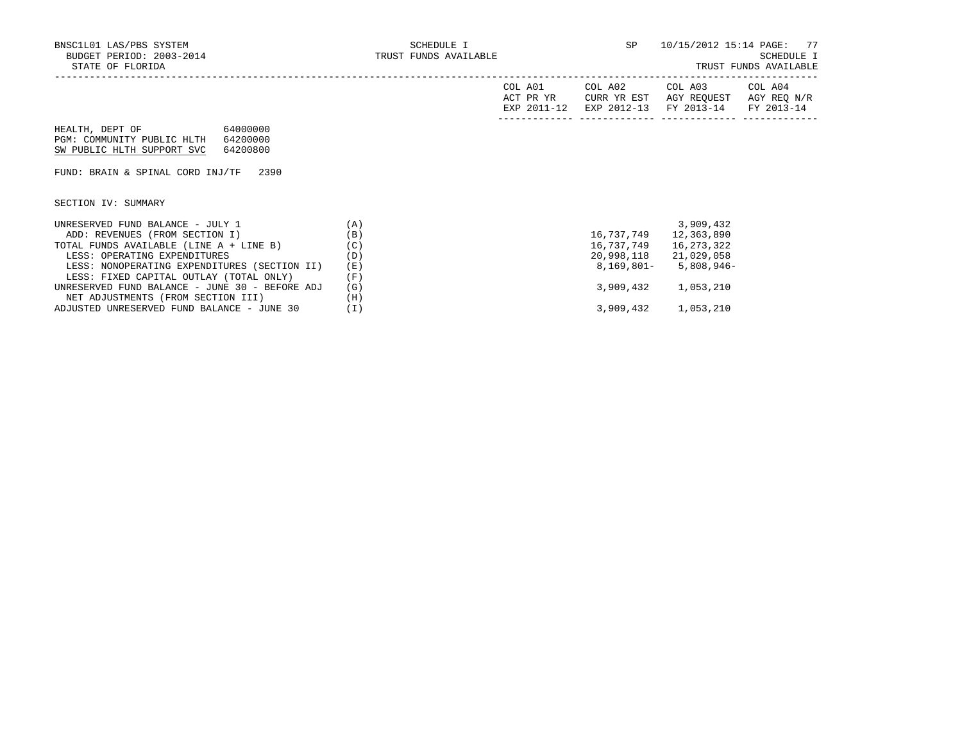|  |  | TRUST FUNDS AVAILABLE |  |  |  |  |
|--|--|-----------------------|--|--|--|--|
|--|--|-----------------------|--|--|--|--|

|                                                |     | COL A01<br>ACT PR YR<br>EXP 2011-12 | COL A02<br>CURR YR EST<br>EXP 2012-13 | COL A03<br>AGY REOUEST<br>FY 2013-14 FY 2013-14 | COL A04<br>AGY REQ N/R |
|------------------------------------------------|-----|-------------------------------------|---------------------------------------|-------------------------------------------------|------------------------|
| 64000000<br>HEALTH, DEPT OF                    |     |                                     |                                       |                                                 |                        |
| PGM: COMMUNITY PUBLIC HLTH<br>64200000         |     |                                     |                                       |                                                 |                        |
| SW PUBLIC HLTH SUPPORT SVC<br>64200800         |     |                                     |                                       |                                                 |                        |
|                                                |     |                                     |                                       |                                                 |                        |
| FUND: BRAIN & SPINAL CORD INJ/TF<br>2390       |     |                                     |                                       |                                                 |                        |
|                                                |     |                                     |                                       |                                                 |                        |
|                                                |     |                                     |                                       |                                                 |                        |
| SECTION IV: SUMMARY                            |     |                                     |                                       |                                                 |                        |
|                                                |     |                                     |                                       |                                                 |                        |
| UNRESERVED FUND BALANCE - JULY 1               | (A) |                                     |                                       | 3,909,432                                       |                        |
| ADD: REVENUES (FROM SECTION I)                 | (B) |                                     | 16,737,749                            | 12,363,890                                      |                        |
| TOTAL FUNDS AVAILABLE (LINE A + LINE B)        | (C) |                                     | 16,737,749                            | 16,273,322                                      |                        |
| LESS: OPERATING EXPENDITURES                   | (D) |                                     |                                       | 20,998,118 21,029,058                           |                        |
| LESS: NONOPERATING EXPENDITURES (SECTION II)   | (E) |                                     | 8,169,801–                            | 5,808,946-                                      |                        |
| LESS: FIXED CAPITAL OUTLAY (TOTAL ONLY)        | (F) |                                     |                                       |                                                 |                        |
| UNRESERVED FUND BALANCE - JUNE 30 - BEFORE ADJ | (G) |                                     | 3,909,432                             | 1,053,210                                       |                        |
| NET ADJUSTMENTS (FROM SECTION III)             | (H) |                                     |                                       |                                                 |                        |
| ADJUSTED UNRESERVED FUND BALANCE - JUNE 30     | (I) |                                     |                                       | 3,909,432 1,053,210                             |                        |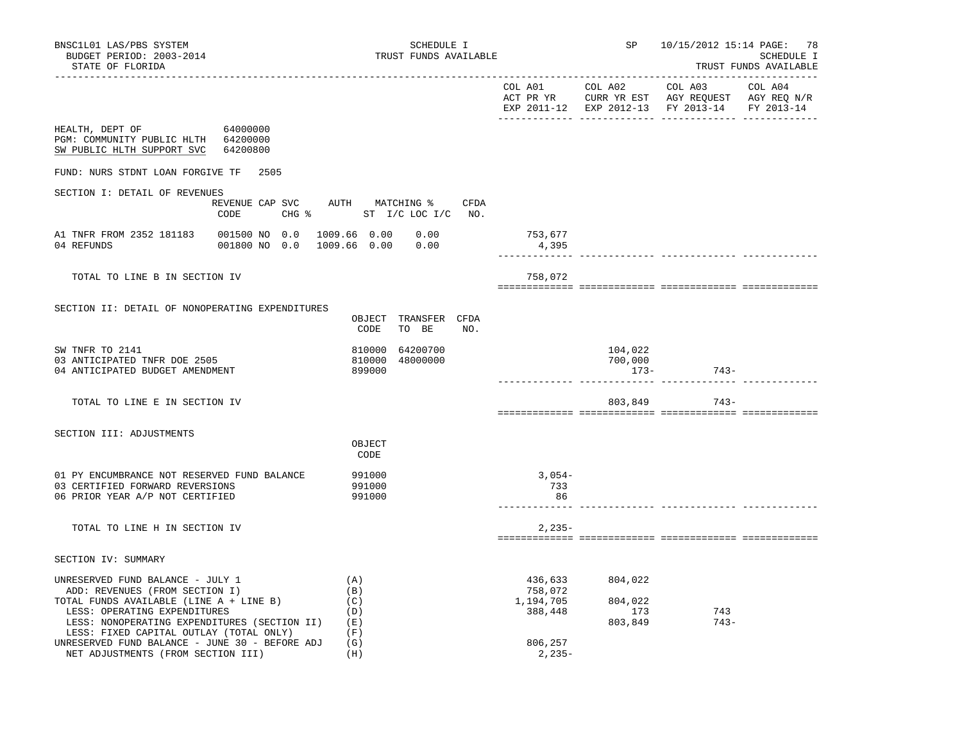| BNSC1L01 LAS/PBS SYSTEM<br>BUDGET PERIOD: 2003-2014<br>STATE OF FLORIDA                                |                                              | TRUST FUNDS AVAILABLE                        | SCHEDULE I | SP               | 10/15/2012 15:14 PAGE: 78<br><b>SCHEDULE I</b><br>TRUST FUNDS AVAILABLE |                                                                                                                                   |  |
|--------------------------------------------------------------------------------------------------------|----------------------------------------------|----------------------------------------------|------------|------------------|-------------------------------------------------------------------------|-----------------------------------------------------------------------------------------------------------------------------------|--|
|                                                                                                        |                                              |                                              |            |                  |                                                                         | COL A01 COL A02 COL A03 COL A04<br>ACT PR YR CURR YR EST AGY REQUEST AGY REQ N/R<br>EXP 2011-12 EXP 2012-13 FY 2013-14 FY 2013-14 |  |
| HEALTH, DEPT OF 64000000<br>PGM: COMMUNITY PUBLIC HLTH 64200000<br>SW PUBLIC HLTH SUPPORT SVC 64200800 |                                              |                                              |            |                  |                                                                         |                                                                                                                                   |  |
| FUND: NURS STDNT LOAN FORGIVE TF 2505                                                                  |                                              |                                              |            |                  |                                                                         |                                                                                                                                   |  |
| SECTION I: DETAIL OF REVENUES                                                                          | REVENUE CAP SVC AUTH MATCHING % CFDA<br>CODE | CHG % ST I/C LOC I/C NO.                     |            |                  |                                                                         |                                                                                                                                   |  |
| A1 TNFR FROM 2352 181183  001500 NO 0.0  1009.66  0.00  0.00<br>04 REFUNDS                             | 001800 NO 0.0 1009.66 0.00 0.00              |                                              |            | 753,677<br>4,395 |                                                                         |                                                                                                                                   |  |
| TOTAL TO LINE B IN SECTION IV                                                                          |                                              |                                              |            | 758,072          |                                                                         |                                                                                                                                   |  |
| SECTION II: DETAIL OF NONOPERATING EXPENDITURES                                                        |                                              | OBJECT TRANSFER CFDA<br>CODE<br>TO BE        | NO.        |                  |                                                                         |                                                                                                                                   |  |
| SW TNFR TO 2141<br>03 ANTICIPATED TNFR DOE 2505<br>04 ANTICIPATED BUDGET AMENDMENT                     |                                              | 810000 64200700<br>810000 48000000<br>899000 |            |                  | 104,022<br>700,000<br>$173 -$                                           | $743-$                                                                                                                            |  |
| TOTAL TO LINE E IN SECTION IV                                                                          |                                              |                                              |            |                  |                                                                         | 803,849 743-                                                                                                                      |  |
| SECTION III: ADJUSTMENTS                                                                               |                                              |                                              |            |                  |                                                                         |                                                                                                                                   |  |

|                                                                                                                                                                                                                                                                                            | OBJECT<br>CODE                                |                                                       |                                      |               |  |
|--------------------------------------------------------------------------------------------------------------------------------------------------------------------------------------------------------------------------------------------------------------------------------------------|-----------------------------------------------|-------------------------------------------------------|--------------------------------------|---------------|--|
| 01 PY ENCUMBRANCE NOT RESERVED FUND BALANCE<br>03 CERTIFIED FORWARD REVERSIONS<br>06 PRIOR YEAR A/P NOT CERTIFIED                                                                                                                                                                          | 991000<br>991000<br>991000                    | $3,054-$<br>733<br>86                                 |                                      |               |  |
| TOTAL TO LINE H IN SECTION IV                                                                                                                                                                                                                                                              |                                               | $2.235-$                                              |                                      |               |  |
| SECTION IV: SUMMARY                                                                                                                                                                                                                                                                        |                                               |                                                       |                                      |               |  |
| UNRESERVED FUND BALANCE - JULY 1<br>ADD: REVENUES (FROM SECTION I)<br>TOTAL FUNDS AVAILABLE (LINE A + LINE B)<br>LESS: OPERATING EXPENDITURES<br>LESS: NONOPERATING EXPENDITURES (SECTION II)<br>LESS: FIXED CAPITAL OUTLAY (TOTAL ONLY)<br>UNRESERVED FUND BALANCE - JUNE 30 - BEFORE ADJ | (A)<br>(B)<br>(C)<br>(D)<br>(E)<br>(F)<br>(G) | 436,633<br>758,072<br>1,194,705<br>388,448<br>806,257 | 804,022<br>804,022<br>173<br>803,849 | 743<br>$743-$ |  |
| NET ADJUSTMENTS (FROM SECTION III)                                                                                                                                                                                                                                                         | (H)                                           | $2,235-$                                              |                                      |               |  |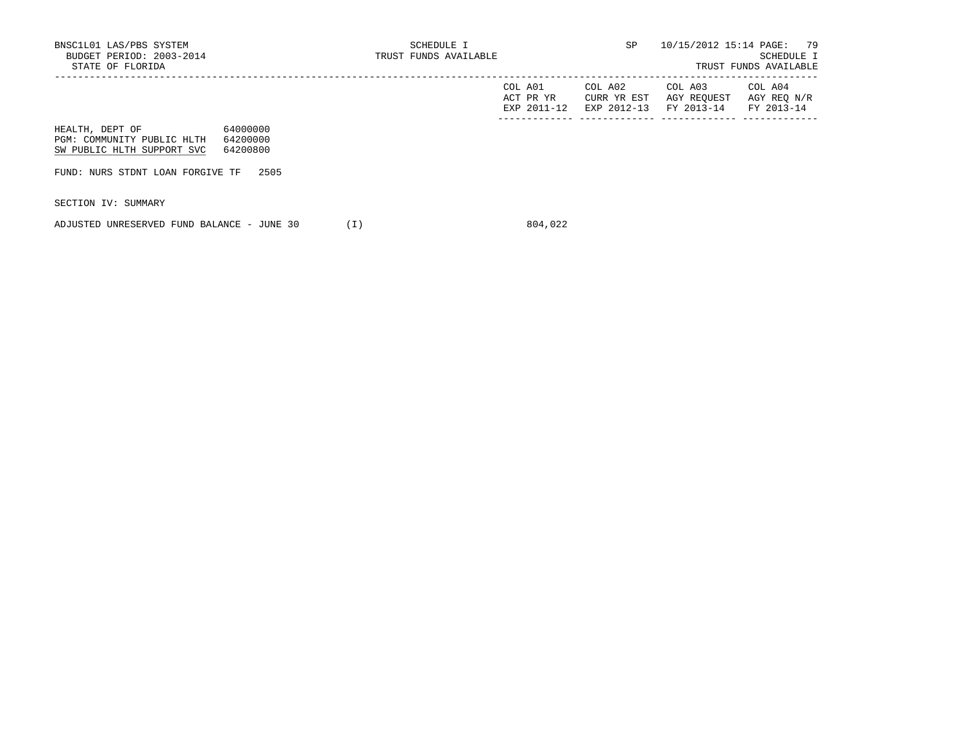|                            |          | COL A01<br>ACT PR YR<br>EXP 2011-12 | COL A02<br>CURR YR EST<br>EXP 2012-13 | COL A03<br>AGY REOUEST<br>FY 2013-14 | COL A04<br>AGY REQ N/R<br>FY 2013-14 |
|----------------------------|----------|-------------------------------------|---------------------------------------|--------------------------------------|--------------------------------------|
| HEALTH, DEPT OF            | 64000000 |                                     |                                       |                                      |                                      |
| PGM: COMMUNITY PUBLIC HLTH | 64200000 |                                     |                                       |                                      |                                      |
| SW PUBLIC HLTH SUPPORT SVC | 64200800 |                                     |                                       |                                      |                                      |

FUND: NURS STDNT LOAN FORGIVE TF 2505

SECTION IV: SUMMARY

ADJUSTED UNRESERVED FUND BALANCE - JUNE 30 (I) 804,022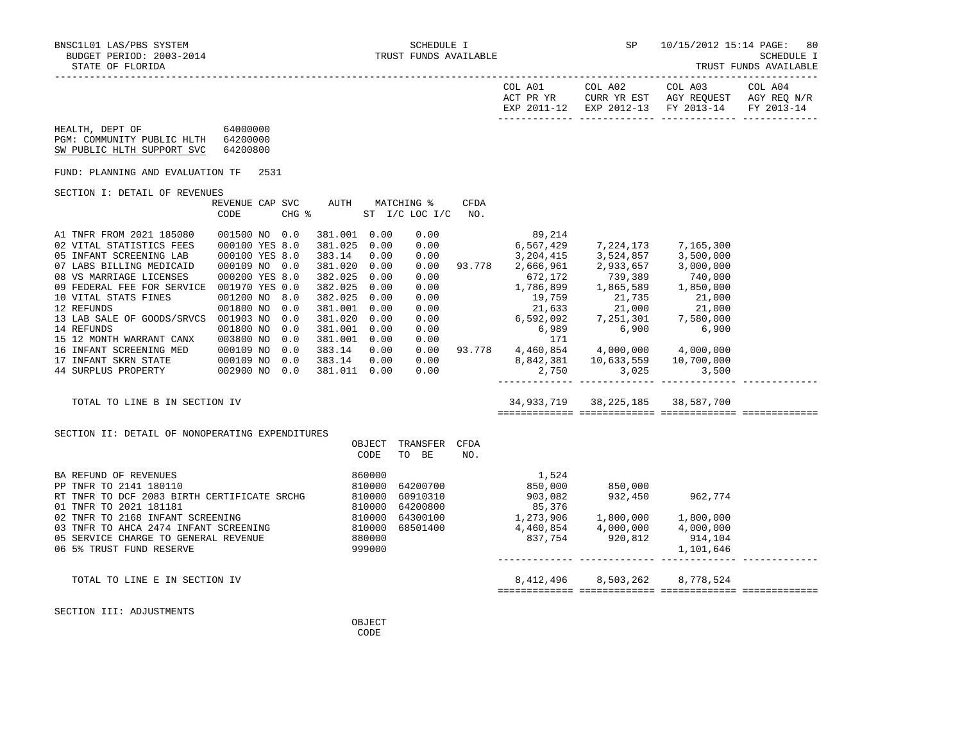SCHEDULE I<br>TRUST FUNDS AVAILABLE

|  | IRUSI FUNDS AVAILABLE |
|--|-----------------------|
|  |                       |

|                                                                                                                                                                                                                                                                                                                                                                         |                                                                                                                                                           |      |                                 |                                                                                                                                                                                        |                                                      |                                                                      |             | COL A01                         | ACT PR YR CURR YR EST AGY REQUEST AGY REQ N/R<br>EXP 2011-12 EXP 2012-13 FY 2013-14 FY 2013-14                                                                                                                                                                                                                                                                                                                                                                                                                                                                                                                                                                                     | COL A02 COL A03 COL A04 |  |
|-------------------------------------------------------------------------------------------------------------------------------------------------------------------------------------------------------------------------------------------------------------------------------------------------------------------------------------------------------------------------|-----------------------------------------------------------------------------------------------------------------------------------------------------------|------|---------------------------------|----------------------------------------------------------------------------------------------------------------------------------------------------------------------------------------|------------------------------------------------------|----------------------------------------------------------------------|-------------|---------------------------------|------------------------------------------------------------------------------------------------------------------------------------------------------------------------------------------------------------------------------------------------------------------------------------------------------------------------------------------------------------------------------------------------------------------------------------------------------------------------------------------------------------------------------------------------------------------------------------------------------------------------------------------------------------------------------------|-------------------------|--|
| HEALTH, DEPT OF 64000000<br>PGM: COMMUNITY PUBLIC HLTH 64200000<br>SW PUBLIC HLTH SUPPORT SVC                                                                                                                                                                                                                                                                           | 64200800                                                                                                                                                  |      |                                 |                                                                                                                                                                                        |                                                      |                                                                      |             |                                 |                                                                                                                                                                                                                                                                                                                                                                                                                                                                                                                                                                                                                                                                                    |                         |  |
| FUND: PLANNING AND EVALUATION TF                                                                                                                                                                                                                                                                                                                                        |                                                                                                                                                           | 2531 |                                 |                                                                                                                                                                                        |                                                      |                                                                      |             |                                 |                                                                                                                                                                                                                                                                                                                                                                                                                                                                                                                                                                                                                                                                                    |                         |  |
| SECTION I: DETAIL OF REVENUES                                                                                                                                                                                                                                                                                                                                           |                                                                                                                                                           |      |                                 |                                                                                                                                                                                        |                                                      |                                                                      |             |                                 |                                                                                                                                                                                                                                                                                                                                                                                                                                                                                                                                                                                                                                                                                    |                         |  |
|                                                                                                                                                                                                                                                                                                                                                                         | CODE                                                                                                                                                      |      |                                 | $CHG$ $\approx$                                                                                                                                                                        |                                                      | REVENUE CAP SVC AUTH MATCHING %<br>ST I/C LOC I/C                    | CFDA<br>NO. |                                 |                                                                                                                                                                                                                                                                                                                                                                                                                                                                                                                                                                                                                                                                                    |                         |  |
| A1 TNFR FROM 2021 185080<br>02 VITAL STATISTICS FEES<br>05 INFANT SCREENING LAB<br>07 LABS BILLING MEDICAID<br>08 VS MARRIAGE LICENSES<br>09 FEDERAL FEE FOR SERVICE 001970 YES 0.0<br>10 VITAL STATS FINES<br>12 REFUNDS<br>13 LAB SALE OF GOODS/SRVCS 001903 NO<br>14 REFUNDS<br>15 12 MONTH WARRANT CANX<br>16 INFANT SCREENING MED<br>TOTAL TO LINE B IN SECTION IV | 001500 NO 0.0<br>000100 YES 8.0<br>000100 YES 8.0<br>000109 NO 0.0<br>000200 YES 8.0<br>001200 NO<br>001800 NO<br>001800 NO<br>003800 NO<br>000109 NO 0.0 |      | 8.0<br>0.0<br>0.0<br>0.0<br>0.0 | 381.001 0.00<br>381.025 0.00<br>383.14<br>381.020 0.00<br>382.025<br>382.025<br>382.025<br>381.001<br>381.020 0.00<br>381.001 0.00<br>381.001 0.00<br>383.14<br>383.14<br>381.011 0.00 | 0.00<br>0.00<br>0.00<br>0.00<br>0.00<br>0.00<br>0.00 | 0.00<br>0.00<br>0.00<br>0.00<br>0.00<br>0.00<br>0.00<br>0.00<br>0.00 |             | 89,214                          | $6,567,429$ $7,224,173$ $7,165,300$<br>$\begin{array}{cccc} 0.00 & 3,204,415 & 3,524,857 & 3,500,000 \\ 0.00 & 93.778 & 2,666,961 & 2,933,657 & 3,000,000 \end{array}$<br>$\begin{array}{cccccc} 2,900,901 & 2,933,657 & 3,000,000 \\ 672,172 & 739,389 & 740,000 \\ 1,786,899 & 1,865,589 & 1,850,000 \\ 19,759 & 21,735 & 21,000 \\ 21,633 & 21,000 & 21,000 \\ 6,592,092 & 7,251,301 & 7,580,000 \\ 6,989 & 6,900 & 6,900 \end{array}$<br>$0.00$ 93.778 4,460,854 4,000,000 4,000,000<br>$0.00$<br>$0.00$<br>$0.00$<br>$0.00$<br>$0.750$<br>$0.750$<br>$0.750$<br>$0.750$<br>$0.750$<br>$0.750$<br>$0.750$<br>$0.750$<br>$0.750$<br>$0.750$<br>34,933,719 38,225,185 38,587,700 |                         |  |
| SECTION II: DETAIL OF NONOPERATING EXPENDITURES                                                                                                                                                                                                                                                                                                                         |                                                                                                                                                           |      |                                 |                                                                                                                                                                                        | CODE                                                 | OBJECT TRANSFER CFDA<br>TO BE                                        | NO.         |                                 |                                                                                                                                                                                                                                                                                                                                                                                                                                                                                                                                                                                                                                                                                    |                         |  |
| BA REFUND OF REVENUES<br>PP TNFR TO 2141 180110<br>RT TNFR TO DCF 2083 BIRTH CERTIFICATE SRCHG<br>01 TNFR TO 2021 181181<br>02 TNFR TO 2168 INFANT SCREENING<br>03 TNFR TO AHCA 2474 INFANT SCREENING<br>05 SERVICE CHARGE TO GENERAL REVENUE<br>06 SE TRIST FIND PERPUT 800000<br>06 S& TRIS<br>06 5% TRUST FUND RESERVE                                               |                                                                                                                                                           |      |                                 | 860000<br>810000                                                                                                                                                                       | 999000                                               |                                                                      |             | 4,000,000<br>837,754<br>920,812 | $\begin{array}{cccc} & & & 1,524 \cr 64200700 & & & 850,000 \cr 60910310 & & & 903,082 \cr 64200800 & & & 85,376 \cr 64300100 & & & 1,273,906 \cr \end{array} \qquad \begin{array}{cccc} & & 1,524 \cr 850,000 & & & 850,000 \cr 95,376 & & & 952,774 \cr 1,800,000 & & & 1,800,000 \cr 85,376 & & & 1,800,000 \cr$<br>${\bf 68501400} \hspace{1.5cm} {\bf 4,460,854} \hspace{1.5cm} {\bf 4,000,000} \hspace{1.5cm} {\bf 4,000,000}$                                                                                                                                                                                                                                               | 914,104<br>1,101,646    |  |

TOTAL TO LINE E IN SECTION IV 8,412,496 8,503,262 8,778,524

============= ============= ============= =============

SECTION III: ADJUSTMENTS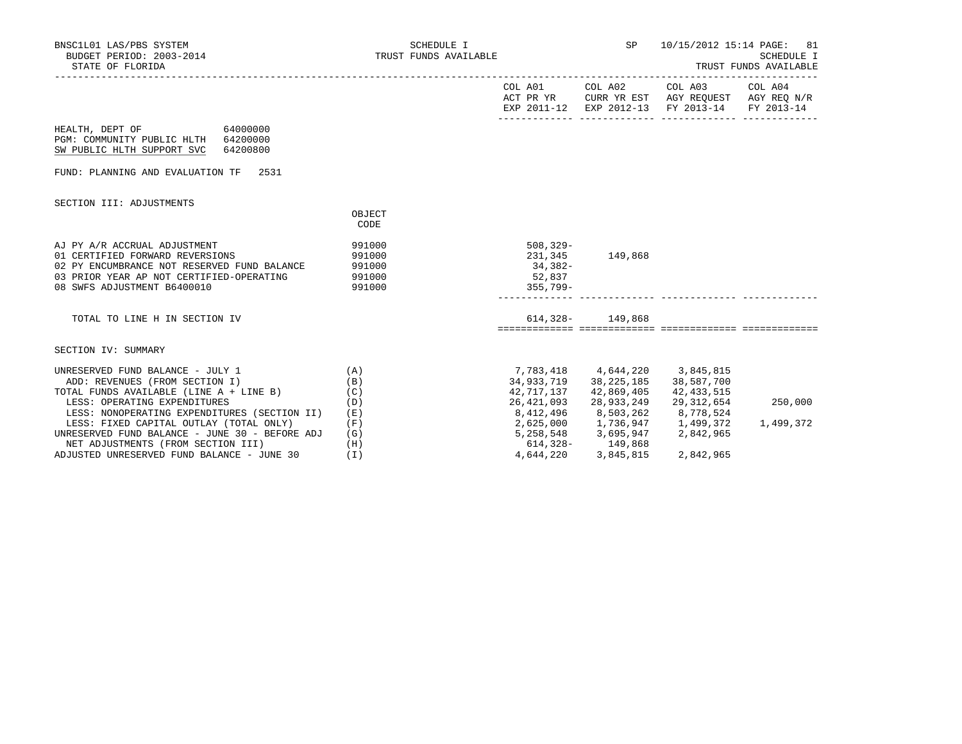| BNSC1L01 LAS/PBS SYSTEM<br>BUDGET PERIOD: 2003-2014<br>STATE OF FLORIDA                                                                                                                   | SCHEDULE I<br>TRUST FUNDS AVAILABLE            | SP                                                                          | 10/15/2012 15:14 PAGE: 81<br>SCHEDULE I<br>TRUST FUNDS AVAILABLE     |                                                                                                                           |           |
|-------------------------------------------------------------------------------------------------------------------------------------------------------------------------------------------|------------------------------------------------|-----------------------------------------------------------------------------|----------------------------------------------------------------------|---------------------------------------------------------------------------------------------------------------------------|-----------|
|                                                                                                                                                                                           |                                                |                                                                             |                                                                      | COL A01 COL A02 COL A03<br>ACT PR YR CURR YR EST AGY REQUEST AGY REQ N/R<br>EXP 2011-12 EXP 2012-13 FY 2013-14 FY 2013-14 | COL A04   |
| HEALTH, DEPT OF<br>64000000<br>PGM: COMMUNITY PUBLIC HLTH<br>64200000<br>SW PUBLIC HLTH SUPPORT SVC<br>64200800                                                                           |                                                |                                                                             |                                                                      |                                                                                                                           |           |
| FUND: PLANNING AND EVALUATION TF 2531                                                                                                                                                     |                                                |                                                                             |                                                                      |                                                                                                                           |           |
| SECTION III: ADJUSTMENTS                                                                                                                                                                  | OBJECT<br>CODE                                 |                                                                             |                                                                      |                                                                                                                           |           |
| AJ PY A/R ACCRUAL ADJUSTMENT<br>01 CERTIFIED FORWARD REVERSIONS<br>02 PY ENCUMBRANCE NOT RESERVED FUND BALANCE<br>03 PRIOR YEAR AP NOT CERTIFIED-OPERATING<br>08 SWFS ADJUSTMENT B6400010 | 991000<br>991000<br>991000<br>991000<br>991000 | $508, 329 -$<br>34,382-<br>52,837<br>$355.799 -$                            | 231,345 149,868                                                      |                                                                                                                           |           |
| TOTAL TO LINE H IN SECTION IV                                                                                                                                                             |                                                |                                                                             | $614,328 - 149,868$                                                  |                                                                                                                           |           |
| SECTION IV: SUMMARY                                                                                                                                                                       |                                                |                                                                             |                                                                      |                                                                                                                           |           |
| UNRESERVED FUND BALANCE - JULY 1<br>ADD: REVENUES (FROM SECTION I)<br>TOTAL FUNDS AVAILABLE (LINE A + LINE B)                                                                             | (A)<br>(B)<br>(C)                              | 34,933,719<br>42,717,137                                                    | 7,783,418 4,644,220 3,845,815<br>38,225,185 38,587,700<br>42,869,405 | 42,433,515                                                                                                                |           |
| LESS: OPERATING EXPENDITURES<br>LESS: NONOPERATING EXPENDITURES (SECTION II)                                                                                                              | (D)<br>(E)                                     | 26,421,093<br>8,412,496                                                     | 28,933,249<br>8,503,262                                              | 29,312,654<br>8,778,524                                                                                                   | 250,000   |
| LESS: FIXED CAPITAL OUTLAY (TOTAL ONLY)<br>UNRESERVED FUND BALANCE - JUNE 30 - BEFORE ADJ<br>NET ADJUSTMENTS (FROM SECTION III)<br>ADJUSTED UNRESERVED FUND BALANCE - JUNE 30             | (F)<br>(G)<br>(H)<br>(T)                       | 2,625,000 1,736,947 1,499,372<br>5,258,548 3,695,947 2,842,965<br>4,644,220 | 614,328-149,868<br>3,845,815                                         | 2,842,965                                                                                                                 | 1,499,372 |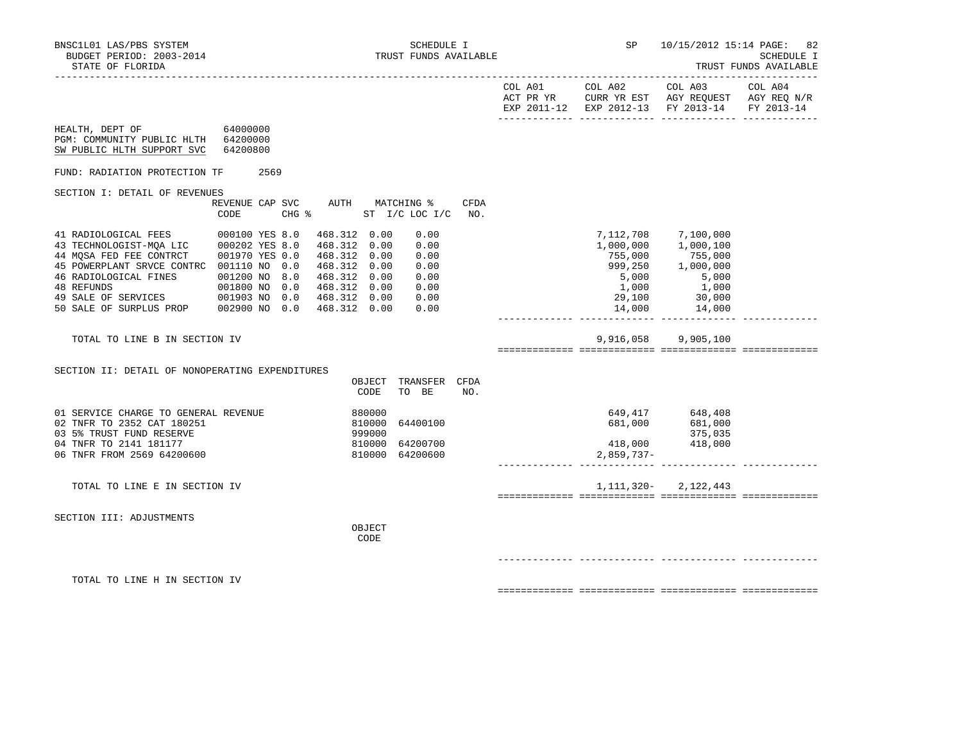|                                                                                                                                                        |                                         |        |                            |                                         |             | EXP 2011-12 EXP 2012-13 FY 2013-14 FY 2013-14 |                                                                                                                                                                                                                              |  |
|--------------------------------------------------------------------------------------------------------------------------------------------------------|-----------------------------------------|--------|----------------------------|-----------------------------------------|-------------|-----------------------------------------------|------------------------------------------------------------------------------------------------------------------------------------------------------------------------------------------------------------------------------|--|
| HEALTH, DEPT OF 64000000<br>PGM: COMMUNITY PUBLIC HLTH 64200000<br>SW PUBLIC HLTH SUPPORT SVC                                                          | 64200800                                |        |                            |                                         |             |                                               |                                                                                                                                                                                                                              |  |
| FUND: RADIATION PROTECTION TF                                                                                                                          | 2569                                    |        |                            |                                         |             |                                               |                                                                                                                                                                                                                              |  |
| SECTION I: DETAIL OF REVENUES                                                                                                                          | REVENUE CAP SVC AUTH MATCHING %<br>CODE |        |                            | CHG % ST I/C LOC I/C                    | CFDA<br>NO. |                                               |                                                                                                                                                                                                                              |  |
| 45 POWERPLANT SRVCE CONTRC 001110 NO 0.0 468.312 0.00                                                                                                  |                                         |        |                            | 0.00<br>0.00<br>0.00<br>0.00            |             | 14,000                                        | 7,112,708       7,100,000<br>1,000,000      1,000,100<br>755,000               755,000<br>999,250          1,000,000<br>$\begin{array}{ccc} 5,000 & & 5,000 \ 1,000 & & 1,000 \end{array}$<br>29,100 30,000<br>14,000 14,000 |  |
| TOTAL TO LINE B IN SECTION IV                                                                                                                          |                                         |        |                            |                                         |             |                                               | 9,916,058 9,905,100                                                                                                                                                                                                          |  |
| SECTION II: DETAIL OF NONOPERATING EXPENDITURES                                                                                                        |                                         |        | CODE                       | OBJECT TRANSFER CFDA<br>TO BE           | NO.         |                                               |                                                                                                                                                                                                                              |  |
| 01 SERVICE CHARGE TO GENERAL REVENUE<br>02 TNFR TO 2352 CAT 180251<br>03 5% TRUST FUND RESERVE<br>04 TNFR TO 2141 181177<br>06 TNFR FROM 2569 64200600 |                                         | 880000 | 810000<br>999000<br>810000 | 64400100<br>64200700<br>810000 64200600 |             | 2,859,737-                                    | 649,417 648,408<br>681,000 681,000<br>375,035<br>418,000 418,000                                                                                                                                                             |  |
| TOTAL TO LINE E IN SECTION IV                                                                                                                          |                                         |        |                            |                                         |             |                                               | $1, 111, 320 - 2, 122, 443$                                                                                                                                                                                                  |  |
| SECTION III: ADJUSTMENTS                                                                                                                               |                                         |        | OBJECT<br>CODE             |                                         |             |                                               |                                                                                                                                                                                                                              |  |
|                                                                                                                                                        |                                         |        |                            |                                         |             |                                               |                                                                                                                                                                                                                              |  |
| TOTAL TO LINE H IN SECTION IV                                                                                                                          |                                         |        |                            |                                         |             |                                               |                                                                                                                                                                                                                              |  |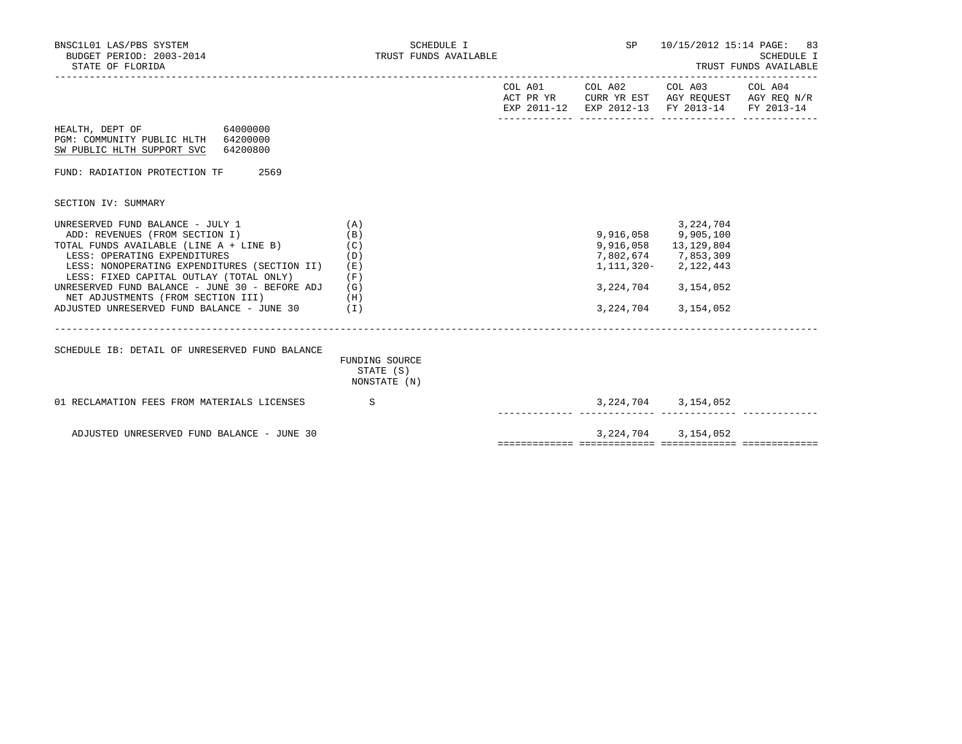| BNSC1L01 LAS/PBS SYSTEM<br>BUDGET PERIOD: 2003-2014<br>STATE OF FLORIDA                                                                                                                                                                                                                                                                                                                             | SCHEDULE I<br>TRUST FUNDS AVAILABLE         |                   | SP 10/15/2012 15:14 PAGE: 83                                                                                                                                       | SCHEDULE I |
|-----------------------------------------------------------------------------------------------------------------------------------------------------------------------------------------------------------------------------------------------------------------------------------------------------------------------------------------------------------------------------------------------------|---------------------------------------------|-------------------|--------------------------------------------------------------------------------------------------------------------------------------------------------------------|------------|
|                                                                                                                                                                                                                                                                                                                                                                                                     |                                             |                   | COL A01 COL A02 COL A03 COL A04<br>ACT PR YR CURR YR EST AGY REQUEST AGY REQ N/R<br>EXP 2011-12 EXP 2012-13 FY 2013-14 FY 2013-14                                  |            |
| HEALTH, DEPT OF 64000000<br>PGM: COMMUNITY PUBLIC HLTH 64200000<br>SW PUBLIC HLTH SUPPORT SVC 64200800                                                                                                                                                                                                                                                                                              |                                             |                   |                                                                                                                                                                    |            |
| FUND: RADIATION PROTECTION TF 2569                                                                                                                                                                                                                                                                                                                                                                  |                                             |                   |                                                                                                                                                                    |            |
| SECTION IV: SUMMARY                                                                                                                                                                                                                                                                                                                                                                                 |                                             |                   |                                                                                                                                                                    |            |
| UNRESERVED FUND BALANCE - JULY 1<br>ADD: REVENUES (FROM SECTION I)<br>TOTAL FUNDS AVAILABLE (LINE A + LINE B)<br>LESS: OPERATING EXPENDITURES<br>LESS: NONOPERATING EXPENDITURES (SECTION II) (E)<br>LESS: FIXED CAPITAL OUTLAY (TOTAL ONLY)<br>UNRESERVED FUND BALANCE - JUNE 30 - BEFORE ADJ $(G)$<br>(H)<br>NET ADJUSTMENTS (FROM SECTION III)<br>ADJUSTED UNRESERVED FUND BALANCE - JUNE 30 (I) | (A)<br>(B)<br>(C)<br>(D)<br>(F)             |                   | 3,224,704<br>9,916,058 9,905,100<br>9,916,058 13,129,804<br>7,802,674 7,853,309<br>1, 111, 320 - 2, 122, 443<br>3, 224, 704 3, 154, 052<br>3, 224, 704 3, 154, 052 |            |
| SCHEDULE IB: DETAIL OF UNRESERVED FUND BALANCE                                                                                                                                                                                                                                                                                                                                                      | FUNDING SOURCE<br>STATE (S)<br>NONSTATE (N) |                   |                                                                                                                                                                    |            |
| 01 RECLAMATION FEES FROM MATERIALS LICENSES S                                                                                                                                                                                                                                                                                                                                                       |                                             | ------------- --- | 3, 224, 704 3, 154, 052<br>.________  ______________  ________                                                                                                     |            |
| ADJUSTED UNRESERVED FUND BALANCE - JUNE 30                                                                                                                                                                                                                                                                                                                                                          |                                             |                   | 3, 224, 704 3, 154, 052                                                                                                                                            |            |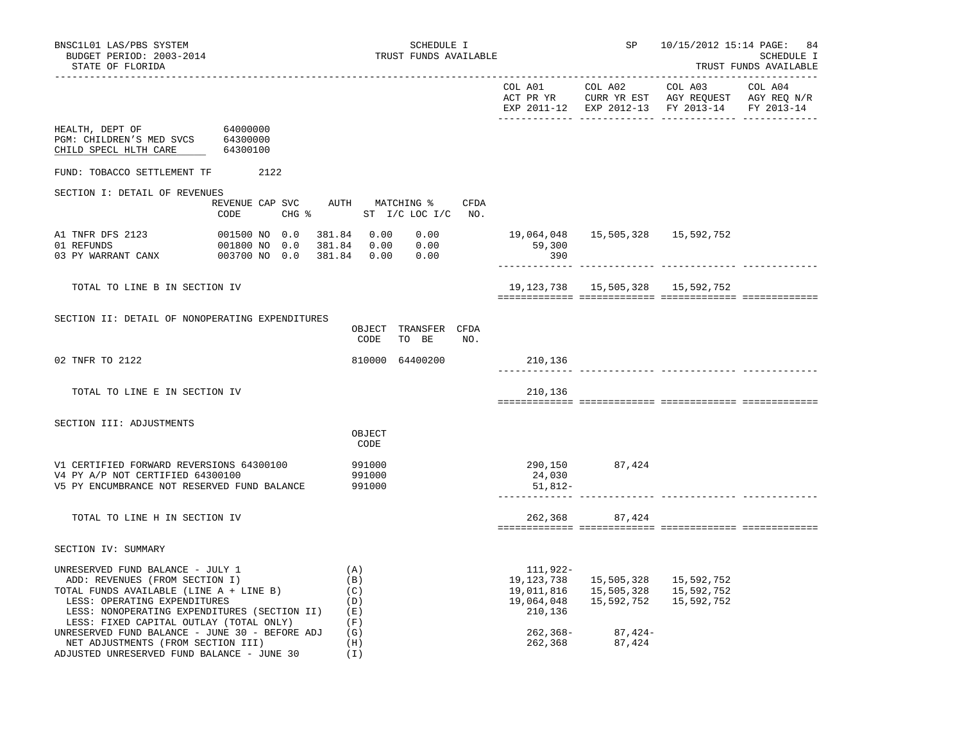| BNSC1L01 LAS/PBS SYSTEM<br>BUDGET PERIOD: 2003-2014<br>STATE OF FLORIDA                                                                                                                                                                                                                                                                                                                                        | SCHEDULE I<br>TRUST FUNDS AVAILABLE                              |                                                                                          | SP                | 10/15/2012 15:14 PAGE: 84                                                 | SCHEDULE I<br>TRUST FUNDS AVAILABLE |
|----------------------------------------------------------------------------------------------------------------------------------------------------------------------------------------------------------------------------------------------------------------------------------------------------------------------------------------------------------------------------------------------------------------|------------------------------------------------------------------|------------------------------------------------------------------------------------------|-------------------|---------------------------------------------------------------------------|-------------------------------------|
|                                                                                                                                                                                                                                                                                                                                                                                                                |                                                                  |                                                                                          |                   | ________________________<br>EXP 2011-12 EXP 2012-13 FY 2013-14            | FY 2013-14                          |
| HEALTH, DEPT OF 64000000<br>PGM: CHILDREN'S MED SVCS 64300000<br>CHILD SPECL HLTH CARE<br>64300100                                                                                                                                                                                                                                                                                                             |                                                                  |                                                                                          |                   |                                                                           |                                     |
| FUND: TOBACCO SETTLEMENT TF 2122                                                                                                                                                                                                                                                                                                                                                                               |                                                                  |                                                                                          |                   |                                                                           |                                     |
| SECTION I: DETAIL OF REVENUES                                                                                                                                                                                                                                                                                                                                                                                  |                                                                  |                                                                                          |                   |                                                                           |                                     |
| REVENUE CAP SVC AUTH MATCHING %<br>CODE                                                                                                                                                                                                                                                                                                                                                                        | CFDA<br>CHG % ST I/C LOC I/C NO.                                 |                                                                                          |                   |                                                                           |                                     |
| 001500 NO 0.0<br>A1 TNFR DFS 2123<br>001800 NO 0.0<br>01 REFUNDS<br>003700 NO 0.0<br>03 PY WARRANT CANX                                                                                                                                                                                                                                                                                                        | 381.84 0.00<br>0.00<br>381.84 0.00<br>0.00<br>381.84  0.00  0.00 | 59,300<br>390                                                                            |                   | 19,064,048  15,505,328  15,592,752                                        |                                     |
| TOTAL TO LINE B IN SECTION IV                                                                                                                                                                                                                                                                                                                                                                                  |                                                                  |                                                                                          |                   | 19, 123, 738   15, 505, 328   15, 592, 752                                |                                     |
|                                                                                                                                                                                                                                                                                                                                                                                                                |                                                                  |                                                                                          |                   |                                                                           |                                     |
| SECTION II: DETAIL OF NONOPERATING EXPENDITURES                                                                                                                                                                                                                                                                                                                                                                | OBJECT TRANSFER CFDA<br>CODE<br>TO BE<br>NO.                     |                                                                                          |                   |                                                                           |                                     |
| 02 TNFR TO 2122                                                                                                                                                                                                                                                                                                                                                                                                | 810000 64400200                                                  | 210,136                                                                                  |                   |                                                                           |                                     |
| TOTAL TO LINE E IN SECTION IV                                                                                                                                                                                                                                                                                                                                                                                  |                                                                  | 210,136                                                                                  |                   |                                                                           |                                     |
| SECTION III: ADJUSTMENTS                                                                                                                                                                                                                                                                                                                                                                                       |                                                                  |                                                                                          |                   |                                                                           |                                     |
|                                                                                                                                                                                                                                                                                                                                                                                                                | OBJECT<br>CODE                                                   |                                                                                          |                   |                                                                           |                                     |
| V1 CERTIFIED FORWARD REVERSIONS 64300100<br>V4 PY A/P NOT CERTIFIED 64300100<br>V5 PY ENCUMBRANCE NOT RESERVED FUND BALANCE                                                                                                                                                                                                                                                                                    | 991000<br>991000<br>991000                                       | 290,150<br>24,030<br>51,812-                                                             | 87,424            |                                                                           |                                     |
| TOTAL TO LINE H IN SECTION IV                                                                                                                                                                                                                                                                                                                                                                                  |                                                                  |                                                                                          | 262,368 87,424    |                                                                           |                                     |
| SECTION IV: SUMMARY                                                                                                                                                                                                                                                                                                                                                                                            |                                                                  |                                                                                          |                   |                                                                           |                                     |
| UNRESERVED FUND BALANCE - JULY 1<br>ADD: REVENUES (FROM SECTION I)<br>TOTAL FUNDS AVAILABLE (LINE A + LINE B)<br>LESS: OPERATING EXPENDITURES<br>LESS: OPERATING EXPENDITURES<br>LESS: NONOPERATING EXPENDITURES (SECTION II)<br>LESS: FIXED CAPITAL OUTLAY (TOTAL ONLY)<br>UNRESERVED FUND BALANCE - JUNE 30 - BEFORE ADJ<br>NET ADJUSTMENTS (FROM SECTION III)<br>ADJUSTED UNRESERVED FUND BALANCE - JUNE 30 | (A)<br>(B)<br>(C)<br>(D)<br>(E)<br>(F)<br>(G)<br>(H)<br>(I)      | 111,922-<br>19,123,738<br>19,011,816<br>19,064,048<br>210,136<br>$262, 368 -$<br>262,368 | 87,424-<br>87,424 | 15,505,328   15,592,752<br>15,505,328 15,592,752<br>15,592,752 15,592,752 |                                     |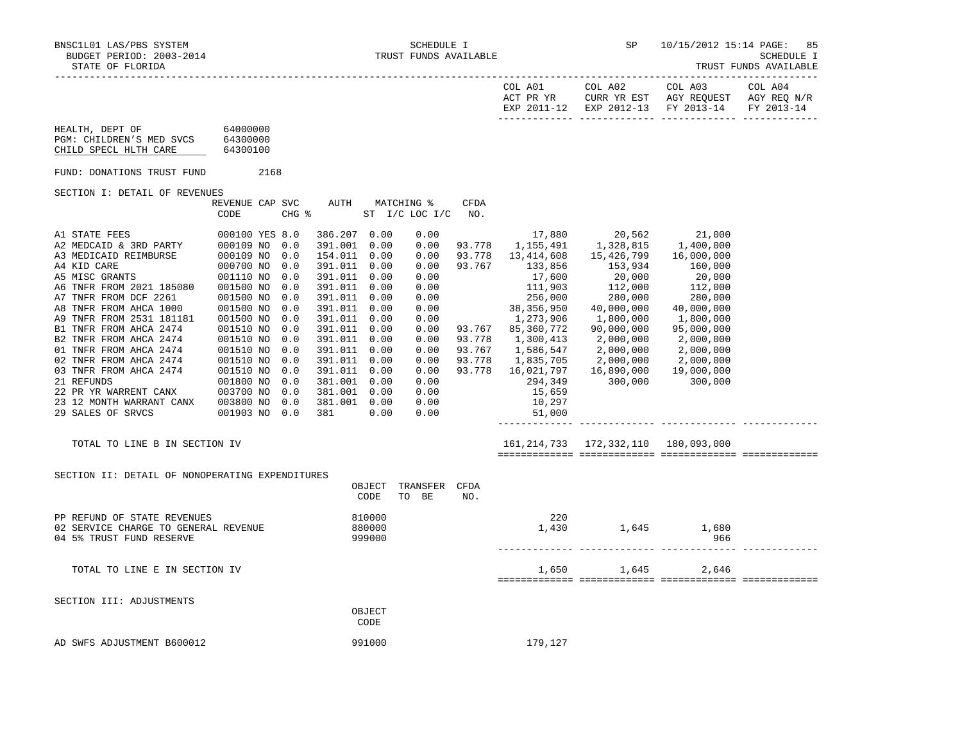|                                                                                                                                                                                                              |                                                                                                                            |                                                                                                              |                                                                                                                                                                                                                                                                      |                              |                                                                                                                                              |                                                | COL A01<br>ACT PR YR                                                                                                                                                                                                                     | COL A02                                                                                                                                                                                       | COL A03<br>CURR YR EST AGY REQUEST AGY REQ N/R<br>EXP 2011-12 EXP 2012-13 FY 2013-14                                                                                                  | COL A04<br>FY 2013-14 |
|--------------------------------------------------------------------------------------------------------------------------------------------------------------------------------------------------------------|----------------------------------------------------------------------------------------------------------------------------|--------------------------------------------------------------------------------------------------------------|----------------------------------------------------------------------------------------------------------------------------------------------------------------------------------------------------------------------------------------------------------------------|------------------------------|----------------------------------------------------------------------------------------------------------------------------------------------|------------------------------------------------|------------------------------------------------------------------------------------------------------------------------------------------------------------------------------------------------------------------------------------------|-----------------------------------------------------------------------------------------------------------------------------------------------------------------------------------------------|---------------------------------------------------------------------------------------------------------------------------------------------------------------------------------------|-----------------------|
| 64000000<br>HEALTH, DEPT OF<br>PGM: CHILDREN'S MED SVCS 64300000<br>CHILD SPECL HLTH CARE                                                                                                                    | 64300100                                                                                                                   |                                                                                                              |                                                                                                                                                                                                                                                                      |                              |                                                                                                                                              |                                                |                                                                                                                                                                                                                                          |                                                                                                                                                                                               |                                                                                                                                                                                       |                       |
| FUND: DONATIONS TRUST FUND                                                                                                                                                                                   | 2168                                                                                                                       |                                                                                                              |                                                                                                                                                                                                                                                                      |                              |                                                                                                                                              |                                                |                                                                                                                                                                                                                                          |                                                                                                                                                                                               |                                                                                                                                                                                       |                       |
| SECTION I: DETAIL OF REVENUES                                                                                                                                                                                |                                                                                                                            |                                                                                                              |                                                                                                                                                                                                                                                                      |                              |                                                                                                                                              |                                                |                                                                                                                                                                                                                                          |                                                                                                                                                                                               |                                                                                                                                                                                       |                       |
|                                                                                                                                                                                                              | REVENUE CAP SVC<br>CODE                                                                                                    | CHG %                                                                                                        |                                                                                                                                                                                                                                                                      |                              | AUTH MATCHING %<br>$ST$ $I/C$ LOC $I/C$                                                                                                      | <b>CFDA</b><br>NO <sub>z</sub>                 |                                                                                                                                                                                                                                          |                                                                                                                                                                                               |                                                                                                                                                                                       |                       |
| A6 TNFR FROM 2021 185080<br>A7 TNFR FROM DCF 2261<br>A8 TNFR FROM AHCA 1000<br>A9 TNFR FROM 2531 181181<br>B1 TNFR FROM AHCA 2474<br>B2 TNFR FROM AHCA 2474<br>23 12 MONTH WARRANT CANX<br>29 SALES OF SRVCS | 000100 YES 8.0<br>001500 NO<br>001500 NO<br>001500 NO<br>001500 NO<br>001510 NO<br>001510 NO<br>003800 NO<br>001903 NO 0.0 | 0.0<br>0.0<br>0.0<br>0.0<br>0.0<br>0.0<br>0.0<br>0.0<br>0.0<br>0.0<br>0.0<br>0.0<br>0.0<br>0.0<br>0.0<br>0.0 | 386.207 0.00<br>391.001<br>154.011 0.00<br>391.011 0.00<br>391.011 0.00<br>391.011 0.00<br>391.011 0.00<br>391.011 0.00<br>391.011<br>391.011 0.00<br>391.011<br>391.011 0.00<br>391.011 0.00<br>391.011 0.00<br>381.001 0.00<br>381.001 0.00<br>381.001 0.00<br>381 | 0.00<br>0.00<br>0.00<br>0.00 | 0.00<br>0.00<br>0.00<br>0.00<br>0.00<br>0.00<br>0.00<br>0.00<br>0.00<br>0.00<br>0.00<br>0.00<br>0.00<br>0.00<br>0.00<br>0.00<br>0.00<br>0.00 | 93.778<br>93.767<br>93.778<br>93.767<br>93.778 | 17,880<br>1,155,491<br>93.778 13,414,608<br>133,856<br>17,600<br>111,903<br>256,000<br>38,356,950<br>1,273,906<br>93.767 85,360,772<br>1,300,413<br>1,586,547<br>1,835,705<br>93.778 16,021,797<br>294,349<br>15,659<br>10,297<br>51,000 | 20,562<br>1,328,815<br>15,426,799<br>$153,934$<br>$20,000$<br>$112,000$<br>$280,000$<br>40,000,000<br>1,800,000<br>90,000,000<br>2,000,000<br>2,000,000<br>2,000,000<br>16,890,000<br>300,000 | 21,000<br>1,400,000<br>16,000,000<br>160,000<br>20,000<br>112,000<br>280,000<br>40,000,000<br>1,800,000<br>95,000,000<br>2,000,000<br>2,000,000<br>2,000,000<br>19,000,000<br>300,000 |                       |
| TOTAL TO LINE B IN SECTION IV                                                                                                                                                                                |                                                                                                                            |                                                                                                              |                                                                                                                                                                                                                                                                      |                              |                                                                                                                                              |                                                |                                                                                                                                                                                                                                          |                                                                                                                                                                                               |                                                                                                                                                                                       |                       |
| SECTION II: DETAIL OF NONOPERATING EXPENDITURES                                                                                                                                                              |                                                                                                                            |                                                                                                              |                                                                                                                                                                                                                                                                      | OBJECT<br>CODE               | TRANSFER CFDA<br>TO BE                                                                                                                       | NO.                                            |                                                                                                                                                                                                                                          |                                                                                                                                                                                               |                                                                                                                                                                                       |                       |
| PP REFUND OF STATE REVENUES<br>02 SERVICE CHARGE TO GENERAL REVENUE<br>04 5% TRUST FUND RESERVE                                                                                                              |                                                                                                                            |                                                                                                              |                                                                                                                                                                                                                                                                      | 810000<br>880000<br>999000   |                                                                                                                                              |                                                | 220                                                                                                                                                                                                                                      | 1,430 1,645 1,680                                                                                                                                                                             | 966                                                                                                                                                                                   |                       |
| TOTAL TO LINE E IN SECTION IV                                                                                                                                                                                |                                                                                                                            |                                                                                                              |                                                                                                                                                                                                                                                                      |                              |                                                                                                                                              |                                                |                                                                                                                                                                                                                                          | 1,650 1,645                                                                                                                                                                                   | 2,646                                                                                                                                                                                 |                       |
| SECTION III: ADJUSTMENTS                                                                                                                                                                                     |                                                                                                                            |                                                                                                              |                                                                                                                                                                                                                                                                      | OBJECT<br>CODE               |                                                                                                                                              |                                                |                                                                                                                                                                                                                                          |                                                                                                                                                                                               |                                                                                                                                                                                       |                       |
| AD SWFS ADJUSTMENT B600012                                                                                                                                                                                   |                                                                                                                            |                                                                                                              |                                                                                                                                                                                                                                                                      | 991000                       |                                                                                                                                              |                                                | 179,127                                                                                                                                                                                                                                  |                                                                                                                                                                                               |                                                                                                                                                                                       |                       |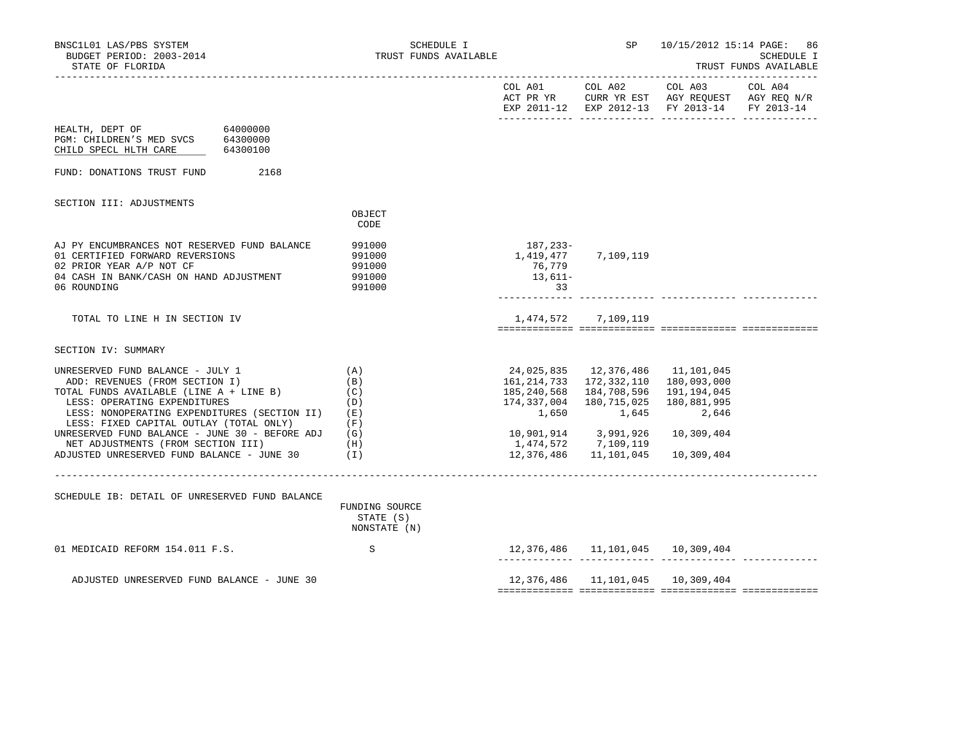| BNSC1L01 LAS/PBS SYSTEM<br>BUDGET PERIOD: 2003-2014<br>STATE OF FLORIDA                                                                                                                                                                                                                                                                                                              | SCHEDULE I<br>TRUST FUNDS AVAILABLE                  |                                                                                    | SP                                                                                                                                      |                                                                                | 10/15/2012 15:14 PAGE: 86<br>SCHEDULE I<br>TRUST FUNDS AVAILABLE |
|--------------------------------------------------------------------------------------------------------------------------------------------------------------------------------------------------------------------------------------------------------------------------------------------------------------------------------------------------------------------------------------|------------------------------------------------------|------------------------------------------------------------------------------------|-----------------------------------------------------------------------------------------------------------------------------------------|--------------------------------------------------------------------------------|------------------------------------------------------------------|
|                                                                                                                                                                                                                                                                                                                                                                                      |                                                      |                                                                                    |                                                                                                                                         | EXP 2011-12 EXP 2012-13 FY 2013-14 FY 2013-14                                  |                                                                  |
| HEALTH, DEPT OF<br>64000000<br>PGM: CHILDREN'S MED SVCS 64300000<br>CHILD SPECL HLTH CARE<br>64300100                                                                                                                                                                                                                                                                                |                                                      |                                                                                    |                                                                                                                                         |                                                                                |                                                                  |
| FUND: DONATIONS TRUST FUND<br>2168                                                                                                                                                                                                                                                                                                                                                   |                                                      |                                                                                    |                                                                                                                                         |                                                                                |                                                                  |
| SECTION III: ADJUSTMENTS                                                                                                                                                                                                                                                                                                                                                             | OBJECT<br>CODE                                       |                                                                                    |                                                                                                                                         |                                                                                |                                                                  |
| AJ PY ENCUMBRANCES NOT RESERVED FUND BALANCE<br>01 CERTIFIED FORWARD REVERSIONS<br>02 PRIOR YEAR A/P NOT CF<br>04 CASH IN BANK/CASH ON HAND ADJUSTMENT<br>06 ROUNDING                                                                                                                                                                                                                | 991000<br>991000<br>991000<br>991000<br>991000       | 187,233-<br>76,779<br>13,611-<br>$\overline{\phantom{0}33}$                        | 1,419,477 7,109,119                                                                                                                     |                                                                                |                                                                  |
| TOTAL TO LINE H IN SECTION IV                                                                                                                                                                                                                                                                                                                                                        |                                                      |                                                                                    | 1,474,572 7,109,119                                                                                                                     |                                                                                |                                                                  |
| SECTION IV: SUMMARY                                                                                                                                                                                                                                                                                                                                                                  |                                                      |                                                                                    |                                                                                                                                         |                                                                                |                                                                  |
| UNRESERVED FUND BALANCE - JULY 1<br>ADD: REVENUES (FROM SECTION I)<br>TOTAL FUNDS AVAILABLE (LINE A + LINE B)<br>LESS: OPERATING EXPENDITURES<br>LESS: NONOPERATING EXPENDITURES (SECTION II)<br>LESS: FIXED CAPITAL OUTLAY (TOTAL ONLY)<br>UNRESERVED FUND BALANCE - JUNE 30 - BEFORE ADJ $(G)$<br>NET ADJUSTMENTS (FROM SECTION III)<br>ADJUSTED UNRESERVED FUND BALANCE - JUNE 30 | (A)<br>(B)<br>(C)<br>(D)<br>(E)<br>(F)<br>(H)<br>(1) | 185,240,568<br>174,337,004<br>1,650<br>10,901,914 3,991,926<br>1,474,572 7,109,119 | 24,025,835    12,376,486    11,101,045<br>161, 214, 733 172, 332, 110<br>184,708,596<br>180,715,025<br>1,645<br>12,376,486   11,101,045 | 180,093,000<br>191,194,045<br>180,881,995<br>2,646<br>10,309,404<br>10,309,404 |                                                                  |
| SCHEDULE IB: DETAIL OF UNRESERVED FUND BALANCE                                                                                                                                                                                                                                                                                                                                       | FUNDING SOURCE<br>STATE (S)<br>NONSTATE (N)          |                                                                                    |                                                                                                                                         |                                                                                |                                                                  |
| 01 MEDICAID REFORM 154.011 F.S.                                                                                                                                                                                                                                                                                                                                                      | S                                                    |                                                                                    |                                                                                                                                         | 12,376,486   11,101,045   10,309,404                                           |                                                                  |
| ADJUSTED UNRESERVED FUND BALANCE - JUNE 30                                                                                                                                                                                                                                                                                                                                           |                                                      |                                                                                    |                                                                                                                                         | 12,376,486   11,101,045   10,309,404                                           |                                                                  |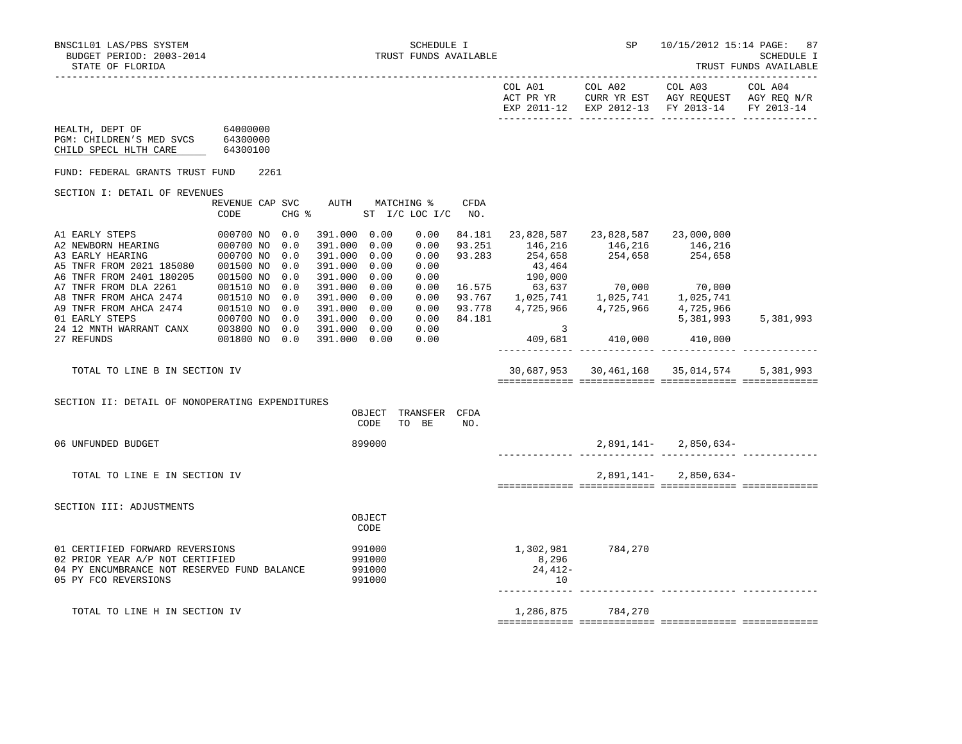|  | TRUST FUNDS AVAILABL |
|--|----------------------|
|  |                      |

|                                                                                                                                                    |                                                                       |                   |                                                                              |                                      |                  |                                        | EXP 2011-12 EXP 2012-13 FY 2013-14                                                                          |                           | FY 2013-14 |
|----------------------------------------------------------------------------------------------------------------------------------------------------|-----------------------------------------------------------------------|-------------------|------------------------------------------------------------------------------|--------------------------------------|------------------|----------------------------------------|-------------------------------------------------------------------------------------------------------------|---------------------------|------------|
| HEALTH, DEPT OF<br>PGM: CHILDREN'S MED SVCS<br>CHILD SPECL HLTH CARE                                                                               | 64000000<br>64300000<br>64300100                                      |                   |                                                                              |                                      |                  |                                        |                                                                                                             |                           |            |
| FUND: FEDERAL GRANTS TRUST FUND                                                                                                                    |                                                                       | 2261              |                                                                              |                                      |                  |                                        |                                                                                                             |                           |            |
| SECTION I: DETAIL OF REVENUES                                                                                                                      |                                                                       |                   |                                                                              |                                      |                  |                                        |                                                                                                             |                           |            |
|                                                                                                                                                    | REVENUE CAP SVC<br>CODE                                               | CHG %             |                                                                              | AUTH MATCHING %<br>ST I/C LOC I/C    | CFDA<br>NO.      |                                        |                                                                                                             |                           |            |
| A1 EARLY STEPS<br>A2 NEWBORN HEARING<br>A3 EARLY HEARING<br>A5 TNFR FROM 2021 185080<br>A6 TNFR FROM 2401 180205                                   | 000700 NO 0.0<br>000700 NO<br>000700 NO 0.0<br>001500 NO<br>001500 NO | 0.0<br>0.0<br>0.0 | 391.000 0.00<br>391.000 0.00<br>391.000 0.00<br>391.000 0.00<br>391.000 0.00 | 0.00<br>0.00<br>0.00<br>0.00<br>0.00 | 93.251<br>93.283 | 254,658<br>43,464<br>190,000<br>63,637 | 84.181 23,828,587 23,828,587 23,000,000<br>146, 216 146, 216 146, 216<br>254,658 254,658                    |                           |            |
| A7 TNFR FROM DLA 2261<br>A8 TNFR FROM AHCA 2474 001510 NO 0.0<br>A9 TNFR FROM AHCA 2474 001510 NO 0.0<br>01 EARLY STEPS<br>24 12 MNTH WARRANT CANX | 001510 NO<br>000700 NO 0.0<br>003800 NO 0.0                           | 0.0               | 391.000 0.00<br>391.000 0.00<br>391.000 0.00<br>391.000 0.00<br>391.000 0.00 | 0.00<br>0.00<br>0.00<br>0.00<br>0.00 | 93.778<br>84.181 | $\frac{3}{2}$                          | 16.575 63,637 70,000 70,000<br>93.767 1,025,741 1,025,741 1,025,741<br>93.778 4,725,966 4,725,966 4,725,966 | 5,381,993                 | 5,381,993  |
| 27 REFUNDS                                                                                                                                         | 001800 NO 0.0                                                         |                   | 391.000 0.00                                                                 | 0.00                                 |                  |                                        | 409,681 410,000 410,000                                                                                     |                           |            |
| TOTAL TO LINE B IN SECTION IV                                                                                                                      |                                                                       |                   |                                                                              |                                      |                  |                                        | 30,687,953 30,461,168 35,014,574                                                                            |                           | 5.381.993  |
| SECTION II: DETAIL OF NONOPERATING EXPENDITURES                                                                                                    |                                                                       |                   | OBJECT<br>CODE                                                               | TRANSFER CFDA<br>TO BE               | NO.              |                                        |                                                                                                             |                           |            |
| 06 UNFUNDED BUDGET                                                                                                                                 |                                                                       |                   | 899000                                                                       |                                      |                  |                                        |                                                                                                             | $2,891,141 - 2,850,634 -$ |            |
| TOTAL TO LINE E IN SECTION IV                                                                                                                      |                                                                       |                   |                                                                              |                                      |                  |                                        |                                                                                                             | $2,891,141 - 2,850,634 -$ |            |
| SECTION III: ADJUSTMENTS                                                                                                                           |                                                                       |                   | OBJECT<br>CODE                                                               |                                      |                  |                                        |                                                                                                             |                           |            |
| 01 CERTIFIED FORWARD REVERSIONS<br>02 PRIOR YEAR A/P NOT CERTIFIED<br>04 PY ENCUMBRANCE NOT RESERVED FUND BALANCE<br>05 PY FCO REVERSIONS          |                                                                       |                   | 991000<br>991000<br>991000<br>991000                                         |                                      |                  | 8,296<br>24,412-<br>10                 | 1,302,981 784,270                                                                                           |                           |            |
| TOTAL TO LINE H IN SECTION IV                                                                                                                      |                                                                       |                   |                                                                              |                                      |                  | 1,286,875                              | 784,270                                                                                                     |                           |            |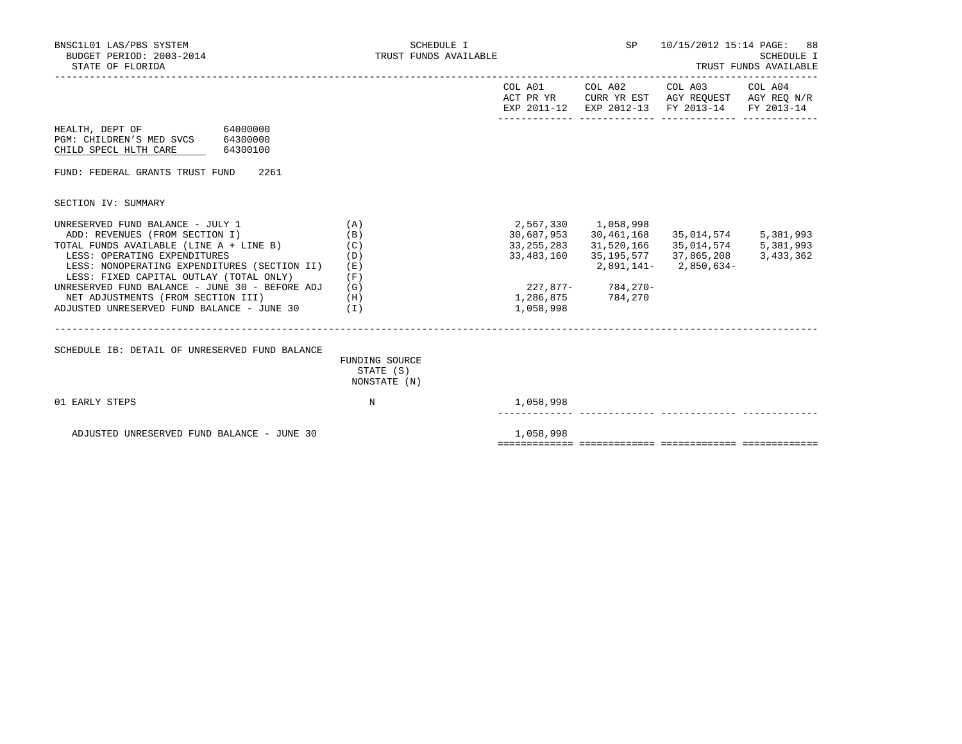| BNSC1L01 LAS/PBS SYSTEM<br>BUDGET PERIOD: 2003-2014<br>STATE OF FLORIDA                                                                                                                                                                                                                                                                                                            | SCHEDULE I<br>TRUST FUNDS AVAILABLE                  |                                                                            | SP                                                                                                 | 10/15/2012 15:14 PAGE: 88                                                                                              | <b>SCHEDULE I</b><br>TRUST FUNDS AVAILABLE |
|------------------------------------------------------------------------------------------------------------------------------------------------------------------------------------------------------------------------------------------------------------------------------------------------------------------------------------------------------------------------------------|------------------------------------------------------|----------------------------------------------------------------------------|----------------------------------------------------------------------------------------------------|------------------------------------------------------------------------------------------------------------------------|--------------------------------------------|
|                                                                                                                                                                                                                                                                                                                                                                                    |                                                      |                                                                            |                                                                                                    | COL A01 COL A02 COL A03 COL A04<br>ACT PR YR CURR YR EST AGY REQUEST AGY REQ N/R<br>EXP 2011-12 EXP 2012-13 FY 2013-14 | FY 2013-14                                 |
| 64000000<br>HEALTH, DEPT OF<br>PGM: CHILDREN'S MED SVCS 64300000<br>CHILD SPECL HLTH CARE<br>64300100                                                                                                                                                                                                                                                                              |                                                      |                                                                            |                                                                                                    |                                                                                                                        |                                            |
| FUND: FEDERAL GRANTS TRUST FUND<br>2261                                                                                                                                                                                                                                                                                                                                            |                                                      |                                                                            |                                                                                                    |                                                                                                                        |                                            |
| SECTION IV: SUMMARY                                                                                                                                                                                                                                                                                                                                                                |                                                      |                                                                            |                                                                                                    |                                                                                                                        |                                            |
| UNRESERVED FUND BALANCE - JULY 1<br>ADD: REVENUES (FROM SECTION I)<br>TOTAL FUNDS AVAILABLE (LINE A + LINE B)<br>LESS: OPERATING EXPENDITURES<br>LESS: NONOPERATING EXPENDITURES (SECTION II)<br>LESS: FIXED CAPITAL OUTLAY (TOTAL ONLY)<br>UNRESERVED FUND BALANCE - JUNE 30 - BEFORE ADJ<br>NET ADJUSTMENTS (FROM SECTION III)<br>ADJUSTED UNRESERVED FUND BALANCE - JUNE 30 (I) | (A)<br>(B)<br>(C)<br>(D)<br>(E)<br>(F)<br>(G)<br>(H) | 30,687,953<br>33, 255, 283<br>33,483,160<br>227,877- 784,270-<br>1,058,998 | 2,567,330 1,058,998<br>30, 461, 168<br>31,520,166<br>35,195,577<br>2,891,141-<br>1,286,875 784,270 | 35,014,574 5,381,993<br>35,014,574 5,381,993<br>37,865,208<br>2,850,634-                                               | 3,433,362                                  |
| SCHEDULE IB: DETAIL OF UNRESERVED FUND BALANCE                                                                                                                                                                                                                                                                                                                                     | FUNDING SOURCE<br>STATE (S)<br>NONSTATE (N)          |                                                                            |                                                                                                    |                                                                                                                        |                                            |
| 01 EARLY STEPS                                                                                                                                                                                                                                                                                                                                                                     | N                                                    | 1,058,998                                                                  |                                                                                                    |                                                                                                                        |                                            |
| ADJUSTED UNRESERVED FUND BALANCE - JUNE 30                                                                                                                                                                                                                                                                                                                                         |                                                      | 1,058,998                                                                  |                                                                                                    |                                                                                                                        |                                            |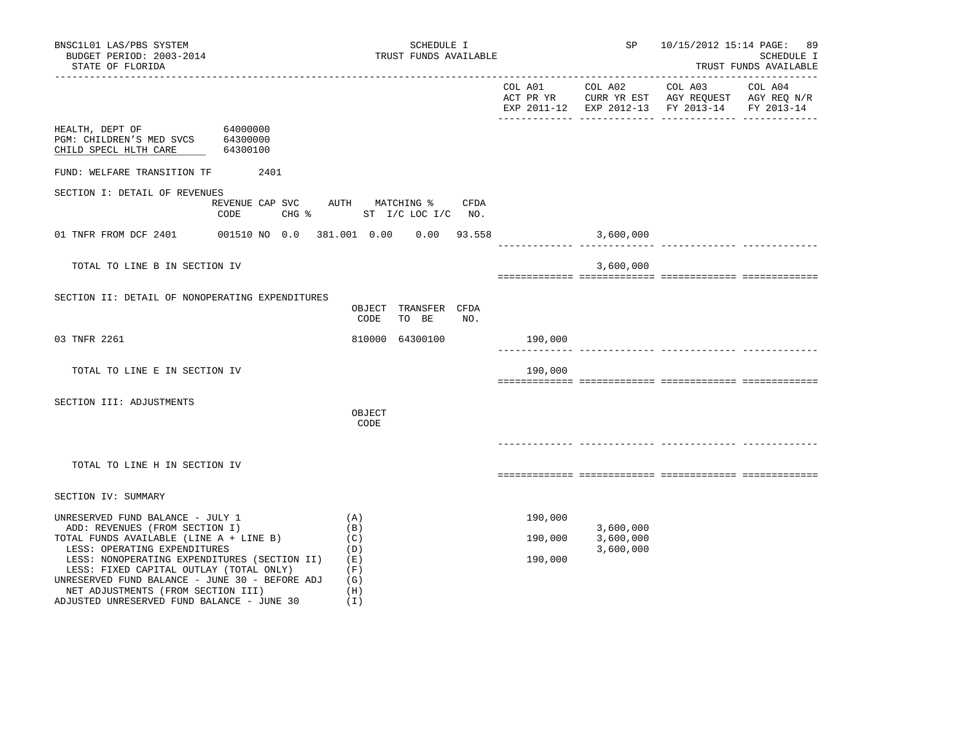| BNSC1L01 LAS/PBS SYSTEM<br>BUDGET PERIOD: 2003-2014<br>STATE OF FLORIDA                                                                                                                                                                                                                                                                                                        |                                                | SCHEDULE I<br>TRUST FUNDS AVAILABLE                         | ----------------------         | SP                                  | 10/15/2012 15:14 PAGE: 89<br>SCHEDULE I<br>TRUST FUNDS AVAILABLE                                                        |
|--------------------------------------------------------------------------------------------------------------------------------------------------------------------------------------------------------------------------------------------------------------------------------------------------------------------------------------------------------------------------------|------------------------------------------------|-------------------------------------------------------------|--------------------------------|-------------------------------------|-------------------------------------------------------------------------------------------------------------------------|
|                                                                                                                                                                                                                                                                                                                                                                                |                                                |                                                             |                                | COL A01 COL A02                     | COL A03<br>COL A04<br>ACT PR YR CURR YR EST AGY REQUEST AGY REQ N/R<br>EXP 2011-12 EXP 2012-13 FY 2013-14<br>FY 2013-14 |
| HEALTH, DEPT OF<br>PGM: CHILDREN'S MED SVCS 64300000<br>CHILD SPECL HLTH CARE                                                                                                                                                                                                                                                                                                  | 64000000<br>64300100                           |                                                             |                                |                                     |                                                                                                                         |
| FUND: WELFARE TRANSITION TF                                                                                                                                                                                                                                                                                                                                                    | 2401                                           |                                                             |                                |                                     |                                                                                                                         |
| SECTION I: DETAIL OF REVENUES                                                                                                                                                                                                                                                                                                                                                  | REVENUE CAP SVC<br>$CHG$ $\frac{1}{6}$<br>CODE | AUTH MATCHING %<br>CFDA<br>ST I/C LOC I/C NO.               |                                |                                     |                                                                                                                         |
| 01 TNFR FROM DCF 2401                                                                                                                                                                                                                                                                                                                                                          |                                                | 001510 NO 0.0 381.001 0.00 0.00 93.558                      | ______________________________ | 3,600,000                           |                                                                                                                         |
| TOTAL TO LINE B IN SECTION IV                                                                                                                                                                                                                                                                                                                                                  |                                                |                                                             |                                | 3,600,000                           |                                                                                                                         |
| SECTION II: DETAIL OF NONOPERATING EXPENDITURES                                                                                                                                                                                                                                                                                                                                |                                                | OBJECT TRANSFER CFDA<br>CODE<br>TO BE<br>NO.                |                                |                                     |                                                                                                                         |
| 03 TNFR 2261                                                                                                                                                                                                                                                                                                                                                                   |                                                | 810000 64300100                                             | 190,000                        |                                     |                                                                                                                         |
| TOTAL TO LINE E IN SECTION IV                                                                                                                                                                                                                                                                                                                                                  |                                                |                                                             | 190,000                        |                                     |                                                                                                                         |
| SECTION III: ADJUSTMENTS                                                                                                                                                                                                                                                                                                                                                       |                                                | OBJECT<br>CODE                                              |                                |                                     |                                                                                                                         |
| TOTAL TO LINE H IN SECTION IV                                                                                                                                                                                                                                                                                                                                                  |                                                |                                                             |                                |                                     |                                                                                                                         |
| SECTION IV: SUMMARY                                                                                                                                                                                                                                                                                                                                                            |                                                |                                                             |                                |                                     |                                                                                                                         |
| UNRESERVED FUND BALANCE - JULY 1<br>ADD: REVENUES (FROM SECTION I)<br>TOTAL FUNDS AVAILABLE (LINE A + LINE B)<br>LESS: OPERATING EXPENDITURES<br>LESS: NONOPERATING EXPENDITURES (SECTION II)<br>LESS: FIXED CAPITAL OUTLAY (TOTAL ONLY)<br>UNRESERVED FUND BALANCE - JUNE 30 - BEFORE ADJ<br>NET ADJUSTMENTS (FROM SECTION III)<br>ADJUSTED UNRESERVED FUND BALANCE - JUNE 30 |                                                | (A)<br>(B)<br>(C)<br>(D)<br>(E)<br>(F)<br>(G)<br>(H)<br>(I) | 190,000<br>190,000<br>190,000  | 3,600,000<br>3,600,000<br>3,600,000 |                                                                                                                         |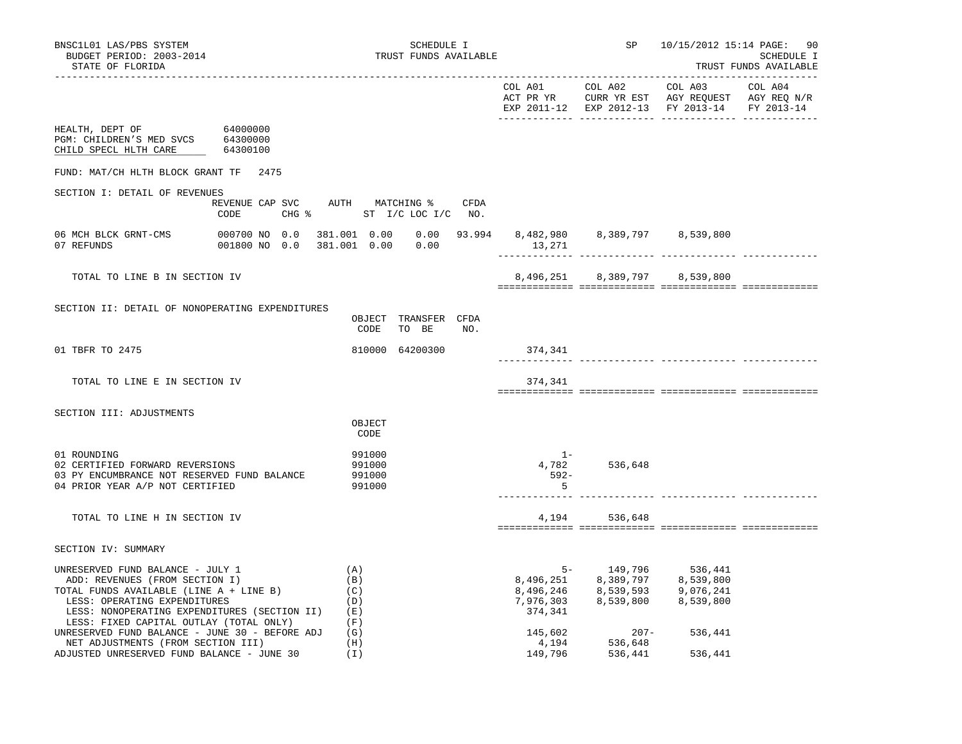|                                                                                                                                                                                                                                              |                                              |                                      |       |     |                    | EXP 2011-12 EXP 2012-13 FY 2013-14 FY 2013-14                                                                                                                                                                             |         |  |
|----------------------------------------------------------------------------------------------------------------------------------------------------------------------------------------------------------------------------------------------|----------------------------------------------|--------------------------------------|-------|-----|--------------------|---------------------------------------------------------------------------------------------------------------------------------------------------------------------------------------------------------------------------|---------|--|
| HEALTH, DEPT OF 64000000<br>PGM: CHILDREN'S MED SVCS 64300000<br>CHILD SPECL HLTH CARE                                                                                                                                                       | 64300100                                     |                                      |       |     |                    |                                                                                                                                                                                                                           |         |  |
| FUND: MAT/CH HLTH BLOCK GRANT TF 2475                                                                                                                                                                                                        |                                              |                                      |       |     |                    |                                                                                                                                                                                                                           |         |  |
| SECTION I: DETAIL OF REVENUES                                                                                                                                                                                                                |                                              |                                      |       |     |                    |                                                                                                                                                                                                                           |         |  |
|                                                                                                                                                                                                                                              | REVENUE CAP SVC AUTH MATCHING % CFDA<br>CODE | CHG % ST I/C LOC I/C NO.             |       |     |                    |                                                                                                                                                                                                                           |         |  |
| 06 MCH BLCK GRNT-CMS 000700 NO 0.0<br>07 REFUNDS                                                                                                                                                                                             | 001800 NO 0.0                                | 381.001  0.00  0.00                  |       |     | 13,271             | 381.001  0.00  0.00  93.994  8,482,980  8,389,797  8,539,800                                                                                                                                                              |         |  |
| TOTAL TO LINE B IN SECTION IV                                                                                                                                                                                                                |                                              |                                      |       |     |                    | 8,496,251 8,389,797 8,539,800                                                                                                                                                                                             |         |  |
| SECTION II: DETAIL OF NONOPERATING EXPENDITURES                                                                                                                                                                                              |                                              | OBJECT TRANSFER CFDA<br>CODE         | TO BE | NO. |                    |                                                                                                                                                                                                                           |         |  |
| 01 TBFR TO 2475                                                                                                                                                                                                                              |                                              | 810000 64200300                      |       |     | 374,341            |                                                                                                                                                                                                                           |         |  |
| TOTAL TO LINE E IN SECTION IV                                                                                                                                                                                                                |                                              |                                      |       |     | 374,341            |                                                                                                                                                                                                                           |         |  |
| SECTION III: ADJUSTMENTS                                                                                                                                                                                                                     |                                              | OBJECT                               |       |     |                    |                                                                                                                                                                                                                           |         |  |
|                                                                                                                                                                                                                                              |                                              | CODE                                 |       |     |                    |                                                                                                                                                                                                                           |         |  |
| 01 ROUNDING<br>02 CERTIFIED FORWARD REVERSIONS<br>03 PY ENCUMBRANCE NOT RESERVED FUND BALANCE<br>04 PRIOR YEAR A/P NOT CERTIFIED                                                                                                             |                                              | 991000<br>991000<br>991000<br>991000 |       |     | $1 -$<br>592-<br>5 | 4,782 536,648                                                                                                                                                                                                             |         |  |
| TOTAL TO LINE H IN SECTION IV                                                                                                                                                                                                                |                                              |                                      |       |     |                    | 4, 194 536, 648                                                                                                                                                                                                           |         |  |
| SECTION IV: SUMMARY                                                                                                                                                                                                                          |                                              |                                      |       |     |                    |                                                                                                                                                                                                                           |         |  |
| UNRESERVED FUND BALANCE - JULY 1<br>ADD: REVENUES (FROM SECTION I)<br>TOTAL FUNDS AVAILABLE (LINE A + LINE B)<br>LESS: OPERATING EXPENDITURES<br>LESS: NONOPERATING EXPENDITURES (SECTION II) (E)<br>LESS: FIXED CAPITAL OUTLAY (TOTAL ONLY) |                                              | (A)<br>(B)<br>(C)<br>(D)<br>(F)      |       |     | 374,341            | $\begin{array}{lllllll} & & & & & \\ & & & & & 149,796 & & & 536,441 \\ \hline 8,496,251 & & & 8,389,797 & & 8,539,800 \\ 8,496,246 & & & 8,539,593 & & 9,076,241 \\ 7,976,303 & & & 8,539,800 & & 8,539,800 \end{array}$ |         |  |
| UNRESERVED FUND BALANCE - JUNE 30 - BEFORE ADJ $(G)$<br>NET ADJUSTMENTS (FROM SECTION III)                                                                                                                                                   |                                              | (H)                                  |       |     | 145,602<br>4,194   | –207<br>536,648<br>$207 -$                                                                                                                                                                                                | 536,441 |  |
| ADJUSTED UNRESERVED FUND BALANCE - JUNE 30                                                                                                                                                                                                   |                                              | ( I )                                |       |     | 149,796            | 536,441                                                                                                                                                                                                                   | 536,441 |  |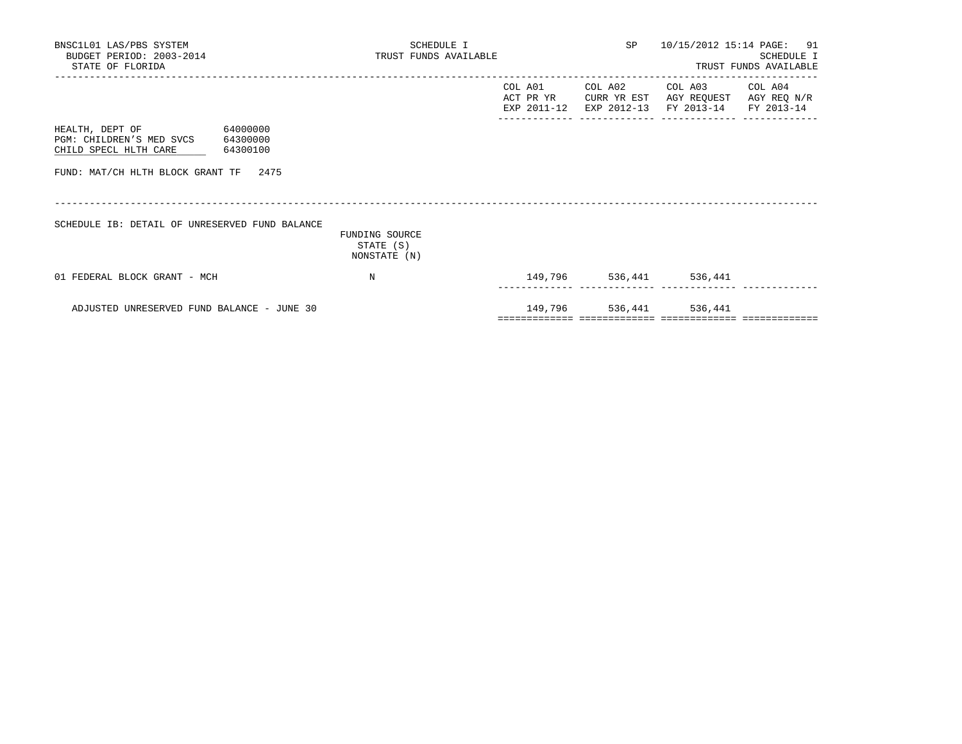| BNSC1L01 LAS/PBS SYSTEM<br>BUDGET PERIOD: 2003-2014<br>STATE OF FLORIDA                   |          | SCHEDULE I<br>TRUST FUNDS AVAILABLE         |                                     |                         | SP 10/15/2012 15:14 PAGE: 91                                                                | SCHEDULE I<br>TRUST FUNDS AVAILABLE |
|-------------------------------------------------------------------------------------------|----------|---------------------------------------------|-------------------------------------|-------------------------|---------------------------------------------------------------------------------------------|-------------------------------------|
|                                                                                           |          |                                             | COL A01<br>ACT PR YR<br>EXP 2011-12 |                         | COL A02 COL A03<br>CURR YR EST AGY REQUEST AGY REQ N/R<br>EXP 2012-13 FY 2013-14 FY 2013-14 | COL A04                             |
| 64000000<br>HEALTH, DEPT OF<br>PGM: CHILDREN'S MED SVCS 64300000<br>CHILD SPECL HLTH CARE | 64300100 |                                             |                                     |                         |                                                                                             |                                     |
| FUND: MAT/CH HLTH BLOCK GRANT TF 2475                                                     |          |                                             |                                     |                         |                                                                                             |                                     |
| SCHEDULE IB: DETAIL OF UNRESERVED FUND BALANCE                                            |          | FUNDING SOURCE<br>STATE (S)<br>NONSTATE (N) |                                     |                         |                                                                                             |                                     |
| 01 FEDERAL BLOCK GRANT - MCH                                                              |          | N                                           |                                     | 149,796 536,441 536,441 |                                                                                             |                                     |
| ADJUSTED UNRESERVED FUND BALANCE - JUNE 30                                                |          |                                             |                                     | 149,796 536,441 536,441 |                                                                                             |                                     |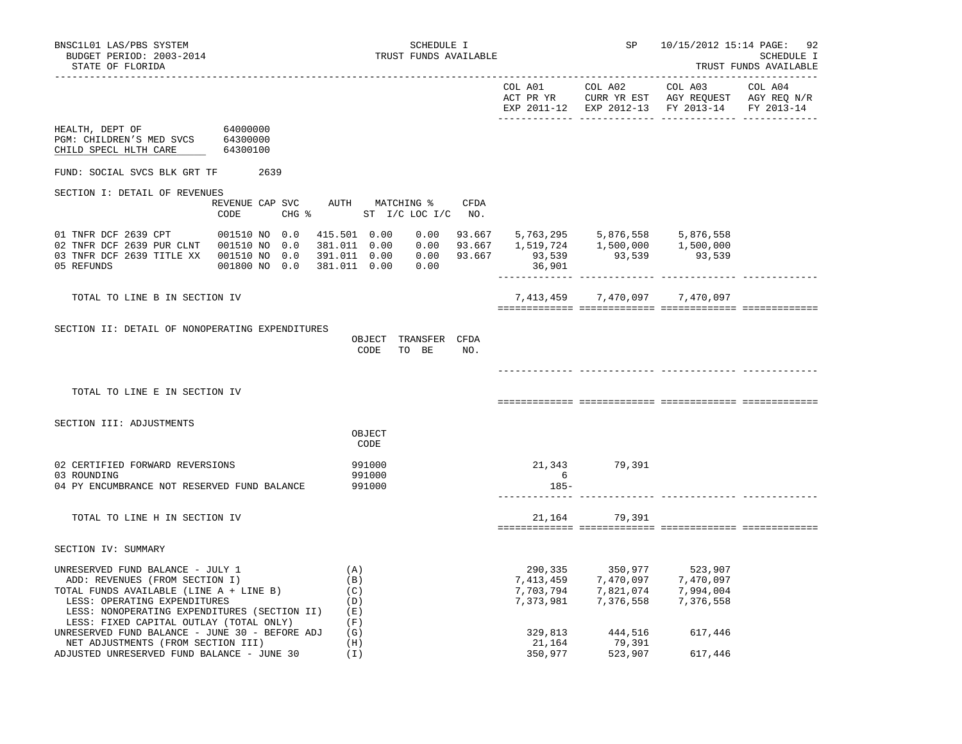|                                                                                                                                                                                                                                              |                                              |                                                                                                                                                                                                                                                |     |                            | COL A01 COL A02 COL A03 COL A04<br>ACT PR YR CURR YR EST AGY REQUEST AGY REQ N/R<br>EXP 2011-12 EXP 2012-13 FY 2013-14 FY 2013-14                                 |         |  |
|----------------------------------------------------------------------------------------------------------------------------------------------------------------------------------------------------------------------------------------------|----------------------------------------------|------------------------------------------------------------------------------------------------------------------------------------------------------------------------------------------------------------------------------------------------|-----|----------------------------|-------------------------------------------------------------------------------------------------------------------------------------------------------------------|---------|--|
| HEALTH, DEPT OF 64000000<br>PGM: CHILDREN'S MED SVCS 64300000<br>CHILD SPECL HLTH CARE                                                                                                                                                       | 64300100                                     |                                                                                                                                                                                                                                                |     |                            |                                                                                                                                                                   |         |  |
| FUND: SOCIAL SVCS BLK GRT TF 2639                                                                                                                                                                                                            |                                              |                                                                                                                                                                                                                                                |     |                            |                                                                                                                                                                   |         |  |
| SECTION I: DETAIL OF REVENUES                                                                                                                                                                                                                |                                              |                                                                                                                                                                                                                                                |     |                            |                                                                                                                                                                   |         |  |
|                                                                                                                                                                                                                                              | REVENUE CAP SVC AUTH MATCHING % CFDA<br>CODE | CHG % ST I/C LOC I/C NO.                                                                                                                                                                                                                       |     |                            |                                                                                                                                                                   |         |  |
| 01 TNFR DCF 2639 CPT 001510 NO 0.0<br>02 TNFR DCF 2639 PUR CLNT  001510 NO  0.0<br>03 TNFR DCF 2639 TITLE XX 001510 NO 0.0<br>05 REFUNDS                                                                                                     | 001800 NO 0.0                                | $\begin{array}{cccccccc} 415.501& 0.00& 0.00& 93.667& 5,763,295& 5,876,558& 5,876,558\\ 381.011& 0.00& 0.00& 93.667& 1,519,724& 1,500,000& 1,500,000\\ 391.011& 0.00& 0.00& 93.667& 93,539& 93,539& 93,539 \end{array}$<br>381.011  0.00  0.00 |     | 36,901                     |                                                                                                                                                                   |         |  |
| TOTAL TO LINE B IN SECTION IV                                                                                                                                                                                                                |                                              |                                                                                                                                                                                                                                                |     |                            | 7,413,459 7,470,097 7,470,097                                                                                                                                     |         |  |
| SECTION II: DETAIL OF NONOPERATING EXPENDITURES                                                                                                                                                                                              |                                              | OBJECT TRANSFER CFDA<br>CODE TO BE                                                                                                                                                                                                             | NO. |                            |                                                                                                                                                                   |         |  |
| TOTAL TO LINE E IN SECTION IV                                                                                                                                                                                                                |                                              |                                                                                                                                                                                                                                                |     |                            |                                                                                                                                                                   |         |  |
| SECTION III: ADJUSTMENTS                                                                                                                                                                                                                     |                                              | OBJECT<br>CODE                                                                                                                                                                                                                                 |     |                            |                                                                                                                                                                   |         |  |
| 02 CERTIFIED FORWARD REVERSIONS<br>03 ROUNDING<br>04 PY ENCUMBRANCE NOT RESERVED FUND BALANCE                                                                                                                                                |                                              | 991000<br>991000<br>991000                                                                                                                                                                                                                     |     | 6<br>185-<br>_____________ | 21,343 79,391                                                                                                                                                     |         |  |
| TOTAL TO LINE H IN SECTION IV                                                                                                                                                                                                                |                                              |                                                                                                                                                                                                                                                |     |                            | 21, 164 79, 391                                                                                                                                                   |         |  |
| SECTION IV: SUMMARY                                                                                                                                                                                                                          |                                              |                                                                                                                                                                                                                                                |     |                            |                                                                                                                                                                   |         |  |
| UNRESERVED FUND BALANCE - JULY 1<br>ADD: REVENUES (FROM SECTION I)<br>TOTAL FUNDS AVAILABLE (LINE A + LINE B)<br>LESS: OPERATING EXPENDITURES<br>LESS: NONOPERATING EXPENDITURES (SECTION II) (E)<br>LESS: FIXED CAPITAL OUTLAY (TOTAL ONLY) |                                              | (A)<br>(B)<br>(C)<br>(D)<br>(F)                                                                                                                                                                                                                |     |                            | 290, 335<br>7, 413, 459<br>7, 470, 097<br>7, 470, 097<br>7, 470, 097<br>7, 470, 097<br>7, 470, 097<br>7, 994, 004<br>7, 994, 004<br>7,373,981 7,376,558 7,376,558 |         |  |
| UNRESERVED FUND BALANCE - JUNE 30 - BEFORE ADJ<br>NET ADJUSTMENTS (FROM SECTION III)                                                                                                                                                         |                                              | (G)<br>(H)                                                                                                                                                                                                                                     |     | 329,813<br>21,164          | 444,516<br>79,391                                                                                                                                                 | 617,446 |  |

ADJUSTED UNRESERVED FUND BALANCE - JUNE 30 (I) 350,977 523,907 617,446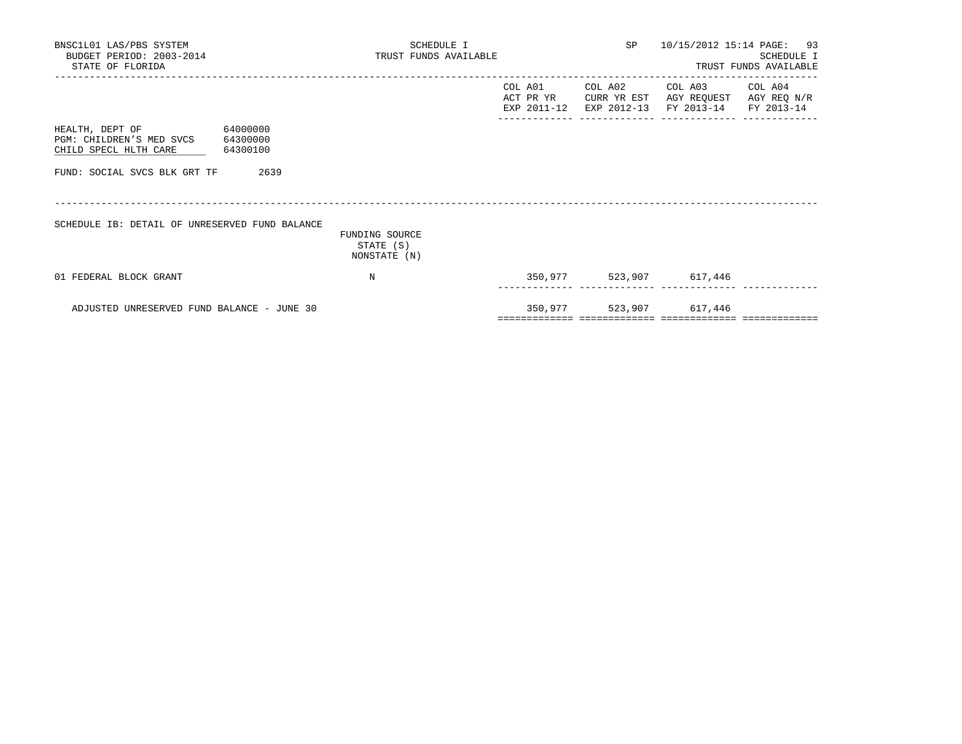| BNSC1L01 LAS/PBS SYSTEM<br>BUDGET PERIOD: 2003-2014<br>STATE OF FLORIDA                         | SCHEDULE I<br>TRUST FUNDS AVAILABLE         |         |         | SP 10/15/2012 15:14 PAGE: 93                                                                                      | <b>SCHEDULE I</b><br>TRUST FUNDS AVAILABLE |
|-------------------------------------------------------------------------------------------------|---------------------------------------------|---------|---------|-------------------------------------------------------------------------------------------------------------------|--------------------------------------------|
|                                                                                                 |                                             | COL A01 | COL A02 | COL A03 COL A04<br>ACT PR YR CURR YR EST AGY REQUEST AGY REQ N/R<br>EXP 2011-12 EXP 2012-13 FY 2013-14 FY 2013-14 |                                            |
| HEALTH, DEPT OF 64000000<br>PGM: CHILDREN'S MED SVCS 64300000<br>CHILD SPECL HLTH CARE 64300100 |                                             |         |         |                                                                                                                   |                                            |
| 2639<br>FUND: SOCIAL SVCS BLK GRT TF                                                            |                                             |         |         |                                                                                                                   |                                            |
| SCHEDULE IB: DETAIL OF UNRESERVED FUND BALANCE                                                  | FUNDING SOURCE<br>STATE (S)<br>NONSTATE (N) |         |         |                                                                                                                   |                                            |
| 01 FEDERAL BLOCK GRANT                                                                          | $_{\rm N}$                                  |         |         | 350,977 523,907 617,446                                                                                           |                                            |
| ADJUSTED UNRESERVED FUND BALANCE - JUNE 30                                                      |                                             |         |         | 350,977 523,907 617,446                                                                                           |                                            |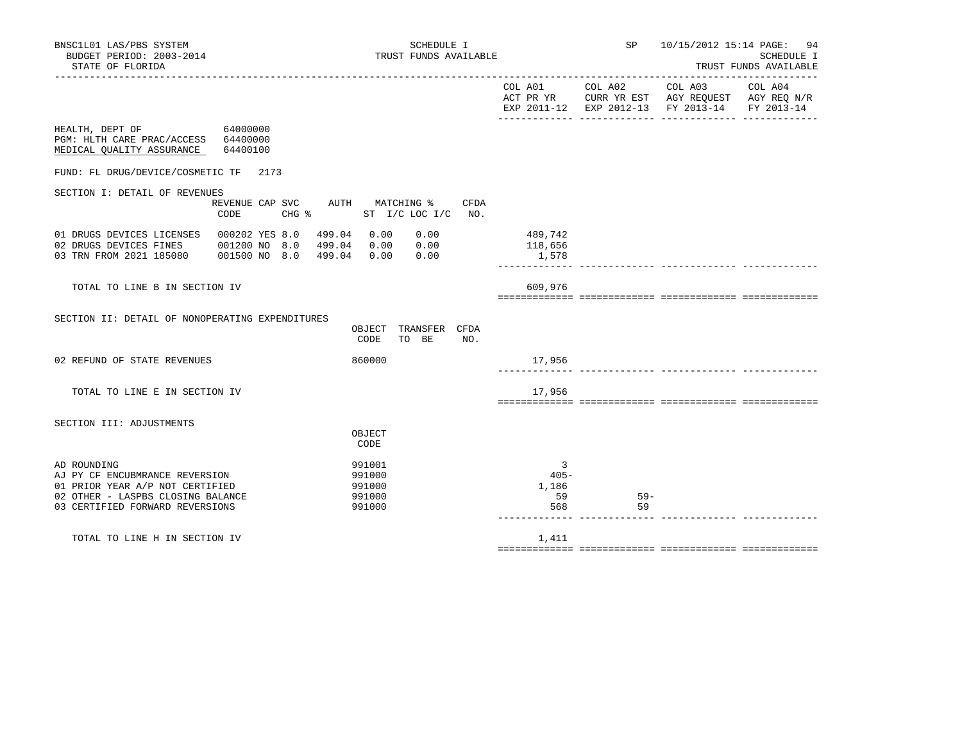| BNSC1L01 LAS/PBS SYSTEM<br>BUDGET PERIOD: 2003-2014<br>STATE OF FLORIDA                                                   |                         | SCHEDULE I<br>TRUST FUNDS AVAILABLE                               |             |                             | SP              | 10/15/2012 15:14 PAGE: 94                                                                              | <b>SCHEDULE I</b><br>TRUST FUNDS AVAILABLE |
|---------------------------------------------------------------------------------------------------------------------------|-------------------------|-------------------------------------------------------------------|-------------|-----------------------------|-----------------|--------------------------------------------------------------------------------------------------------|--------------------------------------------|
|                                                                                                                           |                         |                                                                   |             |                             | COL A01 COL A02 | COL A03 COL A04<br>ACT PR YR CURR YR EST AGY REQUEST AGY REQ N/R<br>EXP 2011-12 EXP 2012-13 FY 2013-14 | FY 2013-14                                 |
| HEALTH, DEPT OF 64000000<br>PGM: HLTH CARE PRAC/ACCESS 64400000<br>MEDICAL OUALITY ASSURANCE 64400100                     |                         |                                                                   |             |                             |                 |                                                                                                        |                                            |
| FUND: FL DRUG/DEVICE/COSMETIC TF 2173                                                                                     |                         |                                                                   |             |                             |                 |                                                                                                        |                                            |
| SECTION I: DETAIL OF REVENUES                                                                                             | $CHG$ $\approx$<br>CODE | REVENUE CAP SVC AUTH MATCHING %<br>ST I/C LOC I/C                 | CFDA<br>NO. |                             |                 |                                                                                                        |                                            |
| 01 DRUGS DEVICES LICENSES 000202 YES 8.0<br>02 DRUGS DEVICES FINES 001200 NO 8.0<br>03 TRN FROM 2021 185080 001500 NO 8.0 |                         | 0.00<br>499.04 0.00<br>0.00<br>499.04 0.00<br>499.04 0.00<br>0.00 |             | 489,742<br>118,656<br>1,578 |                 |                                                                                                        |                                            |
| TOTAL TO LINE B IN SECTION IV                                                                                             |                         |                                                                   |             | 609,976                     |                 |                                                                                                        |                                            |
| SECTION II: DETAIL OF NONOPERATING EXPENDITURES                                                                           |                         | TRANSFER CFDA<br>OBJECT<br>CODE<br>TO BE                          | NO.         |                             |                 |                                                                                                        |                                            |
| 02 REFUND OF STATE REVENUES                                                                                               |                         | 860000                                                            |             | 17,956                      |                 |                                                                                                        |                                            |
| TOTAL TO LINE E IN SECTION IV                                                                                             |                         |                                                                   |             | 17,956                      |                 |                                                                                                        |                                            |
| SECTION III: ADJUSTMENTS                                                                                                  |                         | OBJECT<br>CODE                                                    |             |                             |                 |                                                                                                        |                                            |
| AD ROUNDING                                                                                                               |                         | 991001<br>$0.01000$                                               |             | 3<br>$\sim$                 |                 |                                                                                                        |                                            |

AJ PY CF ENCUBMRANCE REVERSION 6991000 991000 01 PRIOR YEAR A/P NOT CERTIFIED 991000 991000 1,186 02 OTHER - LASPBS CLOSING BALANCE 59 59 59- 03 CERTIFIED FORWARD REVERSIONS 991000 568 59 ------------- ------------- ------------- -------------

TOTAL TO LINE H IN SECTION IV 1,411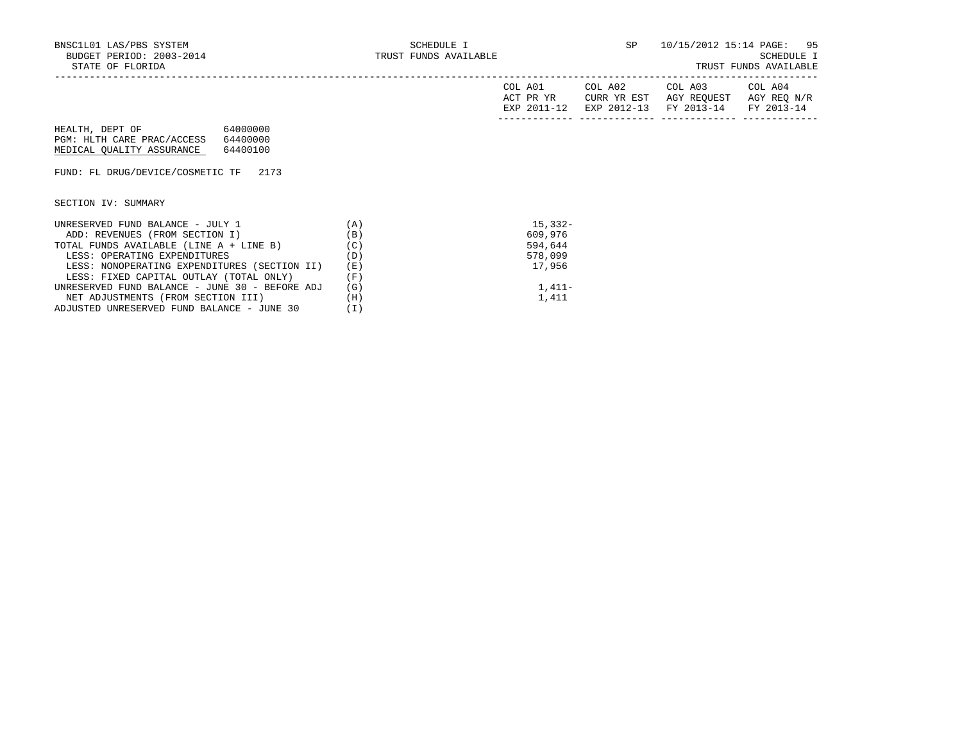| TRUST FUNDS AVAILABLE |  |
|-----------------------|--|
|-----------------------|--|

| COL<br>A01<br>DR.<br>- YR<br>ΔΟͲ       | COL A02<br>YR EST<br>CURR | COL A03<br>AGY REOUEST   | COL A04<br>AGY REO N/R   |
|----------------------------------------|---------------------------|--------------------------|--------------------------|
| $\overline{\phantom{a}}$<br><b>UYD</b> | $2012 - 13$<br><b>FYD</b> | $2013 - 14$<br><b>FV</b> | $2013 - 14$<br><b>DV</b> |
|                                        |                           |                          |                          |

HEALTH, DEPT OF 64000000 PGM: HLTH CARE PRAC/ACCESS 64400000 MEDICAL QUALITY ASSURANCE 64400100

FUND: FL DRUG/DEVICE/COSMETIC TF 2173

SECTION IV: SUMMARY

| UNRESERVED FUND BALANCE - JULY 1               | $\mathbf{A}$ | $15.332 -$ |
|------------------------------------------------|--------------|------------|
| ADD: REVENUES (FROM SECTION I)                 | (B)          | 609,976    |
| TOTAL FUNDS AVAILABLE (LINE A + LINE B)        | (C)          | 594,644    |
| LESS: OPERATING EXPENDITURES                   | (D)          | 578,099    |
| LESS: NONOPERATING EXPENDITURES (SECTION II)   | (E)          | 17,956     |
| LESS: FIXED CAPITAL OUTLAY (TOTAL ONLY)        | (F)          |            |
| UNRESERVED FUND BALANCE - JUNE 30 - BEFORE ADJ | (G)          | $1.411-$   |
| NET ADJUSTMENTS (FROM SECTION III)             | (H)          | 1,411      |
| ADJUSTED UNRESERVED FUND BALANCE - JUNE 30     | (I)          |            |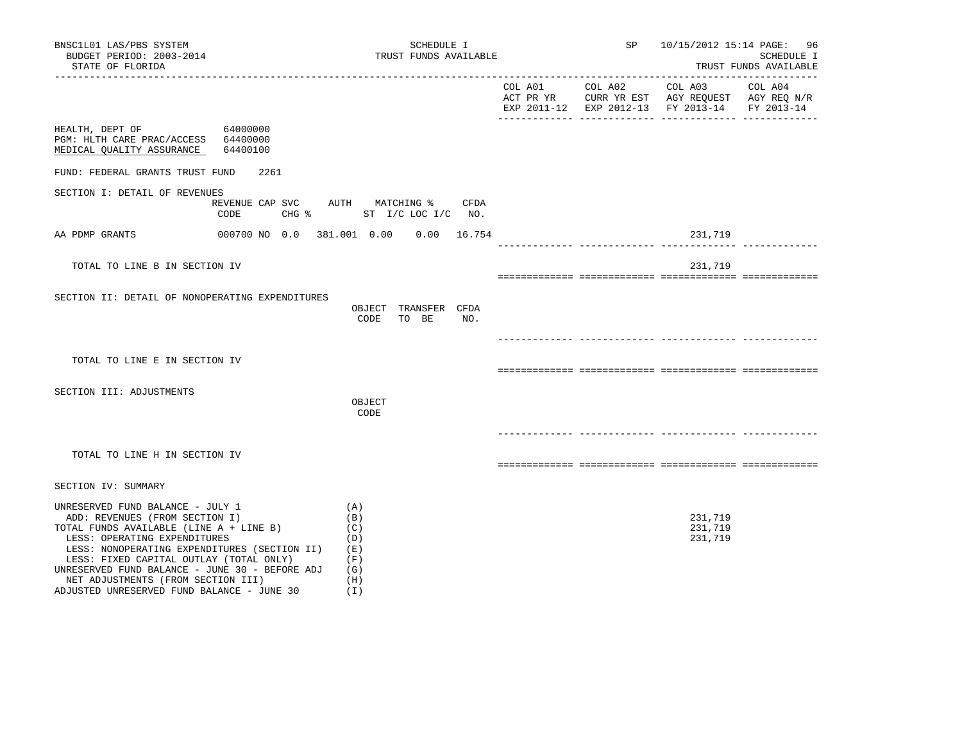| BNSC1L01 LAS/PBS SYSTEM<br>BUDGET PERIOD: 2003-2014<br>STATE OF FLORIDA                                                                                                                                                                                                                                                                                                        |                                              | SCHEDULE I<br>TRUST FUNDS AVAILABLE                         |     |                 | SP |                                                                                                                                     | 10/15/2012 15:14 PAGE: 96<br>SCHEDULE I<br>TRUST FUNDS AVAILABLE |
|--------------------------------------------------------------------------------------------------------------------------------------------------------------------------------------------------------------------------------------------------------------------------------------------------------------------------------------------------------------------------------|----------------------------------------------|-------------------------------------------------------------|-----|-----------------|----|-------------------------------------------------------------------------------------------------------------------------------------|------------------------------------------------------------------|
|                                                                                                                                                                                                                                                                                                                                                                                |                                              |                                                             |     | COL A01 COL A02 |    | --------------<br>COL A03 COL A04<br>ACT PR YR CURR YR EST AGY REQUEST AGY REQ N/R<br>EXP 2011-12 EXP 2012-13 FY 2013-14 FY 2013-14 |                                                                  |
| HEALTH, DEPT OF 64000000<br>PGM: HLTH CARE PRAC/ACCESS 64400000<br>MEDICAL QUALITY ASSURANCE 64400100                                                                                                                                                                                                                                                                          |                                              |                                                             |     |                 |    |                                                                                                                                     |                                                                  |
| FUND: FEDERAL GRANTS TRUST FUND                                                                                                                                                                                                                                                                                                                                                | 2261                                         |                                                             |     |                 |    |                                                                                                                                     |                                                                  |
| SECTION I: DETAIL OF REVENUES                                                                                                                                                                                                                                                                                                                                                  | REVENUE CAP SVC AUTH MATCHING % CFDA<br>CODE | CHG % ST I/C LOC I/C NO.                                    |     |                 |    |                                                                                                                                     |                                                                  |
| AA PDMP GRANTS                                                                                                                                                                                                                                                                                                                                                                 | 000700 NO 0.0 381.001 0.00 0.00 16.754       |                                                             |     |                 |    | 231,719                                                                                                                             |                                                                  |
| TOTAL TO LINE B IN SECTION IV                                                                                                                                                                                                                                                                                                                                                  |                                              |                                                             |     |                 |    | 231,719                                                                                                                             |                                                                  |
| SECTION II: DETAIL OF NONOPERATING EXPENDITURES                                                                                                                                                                                                                                                                                                                                |                                              | OBJECT TRANSFER CFDA<br>CODE<br>TO BE                       | NO. |                 |    |                                                                                                                                     |                                                                  |
| TOTAL TO LINE E IN SECTION IV                                                                                                                                                                                                                                                                                                                                                  |                                              |                                                             |     |                 |    |                                                                                                                                     |                                                                  |
| SECTION III: ADJUSTMENTS                                                                                                                                                                                                                                                                                                                                                       |                                              | OBJECT<br>CODE                                              |     |                 |    |                                                                                                                                     |                                                                  |
| TOTAL TO LINE H IN SECTION IV                                                                                                                                                                                                                                                                                                                                                  |                                              |                                                             |     |                 |    |                                                                                                                                     |                                                                  |
| SECTION IV: SUMMARY                                                                                                                                                                                                                                                                                                                                                            |                                              |                                                             |     |                 |    |                                                                                                                                     |                                                                  |
| UNRESERVED FUND BALANCE - JULY 1<br>ADD: REVENUES (FROM SECTION I)<br>TOTAL FUNDS AVAILABLE (LINE A + LINE B)<br>LESS: OPERATING EXPENDITURES<br>LESS: NONOPERATING EXPENDITURES (SECTION II)<br>LESS: FIXED CAPITAL OUTLAY (TOTAL ONLY)<br>UNRESERVED FUND BALANCE - JUNE 30 - BEFORE ADJ<br>NET ADJUSTMENTS (FROM SECTION III)<br>ADJUSTED UNRESERVED FUND BALANCE - JUNE 30 |                                              | (A)<br>(B)<br>(C)<br>(D)<br>(E)<br>(F)<br>(G)<br>(H)<br>(1) |     |                 |    | 231,719<br>231,719<br>231,719                                                                                                       |                                                                  |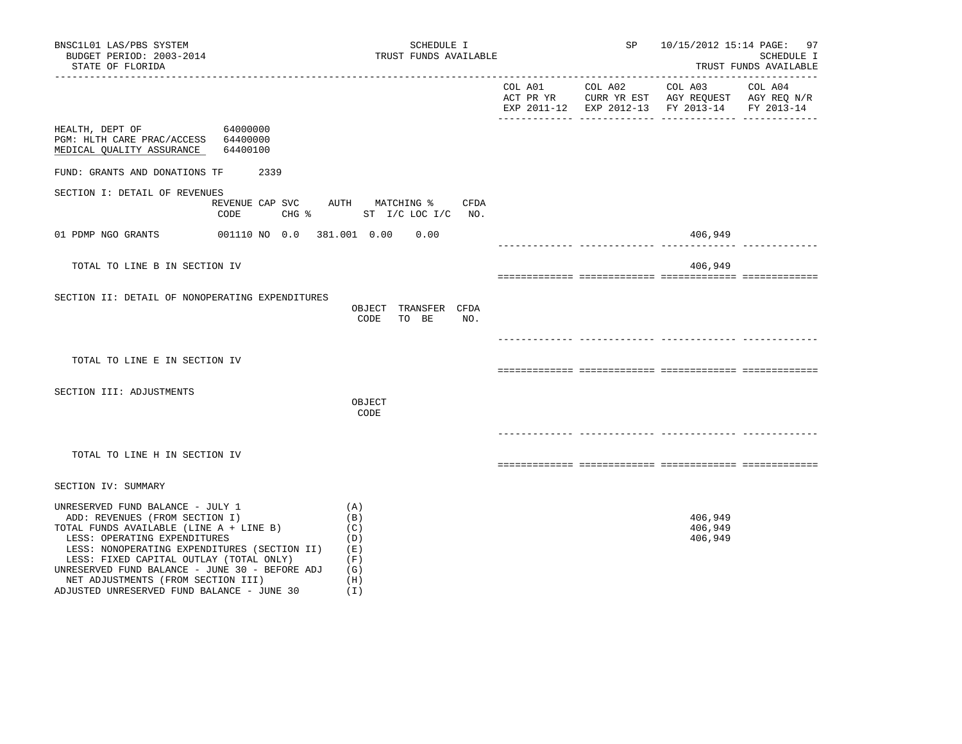| BNSC1L01 LAS/PBS SYSTEM<br>BUDGET PERIOD: 2003-2014<br>STATE OF FLORIDA                                                                                                                                                                                                                                                                                                        |                                         | SCHEDULE I<br>TRUST FUNDS AVAILABLE                         |  | SP 10/15/2012 15:14 PAGE: 97                                                                                           | SCHEDULE I<br>TRUST FUNDS AVAILABLE |
|--------------------------------------------------------------------------------------------------------------------------------------------------------------------------------------------------------------------------------------------------------------------------------------------------------------------------------------------------------------------------------|-----------------------------------------|-------------------------------------------------------------|--|------------------------------------------------------------------------------------------------------------------------|-------------------------------------|
|                                                                                                                                                                                                                                                                                                                                                                                |                                         |                                                             |  | COL A01 COL A02 COL A03 COL A04<br>ACT PR YR CURR YR EST AGY REQUEST AGY REQ N/R<br>EXP 2011-12 EXP 2012-13 FY 2013-14 | FY 2013-14                          |
| HEALTH, DEPT OF 64000000<br>PGM: HLTH CARE PRAC/ACCESS 64400000<br>MEDICAL QUALITY ASSURANCE                                                                                                                                                                                                                                                                                   | 64400100                                |                                                             |  |                                                                                                                        |                                     |
| FUND: GRANTS AND DONATIONS TF                                                                                                                                                                                                                                                                                                                                                  | 2339                                    |                                                             |  |                                                                                                                        |                                     |
| SECTION I: DETAIL OF REVENUES                                                                                                                                                                                                                                                                                                                                                  | REVENUE CAP SVC AUTH MATCHING %<br>CODE | CFDA<br>CHG % ST I/C LOC I/C NO.                            |  |                                                                                                                        |                                     |
| 01 PDMP NGO GRANTS                                                                                                                                                                                                                                                                                                                                                             | 001110 NO 0.0 381.001 0.00 0.00         |                                                             |  | 406,949                                                                                                                |                                     |
| TOTAL TO LINE B IN SECTION IV                                                                                                                                                                                                                                                                                                                                                  |                                         |                                                             |  | 406,949                                                                                                                |                                     |
| SECTION II: DETAIL OF NONOPERATING EXPENDITURES                                                                                                                                                                                                                                                                                                                                |                                         | OBJECT TRANSFER CFDA<br>CODE TO BE<br>NO.                   |  |                                                                                                                        |                                     |
| TOTAL TO LINE E IN SECTION IV                                                                                                                                                                                                                                                                                                                                                  |                                         |                                                             |  |                                                                                                                        |                                     |
| SECTION III: ADJUSTMENTS                                                                                                                                                                                                                                                                                                                                                       |                                         | OBJECT<br>CODE                                              |  |                                                                                                                        |                                     |
| TOTAL TO LINE H IN SECTION IV                                                                                                                                                                                                                                                                                                                                                  |                                         |                                                             |  |                                                                                                                        |                                     |
| SECTION IV: SUMMARY                                                                                                                                                                                                                                                                                                                                                            |                                         |                                                             |  |                                                                                                                        |                                     |
| UNRESERVED FUND BALANCE - JULY 1<br>ADD: REVENUES (FROM SECTION I)<br>TOTAL FUNDS AVAILABLE (LINE A + LINE B)<br>LESS: OPERATING EXPENDITURES<br>LESS: NONOPERATING EXPENDITURES (SECTION II)<br>LESS: FIXED CAPITAL OUTLAY (TOTAL ONLY)<br>UNRESERVED FUND BALANCE - JUNE 30 - BEFORE ADJ<br>NET ADJUSTMENTS (FROM SECTION III)<br>ADJUSTED UNRESERVED FUND BALANCE - JUNE 30 |                                         | (A)<br>(B)<br>(C)<br>(D)<br>(E)<br>(F)<br>(G)<br>(H)<br>(T) |  | 406,949<br>406,949<br>406,949                                                                                          |                                     |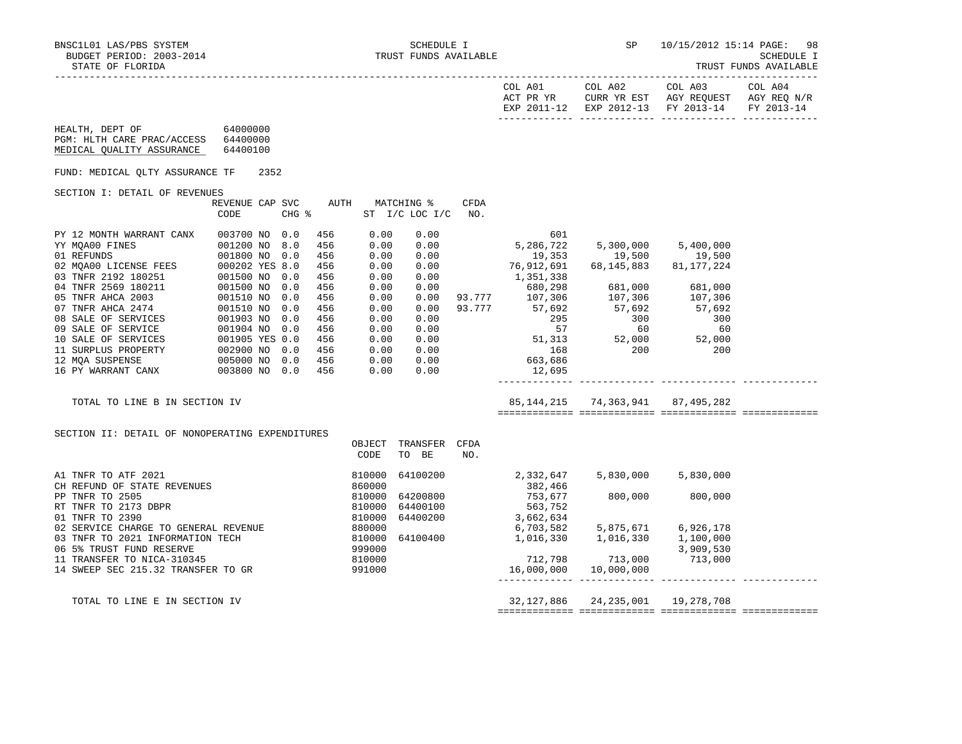| NECILO 1 LAS/PBS SYSTEM SERIED SCHEDULE I SCHEDULE I SUDGET PERIOD: 2003-2014<br>BNSC1L01 LAS/PBS SYSTEM<br>STATE OF FLORIDA                                                                                                                                          |               |  |                                                                                                |                                                                                                              |                                                                              |             |                     | <b>SP</b>                                                                                                   | TRUST FUNDS AVAILABLE                                                                                                                                                                                                                                                                                                                                | 10/15/2012 15:14 PAGE: 98 |
|-----------------------------------------------------------------------------------------------------------------------------------------------------------------------------------------------------------------------------------------------------------------------|---------------|--|------------------------------------------------------------------------------------------------|--------------------------------------------------------------------------------------------------------------|------------------------------------------------------------------------------|-------------|---------------------|-------------------------------------------------------------------------------------------------------------|------------------------------------------------------------------------------------------------------------------------------------------------------------------------------------------------------------------------------------------------------------------------------------------------------------------------------------------------------|---------------------------|
|                                                                                                                                                                                                                                                                       |               |  |                                                                                                |                                                                                                              |                                                                              |             |                     |                                                                                                             | ACT PR YR CURR YR EST AGY REQUEST AGY REQ N/R<br>EXP 2011-12 EXP 2012-13 FY 2013-14 FY 2013-14                                                                                                                                                                                                                                                       |                           |
| HEALTH, DEPT OF 64000000<br>PGM: HLTH CARE PRAC/ACCESS 64400000<br>MEDICAL OUALITY ASSURANCE 64400100                                                                                                                                                                 |               |  |                                                                                                |                                                                                                              |                                                                              |             |                     |                                                                                                             |                                                                                                                                                                                                                                                                                                                                                      |                           |
| FUND: MEDICAL OLTY ASSURANCE TF 2352                                                                                                                                                                                                                                  |               |  |                                                                                                |                                                                                                              |                                                                              |             |                     |                                                                                                             |                                                                                                                                                                                                                                                                                                                                                      |                           |
| SECTION I: DETAIL OF REVENUES                                                                                                                                                                                                                                         |               |  |                                                                                                |                                                                                                              |                                                                              |             |                     |                                                                                                             |                                                                                                                                                                                                                                                                                                                                                      |                           |
|                                                                                                                                                                                                                                                                       | CODE          |  | REVENUE CAP SVC AUTH MATCHING %<br>CHG %                                                       |                                                                                                              | ST I/C LOC I/C                                                               | CFDA<br>NO. |                     |                                                                                                             |                                                                                                                                                                                                                                                                                                                                                      |                           |
| PY 12 MONTH WARRANT CANX<br>PY 12 MONTH WARRANT CANX 003700 NO 0.0<br>YY MQAOO FINES 001200 NO 8.0<br>01 REFUNDS 001200 NO 0.0<br>02 MQAOO LICENSE FEES 000202 YES 8.0<br>03 TNFR 2192 180251 001500 NO 0.0<br>04 TNFR 2569 180211 001500 NO 0.0<br>05 TNFR AHCA 2003 | 003700 NO 0.0 |  | 456<br>456<br>456<br>456<br>456<br>456<br>456<br>456<br>456<br>456<br>456<br>456<br>456<br>456 | 0.00<br>0.00<br>0.00<br>0.00<br>0.00<br>0.00<br>0.00<br>0.00<br>0.00<br>0.00<br>0.00<br>0.00<br>0.00<br>0.00 | 0.00<br>0.00<br>0.00<br>0.00<br>0.00<br>0.00<br>0.00<br>0.00<br>0.00<br>0.00 |             | 1,351,338<br>12,695 | ەدد,⊥دەد, 1,550<br>680,298 681,000 681,000<br>93.777 107,306 107,306 107,306<br>93.777 57,692 57,692 57,692 | $\begin{array}{cccc} 0.00 & 601 & 601 \\ 0.00 & 5,286,722 & 5,300,000 & 5,400,000 \\ 0.00 & 19,353 & 19,500 & 19,500 \\ 0.00 & 76,912,691 & 68,145,883 & 81,177,224 \end{array}$<br>$\begin{array}{cccc} 27.722 & 37.792 & 57.692 \\ 295 & 300 & 300 \\ 57 & 60 & 60 \\ 51.313 & 52.000 & 52.000 \\ 168 & 200 & 200 \\ 663.686 & 12.695 \end{array}$ |                           |
| TOTAL TO LINE B IN SECTION IV                                                                                                                                                                                                                                         |               |  |                                                                                                |                                                                                                              |                                                                              |             |                     |                                                                                                             | 85, 144, 215 74, 363, 941 87, 495, 282                                                                                                                                                                                                                                                                                                               |                           |
| SECTION II: DETAIL OF NONOPERATING EXPENDITURES                                                                                                                                                                                                                       |               |  |                                                                                                |                                                                                                              | OBJECT TRANSFER CFDA                                                         |             |                     |                                                                                                             |                                                                                                                                                                                                                                                                                                                                                      |                           |

 OBJECT TRANSFER CFDA CODE TO BE NO. A1 TNFR TO ATF 2021 <br>CH REFUND OF STATE REVENUES (2000) 860000 860000 2,332,647 5,830,000 5,830,000 5,830,000 CH REFUND OF STATE REVENUES<br>
PP TNFR TO 2505 810000 64200800 PP TNFR TO 2505 810000 64200800 753,677 800,000 800,000 1 1 1 1 1 1 1 1 2 3 2 3 2 3 2 3 3 3 4 4 5 3 3 3 4 4 5 4 5 5 6 6 7 5 4 4 5 6 6 7 6 7 8 4 5 6 7 8 7 8 8 7 8 8 5 6 7 8 8 7 8 8 4 6 7 8 8 7 8 8 8 9 8 7 8 8 8 9 8 8 9 8 8 9 8 8 9 8 8 9 8 8 9 8 8 9 8 8 9 8 8 9 8 9 8 8 9 8 9 8 8 810000 64400200 02 SERVICE CHARGE TO GENERAL REVENUE 6,980000 6,703,582 5,875,671 6,926,178 03 TNFR TO 2021 INFORMATION TECH 810000 64100400 1,016,330 1,016,330 1,016,000 06 5% TRUST FUND RESERVE 999000 3,909,530 11 TRANSFER TO NICA-310345 810000 712,798 713,000 713,000 14 SWEEP SEC 215.32 TRANSFER TO GR ------------- ------------- ------------- -------------

 TOTAL TO LINE E IN SECTION IV 32,127,886 24,235,001 19,278,708 ============= ============= ============= =============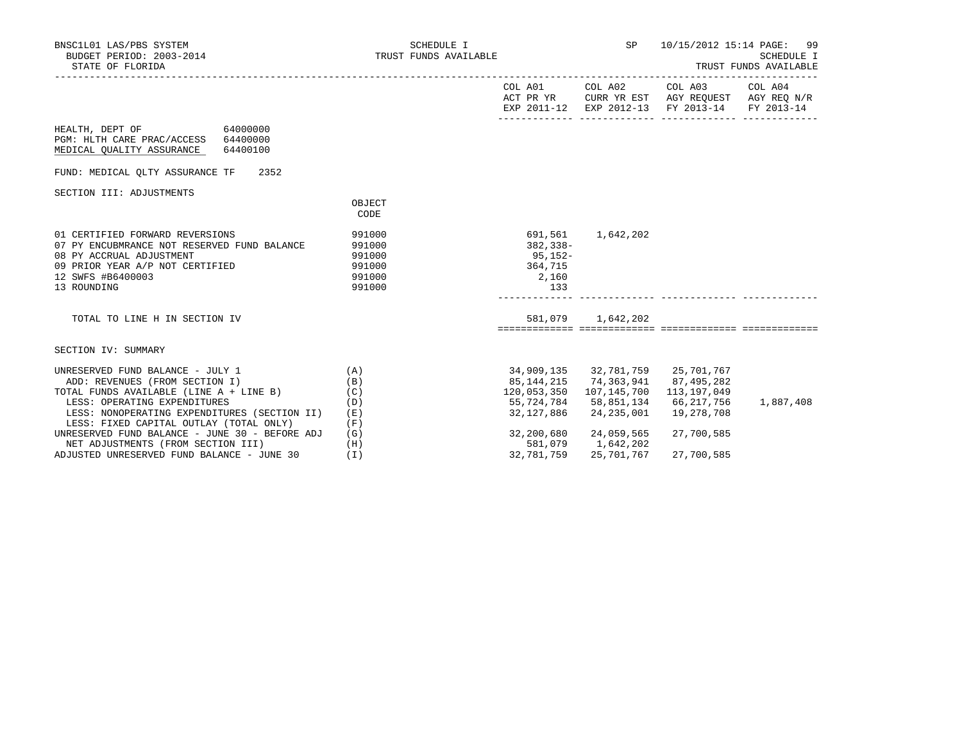| BNSC1L01 LAS/PBS SYSTEM<br>BUDGET PERIOD: 2003-2014<br>STATE OF FLORIDA                                                                                                           | SCHEDULE I<br>TRUST FUNDS AVAILABLE                      |                                                               | SP                                                            | 10/15/2012 15:14 PAGE: 99                                                                                         | <b>SCHEDULE I</b><br>TRUST FUNDS AVAILABLE |
|-----------------------------------------------------------------------------------------------------------------------------------------------------------------------------------|----------------------------------------------------------|---------------------------------------------------------------|---------------------------------------------------------------|-------------------------------------------------------------------------------------------------------------------|--------------------------------------------|
|                                                                                                                                                                                   |                                                          |                                                               | COL A01 COL A02                                               | COL A03 COL A04<br>ACT PR YR CURR YR EST AGY REQUEST AGY REQ N/R<br>EXP 2011-12 EXP 2012-13 FY 2013-14 FY 2013-14 |                                            |
| HEALTH, DEPT OF<br>64000000<br>PGM: HLTH CARE PRAC/ACCESS<br>64400000<br>MEDICAL QUALITY ASSURANCE<br>64400100                                                                    |                                                          |                                                               |                                                               |                                                                                                                   |                                            |
| 2352<br>FUND: MEDICAL QLTY ASSURANCE TF                                                                                                                                           |                                                          |                                                               |                                                               |                                                                                                                   |                                            |
| SECTION III: ADJUSTMENTS                                                                                                                                                          |                                                          |                                                               |                                                               |                                                                                                                   |                                            |
|                                                                                                                                                                                   | OBJECT<br>CODE                                           |                                                               |                                                               |                                                                                                                   |                                            |
| 01 CERTIFIED FORWARD REVERSIONS<br>07 PY ENCUBMRANCE NOT RESERVED FUND BALANCE<br>08 PY ACCRUAL ADJUSTMENT<br>09 PRIOR YEAR A/P NOT CERTIFIED<br>12 SWFS #B6400003<br>13 ROUNDING | 991000<br>991000<br>991000<br>991000<br>991000<br>991000 | 691,561<br>$382, 338 -$<br>95,152-<br>364,715<br>2,160<br>133 | 1,642,202                                                     |                                                                                                                   |                                            |
| TOTAL TO LINE H IN SECTION IV                                                                                                                                                     |                                                          |                                                               | 581,079 1,642,202                                             |                                                                                                                   |                                            |
| SECTION IV: SUMMARY                                                                                                                                                               |                                                          |                                                               |                                                               |                                                                                                                   |                                            |
| UNRESERVED FUND BALANCE - JULY 1<br>ADD: REVENUES (FROM SECTION I)<br>TOTAL FUNDS AVAILABLE (LINE A + LINE B)                                                                     | (A)<br>(B)<br>(C)                                        | 120,053,350 107,145,700                                       | 34,909,135 32,781,759 25,701,767<br>85, 144, 215 74, 363, 941 | 87,495,282<br>113,197,049                                                                                         |                                            |
| LESS: OPERATING EXPENDITURES                                                                                                                                                      | (D)                                                      |                                                               | 55,724,784 58,851,134                                         | 66,217,756                                                                                                        | 1,887,408                                  |
| LESS: NONOPERATING EXPENDITURES (SECTION II)<br>LESS: FIXED CAPITAL OUTLAY (TOTAL ONLY)                                                                                           | (E)<br>(F)                                               | 32,127,886                                                    | 24,235,001                                                    | 19,278,708                                                                                                        |                                            |
| UNRESERVED FUND BALANCE - JUNE 30 - BEFORE ADJ<br>NET ADJUSTMENTS (FROM SECTION III)                                                                                              | (G)<br>(H)                                               | 32,200,680<br>581,079                                         | 24,059,565<br>1,642,202                                       | 27,700,585                                                                                                        |                                            |
| ADJUSTED UNRESERVED FUND BALANCE - JUNE 30                                                                                                                                        | (T)                                                      | 32,781,759                                                    | 25,701,767                                                    | 27,700,585                                                                                                        |                                            |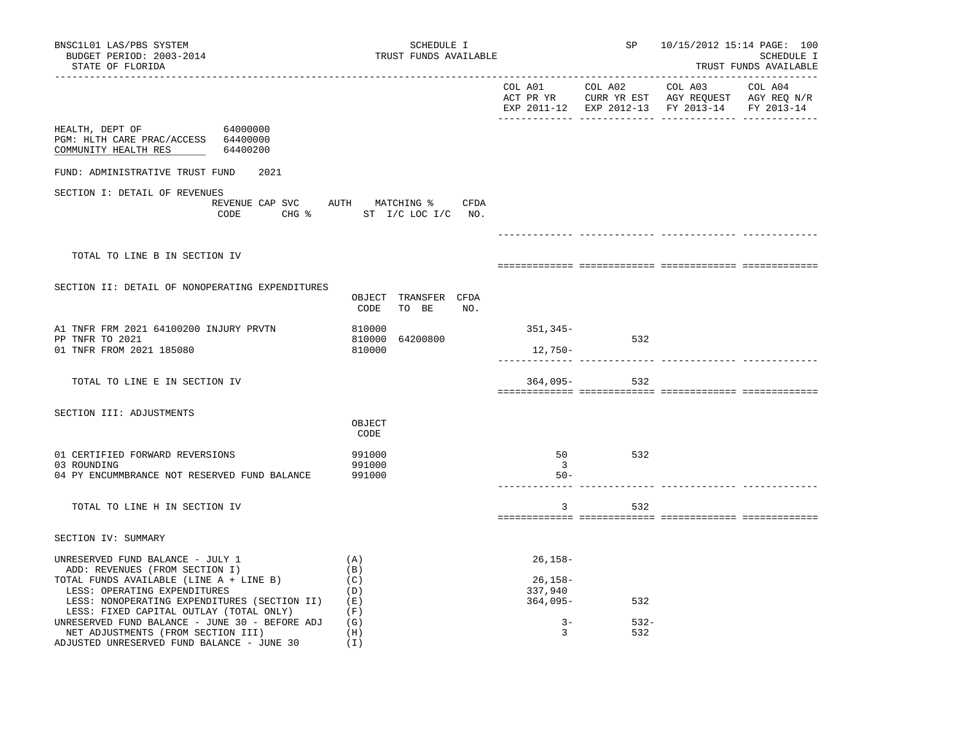| BNSC1L01 LAS/PBS SYSTEM<br>BUDGET PERIOD: 2003-2014<br>STATE OF FLORIDA                                                                                                                                                                                                                    | SCHEDULE I<br>TRUST FUNDS AVAILABLE                                   |                                                        | SP             | 10/15/2012 15:14 PAGE: 100<br>___________________________ | SCHEDULE I<br>TRUST FUNDS AVAILABLE |
|--------------------------------------------------------------------------------------------------------------------------------------------------------------------------------------------------------------------------------------------------------------------------------------------|-----------------------------------------------------------------------|--------------------------------------------------------|----------------|-----------------------------------------------------------|-------------------------------------|
|                                                                                                                                                                                                                                                                                            |                                                                       |                                                        |                | EXP 2011-12 EXP 2012-13 FY 2013-14 FY 2013-14             |                                     |
| HEALTH, DEPT OF 64000000<br>PGM: HLTH CARE PRAC/ACCESS 64400000<br>COMMUNITY HEALTH RES 64400200                                                                                                                                                                                           |                                                                       |                                                        |                |                                                           |                                     |
| FUND: ADMINISTRATIVE TRUST FUND<br>2021                                                                                                                                                                                                                                                    |                                                                       |                                                        |                |                                                           |                                     |
| SECTION I: DETAIL OF REVENUES                                                                                                                                                                                                                                                              | REVENUE CAP SVC AUTH MATCHING % CFDA<br>CODE CHG % ST I/C LOC I/C NO. |                                                        |                |                                                           |                                     |
| TOTAL TO LINE B IN SECTION IV                                                                                                                                                                                                                                                              |                                                                       |                                                        |                |                                                           |                                     |
| SECTION II: DETAIL OF NONOPERATING EXPENDITURES                                                                                                                                                                                                                                            | OBJECT TRANSFER CFDA<br>CODE<br>TO BE NO.                             |                                                        |                |                                                           |                                     |
| A1 TNFR FRM 2021 64100200 INJURY PRVTN<br>PP TNFR TO 2021<br>01 TNFR FROM 2021 185080                                                                                                                                                                                                      | 810000<br>64200800<br>810000<br>810000                                | 351,345–<br>12,750-                                    | 532            |                                                           |                                     |
| TOTAL TO LINE E IN SECTION IV                                                                                                                                                                                                                                                              |                                                                       |                                                        | $364,095-532$  |                                                           |                                     |
| SECTION III: ADJUSTMENTS                                                                                                                                                                                                                                                                   | OBJECT<br>CODE                                                        |                                                        |                |                                                           |                                     |
| 01 CERTIFIED FORWARD REVERSIONS<br>03 ROUNDING<br>04 PY ENCUMMBRANCE NOT RESERVED FUND BALANCE                                                                                                                                                                                             | 991000<br>991000<br>991000                                            | 50<br>$\overline{3}$<br>$50 -$                         | 532            |                                                           |                                     |
| TOTAL TO LINE H IN SECTION IV                                                                                                                                                                                                                                                              |                                                                       | $\overline{3}$                                         | 532            |                                                           |                                     |
| SECTION IV: SUMMARY                                                                                                                                                                                                                                                                        |                                                                       |                                                        |                |                                                           |                                     |
| UNRESERVED FUND BALANCE - JULY 1<br>ADD: REVENUES (FROM SECTION I)<br>TOTAL FUNDS AVAILABLE (LINE A + LINE B)<br>LESS: OPERATING EXPENDITURES<br>LESS: NONOPERATING EXPENDITURES (SECTION II)<br>LESS: FIXED CAPITAL OUTLAY (TOTAL ONLY)<br>UNRESERVED FUND BALANCE - JUNE 30 - BEFORE ADJ | (A)<br>(B)<br>(C)<br>(D)<br>( E )<br>(F)<br>(G)                       | $26, 158 -$<br>26,158-<br>337,940<br>364,095-<br>$3 -$ | 532<br>$532 -$ |                                                           |                                     |
| NET ADJUSTMENTS (FROM SECTION III)<br>ADJUSTED UNRESERVED FUND BALANCE - JUNE 30                                                                                                                                                                                                           | (H)<br>(I)                                                            | $\mathbf{3}$                                           | 532            |                                                           |                                     |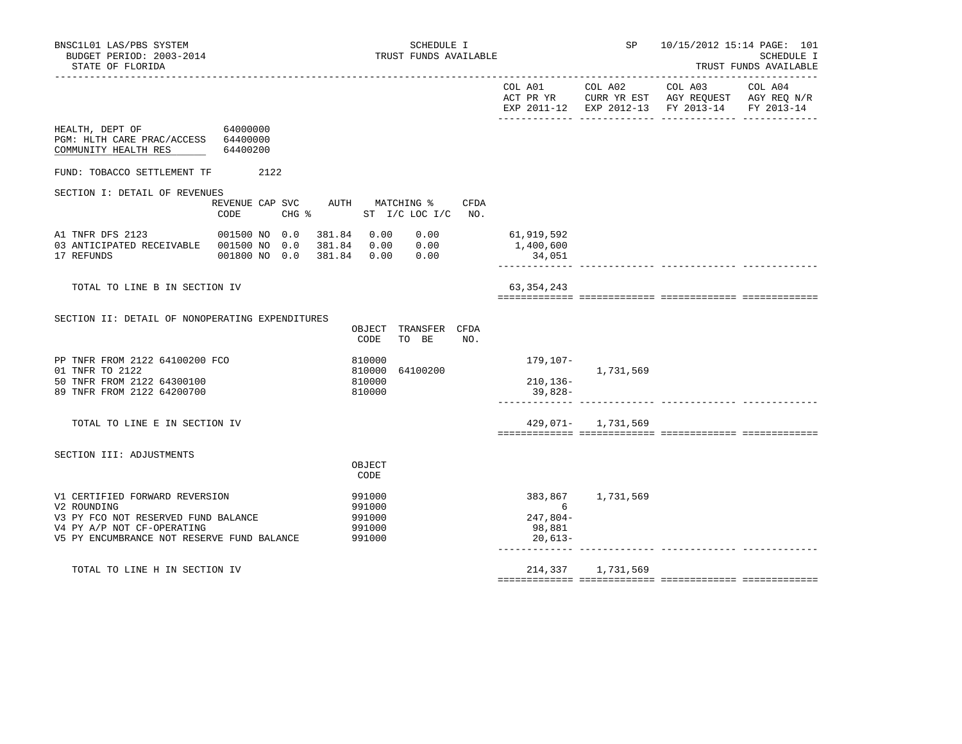| BNSC1L01 LAS/PBS SYSTEM<br>BUDGET PERIOD: 2003-2014<br>STATE OF FLORIDA                                                                                          |                                            | SCHEDULE I<br>TRUST FUNDS AVAILABLE                             |                                                   | SP                           | 10/15/2012 15:14 PAGE: 101                                                                   | <b>SCHEDULE I</b><br>TRUST FUNDS AVAILABLE |
|------------------------------------------------------------------------------------------------------------------------------------------------------------------|--------------------------------------------|-----------------------------------------------------------------|---------------------------------------------------|------------------------------|----------------------------------------------------------------------------------------------|--------------------------------------------|
|                                                                                                                                                                  |                                            |                                                                 | COL A01<br>ACT PR YR                              |                              | COL A02 COL A03<br>CURR YR EST AGY REQUEST AGY REQ N/R<br>EXP 2011-12 EXP 2012-13 FY 2013-14 | COL A04<br>FY 2013-14                      |
| HEALTH, DEPT OF 64000000<br>PGM: HLTH CARE PRAC/ACCESS 64400000<br>COMMUNITY HEALTH RES                                                                          | 64400200                                   |                                                                 |                                                   |                              |                                                                                              |                                            |
| FUND: TOBACCO SETTLEMENT TF 2122                                                                                                                                 |                                            |                                                                 |                                                   |                              |                                                                                              |                                            |
| SECTION I: DETAIL OF REVENUES                                                                                                                                    | REVENUE CAP SVC<br>$CHG$ $\approx$<br>CODE | AUTH MATCHING %<br>CFDA<br>ST I/C LOC I/C NO.                   |                                                   |                              |                                                                                              |                                            |
| A1 TNFR DFS 2123<br>03 ANTICIPATED RECEIVABLE 001500 NO 0.0<br>17 REFUNDS                                                                                        | 001500 NO 0.0<br>001800 NO 0.0             | 381.84 0.00<br>0.00<br>381.84  0.00  0.00<br>381.84  0.00  0.00 | 61,919,592<br>1,400,600<br>34,051                 | ------------ --------------- |                                                                                              |                                            |
| TOTAL TO LINE B IN SECTION IV                                                                                                                                    |                                            |                                                                 | 63, 354, 243                                      |                              |                                                                                              |                                            |
| SECTION II: DETAIL OF NONOPERATING EXPENDITURES                                                                                                                  |                                            | OBJECT TRANSFER CFDA<br>TO BE<br>CODE<br>NO.                    |                                                   |                              |                                                                                              |                                            |
| PP TNFR FROM 2122 64100200 FCO<br>01 TNFR TO 2122<br>50 TNFR FROM 2122 64300100<br>89 TNFR FROM 2122 64200700                                                    |                                            | 810000<br>810000<br>64100200<br>810000<br>810000                | 179,107-<br>210,136-<br>39,828-                   | 1,731,569                    |                                                                                              |                                            |
| TOTAL TO LINE E IN SECTION IV                                                                                                                                    |                                            |                                                                 |                                                   | 429,071- 1,731,569           |                                                                                              |                                            |
| SECTION III: ADJUSTMENTS                                                                                                                                         |                                            | OBJECT<br>CODE                                                  |                                                   |                              |                                                                                              |                                            |
| V1 CERTIFIED FORWARD REVERSION<br>V2 ROUNDING<br>V3 PY FCO NOT RESERVED FUND BALANCE<br>V4 PY A/P NOT CF-OPERATING<br>V5 PY ENCUMBRANCE NOT RESERVE FUND BALANCE |                                            | 991000<br>991000<br>991000<br>991000<br>991000                  | 383,867<br>6<br>$247,804-$<br>98,881<br>$20,613-$ | 1,731,569                    |                                                                                              |                                            |
| TOTAL TO LINE H IN SECTION IV                                                                                                                                    |                                            |                                                                 | 214,337                                           | 1,731,569                    |                                                                                              |                                            |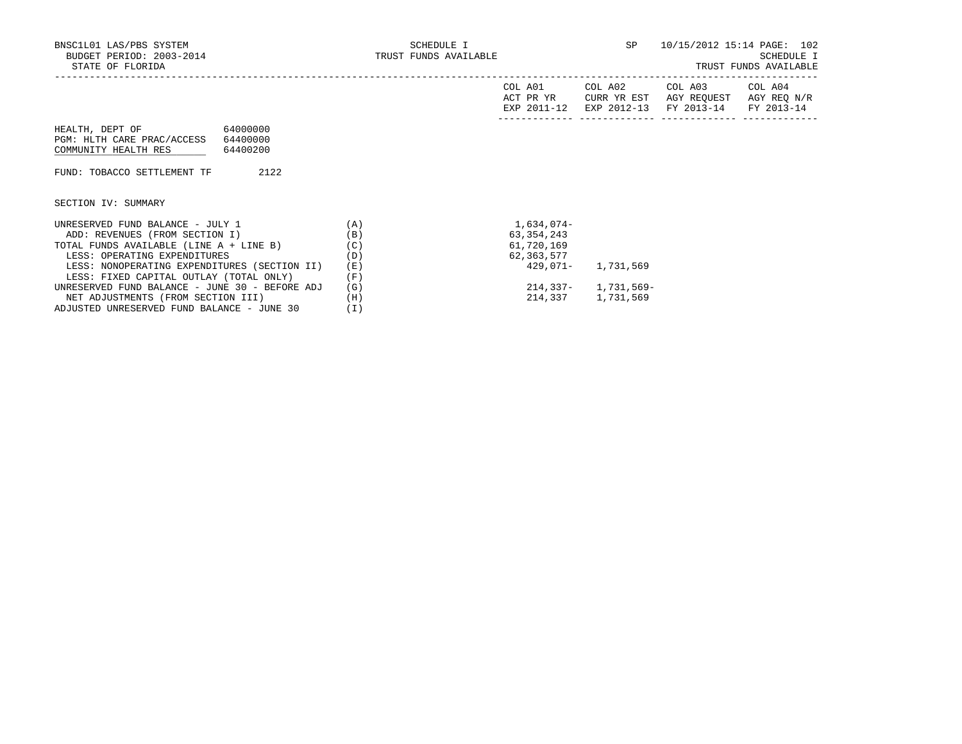|                                                |     | COL A01<br>ACT PR YR<br>EXP 2011-12 | COL A02<br>CURR YR EST<br>EXP 2012-13 | COL A03<br>AGY REOUEST<br>FY 2013-14 | COL A04<br>AGY REQ N/R<br>FY 2013-14 |
|------------------------------------------------|-----|-------------------------------------|---------------------------------------|--------------------------------------|--------------------------------------|
| 64000000<br>HEALTH, DEPT OF                    |     |                                     |                                       |                                      |                                      |
| PGM: HLTH CARE PRAC/ACCESS<br>64400000         |     |                                     |                                       |                                      |                                      |
| COMMUNITY HEALTH RES<br>64400200               |     |                                     |                                       |                                      |                                      |
|                                                |     |                                     |                                       |                                      |                                      |
| FUND: TOBACCO SETTLEMENT TF<br>2122            |     |                                     |                                       |                                      |                                      |
|                                                |     |                                     |                                       |                                      |                                      |
| SECTION IV: SUMMARY                            |     |                                     |                                       |                                      |                                      |
| UNRESERVED FUND BALANCE - JULY 1               | (A) | 1,634,074-                          |                                       |                                      |                                      |
| ADD: REVENUES (FROM SECTION I)                 | (B) | 63, 354, 243                        |                                       |                                      |                                      |
| TOTAL FUNDS AVAILABLE (LINE A + LINE B)        | (C) | 61,720,169                          |                                       |                                      |                                      |
| LESS: OPERATING EXPENDITURES                   | (D) | 62,363,577                          |                                       |                                      |                                      |
| LESS: NONOPERATING EXPENDITURES (SECTION II)   | (E) |                                     | 429,071- 1,731,569                    |                                      |                                      |
| LESS: FIXED CAPITAL OUTLAY (TOTAL ONLY)        | (F) |                                     |                                       |                                      |                                      |
| UNRESERVED FUND BALANCE - JUNE 30 - BEFORE ADJ | (G) |                                     | $214,337 - 1,731,569 -$               |                                      |                                      |
| NET ADJUSTMENTS (FROM SECTION III)             | (H) | 214,337                             | 1,731,569                             |                                      |                                      |

ADJUSTED UNRESERVED FUND BALANCE - JUNE 30 (I)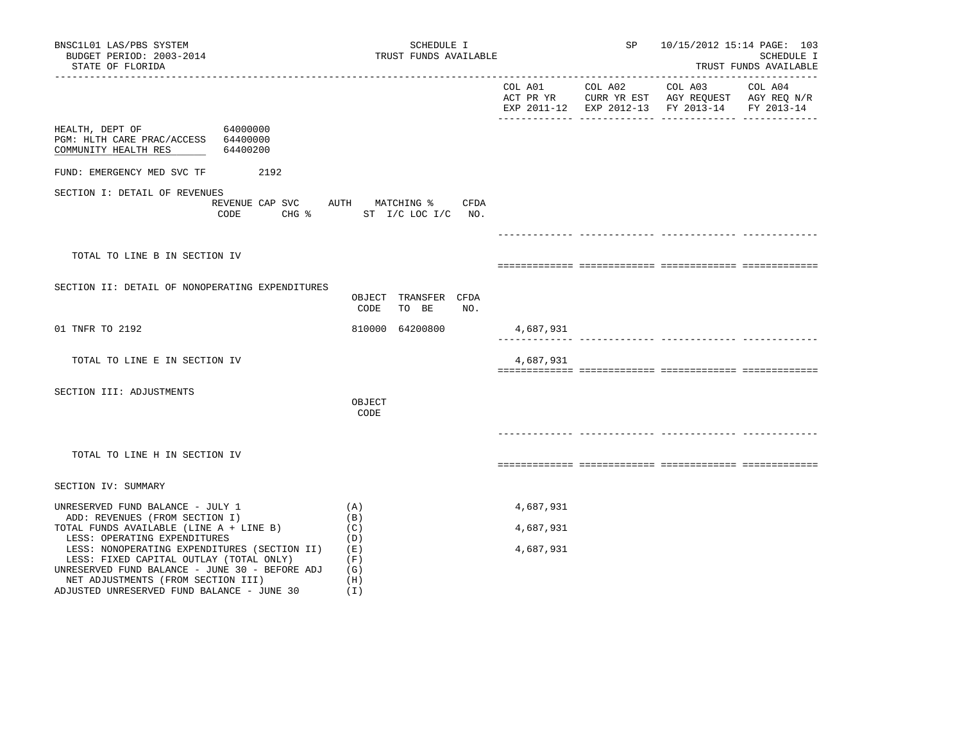| BNSC1L01 LAS/PBS SYSTEM<br>BUDGET PERIOD: 2003-2014<br>STATE OF FLORIDA                                                                                                                                             | SCHEDULE I<br>TRUST FUNDS AVAILABLE                              |           | SP 10/15/2012 15:14 PAGE: 103                 | SCHEDULE I<br>TRUST FUNDS AVAILABLE |
|---------------------------------------------------------------------------------------------------------------------------------------------------------------------------------------------------------------------|------------------------------------------------------------------|-----------|-----------------------------------------------|-------------------------------------|
|                                                                                                                                                                                                                     |                                                                  |           | EXP 2011-12 EXP 2012-13 FY 2013-14 FY 2013-14 |                                     |
| HEALTH, DEPT OF 64000000<br>PGM: HLTH CARE PRAC/ACCESS 64400000<br>COMMUNITY HEALTH RES<br>64400200                                                                                                                 |                                                                  |           |                                               |                                     |
| FUND: EMERGENCY MED SVC TF 2192                                                                                                                                                                                     |                                                                  |           |                                               |                                     |
| SECTION I: DETAIL OF REVENUES<br>CODE                                                                                                                                                                               | REVENUE CAP SVC AUTH MATCHING % CFDA<br>CHG % ST I/C LOC I/C NO. |           |                                               |                                     |
|                                                                                                                                                                                                                     |                                                                  |           |                                               |                                     |
| TOTAL TO LINE B IN SECTION IV                                                                                                                                                                                       |                                                                  |           |                                               |                                     |
| SECTION II: DETAIL OF NONOPERATING EXPENDITURES                                                                                                                                                                     | OBJECT TRANSFER CFDA<br>NO.<br>CODE<br>TO BE                     |           |                                               |                                     |
| 01 TNFR TO 2192                                                                                                                                                                                                     | 810000 64200800                                                  | 4,687,931 |                                               |                                     |
| TOTAL TO LINE E IN SECTION IV                                                                                                                                                                                       |                                                                  | 4,687,931 |                                               |                                     |
| SECTION III: ADJUSTMENTS                                                                                                                                                                                            | OBJECT<br>CODE                                                   |           |                                               |                                     |
| TOTAL TO LINE H IN SECTION IV                                                                                                                                                                                       |                                                                  |           |                                               |                                     |
| SECTION IV: SUMMARY                                                                                                                                                                                                 |                                                                  |           |                                               |                                     |
| UNRESERVED FUND BALANCE - JULY 1                                                                                                                                                                                    | (A)                                                              | 4,687,931 |                                               |                                     |
| ADD: REVENUES (FROM SECTION I)<br>TOTAL FUNDS AVAILABLE (LINE A + LINE B)                                                                                                                                           | (B)<br>(C)                                                       | 4,687,931 |                                               |                                     |
| LESS: OPERATING EXPENDITURES<br>LESS: NONOPERATING EXPENDITURES (SECTION II) (E)<br>LESS: FIXED CAPITAL OUTLAY (TOTAL ONLY)<br>UNRESERVED FUND BALANCE - JUNE 30 - BEFORE ADJ<br>NET ADJUSTMENTS (FROM SECTION III) | (D)<br>(F)<br>(G)<br>(H)                                         | 4,687,931 |                                               |                                     |

ADJUSTED UNRESERVED FUND BALANCE - JUNE 30 (I)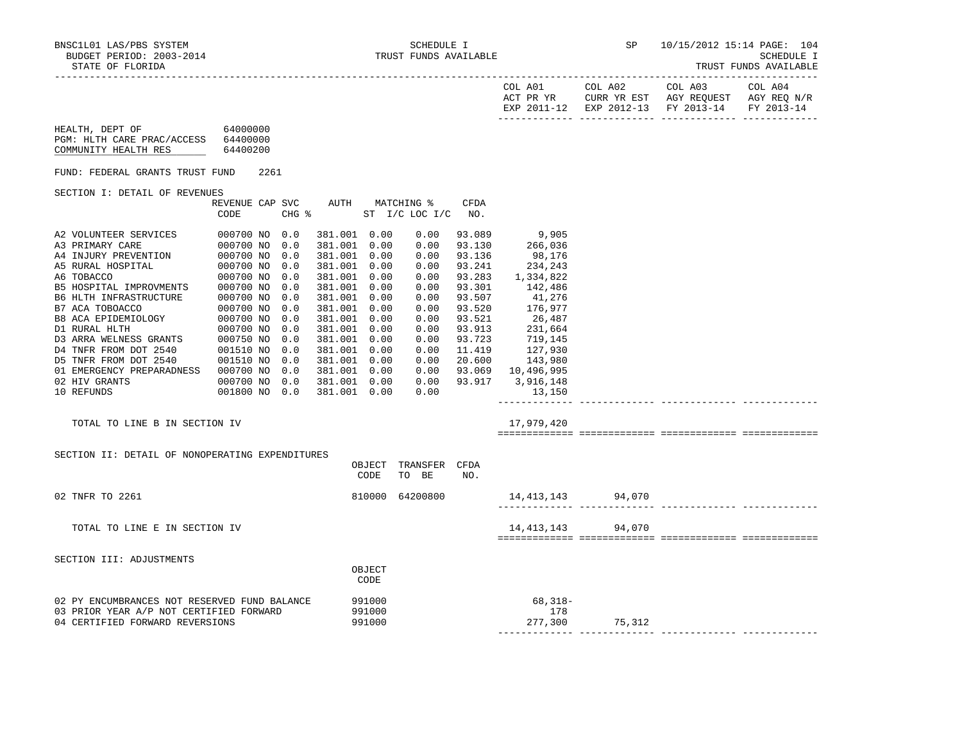------------- ------------- ------------- -------------

| BUDGET PERIOD: 2003-2014<br>STATE OF FLORIDA                                                                               |                                         |                                                                                                                                                                                                                                                              |                            | TRUST FUNDS AVAILABLE                                                                                                |                                                                                                                                                 |                                                                                                                                                                                                                                           |                      |                                                                                                           | SCHEDULE I<br>TRUST FUNDS AVAILABLE |
|----------------------------------------------------------------------------------------------------------------------------|-----------------------------------------|--------------------------------------------------------------------------------------------------------------------------------------------------------------------------------------------------------------------------------------------------------------|----------------------------|----------------------------------------------------------------------------------------------------------------------|-------------------------------------------------------------------------------------------------------------------------------------------------|-------------------------------------------------------------------------------------------------------------------------------------------------------------------------------------------------------------------------------------------|----------------------|-----------------------------------------------------------------------------------------------------------|-------------------------------------|
|                                                                                                                            |                                         |                                                                                                                                                                                                                                                              |                            |                                                                                                                      |                                                                                                                                                 | COL A01                                                                                                                                                                                                                                   | COL A02              | COL A03<br>ACT PR YR CURR YR EST AGY REQUEST AGY REQ N/R<br>EXP 2011-12 EXP 2012-13 FY 2013-14 FY 2013-14 | COL A04                             |
| HEALTH, DEPT OF 64000000<br>PGM: HLTH CARE PRAC/ACCESS 64400000<br>COMMUNITY HEALTH RES                                    | 64400200                                |                                                                                                                                                                                                                                                              |                            |                                                                                                                      |                                                                                                                                                 |                                                                                                                                                                                                                                           |                      |                                                                                                           |                                     |
| FUND: FEDERAL GRANTS TRUST FUND                                                                                            | 2261                                    |                                                                                                                                                                                                                                                              |                            |                                                                                                                      |                                                                                                                                                 |                                                                                                                                                                                                                                           |                      |                                                                                                           |                                     |
| SECTION I: DETAIL OF REVENUES                                                                                              |                                         |                                                                                                                                                                                                                                                              |                            |                                                                                                                      |                                                                                                                                                 |                                                                                                                                                                                                                                           |                      |                                                                                                           |                                     |
|                                                                                                                            | REVENUE CAP SVC AUTH MATCHING %<br>CODE | $CHG$ $\approx$                                                                                                                                                                                                                                              |                            | ST $I/C$ LOC $I/C$ NO.                                                                                               | CFDA                                                                                                                                            |                                                                                                                                                                                                                                           |                      |                                                                                                           |                                     |
| 01 EMERGENCY PREPARADNESS 000700 NO 0.0<br>02 HIV GRANTS<br>10 REFUNDS<br>TOTAL TO LINE B IN SECTION IV                    | 000700 NO 0.0<br>001800 NO 0.0          | 381.001 0.00<br>381.001 0.00<br>381.001 0.00<br>381.001 0.00<br>381.001 0.00<br>381.001 0.00<br>381.001 0.00<br>381.001 0.00<br>381.001 0.00<br>381.001 0.00<br>381.001 0.00<br>381.001 0.00<br>381.001 0.00<br>381.001 0.00<br>381.001 0.00<br>381.001 0.00 |                            | 0.00<br>0.00<br>0.00<br>0.00<br>0.00<br>0.00<br>0.00<br>0.00<br>0.00<br>0.00<br>0.00<br>0.00<br>0.00<br>0.00<br>0.00 | 93.089<br>93.130<br>93.136<br>93.241<br>93.283<br>93.301<br>93.507<br>93.520<br>93.521<br>93.913<br>93.723<br>11.419<br>20.600<br>$0.00$ 93.917 | 9,905<br>9,905<br>266,036<br>98,176<br>98,176<br>234,243<br>1,334,822<br>142,486<br>41,276<br>176,977<br>26,487<br>$20,707$<br>$231,664$<br>$719,145$<br>$127,930$<br>$143,980$<br>93.069 10,496,995<br>3,916,148<br>13,150<br>17,979,420 |                      |                                                                                                           |                                     |
|                                                                                                                            |                                         |                                                                                                                                                                                                                                                              |                            |                                                                                                                      |                                                                                                                                                 |                                                                                                                                                                                                                                           |                      |                                                                                                           |                                     |
| SECTION II: DETAIL OF NONOPERATING EXPENDITURES                                                                            |                                         |                                                                                                                                                                                                                                                              | CODE                       | OBJECT TRANSFER CFDA<br>TO BE                                                                                        | NO.                                                                                                                                             |                                                                                                                                                                                                                                           |                      |                                                                                                           |                                     |
| 02 TNFR TO 2261                                                                                                            |                                         |                                                                                                                                                                                                                                                              |                            | 810000 64200800                                                                                                      |                                                                                                                                                 | 14,413,143 94,070<br>-------------- -----------                                                                                                                                                                                           |                      |                                                                                                           |                                     |
| TOTAL TO LINE E IN SECTION IV                                                                                              |                                         |                                                                                                                                                                                                                                                              |                            |                                                                                                                      |                                                                                                                                                 |                                                                                                                                                                                                                                           | 14, 413, 143 94, 070 |                                                                                                           |                                     |
| SECTION III: ADJUSTMENTS                                                                                                   |                                         |                                                                                                                                                                                                                                                              |                            |                                                                                                                      |                                                                                                                                                 |                                                                                                                                                                                                                                           |                      |                                                                                                           |                                     |
|                                                                                                                            |                                         |                                                                                                                                                                                                                                                              | OBJECT<br>CODE             |                                                                                                                      |                                                                                                                                                 |                                                                                                                                                                                                                                           |                      |                                                                                                           |                                     |
| 02 PY ENCUMBRANCES NOT RESERVED FUND BALANCE<br>03 PRIOR YEAR A/P NOT CERTIFIED FORWARD<br>04 CERTIFIED FORWARD REVERSIONS |                                         |                                                                                                                                                                                                                                                              | 991000<br>991000<br>991000 |                                                                                                                      |                                                                                                                                                 | $68,318-$<br>178<br>277,300                                                                                                                                                                                                               | 75,312               |                                                                                                           |                                     |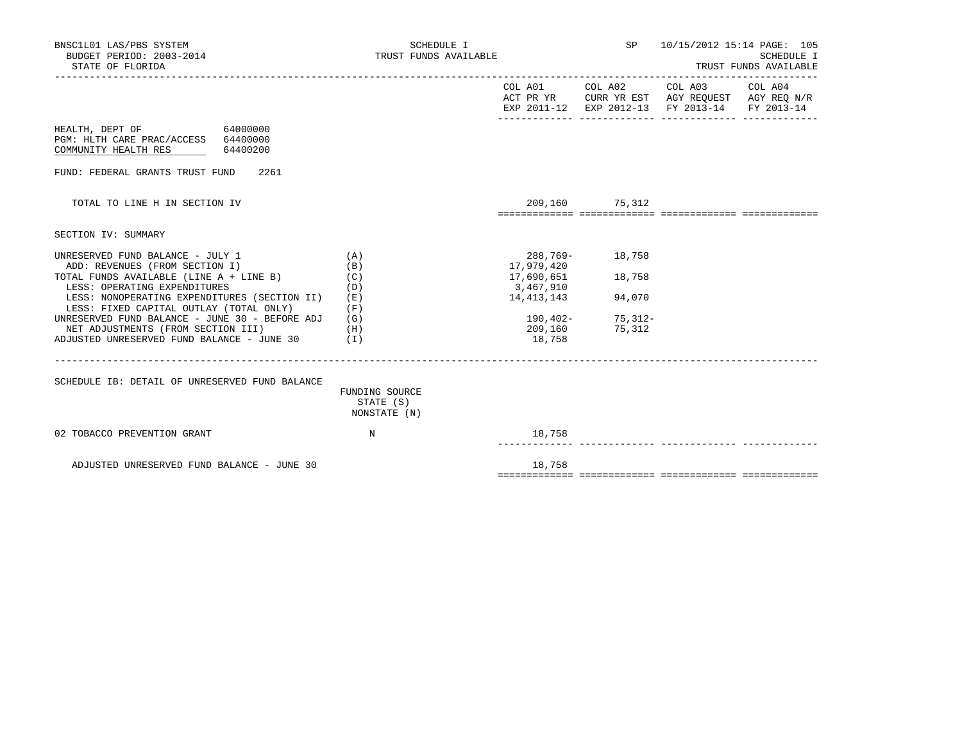| BNSC1L01 LAS/PBS SYSTEM<br>BUDGET PERIOD: 2003-2014<br>STATE OF FLORIDA                                                                   | SCHEDULE I<br>TRUST FUNDS AVAILABLE         |                          | SP                  | 10/15/2012 15:14 PAGE: 105                                                                                        | SCHEDULE I<br>TRUST FUNDS AVAILABLE |
|-------------------------------------------------------------------------------------------------------------------------------------------|---------------------------------------------|--------------------------|---------------------|-------------------------------------------------------------------------------------------------------------------|-------------------------------------|
|                                                                                                                                           |                                             |                          | COL A01 COL A02     | COL A03 COL A04<br>ACT PR YR CURR YR EST AGY REQUEST AGY REQ N/R<br>EXP 2011-12 EXP 2012-13 FY 2013-14 FY 2013-14 |                                     |
| 64000000<br>HEALTH, DEPT OF<br>PGM: HLTH CARE PRAC/ACCESS 64400000<br>64400200<br>COMMUNITY HEALTH RES                                    |                                             |                          |                     |                                                                                                                   |                                     |
| FUND: FEDERAL GRANTS TRUST FUND<br>2261                                                                                                   |                                             |                          |                     |                                                                                                                   |                                     |
| TOTAL TO LINE H IN SECTION IV                                                                                                             |                                             |                          | 209,160 75,312      |                                                                                                                   |                                     |
| SECTION IV: SUMMARY                                                                                                                       |                                             |                          |                     |                                                                                                                   |                                     |
| UNRESERVED FUND BALANCE - JULY 1<br>ADD: REVENUES (FROM SECTION I)                                                                        | (A)<br>(B)                                  | 288,769-<br>17,979,420   | 18,758              |                                                                                                                   |                                     |
| TOTAL FUNDS AVAILABLE (LINE A + LINE B)<br>LESS: OPERATING EXPENDITURES                                                                   | (C)<br>(D)                                  | 17,690,651<br>3,467,910  | 18,758              |                                                                                                                   |                                     |
| LESS: NONOPERATING EXPENDITURES (SECTION II)<br>LESS: FIXED CAPITAL OUTLAY (TOTAL ONLY)<br>UNRESERVED FUND BALANCE - JUNE 30 - BEFORE ADJ | (E)<br>(F)<br>(G)                           | 14, 413, 143<br>190,402- | 94,070<br>$75,312-$ |                                                                                                                   |                                     |
| NET ADJUSTMENTS (FROM SECTION III)<br>ADJUSTED UNRESERVED FUND BALANCE - JUNE 30                                                          | (H)<br>$(\lrcorner)$                        | 209,160<br>18,758        | 75,312              |                                                                                                                   |                                     |
| SCHEDULE IB: DETAIL OF UNRESERVED FUND BALANCE                                                                                            | FUNDING SOURCE<br>STATE (S)<br>NONSTATE (N) |                          |                     |                                                                                                                   |                                     |
| 02 TOBACCO PREVENTION GRANT                                                                                                               | N                                           | 18,758                   |                     |                                                                                                                   |                                     |
| ADJUSTED UNRESERVED FUND BALANCE - JUNE 30                                                                                                |                                             | 18,758                   |                     |                                                                                                                   |                                     |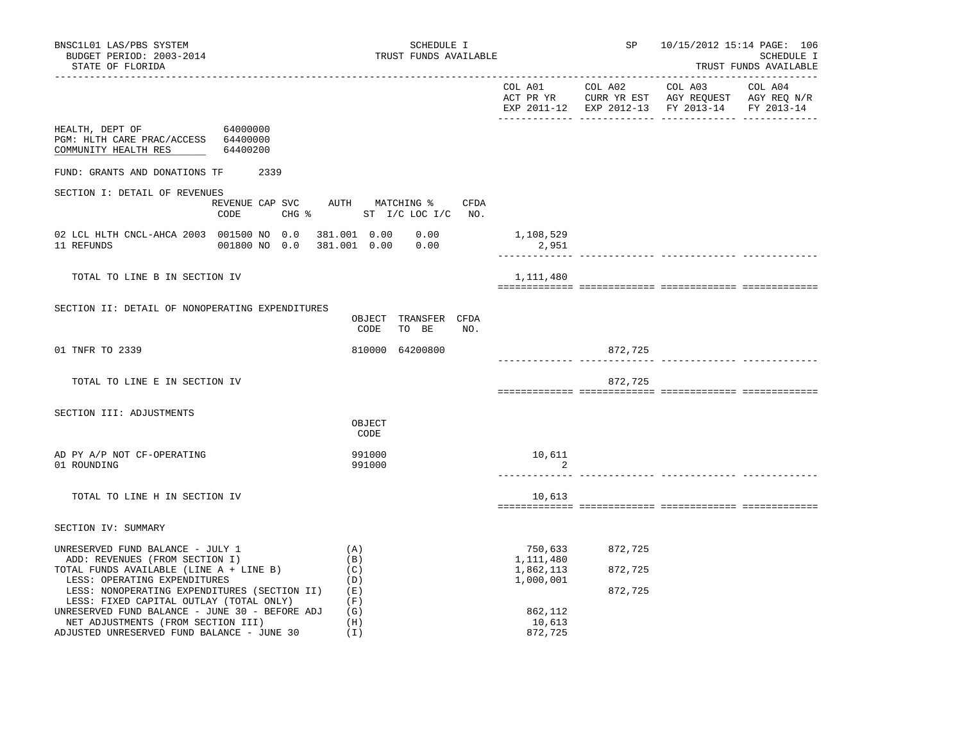|                                                                                                                                                                                                                           |                                              |                                                |                               | EXP 2011-12 EXP 2012-13 FY 2013-14 FY 2013-14 |  |
|---------------------------------------------------------------------------------------------------------------------------------------------------------------------------------------------------------------------------|----------------------------------------------|------------------------------------------------|-------------------------------|-----------------------------------------------|--|
| HEALTH, DEPT OF 64000000<br>PGM: HLTH CARE PRAC/ACCESS 64400000<br>COMMUNITY HEALTH RES<br>64400200                                                                                                                       |                                              |                                                |                               |                                               |  |
| FUND: GRANTS AND DONATIONS TF<br>2339                                                                                                                                                                                     |                                              |                                                |                               |                                               |  |
| SECTION I: DETAIL OF REVENUES<br>REVENUE CAP SVC AUTH MATCHING %<br>CODE                                                                                                                                                  | CFDA<br>CHG % ST I/C LOC I/C NO.             |                                                |                               |                                               |  |
| 02 LCL HLTH CNCL-AHCA 2003 001500 NO 0.0<br>11 REFUNDS<br>001800 NO 0.0                                                                                                                                                   | 381.001  0.00  0.00<br>381.001  0.00  0.00   | 1,108,529<br>2,951                             |                               |                                               |  |
| TOTAL TO LINE B IN SECTION IV                                                                                                                                                                                             |                                              | 1,111,480                                      |                               |                                               |  |
| SECTION II: DETAIL OF NONOPERATING EXPENDITURES                                                                                                                                                                           | OBJECT TRANSFER CFDA<br>CODE<br>TO BE<br>NO. |                                                |                               |                                               |  |
| 01 TNFR TO 2339                                                                                                                                                                                                           | 810000 64200800                              |                                                | 872,725                       |                                               |  |
| TOTAL TO LINE E IN SECTION IV                                                                                                                                                                                             |                                              |                                                | 872,725                       |                                               |  |
| SECTION III: ADJUSTMENTS                                                                                                                                                                                                  | OBJECT<br>CODE                               |                                                |                               |                                               |  |
| AD PY A/P NOT CF-OPERATING<br>01 ROUNDING                                                                                                                                                                                 | 991000<br>991000                             | 10,611<br>2                                    |                               |                                               |  |
| TOTAL TO LINE H IN SECTION IV                                                                                                                                                                                             |                                              | 10,613                                         |                               |                                               |  |
| SECTION IV: SUMMARY                                                                                                                                                                                                       |                                              |                                                |                               |                                               |  |
| (A)<br>UNRESERVED FUND BALANCE - JULY 1<br>ADD: REVENUES (FROM SECTION I)<br>(B)<br>TOTAL FUNDS AVAILABLE (LINE A + LINE B)<br>(C)<br>LESS: OPERATING EXPENDITURES<br>LESS: NONOPERATING EXPENDITURES (SECTION II)<br>(E) | (D)                                          | 750,633<br>1,111,480<br>1,862,113<br>1,000,001 | 872,725<br>872,725<br>872,725 |                                               |  |
| LESS: FIXED CAPITAL OUTLAY (TOTAL ONLY)<br>UNRESERVED FUND BALANCE - JUNE 30 - BEFORE ADJ<br>NET ADJUSTMENTS (FROM SECTION III)                                                                                           | (F)<br>(G)<br>(H)                            | 862,112<br>10,613                              |                               |                                               |  |

ADJUSTED UNRESERVED FUND BALANCE - JUNE 30 (I) 872,725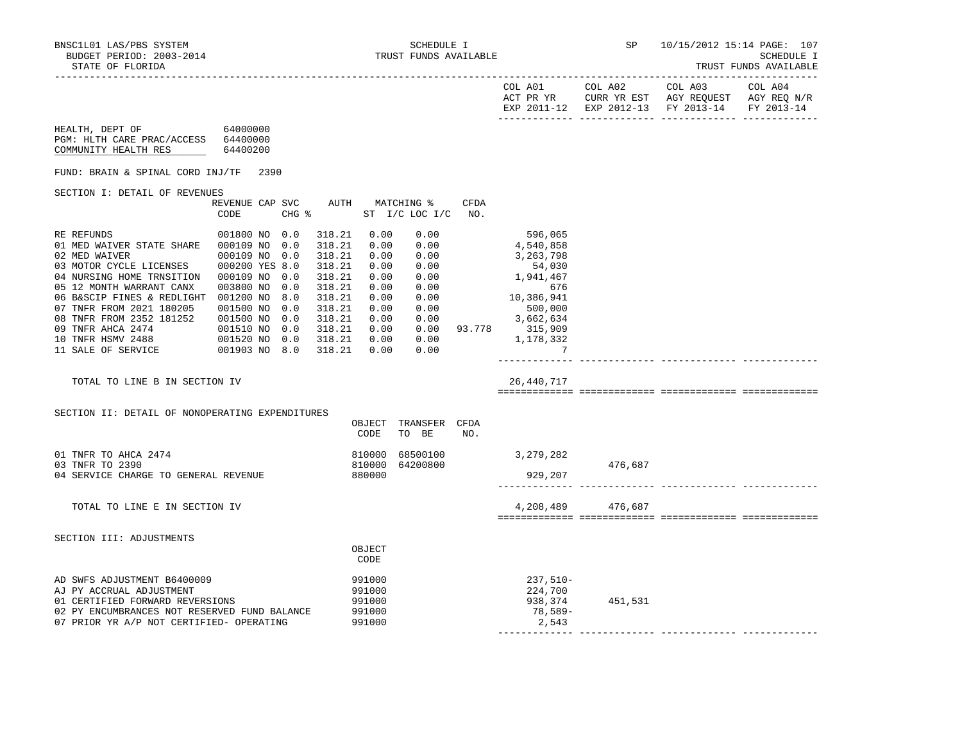------------- ------------- ------------- -------------

| BUDGET PERIOD: 2003-2014<br>STATE OF FLORIDA                                                                                                                                                                                                                                                                                                                                                                                     |                                                                                                                                                              |                                                                                                                      |                                                                                              | TRUST FUNDS AVAILABLE                                                                                |             |                                                                                                                                                                              |                                                                                                                | SCHEDULE I<br>TRUST FUNDS AVAILABLE |
|----------------------------------------------------------------------------------------------------------------------------------------------------------------------------------------------------------------------------------------------------------------------------------------------------------------------------------------------------------------------------------------------------------------------------------|--------------------------------------------------------------------------------------------------------------------------------------------------------------|----------------------------------------------------------------------------------------------------------------------|----------------------------------------------------------------------------------------------|------------------------------------------------------------------------------------------------------|-------------|------------------------------------------------------------------------------------------------------------------------------------------------------------------------------|----------------------------------------------------------------------------------------------------------------|-------------------------------------|
|                                                                                                                                                                                                                                                                                                                                                                                                                                  |                                                                                                                                                              |                                                                                                                      |                                                                                              |                                                                                                      |             |                                                                                                                                                                              | COL A01 COL A02 COL A03<br>ACT PR YR CURR YR EST AGY REQUEST AGY REQ N/R<br>EXP 2011-12 EXP 2012-13 FY 2013-14 | COL A04<br>FY 2013-14               |
| HEALTH, DEPT OF 64000000<br>PGM: HLTH CARE PRAC/ACCESS 64400000<br>COMMUNITY HEALTH RES                                                                                                                                                                                                                                                                                                                                          | 64400200                                                                                                                                                     |                                                                                                                      |                                                                                              |                                                                                                      |             |                                                                                                                                                                              |                                                                                                                |                                     |
| FUND: BRAIN & SPINAL CORD INJ/TF 2390                                                                                                                                                                                                                                                                                                                                                                                            |                                                                                                                                                              |                                                                                                                      |                                                                                              |                                                                                                      |             |                                                                                                                                                                              |                                                                                                                |                                     |
| SECTION I: DETAIL OF REVENUES                                                                                                                                                                                                                                                                                                                                                                                                    |                                                                                                                                                              |                                                                                                                      |                                                                                              |                                                                                                      |             |                                                                                                                                                                              |                                                                                                                |                                     |
|                                                                                                                                                                                                                                                                                                                                                                                                                                  | REVENUE CAP SVC<br>CHG %<br>CODE                                                                                                                             |                                                                                                                      |                                                                                              | AUTH MATCHING %<br>ST I/C LOC I/C                                                                    | CFDA<br>NO. |                                                                                                                                                                              |                                                                                                                |                                     |
| RE REFUNDS<br>01 MED WAIVER STATE SHARE 000109 NO 0.0<br>02 MED WAIVER<br>03 MOTOR CYCLE LICENSES<br>04 NURSING HOME TRNSITION 000109 NO 0.0<br>05 12 MONTH WARRANT CANX<br>06 B&SCIP FINES & REDLIGHT 001200 NO 8.0<br>07 TNFR FROM 2021 180205<br>08 TNFR FROM 2352 181252<br>09 TNFR AHCA 2474<br>10 TNFR HSMV 2488<br>11 SALE OF SERVICE<br>TOTAL TO LINE B IN SECTION IV<br>SECTION II: DETAIL OF NONOPERATING EXPENDITURES | 001800 NO 0.0<br>000109 NO 0.0<br>000200 YES 8.0<br>003800 NO<br>0.0<br>001500 NO<br>0.0<br>001500 NO 0.0<br>001510 NO 0.0<br>001520 NO 0.0<br>001903 NO 8.0 | 318.21<br>318.21<br>318.21<br>318.21<br>318.21<br>318.21<br>318.21<br>318.21<br>318.21<br>318.21<br>318.21<br>318.21 | 0.00<br>0.00<br>0.00<br>0.00<br>0.00<br>0.00<br>0.00<br>0.00<br>0.00<br>0.00<br>0.00<br>0.00 | 0.00<br>0.00<br>0.00<br>0.00<br>0.00<br>0.00<br>0.00<br>0.00<br>0.00<br>0.00<br>OBJECT TRANSFER CFDA |             | 596,065<br>4,540,858<br>3,263,798<br>54,030<br>1,941,467<br>676<br>676<br>10,386,941<br>500,000<br>3,662,634<br>0.00 93.778 315,909<br>$0.00$ 1,178,332<br>- 7<br>26,440,717 |                                                                                                                |                                     |
| 01 TNFR TO AHCA 2474                                                                                                                                                                                                                                                                                                                                                                                                             |                                                                                                                                                              | 810000                                                                                                               | CODE                                                                                         | TO BE                                                                                                | NO.         | 68500100 3,279,282                                                                                                                                                           |                                                                                                                |                                     |
| 03 TNFR TO 2390<br>04 SERVICE CHARGE TO GENERAL REVENUE                                                                                                                                                                                                                                                                                                                                                                          |                                                                                                                                                              |                                                                                                                      | 810000<br>880000                                                                             | 64200800                                                                                             |             | 929,207                                                                                                                                                                      | 476,687                                                                                                        |                                     |
| TOTAL TO LINE E IN SECTION IV                                                                                                                                                                                                                                                                                                                                                                                                    |                                                                                                                                                              |                                                                                                                      |                                                                                              |                                                                                                      |             |                                                                                                                                                                              | 4,208,489 476,687                                                                                              |                                     |
| SECTION III: ADJUSTMENTS                                                                                                                                                                                                                                                                                                                                                                                                         |                                                                                                                                                              |                                                                                                                      | OBJECT<br>CODE                                                                               |                                                                                                      |             |                                                                                                                                                                              |                                                                                                                |                                     |
| AD SWFS ADJUSTMENT B6400009<br>AJ PY ACCRUAL ADJUSTMENT<br>01 CERTIFIED FORWARD REVERSIONS<br>02 PY ENCUMBRANCES NOT RESERVED FUND BALANCE<br>07 PRIOR YR A/P NOT CERTIFIED- OPERATING                                                                                                                                                                                                                                           |                                                                                                                                                              |                                                                                                                      | 991000<br>991000<br>991000<br>991000<br>991000                                               |                                                                                                      |             | $237,510-$<br>224,700<br>938,374<br>78,589-<br>2,543                                                                                                                         | 451,531                                                                                                        |                                     |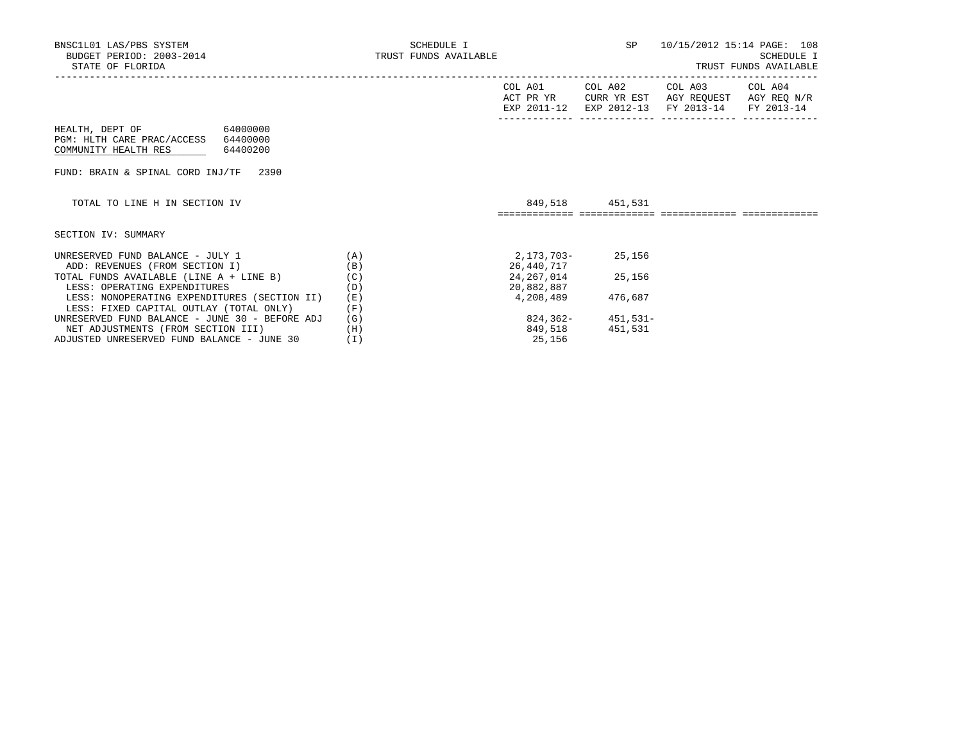|                                                |     | COL A01     | COL A02              | COL A03                | COL A04     |
|------------------------------------------------|-----|-------------|----------------------|------------------------|-------------|
|                                                |     | ACT PR YR   | CURR YR EST          | AGY REOUEST            | AGY REQ N/R |
|                                                |     | EXP 2011-12 |                      | EXP 2012-13 FY 2013-14 | FY 2013-14  |
|                                                |     |             |                      |                        |             |
| 64000000<br>HEALTH, DEPT OF                    |     |             |                      |                        |             |
| PGM: HLTH CARE PRAC/ACCESS 64400000            |     |             |                      |                        |             |
| COMMUNITY HEALTH RES<br>64400200               |     |             |                      |                        |             |
|                                                |     |             |                      |                        |             |
| FUND: BRAIN & SPINAL CORD INJ/TF<br>2390       |     |             |                      |                        |             |
|                                                |     |             |                      |                        |             |
| TOTAL TO LINE H IN SECTION IV                  |     |             | 849,518 451,531      |                        |             |
|                                                |     |             |                      |                        |             |
|                                                |     |             |                      |                        |             |
|                                                |     |             |                      |                        |             |
|                                                |     |             |                      |                        |             |
| SECTION IV: SUMMARY                            |     |             |                      |                        |             |
| UNRESERVED FUND BALANCE - JULY 1               | (A) | 2,173,703-  | 25,156               |                        |             |
| ADD: REVENUES (FROM SECTION I)                 | (B) | 26,440,717  |                      |                        |             |
| TOTAL FUNDS AVAILABLE (LINE A + LINE B)        | (C) |             | 24, 267, 014 25, 156 |                        |             |
| LESS: OPERATING EXPENDITURES                   | (D) | 20,882,887  |                      |                        |             |
| LESS: NONOPERATING EXPENDITURES (SECTION II)   | (E) | 4,208,489   | 476,687              |                        |             |
| LESS: FIXED CAPITAL OUTLAY (TOTAL ONLY)        | (F) |             |                      |                        |             |
| UNRESERVED FUND BALANCE - JUNE 30 - BEFORE ADJ | (G) |             | $824,362-451,531-$   |                        |             |
| NET ADJUSTMENTS (FROM SECTION III)             | (H) | 849,518     | 451,531              |                        |             |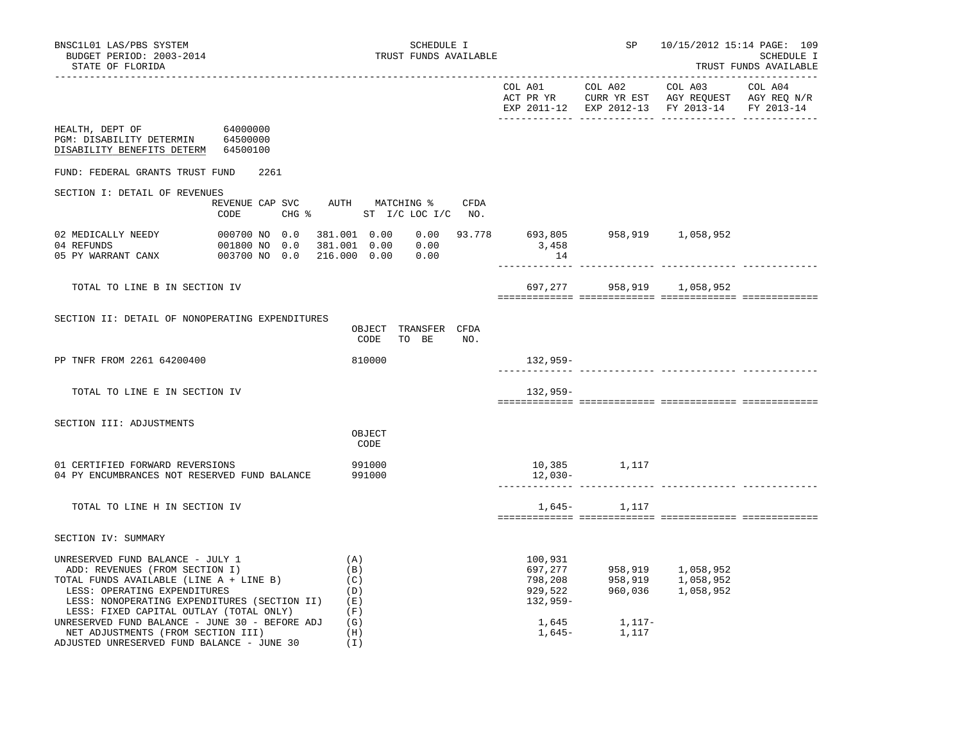| BNSC1L01 LAS/PBS SYSTEM<br>BUDGET PERIOD: 2003-2014<br>STATE OF FLORIDA<br>-------------------                                                                                                                                           |                                                 | SCHEDULE I<br>TRUST FUNDS AVAILABLE                         |             |                                                        | SP                     | 10/15/2012 15:14 PAGE: 109<br>SCHEDULE I<br>TRUST FUNDS AVAILABLE      |            |
|------------------------------------------------------------------------------------------------------------------------------------------------------------------------------------------------------------------------------------------|-------------------------------------------------|-------------------------------------------------------------|-------------|--------------------------------------------------------|------------------------|------------------------------------------------------------------------|------------|
|                                                                                                                                                                                                                                          |                                                 |                                                             |             |                                                        |                        | EXP 2011-12 EXP 2012-13 FY 2013-14                                     | FY 2013-14 |
| HEALTH, DEPT OF<br>PGM: DISABILITY DETERMIN 64500000<br>DISABILITY BENEFITS DETERM 64500100                                                                                                                                              | 64000000                                        |                                                             |             |                                                        |                        |                                                                        |            |
| FUND: FEDERAL GRANTS TRUST FUND                                                                                                                                                                                                          | 2261                                            |                                                             |             |                                                        |                        |                                                                        |            |
| SECTION I: DETAIL OF REVENUES                                                                                                                                                                                                            | REVENUE CAP SVC AUTH MATCHING %<br>CODE         | CHG % ST I/C LOC I/C NO.                                    | <b>CFDA</b> |                                                        |                        |                                                                        |            |
| 02 MEDICALLY NEEDY<br>04 REFUNDS<br>05 PY WARRANT CANX                                                                                                                                                                                   | 000700 NO 0.0<br>001800 NO 0.0<br>003700 NO 0.0 | 381.001 0.00<br>381.001  0.00  0.00<br>216.000 0.00<br>0.00 |             | $0.00$ 93.778 693,805 958,919 1,058,952<br>3,458<br>14 |                        |                                                                        |            |
| TOTAL TO LINE B IN SECTION IV                                                                                                                                                                                                            |                                                 |                                                             |             |                                                        |                        | 697,277 958,919 1,058,952                                              |            |
| SECTION II: DETAIL OF NONOPERATING EXPENDITURES                                                                                                                                                                                          |                                                 | OBJECT TRANSFER CFDA<br>CODE<br>TO BE                       | NO.         |                                                        |                        |                                                                        |            |
| PP TNFR FROM 2261 64200400                                                                                                                                                                                                               |                                                 | 810000                                                      |             | 132,959-<br>------------                               |                        |                                                                        |            |
| TOTAL TO LINE E IN SECTION IV                                                                                                                                                                                                            |                                                 |                                                             |             | 132,959-                                               |                        |                                                                        |            |
| SECTION III: ADJUSTMENTS                                                                                                                                                                                                                 |                                                 | OBJECT<br>CODE                                              |             |                                                        |                        |                                                                        |            |
| 01 CERTIFIED FORWARD REVERSIONS<br>991000<br>04 PY ENCUMBRANCES NOT RESERVED FUND BALANCE<br>991000                                                                                                                                      |                                                 |                                                             |             | 12,030-                                                | 10,385 1,117           |                                                                        |            |
| TOTAL TO LINE H IN SECTION IV                                                                                                                                                                                                            |                                                 |                                                             |             |                                                        | 1,645 - 1,117          |                                                                        |            |
| SECTION IV: SUMMARY                                                                                                                                                                                                                      |                                                 |                                                             |             |                                                        |                        |                                                                        |            |
| UNRESERVED FUND BALANCE - JULY 1<br>ADD: REVENUES (FROM SECTION I)<br>TOTAL FUNDS AVAILABLE (LINE A + LINE B)<br>LESS: OPERATING EXPENDITURES<br>LESS: NONOPERATING EXPENDITURES (SECTION II)<br>LESS: FIXED CAPITAL OUTLAY (TOTAL ONLY) |                                                 | (A)<br>(B)<br>(C)<br>(D)<br>(E)<br>(F)                      |             | 100,931<br>697,277<br>798,208<br>929,522<br>132,959-   |                        | 958,919       1,058,952<br>958,919      1,058,952<br>960,036 1,058,952 |            |
| UNRESERVED FUND BALANCE - JUNE 30 - BEFORE ADJ<br>NET ADJUSTMENTS (FROM SECTION III)<br>ADJUSTED UNRESERVED FUND BALANCE - JUNE 30                                                                                                       |                                                 | (G)<br>(H)<br>(I)                                           |             | 1,645                                                  | 1,117-<br>1,645- 1,117 |                                                                        |            |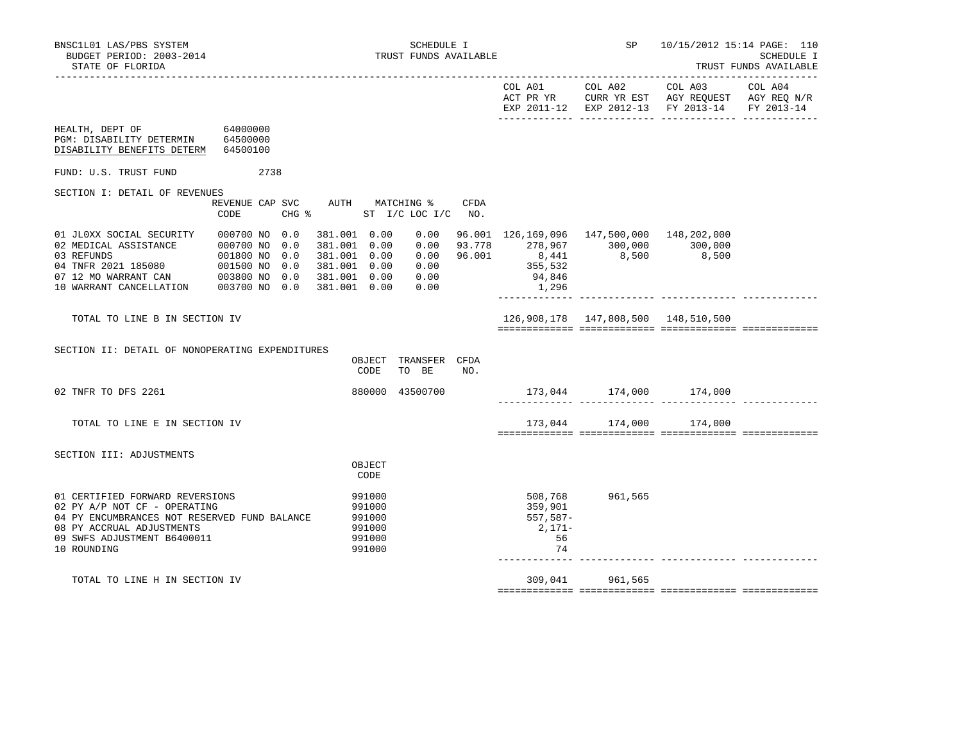|                                                                                                                                                                                                                                                                   |               |                                                                                                |                              |     |                                                                                                                                                      |                                       | EXP 2011-12 EXP 2012-13 FY 2013-14 FY 2013-14 |  |
|-------------------------------------------------------------------------------------------------------------------------------------------------------------------------------------------------------------------------------------------------------------------|---------------|------------------------------------------------------------------------------------------------|------------------------------|-----|------------------------------------------------------------------------------------------------------------------------------------------------------|---------------------------------------|-----------------------------------------------|--|
| HEALTH, DEPT OF<br>PGM: DISABILITY DETERMIN 64500000<br>DISABILITY BENEFITS DETERM 64500100                                                                                                                                                                       | 64000000      |                                                                                                |                              |     |                                                                                                                                                      |                                       |                                               |  |
| FUND: U.S. TRUST FUND                                                                                                                                                                                                                                             | 2738          |                                                                                                |                              |     |                                                                                                                                                      |                                       |                                               |  |
| SECTION I: DETAIL OF REVENUES                                                                                                                                                                                                                                     | CODE          | REVENUE CAP SVC AUTH MATCHING % CFDA<br>CHG % ST I/C LOC I/C NO.                               |                              |     |                                                                                                                                                      |                                       |                                               |  |
| 01 JL0XX SOCIAL SECURITY<br>012 MEDICAL ASSISTANCE<br>02 MEDICAL ASSISTANCE<br>02 MEDICAL ASSISTANCE<br>02 MEDICAL ASSISTANCE<br>02 MEDICAL ASSISTANCE<br>02 01800 NO 0.0<br>02 MERRANT 2021 185080<br>0201500 NO 0.0<br>10 WARRANT CANCELLATION<br>023800 NO 0.0 | 000700 NO 0.0 | 381.001 0.00<br>381.001 0.00<br>381.001 0.00<br>381.001 0.00<br>381.001 0.00<br>381.001   0.00 | 0.00<br>0.00<br>0.00<br>0.00 |     | 96.001 126,169,096 147,500,000 148,202,000<br>$93.778$ 278,967 300,000 300,000<br>$0.00$ 96.001 8,441 8,500 8,500<br>0.00 355,532<br>94,846<br>1,296 |                                       |                                               |  |
| TOTAL TO LINE B IN SECTION IV                                                                                                                                                                                                                                     |               |                                                                                                |                              |     |                                                                                                                                                      | 126,908,178  147,808,500  148,510,500 |                                               |  |
| SECTION II: DETAIL OF NONOPERATING EXPENDITURES                                                                                                                                                                                                                   |               | OBJECT<br>CODE                                                                                 | TRANSFER CFDA<br>TO BE       | NO. |                                                                                                                                                      |                                       |                                               |  |
| 02 TNFR TO DFS 2261                                                                                                                                                                                                                                               |               |                                                                                                | 880000 43500700              |     |                                                                                                                                                      | 173,044 174,000 174,000               |                                               |  |
| TOTAL TO LINE E IN SECTION IV                                                                                                                                                                                                                                     |               |                                                                                                |                              |     |                                                                                                                                                      | 173,044 174,000 174,000               |                                               |  |
| SECTION III: ADJUSTMENTS                                                                                                                                                                                                                                          |               | OBJECT<br>CODE                                                                                 |                              |     |                                                                                                                                                      |                                       |                                               |  |
| 01 CERTIFIED FORWARD REVERSIONS<br>02 PY A/P NOT CF - OPERATING<br>04 PY ENCUMBRANCES NOT RESERVED FUND BALANCE<br>08 PY ACCRUAL ADJUSTMENTS<br>09 SWFS ADJUSTMENT B6400011<br>10 ROUNDING                                                                        |               | 991000<br>991000<br>991000<br>991000<br>991000<br>991000                                       |                              |     | 359,901<br>557,587-<br>2,171-<br>56<br>74                                                                                                            | 508,768 961,565                       |                                               |  |
| TOTAL TO LINE H IN SECTION IV                                                                                                                                                                                                                                     |               |                                                                                                |                              |     |                                                                                                                                                      | 309,041 961,565                       |                                               |  |
|                                                                                                                                                                                                                                                                   |               |                                                                                                |                              |     |                                                                                                                                                      |                                       |                                               |  |